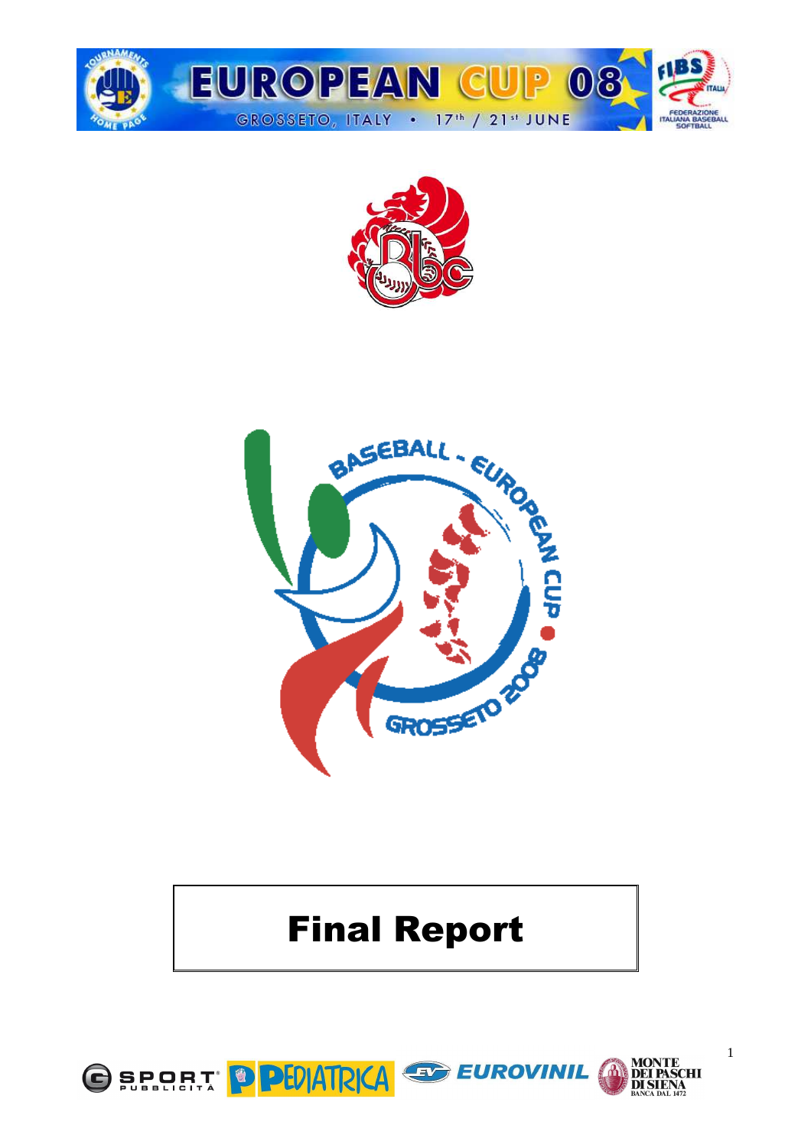





# Final Report



1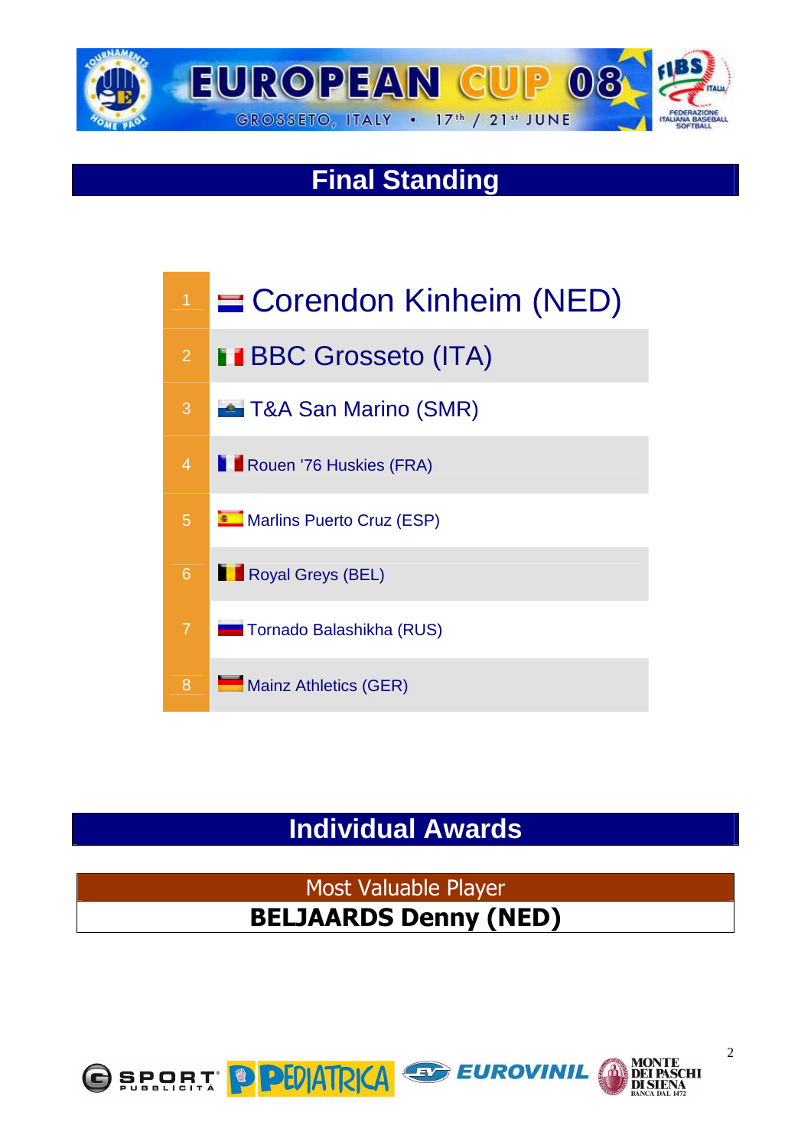

## **Final Standing**



## **Individual Awards**

Most Valuable Player BELJAARDS Denny (NED)

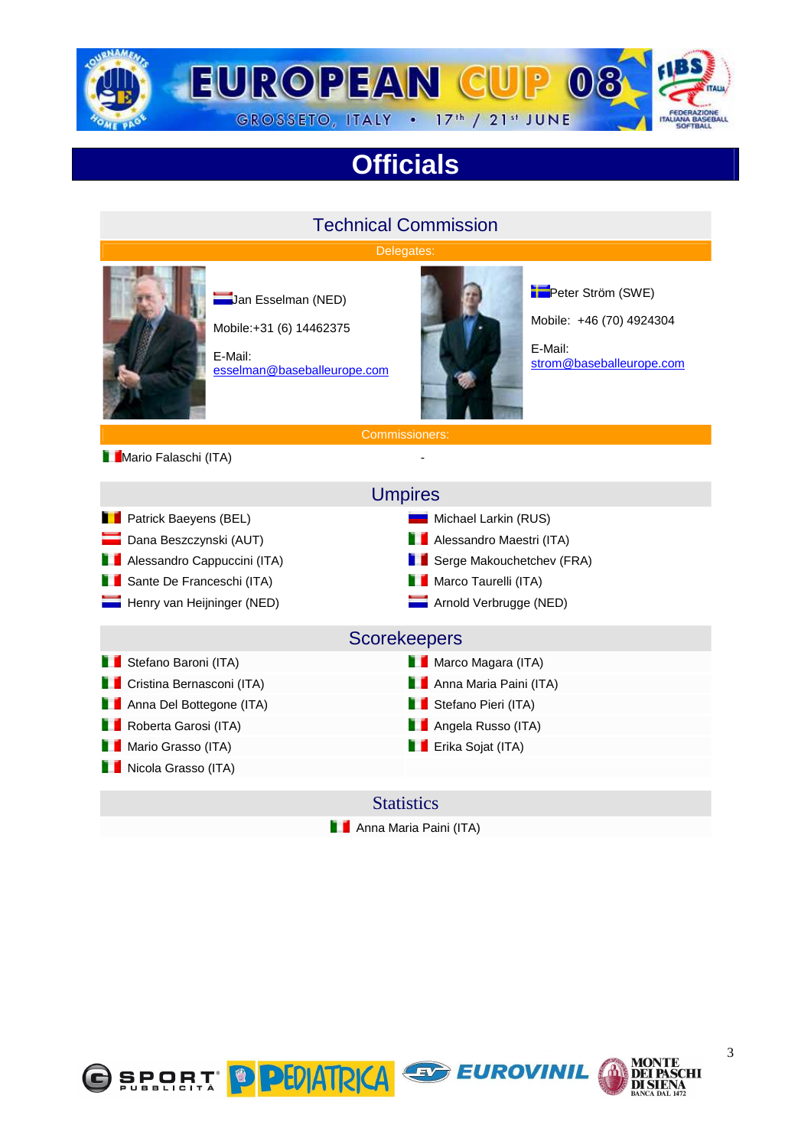

# **Officials**

#### Technical Commission Delegates: **Jan Esselman (NED)** Mobile:+31 (6) 14462375 E-Mail: esselman@baseballeurope.com E-Mail:

**Peter Ström (SWE)** Mobile: +46 (70) 4924304

strom@baseballeurope.com

**Mario Falaschi (ITA)** 

Commissioners:

Umpires

**Patrick Baeyens (BEL)** Michael Larkin (RUS) **Dana Beszczynski (AUT)** Alessandro Maestri (ITA) Alessandro Cappuccini (ITA) Serge Makouchetchev (FRA) Ĩ.

Nicola Grasso (ITA)

#### Sante De Franceschi (ITA) Marco Taurelli (ITA)

Henry van Heijninger (NED) Arnold Verbrugge (NED)

#### **Scorekeepers**

**Stefano Baroni (ITA)** Marco Magara (ITA) Marco Magara (ITA)

**Cristina Bernasconi (ITA)** Anna Maria Paini (ITA)

Anna Del Bottegone (ITA) Stefano Pieri (ITA)

**Roberta Garosi (ITA)** Angela Russo (ITA)

**Mario Grasso (ITA)** Natio Grasso (ITA) Erika Sojat (ITA)

#### **Statistics**

**Anna Maria Paini (ITA)** 







**SCHI**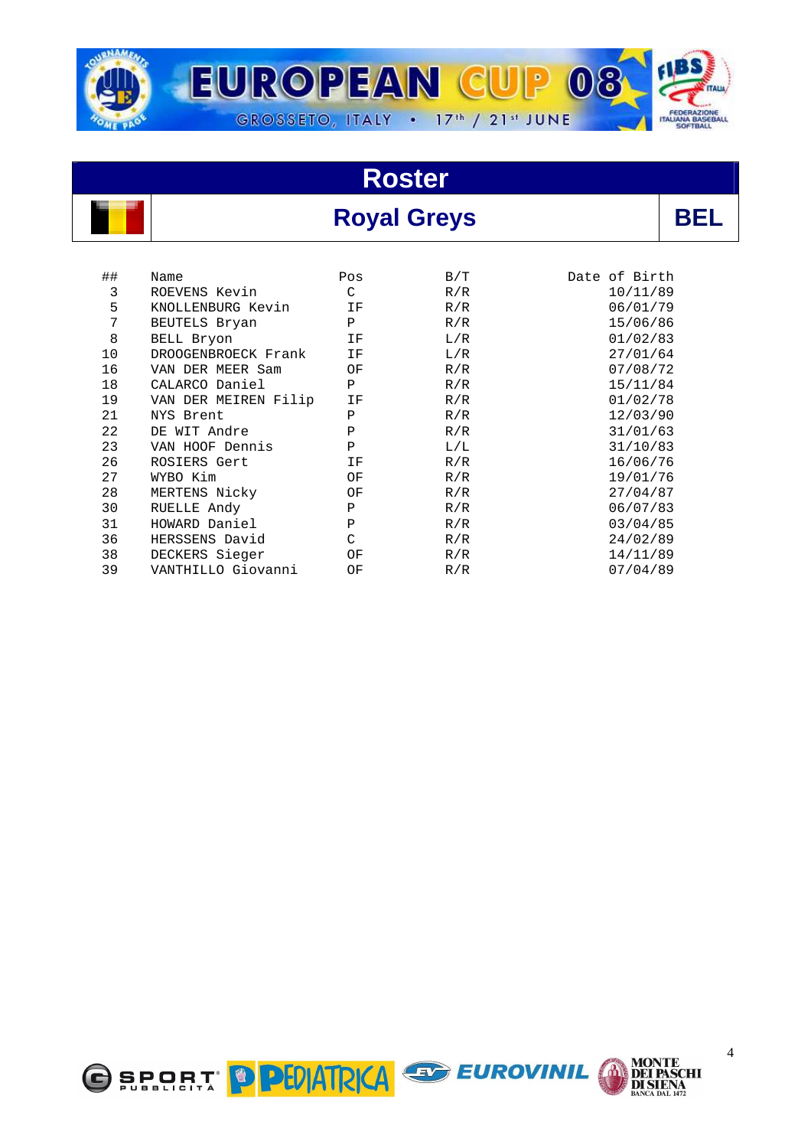

## **Royal Greys BEL**

| ## | Name                | Pos | B/T | Date of Birth |
|----|---------------------|-----|-----|---------------|
| 3  | ROEVENS Kevin       | C   | R/R | 10/11/89      |
| 5  | KNOLLENBURG Kevin   | ΙF  | R/R | 06/01/79      |
| 7  | BEUTELS Bryan       | Ρ   | R/R | 15/06/86      |
| 8  | BELL Bryon          | ΙF  | L/R | 01/02/83      |
| 10 | DROOGENBROECK Frank | ΙF  | L/R | 27/01/64      |
| 16 | VAN DER MEER Sam    | ΟF  | R/R | 07/08/72      |

| 7  | BEUTELS Bryan        | $\mathbf P$ | R/R | 15/06/86 |
|----|----------------------|-------------|-----|----------|
| 8  | BELL Bryon           | ΙF          | L/R | 01/02/83 |
| 10 | DROOGENBROECK Frank  | ΙF          | L/R | 27/01/64 |
| 16 | VAN DER MEER Sam     | ΟF          | R/R | 07/08/72 |
| 18 | CALARCO Daniel       | Ρ           | R/R | 15/11/84 |
| 19 | VAN DER MEIREN Filip | ΙF          | R/R | 01/02/78 |
| 21 | NYS Brent            | Ρ           | R/R | 12/03/90 |
| 22 | DE WIT Andre         | $\mathbf P$ | R/R | 31/01/63 |
| 23 | VAN HOOF Dennis      | $\mathbf P$ | L/L | 31/10/83 |
| 26 | ROSIERS Gert         | ΙF          | R/R | 16/06/76 |
| 27 | WYBO Kim             | OF          | R/R | 19/01/76 |
| 28 | MERTENS Nicky        | ΟF          | R/R | 27/04/87 |
| 30 | RUELLE Andy          | Ρ           | R/R | 06/07/83 |
| 31 | HOWARD Daniel        | $\mathbf P$ | R/R | 03/04/85 |
| 36 | HERSSENS David       | C           | R/R | 24/02/89 |
| 38 | DECKERS Sieger       | ΟF          | R/R | 14/11/89 |
| 39 | VANTHILLO Giovanni   | ΟF          | R/R | 07/04/89 |



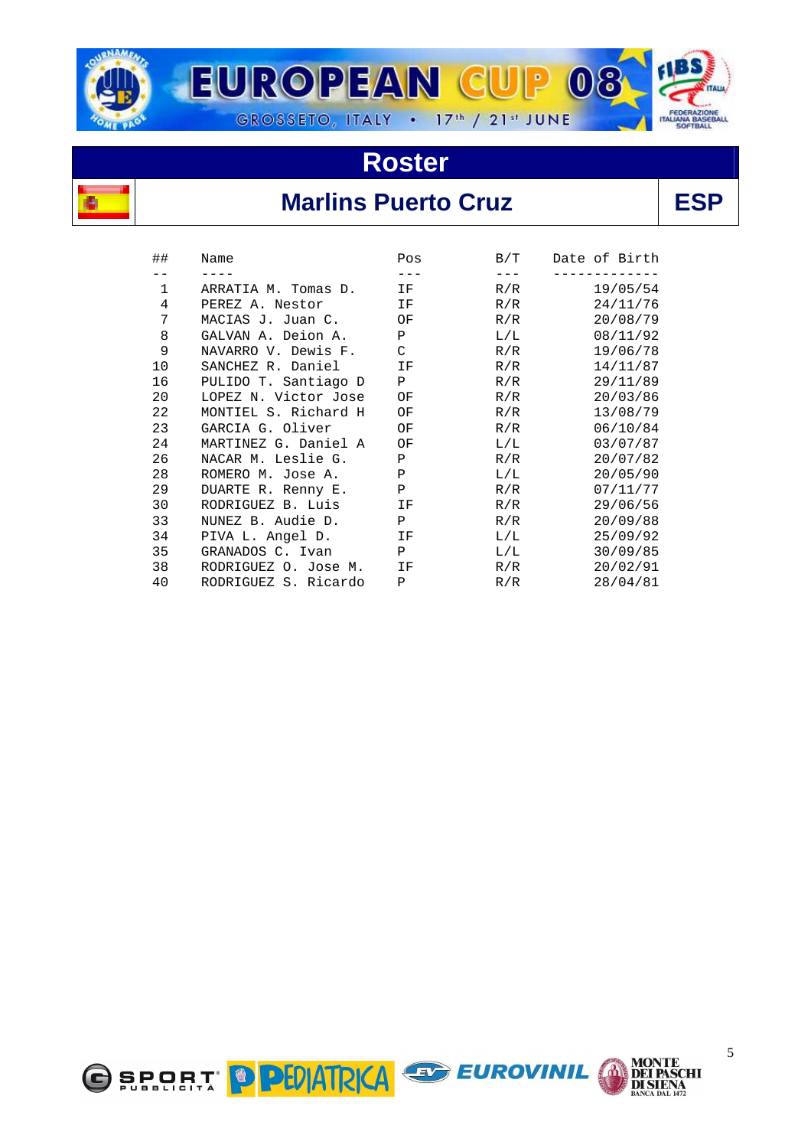



## **Marlins Puerto Cruz** | ESP

| ##          | Name                 | Pos          | B/T       | Date of Birth |
|-------------|----------------------|--------------|-----------|---------------|
|             |                      | ---          | $---$     |               |
| $\mathbf 1$ | ARRATIA M. Tomas D.  | IF           | R/R       | 19/05/54      |
| 4           | PEREZ A. Nestor      | ΙF           | R/R       | 24/11/76      |
| 7           | MACIAS J. Juan C.    | ΟF           | R/R       | 20/08/79      |
| 8           | GALVAN A. Deion A.   | $\mathbf{P}$ | $\rm L/L$ | 08/11/92      |
| 9           | NAVARRO V. Dewis F.  | C            | R/R       | 19/06/78      |
| 10          | SANCHEZ R. Daniel    | ΙF           | R/R       | 14/11/87      |
| 16          | PULIDO T. Santiago D | Ρ            | R/R       | 29/11/89      |
| 20          | LOPEZ N. Victor Jose | ΟF           | R/R       | 20/03/86      |
| 22          | MONTIEL S. Richard H | ΟF           | R/R       | 13/08/79      |
| 23          | GARCIA G. Oliver     | ΟF           | R/R       | 06/10/84      |
| 24          | MARTINEZ G. Daniel A | ΟF           | $\rm L/L$ | 03/07/87      |
| 26          | NACAR M. Leslie G.   | Ρ            | R/R       | 20/07/82      |
| 28          | ROMERO M. Jose A.    | Ρ            | L/L       | 20/05/90      |
| 29          | DUARTE R. Renny E.   | Ρ            | R/R       | 07/11/77      |
| 30          | RODRIGUEZ B. Luis    | ΙF           | R/R       | 29/06/56      |
| 33          | NUNEZ B. Audie D.    | $\mathbf{P}$ | R/R       | 20/09/88      |
| 34          | PIVA L. Angel D.     | ΙF           | $\rm L/L$ | 25/09/92      |
| 35          | GRANADOS C. Ivan     | $\mathbf{P}$ | $\rm L/L$ | 30/09/85      |
| 38          | RODRIGUEZ O. Jose M. | ΙF           | R/R       | 20/02/91      |
| 40          | RODRIGUEZ S. Ricardo | P            | R/R       | 28/04/81      |





**MONTE<br>DEI PASCHI<br>DI SIENA<br>BANCA DAL 1472**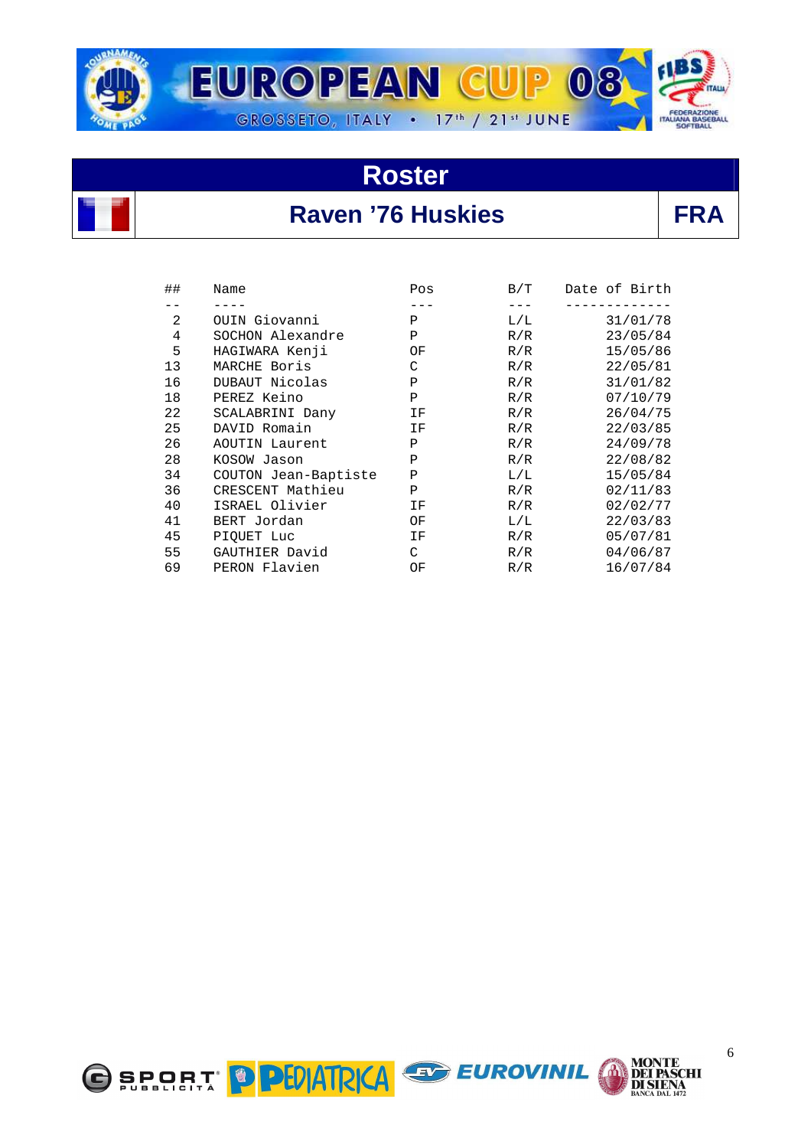



#### Raven '76 Huskies **FRA**

| ## | Name                 | Pos           | B/T | Date of Birth |
|----|----------------------|---------------|-----|---------------|
|    |                      |               |     |               |
| 2  | OUIN Giovanni        | $\mathbf{P}$  | L/L | 31/01/78      |
| 4  | SOCHON Alexandre     | Ρ             | R/R | 23/05/84      |
| 5  | HAGIWARA Kenji       | ΟF            | R/R | 15/05/86      |
| 13 | MARCHE Boris         | C             | R/R | 22/05/81      |
| 16 | DUBAUT Nicolas       | P             | R/R | 31/01/82      |
| 18 | PEREZ Keino          | P             | R/R | 07/10/79      |
| 22 | SCALABRINI Dany      | ΙF            | R/R | 26/04/75      |
| 25 | DAVID Romain         | ΙF            | R/R | 22/03/85      |
| 26 | AOUTIN Laurent       | Ρ             | R/R | 24/09/78      |
| 28 | KOSOW Jason          | P             | R/R | 22/08/82      |
| 34 | COUTON Jean-Baptiste | P             | L/L | 15/05/84      |
| 36 | CRESCENT Mathieu     | P             | R/R | 02/11/83      |
| 40 | ISRAEL Olivier       | ΙF            | R/R | 02/02/77      |
| 41 | BERT Jordan          | ΟF            | L/L | 22/03/83      |
| 45 | PIOUET Luc           | ΙF            | R/R | 05/07/81      |
| 55 | GAUTHIER David       | $\mathcal{C}$ | R/R | 04/06/87      |
| 69 | PERON Flavien        | ΟF            | R/R | 16/07/84      |



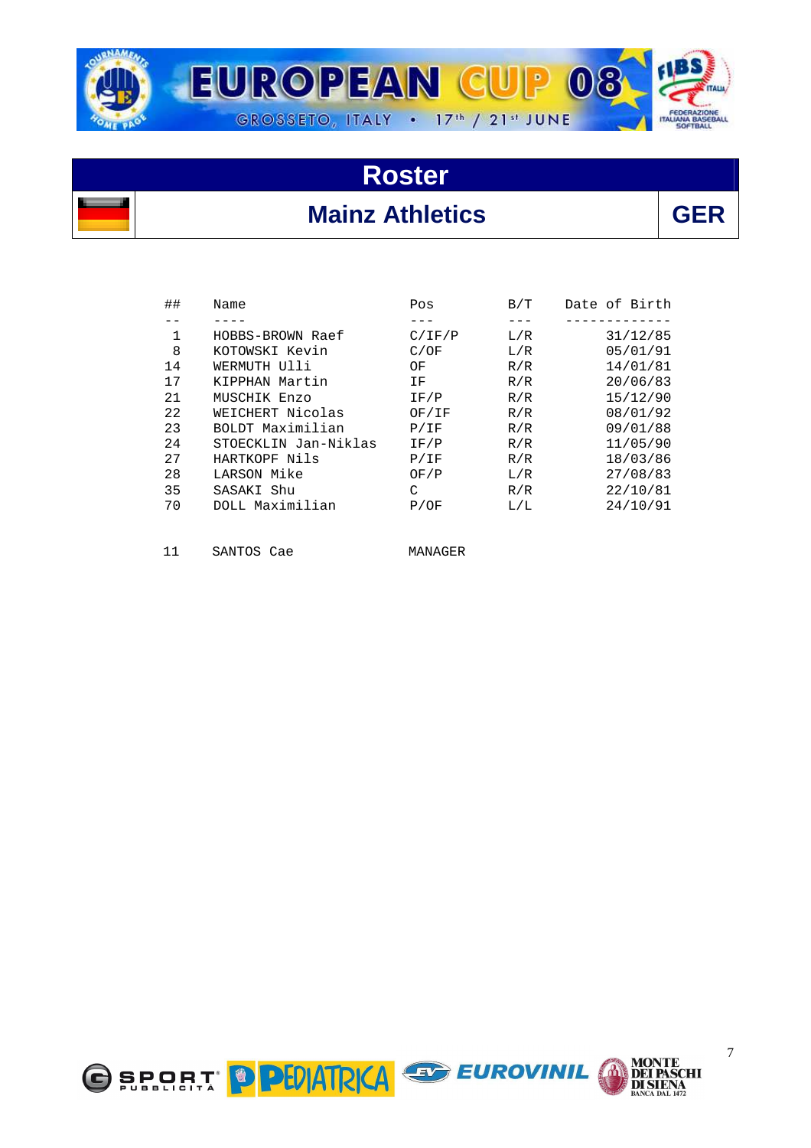

## **Roster Mainz Athletics**

| ##           | Name                 | Pos    | B/T | Date of Birth |
|--------------|----------------------|--------|-----|---------------|
|              |                      |        |     |               |
| $\mathbf{1}$ | HOBBS-BROWN Raef     | C/IF/P | L/R | 31/12/85      |
| 8            | KOTOWSKI Kevin       | C/OF   | L/R | 05/01/91      |
| 14           | WERMUTH Ulli         | OF     | R/R | 14/01/81      |
| 17           | KIPPHAN Martin       | ΙF     | R/R | 20/06/83      |
| 21           | MUSCHIK Enzo         | IF/P   | R/R | 15/12/90      |
| 22           | WEICHERT Nicolas     | OF/IF  | R/R | 08/01/92      |
| 23           | BOLDT Maximilian     | P/IF   | R/R | 09/01/88      |
| 24           | STOECKLIN Jan-Niklas | IF/P   | R/R | 11/05/90      |
| 27           | HARTKOPF Nils        | P/IF   | R/R | 18/03/86      |
| 28           | LARSON Mike          | OF/P   | L/R | 27/08/83      |
| 35           | SASAKI Shu           | C      | R/R | 22/10/81      |
| 70           | DOLL Maximilian      | P/OF   | L/L | 24/10/91      |
|              |                      |        |     |               |
|              |                      |        |     |               |

11 SANTOS Cae MANAGER



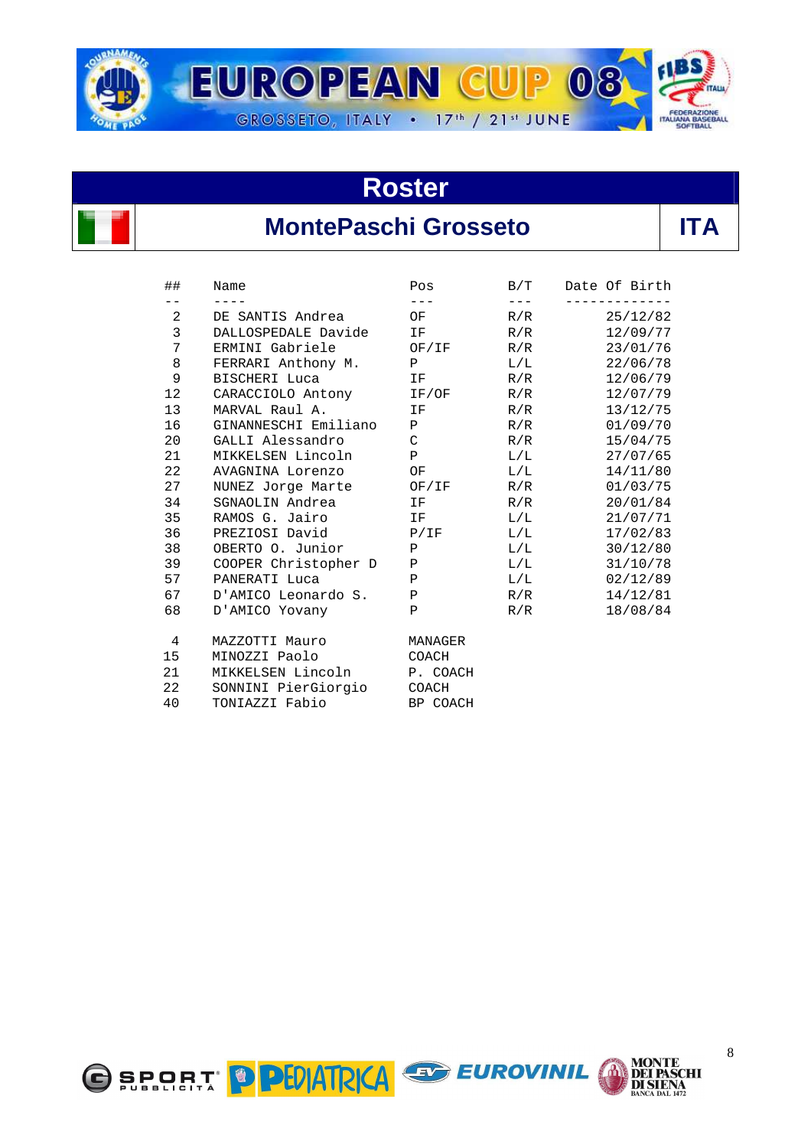

### **MontePaschi Grosseto**

| ##                | Name                       | Pos                                                             |           | B/T Date Of Birth |
|-------------------|----------------------------|-----------------------------------------------------------------|-----------|-------------------|
| $- -$             | $\frac{1}{2}$              | $\frac{1}{2}$                                                   | $- - - -$ | -----------       |
| $2 \quad$         | DE SANTIS Andrea           | OF                                                              | R/R       | 25/12/82          |
| $\mathbf{3}$      | DALLOSPEDALE Davide IF     |                                                                 |           | R/R<br>12/09/77   |
| 7                 | ERMINI Gabriele OF/IF R/R  |                                                                 |           | 23/01/76          |
| 8                 | FERRARI Anthony M. P       |                                                                 | L/L       | 22/06/78          |
| 9                 | BISCHERI Luca              | $\mathbf{F}$ and $\mathbf{F}$ and $\mathbf{F}$ and $\mathbf{F}$ |           | $R/R$ 12/06/79    |
| $12 \overline{ }$ | CARACCIOLO Antony IF/OF    |                                                                 | R/R       | 12/07/79          |
| 13                | MARVAL Raul A.             | <b>IF</b>                                                       | R/R       | 13/12/75          |
| 16                | GINANNESCHI Emiliano P     |                                                                 |           | 01/09/70<br>R/R   |
| 20                | GALLI Alessandro           | $\mathbf C$                                                     | R/R       | 15/04/75          |
| 21                | MIKKELSEN Lincoln P        |                                                                 | L/L       | 27/07/65          |
| 22                | AVAGNINA Lorenzo OF        |                                                                 |           | L/L<br>14/11/80   |
| 27                | NUNEZ Jorge Marte OF/IF    |                                                                 | R/R       | 01/03/75          |
| 34                | SGNAOLIN Andrea IF         |                                                                 | R/R       | 20/01/84          |
| 35                | RAMOS G. Jairo TF          |                                                                 |           | L/L<br>21/07/71   |
| 36                | PREZIOSI David P/IF        |                                                                 | L/L       | 17/02/83          |
| 38                | OBERTO O. Junior P         |                                                                 | $\rm L/L$ | 30/12/80          |
| 39                | COOPER Christopher D P     |                                                                 |           | $L/L$ 31/10/78    |
| 57                | PANERATI Luca              | $\mathbf{P}$                                                    |           | L/L<br>02/12/89   |
| 67                | D'AMICO Leonardo S. P      |                                                                 | R/R       | 14/12/81          |
| 68                | D'AMICO Yovany             | $\mathbf{P}$                                                    | R/R       | 18/08/84          |
| 4                 | MAZZOTTI Mauro             | MANAGER                                                         |           |                   |
| 15                | MINOZZI Paolo              | COACH                                                           |           |                   |
| 21                | MIKKELSEN Lincoln P. COACH |                                                                 |           |                   |
| 22                | SONNINI PierGiorgio COACH  |                                                                 |           |                   |
| 40                | TONIAZZI Fabio             | BP COACH                                                        |           |                   |



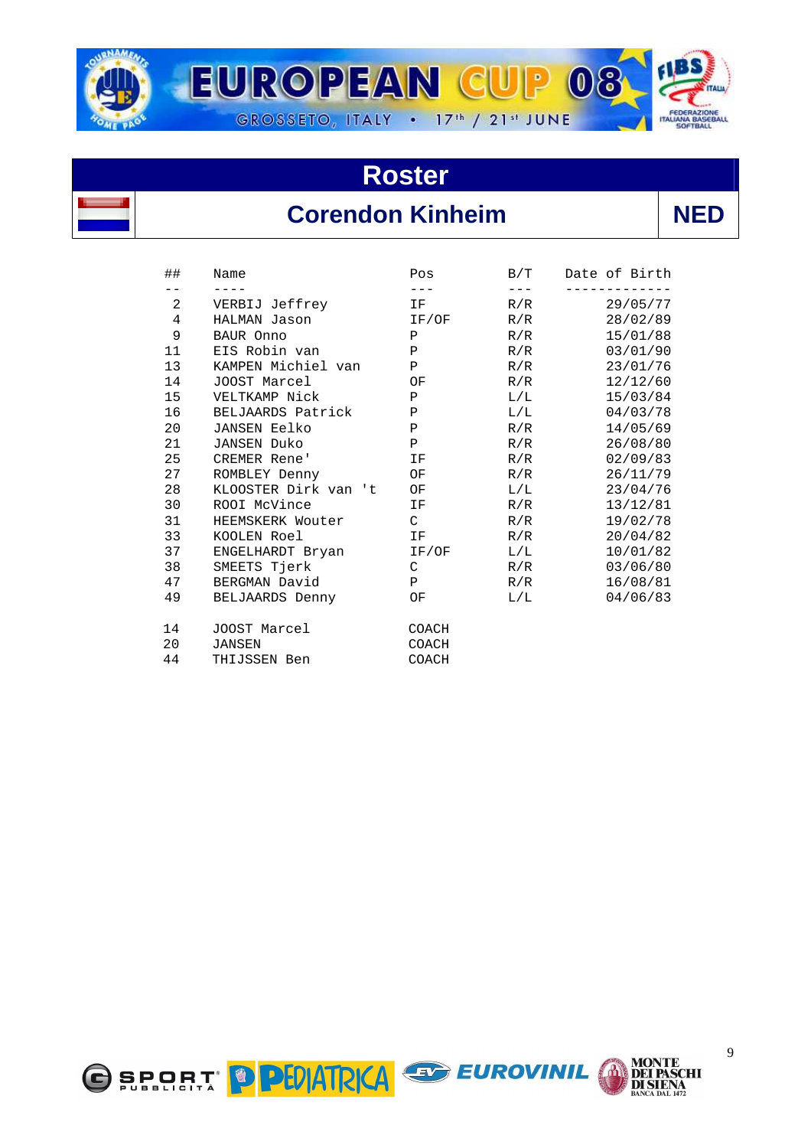



## **Corendon Kinheim**

| ٠ |
|---|
|---|

| ##             | Name                 | Pos          | B/T | Date of Birth |
|----------------|----------------------|--------------|-----|---------------|
| $\overline{a}$ | VERBIJ Jeffrey       | ΙF           | R/R | 29/05/77      |
| 4              | HALMAN Jason         | IF/OF        | R/R | 28/02/89      |
| 9              | BAUR Onno            | $\, {\bf P}$ | R/R | 15/01/88      |
| 11             | EIS Robin van        | $\, {\bf P}$ | R/R | 03/01/90      |
| 13             | KAMPEN Michiel van   | P            | R/R | 23/01/76      |
| 14             | JOOST Marcel         | ΟF           | R/R | 12/12/60      |
| 15             | VELTKAMP Nick        | $\mathbf{P}$ | L/L | 15/03/84      |
| 16             | BELJAARDS Patrick    | $\mathbf P$  | L/L | 04/03/78      |
| 20             | <b>JANSEN Eelko</b>  | $\mathbf P$  | R/R | 14/05/69      |
| 21             | <b>JANSEN Duko</b>   | $\, {\bf P}$ | R/R | 26/08/80      |
| 25             | <b>CREMER Rene'</b>  | ΙF           | R/R | 02/09/83      |
| 27             | ROMBLEY Denny        | ΟF           | R/R | 26/11/79      |
| 28             | KLOOSTER Dirk van 't | ΟF           | L/L | 23/04/76      |
| 30             | ROOI McVince         | ΙF           | R/R | 13/12/81      |
| 31             | HEEMSKERK Wouter     | C            | R/R | 19/02/78      |
| 33             | KOOLEN Roel          | ΙF           | R/R | 20/04/82      |
| 37             | ENGELHARDT Bryan     | IF/OF        | L/L | 10/01/82      |
| 38             | SMEETS Tjerk         | C            | R/R | 03/06/80      |
| 47             | BERGMAN David        | $\mathbf{P}$ | R/R | 16/08/81      |
| 49             | BELJAARDS Denny      | ΟF           | L/L | 04/06/83      |
| 14             | JOOST Marcel         | COACH        |     |               |
| 20             | <b>JANSEN</b>        | COACH        |     |               |
| 44             | THIJSSEN Ben         | COACH        |     |               |



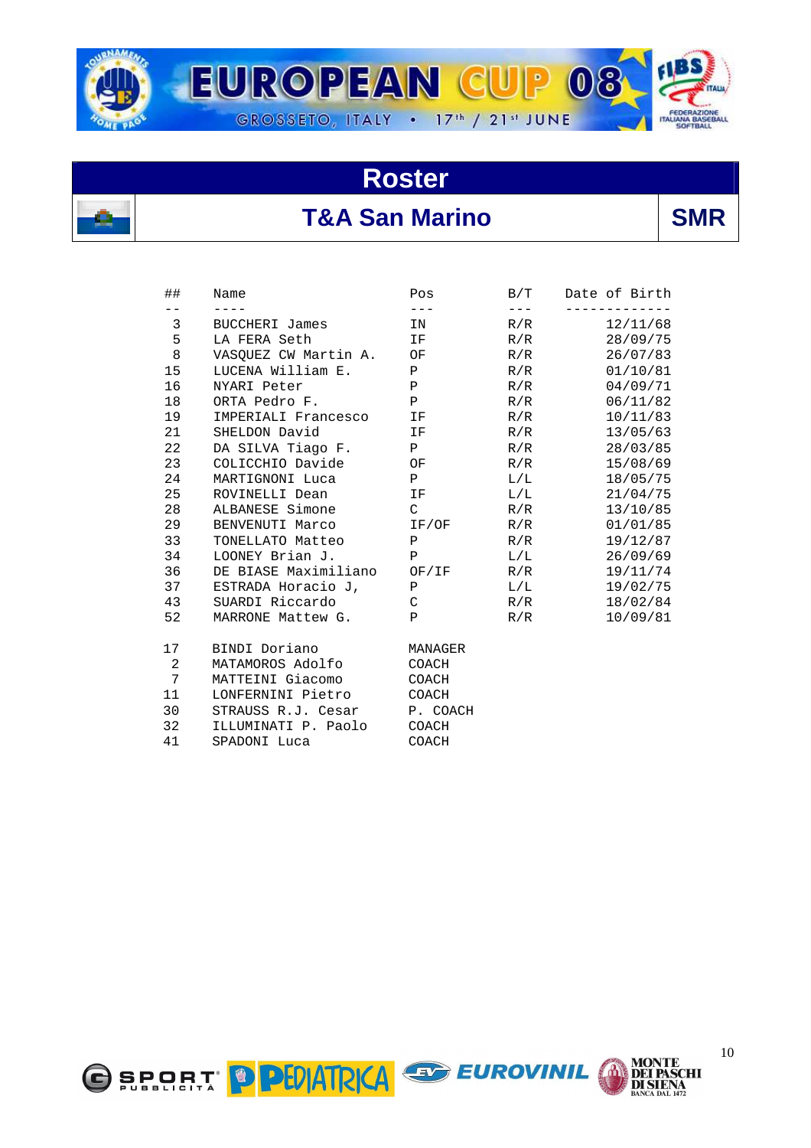



## **T&A San Marino SMR**

| ##    | Name                       | Pos          | B/T       | Date of Birth |
|-------|----------------------------|--------------|-----------|---------------|
| $- -$ |                            | $- - -$      | $- - - -$ | ---------     |
| 3     | BUCCHERI James             | IN           | R/R       | 12/11/68      |
| 5     | LA FERA Seth               | IF           | R/R       | 28/09/75      |
| 8     | VASOUEZ CW Martin A.       | OF           | R/R       | 26/07/83      |
| 15    | LUCENA William E.          | $\mathbf{P}$ | R/R       | 01/10/81      |
| 16    | NYARI Peter                | $\mathbf{P}$ | R/R       | 04/09/71      |
| 18    | ORTA Pedro F.              | $\mathbf{P}$ | R/R       | 06/11/82      |
| 19    | IMPERIALI Francesco        | IF           | R/R       | 10/11/83      |
| 21    | SHELDON David              | IF           | R/R       | 13/05/63      |
| 22    | DA SILVA Tiago F.          | P            | R/R       | 28/03/85      |
| 23    | COLICCHIO Davide           | OF           | R/R       | 15/08/69      |
| 24    | MARTIGNONI Luca            | $\mathbf{P}$ | L/L       | 18/05/75      |
| 25    | ROVINELLI Dean             | IF           | $\rm L/L$ | 21/04/75      |
| 28    | ALBANESE Simone            | $\mathsf{C}$ | R/R       | 13/10/85      |
| 29    | BENVENUTI Marco            | IF/OF        | R/R       | 01/01/85      |
| 33    | TONELLATO Matteo           | $\mathbf{P}$ | R/R       | 19/12/87      |
| 34    | LOONEY Brian J.            | $\mathbf{P}$ | L/L       | 26/09/69      |
| 36    | DE BIASE Maximiliano OF/IF |              | R/R       | 19/11/74      |
| 37    | ESTRADA Horacio J,         | P            | $\rm L/L$ | 19/02/75      |
| 43    | SUARDI Riccardo            | $\mathsf{C}$ | R/R       | 18/02/84      |
| 52    | MARRONE Mattew G.          | $\mathbf{P}$ | R/R       | 10/09/81      |
| 17    | BINDI Doriano              | MANAGER      |           |               |
| 2     | MATAMOROS Adolfo           | COACH        |           |               |
| 7     | MATTEINI Giacomo           | COACH        |           |               |
| 11    | LONFERNINI Pietro          | COACH        |           |               |
| 30    | STRAUSS R.J. Cesar         | P. COACH     |           |               |
| 32    | ILLUMINATI P. Paolo        | COACH        |           |               |
| 41    | SPADONI Luca               | COACH        |           |               |
|       |                            |              |           |               |



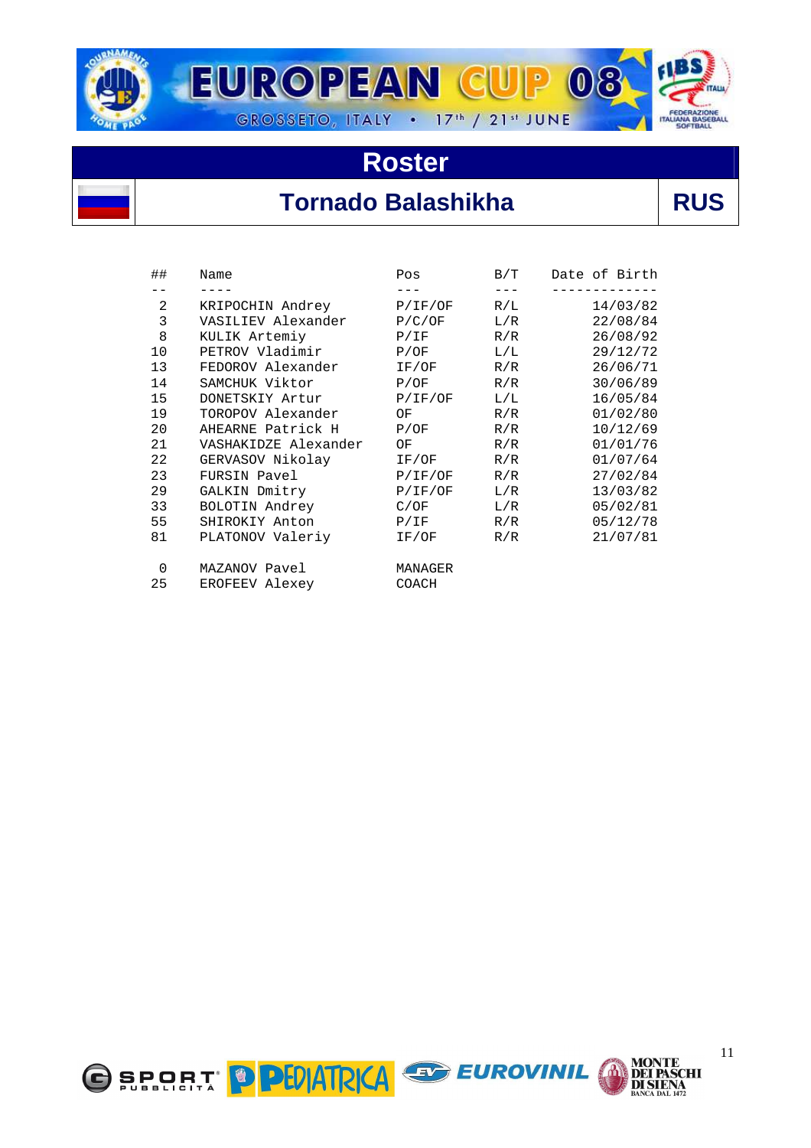

# **Tornado Balashikha RUS**

| ##       | Name                 | Pos     | B/T | Date of Birth |
|----------|----------------------|---------|-----|---------------|
|          |                      | $- - -$ |     |               |
| 2        | KRIPOCHIN Andrey     | P/IF/OF | R/L | 14/03/82      |
| 3        | VASILIEV Alexander   | P/C/OF  | L/R | 22/08/84      |
| 8        | KULIK Artemiy        | P/IF    | R/R | 26/08/92      |
| 10       | PETROV Vladimir      | P/OF    | L/L | 29/12/72      |
| 13       | FEDOROV Alexander    | IF/OF   | R/R | 26/06/71      |
| 14       | SAMCHUK Viktor       | P/OF    | R/R | 30/06/89      |
| 15       | DONETSKIY Artur      | P/IF/OF | L/L | 16/05/84      |
| 19       | TOROPOV Alexander    | OF      | R/R | 01/02/80      |
| 20       | AHEARNE Patrick H    | P/OF    | R/R | 10/12/69      |
| 21       | VASHAKIDZE Alexander | OF      | R/R | 01/01/76      |
| 22       | GERVASOV Nikolay     | IF/OF   | R/R | 01/07/64      |
| 23       | FURSIN Pavel         | P/IF/OF | R/R | 27/02/84      |
| 29       | GALKIN Dmitry        | P/IF/OF | L/R | 13/03/82      |
| 33       | BOLOTIN Andrey       | C/OF    | L/R | 05/02/81      |
| 55       | SHIROKIY Anton       | P/IF    | R/R | 05/12/78      |
| 81       | PLATONOV Valeriy     | IF/OF   | R/R | 21/07/81      |
| $\Omega$ | MAZANOV Pavel        | MANAGER |     |               |
| 25       | EROFEEV Alexey       | COACH   |     |               |





**MONTE<br>DEI PASCHI<br>DI SIENA<br>BANCA DAL 1472**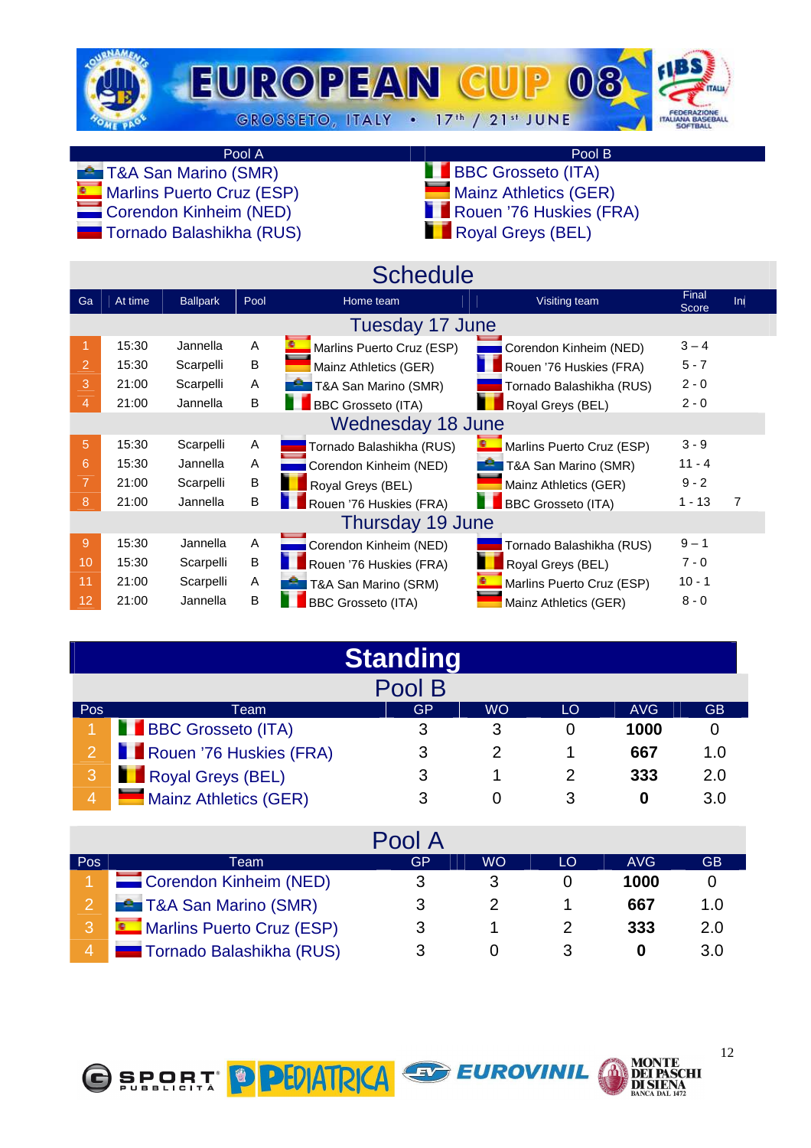

Pool A Pool B<br>
D (SMR) Research Contract De La BBC Grosseto (ITA)

**Marlins Puerto Cruz (ESP)** 

 $\blacksquare$  Tornado Balashikha (RUS)

- **TAA San Marino (SMR)** BBC Grosseto (ITA)<br>
Marins Puerto Cruz (ESP) BBC Grosseto (GER)
	-
	- Corendon Kinheim (NED) Rouen '76 Huskies (FRA)<br>■ Tornado Balashikha (RUS) Royal Greys (BEL)
		-

|    |         |                 |      | <b>Schedule</b>           |                           |                |     |
|----|---------|-----------------|------|---------------------------|---------------------------|----------------|-----|
| Ga | At time | <b>Ballpark</b> | Pool | Home team                 | Visiting team             | Final<br>Score | Ini |
|    |         |                 |      | Tuesday 17 June           |                           |                |     |
|    | 15:30   | Jannella        | A    | Marlins Puerto Cruz (ESP) | Corendon Kinheim (NED)    | $3 - 4$        |     |
| 2  | 15:30   | Scarpelli       | B    | Mainz Athletics (GER)     | Rouen '76 Huskies (FRA)   | $5 - 7$        |     |
| 3  | 21:00   | Scarpelli       | A    | T&A San Marino (SMR)      | Tornado Balashikha (RUS)  | $2 - 0$        |     |
| 4  | 21:00   | Jannella        | B    | <b>BBC Grosseto (ITA)</b> | Royal Greys (BEL)         | $2 - 0$        |     |
|    |         |                 |      | <b>Wednesday 18 June</b>  |                           |                |     |
| 5  | 15:30   | Scarpelli       | Α    | Tornado Balashikha (RUS)  | Marlins Puerto Cruz (ESP) | $3 - 9$        |     |
| 6  | 15:30   | Jannella        | A    | Corendon Kinheim (NED)    | T&A San Marino (SMR)      | $11 - 4$       |     |
|    | 21:00   | Scarpelli       | B    | Royal Greys (BEL)         | Mainz Athletics (GER)     | $9 - 2$        |     |
| 8  | 21:00   | Jannella        | B    | Rouen '76 Huskies (FRA)   | <b>BBC Grosseto (ITA)</b> | $1 - 13$       | 7   |
|    |         |                 |      | Thursday 19 June          |                           |                |     |
| 9  | 15:30   | Jannella        | A    | Corendon Kinheim (NED)    | Tornado Balashikha (RUS)  | $9 - 1$        |     |
| 10 | 15:30   | Scarpelli       | B    | Rouen '76 Huskies (FRA)   | Royal Greys (BEL)         | $7 - 0$        |     |
| 11 | 21:00   | Scarpelli       | Α    | T&A San Marino (SRM)      | Marlins Puerto Cruz (ESP) | $10 - 1$       |     |
| 12 | 21:00   | Jannella        | B    | <b>BBC Grosseto (ITA)</b> | Mainz Athletics (GER)     | $8 - 0$        |     |

|                |                         | <b>Standing</b> |           |    |            |           |
|----------------|-------------------------|-----------------|-----------|----|------------|-----------|
|                |                         | Pool B          |           |    |            |           |
| Pos            | Team                    | GP              | <b>WO</b> | LO | <b>AVG</b> | <b>GB</b> |
|                | BBC Grosseto (ITA)      | 3               | 3         |    | 1000       |           |
| $2 -$          | Rouen '76 Huskies (FRA) | 3               |           |    | 667        | 1.0       |
| 3              | Royal Greys (BEL)       | 3               |           |    | 333        | 2.0       |
| $\overline{4}$ | Mainz Athletics (GER)   |                 |           |    |            | 3.0       |

|     |                                 | Pool A |           |    |      |             |
|-----|---------------------------------|--------|-----------|----|------|-------------|
| Pos | Team                            | GP     | <b>WO</b> | LO | AVG. | <b>GB</b>   |
|     | Corendon Kinheim (NED)          | 3      | 3         |    | 1000 |             |
|     | T&A San Marino (SMR)            | 3      |           |    | 667  | 1. $\Omega$ |
|     | Marlins Puerto Cruz (ESP)       | 3      |           |    | 333  | 2.0         |
|     | <b>Tornado Balashikha (RUS)</b> |        |           |    |      | 3.0         |

EUROVINIL





**MONTE<br>DEI PASCHI** 

**DI SIENA**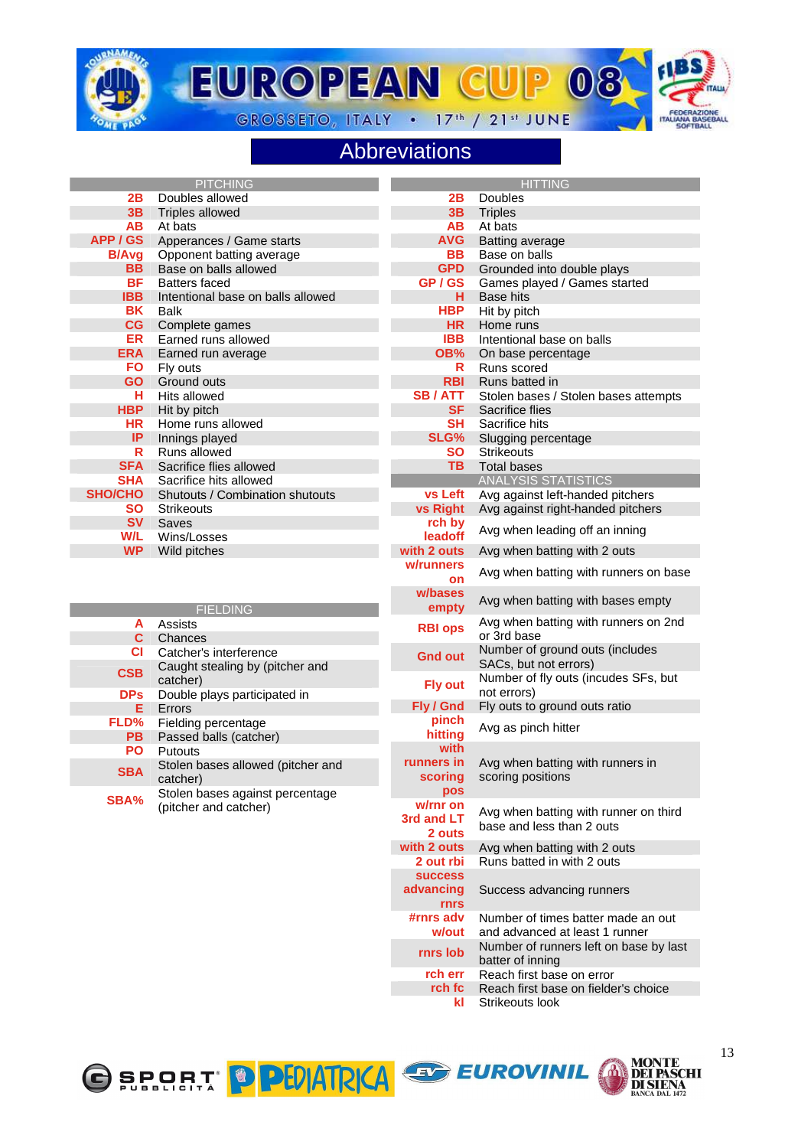

**EUROPEAN CUP**  $\Omega$ GROSSETO, ITALY . 17th / 21st JUNE



#### Abbreviations

|                   | <b>PITCHING</b>                   |                    | <b>HITTING</b>                                      |
|-------------------|-----------------------------------|--------------------|-----------------------------------------------------|
| 2B                | Doubles allowed                   | 2B                 | Doubles                                             |
| 3B                | <b>Triples allowed</b>            | 3B                 | <b>Triples</b>                                      |
| <b>AB</b>         | At bats                           | AВ                 | At bats                                             |
| APP / GS          | Apperances / Game starts          | <b>AVG</b>         | <b>Batting average</b>                              |
| <b>B/Avg</b>      | Opponent batting average          | BВ                 | Base on balls                                       |
| <b>BB</b>         | Base on balls allowed             | <b>GPD</b>         | Grounded into double plays                          |
| <b>BF</b>         | <b>Batters faced</b>              | GP / GS            | Games played / Games started                        |
| <b>IBB</b>        | Intentional base on balls allowed | н                  | <b>Base hits</b>                                    |
| <b>BK</b>         | <b>Balk</b>                       | <b>HBP</b>         | Hit by pitch                                        |
| CG                | Complete games                    | <b>HR</b>          | Home runs                                           |
| <b>ER</b>         | Earned runs allowed               | <b>IBB</b>         | Intentional base on balls                           |
| <b>ERA</b>        | Earned run average                | OB%                | On base percentage                                  |
| <b>FO</b>         | Fly outs                          | R                  | Runs scored                                         |
| <b>GO</b>         | Ground outs                       | <b>RBI</b>         | Runs batted in                                      |
| н                 | Hits allowed                      | <b>SB/ATT</b>      | Stolen bases / Stolen bases attempts                |
| <b>HBP</b>        | Hit by pitch                      | <b>SF</b>          | Sacrifice flies                                     |
| HR                | Home runs allowed                 | <b>SH</b>          | Sacrifice hits                                      |
| IP                | Innings played                    | SLG%               | Slugging percentage                                 |
| R                 | Runs allowed                      | SΟ                 | <b>Strikeouts</b>                                   |
| <b>SFA</b>        | Sacrifice flies allowed           | <b>TB</b>          | <b>Total bases</b>                                  |
| <b>SHA</b>        | Sacrifice hits allowed            |                    | <b>ANALYSIS STATISTICS</b>                          |
| <b>SHO/CHO</b>    | Shutouts / Combination shutouts   | vs Left            | Avg against left-handed pitchers                    |
| SΟ                | <b>Strikeouts</b>                 | <b>vs Right</b>    | Avg against right-handed pitchers                   |
| <b>SV</b>         | Saves                             |                    |                                                     |
| W/L               | Wins/Losses                       | rch by<br>leadoff  | Avg when leading off an inning                      |
| <b>WP</b>         |                                   | with 2 outs        |                                                     |
|                   | Wild pitches                      | w/runners          | Avg when batting with 2 outs                        |
|                   |                                   | on                 | Avg when batting with runners on base               |
|                   | <b>FIELDING</b>                   | w/bases<br>empty   | Avg when batting with bases empty                   |
| A<br>$\mathbf{C}$ | Assists<br>Chances                | <b>RBI ops</b>     | Avg when batting with runners on 2nd<br>or 3rd base |
| CI.               | Catcher's interference            |                    | Number of ground outs (includes                     |
|                   | Caught stealing by (pitcher and   | <b>Gnd out</b>     | SACs, but not errors)                               |
| <b>CSB</b>        | catcher)                          |                    | Number of fly outs (incudes SFs, but                |
| <b>DPs</b>        | Double plays participated in      | <b>Fly out</b>     | not errors)                                         |
| Е.                | Errors                            | Fly / Gnd          | Fly outs to ground outs ratio                       |
| FLD%              | Fielding percentage               | pinch              | Avg as pinch hitter                                 |
| <b>PB</b>         | Passed balls (catcher)            | hitting            |                                                     |
| PO                | Putouts                           | with               |                                                     |
| <b>SBA</b>        | Stolen bases allowed (pitcher and | runners in         | Avg when batting with runners in                    |
|                   | catcher)                          | scoring            | scoring positions                                   |
| SBA%              | Stolen bases against percentage   | pos                |                                                     |
|                   | (pitcher and catcher)             | w/rnr on           | Avg when batting with runner on third               |
|                   |                                   | 3rd and LT         | base and less than 2 outs                           |
|                   |                                   | 2 outs             |                                                     |
|                   |                                   | with 2 outs        | Avg when batting with 2 outs                        |
|                   |                                   | 2 out rbi          | Runs batted in with 2 outs                          |
|                   |                                   | <b>SUCCESS</b>     |                                                     |
|                   |                                   | advancing          | Success advancing runners                           |
|                   |                                   | <b>rnrs</b>        | Number of times batter made an out                  |
|                   |                                   | #rnrs adv<br>w/out | and advanced at least 1 runner                      |
|                   |                                   |                    | Number of runners left on base by last              |
|                   |                                   | rnrs lob           | batter of inning                                    |





**rch err** Reach first base on error<br>**rch fc** Reach first base on fielde

**kl** Strikeouts look

Reach first base on fielder's choice

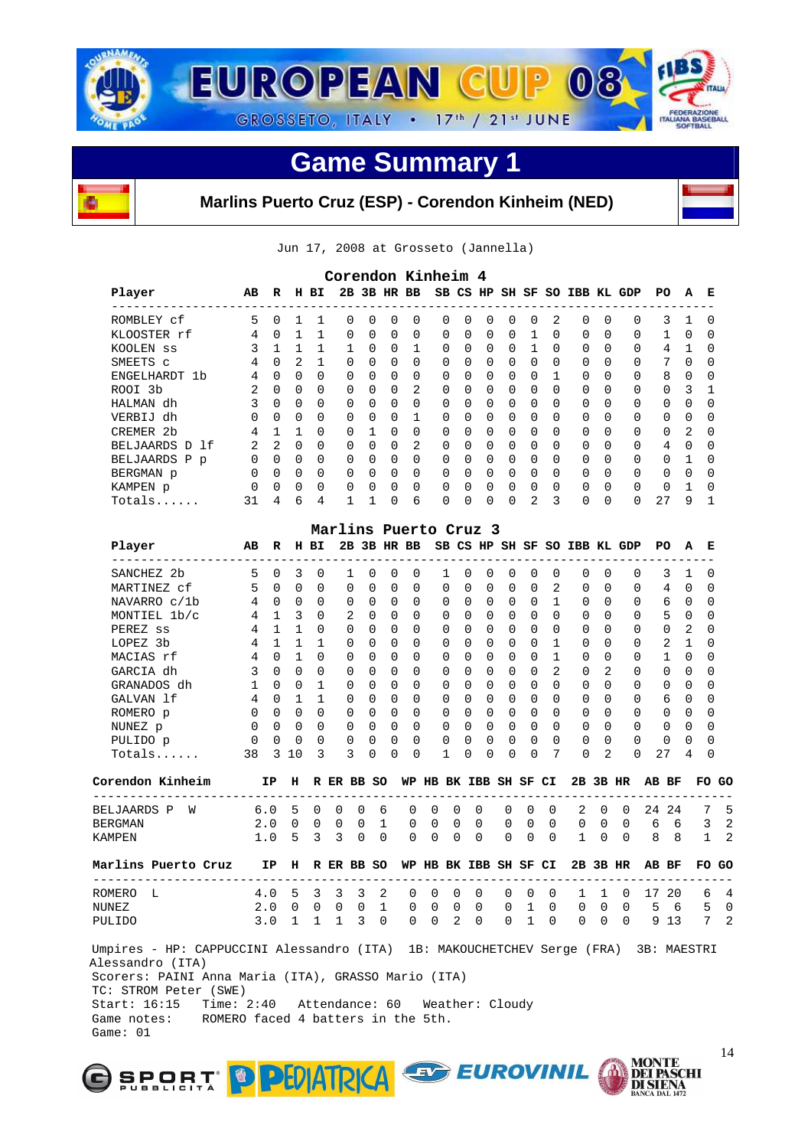



**Marlins Puerto Cruz (ESP) - Corendon Kinheim (NED)** 



Jun 17, 2008 at Grosseto (Jannella)

| Player<br>-------------------                                                                           | AВ       | R                    |                         | H BI         |                     |          |                      | 2B 3B HR BB                                     | $- - - - - - -$ |                |          |               |                      |                       |              |               |                      | SB CS HP SH SF SO IBB KL GDP | PO    |              | А             | Е             |
|---------------------------------------------------------------------------------------------------------|----------|----------------------|-------------------------|--------------|---------------------|----------|----------------------|-------------------------------------------------|-----------------|----------------|----------|---------------|----------------------|-----------------------|--------------|---------------|----------------------|------------------------------|-------|--------------|---------------|---------------|
| ROMBLEY cf                                                                                              | 5        | $\Omega$             | 1                       | 1            | $\Omega$            |          | $\Omega$             | $\Omega$<br>$\Omega$                            |                 | 0              | 0        | 0             | 0                    | 0                     | 2            | 0             | 0                    | 0                            |       | 3            | $\mathbf{1}$  | $\Omega$      |
| KLOOSTER rf                                                                                             | 4        | $\Omega$             | $\mathbf{1}$            | 1            | $\Omega$            |          | $\Omega$             | $\Omega$<br>$\Omega$                            |                 | 0              | $\Omega$ | $\Omega$      | $\Omega$             | $\mathbf{1}$          | $\Omega$     | $\Omega$      | $\Omega$             | 0                            |       | $\mathbf{1}$ | $\Omega$      | $\Omega$      |
| KOOLEN SS                                                                                               | 3        | $\mathbf{1}$         | 1                       | 1            | $\mathbf{1}$        |          | $\Omega$             | $\Omega$<br>1                                   |                 | $\Omega$       | $\Omega$ | $\Omega$      | $\Omega$             | 1                     | $\Omega$     | 0             | 0                    | 0                            |       | 4            | 1             | $\Omega$      |
| SMEETS C                                                                                                | 4        | $\Omega$             | 2                       | $\mathbf{1}$ | $\Omega$            |          | $\Omega$             | $\Omega$<br>$\Omega$                            |                 | 0              | $\Omega$ | 0             | $\Omega$             | $\Omega$              | $\Omega$     | $\Omega$      | $\Omega$             | 0                            |       | 7            | $\Omega$      | $\Omega$      |
| ENGELHARDT 1b                                                                                           | 4        | $\Omega$             | $\Omega$                | $\Omega$     | $\Omega$            |          | $\Omega$             | $\Omega$<br>$\Omega$                            |                 | 0              | $\Omega$ | 0             | $\Omega$             | $\Omega$              | 1            | $\Omega$      | $\Omega$             | 0                            |       | 8            | $\Omega$      | 0             |
| ROOI 3b                                                                                                 | 2        | $\Omega$             | $\Omega$                | 0            | $\Omega$            |          | $\Omega$             | 2<br>$\Omega$                                   |                 | $\Omega$       | 0        | $\Omega$      | $\Omega$             | $\Omega$              | 0            | $\Omega$      | 0                    | 0                            |       | 0            | 3             | 1             |
| HALMAN dh                                                                                               | 3        | $\Omega$             | $\Omega$                | 0            | $\Omega$            |          | 0                    | $\Omega$<br>$\Omega$                            |                 | $\Omega$       | 0        | $\Omega$      | $\Omega$             | $\Omega$              | $\Omega$     | $\Omega$      | 0                    | 0                            |       | 0            | $\Omega$      | 0             |
| VERBIJ dh                                                                                               | $\Omega$ | $\Omega$             | $\Omega$                | 0            | $\mathbf 0$         |          | 0                    | $\Omega$<br>1                                   |                 | $\Omega$       | $\Omega$ | 0             | $\Omega$             | $\Omega$              | $\Omega$     | $\Omega$      | $\Omega$             | 0                            |       | 0            | $\Omega$      | $\Omega$      |
| CREMER 2b                                                                                               | 4        | $\mathbf 1$          | $\mathbf{1}$            | $\Omega$     | $\Omega$            |          | $\mathbf{1}$         | $\Omega$<br>$\Omega$                            |                 | $\Omega$       | $\Omega$ | $\Omega$      | $\Omega$             | $\Omega$              | 0            | $\Omega$      | 0                    | 0                            |       | 0            | 2             | 0             |
| BELJAARDS D 1f                                                                                          | 2        | 2                    | $\Omega$                | 0            | $\Omega$            |          | $\Omega$             | $\overline{2}$<br>$\Omega$                      |                 | $\Omega$       | $\Omega$ | 0             | $\Omega$             | $\Omega$              | $\Omega$     | $\Omega$      | $\Omega$             | 0                            |       | 4            | 0             | 0             |
| BELJAARDS P p                                                                                           | 0        | $\Omega$             | $\mathbf 0$             | 0            | 0                   |          | $\Omega$             | $\Omega$<br>$\Omega$                            |                 | 0              | 0        | 0             | 0                    | 0                     | 0            | $\Omega$      | $\Omega$             | 0                            |       | 0            | $\mathbf{1}$  | 0             |
| BERGMAN p                                                                                               | $\Omega$ | $\Omega$             | $\overline{0}$          | $\Omega$     | 0                   |          | $\Omega$             | $\Omega$<br>$\Omega$                            |                 | 0              | $\Omega$ | 0             | $\Omega$             | $\Omega$              | $\Omega$     | $\Omega$      | $\Omega$             | 0                            |       | $\Omega$     | $\Omega$      | $\Omega$      |
| KAMPEN p                                                                                                | $\Omega$ | $\Omega$             | 0                       | 0            | $\mathbf 0$         |          | 0                    | $\Omega$<br>$\Omega$                            |                 | $\Omega$       | 0        | $\Omega$      | $\Omega$             | $\Omega$              | $\Omega$     | $\Omega$      | 0                    | 0                            |       | $\Omega$     | $\mathbf{1}$  | $\Omega$      |
| Totals                                                                                                  | 31       | 4                    | 6                       | 4            | $\mathbf{1}$        |          | $\mathbf{1}$         | 0<br>6                                          |                 | 0              | 0        | $\Omega$      | 0                    | 2                     | 3            | 0             | 0                    | $\Omega$                     | 27    |              | 9             | $\mathbf{1}$  |
|                                                                                                         |          |                      |                         |              |                     |          |                      |                                                 |                 |                |          |               |                      |                       |              |               |                      |                              |       |              |               |               |
| Player                                                                                                  | AВ       | R                    |                         | H BI         |                     |          |                      | Marlins Puerto Cruz 3<br>2B 3B HR BB            |                 |                |          |               |                      |                       |              |               |                      | SB CS HP SH SF SO IBB KL GDP |       | PO.          | А             | Е             |
|                                                                                                         |          |                      |                         |              |                     |          |                      |                                                 |                 |                |          |               |                      |                       |              |               |                      |                              |       |              |               |               |
| SANCHEZ 2b<br>MARTINEZ cf                                                                               | 5<br>5   | $\Omega$<br>$\Omega$ | 3<br>$\Omega$           | 0<br>0       | 1<br>$\Omega$       |          | $\Omega$<br>$\Omega$ | $\Omega$<br>$\mathbf 0$<br>$\Omega$<br>$\Omega$ |                 | 1<br>$\Omega$  | 0<br>0   | 0<br>$\Omega$ | $\Omega$<br>$\Omega$ | 0<br>$\Omega$         | 0<br>2       | 0<br>$\Omega$ | $\Omega$<br>$\Omega$ | 0<br>0                       |       | 3<br>4       | 1<br>$\Omega$ | 0<br>$\Omega$ |
|                                                                                                         |          |                      |                         |              |                     |          |                      |                                                 |                 |                |          |               |                      |                       |              |               |                      |                              |       |              |               |               |
| NAVARRO c/1b                                                                                            | 4        | $\Omega$             | $\overline{0}$          | $\Omega$     | $\Omega$            |          | $\Omega$             | $\Omega$<br>$\Omega$                            |                 | $\Omega$       | $\Omega$ | $\Omega$      | $\Omega$             | $\Omega$              | $\mathbf{1}$ | $\Omega$      | $\Omega$             | 0                            |       | 6            | $\Omega$      | $\Omega$      |
| MONTIEL 1b/c                                                                                            | 4        | $\mathbf{1}$         | $\overline{\mathbf{3}}$ | 0            | 2                   |          | $\Omega$             | $\Omega$<br>$\Omega$                            |                 | $\Omega$       | $\Omega$ | 0             | $\Omega$             | $\Omega$              | $\Omega$     | $\Omega$      | $\Omega$             | 0                            |       | 5            | 0             | $\Omega$      |
| PEREZ ss                                                                                                | 4        | $\mathbf{1}$         | $\mathbf{1}$            | 0            | $\Omega$            |          | $\Omega$             | $\Omega$<br>$\Omega$                            |                 | 0              | $\Omega$ | 0             | $\Omega$             | 0                     | $\Omega$     | $\Omega$      | $\Omega$             | 0                            |       | 0            | 2             | 0             |
| LOPEZ 3b                                                                                                | 4        | $\mathbf{1}$         | $\mathbf{1}$            | $\mathbf{1}$ | $\Omega$            |          | $\Omega$             | $\Omega$<br>$\Omega$                            |                 | $\Omega$       | $\Omega$ | $\Omega$      | $\Omega$             | $\Omega$              | $\mathbf{1}$ | $\Omega$      | 0                    | 0                            |       | 2            | 1             | $\Omega$      |
| MACIAS rf                                                                                               | 4        | $\Omega$             | $\mathbf{1}$            | 0            | $\Omega$            |          | $\Omega$             | <sup>0</sup><br>$\Omega$                        |                 | $\Omega$       | 0        | $\Omega$      | $\Omega$             | $\Omega$              | $\mathbf{1}$ | $\Omega$      | $\Omega$             | 0                            |       | $\mathbf 1$  | $\Omega$      | 0             |
| GARCIA dh                                                                                               | 3        | $\Omega$             | $\Omega$                | $\Omega$     | $\Omega$            |          | $\Omega$             | $\Omega$<br>$\Omega$                            |                 | 0              | $\Omega$ | 0             | $\Omega$             | $\Omega$              | 2            | $\Omega$      | 2                    | $\Omega$                     |       | 0            | $\Omega$      | $\Omega$      |
| GRANADOS dh                                                                                             | 1        | $\Omega$             | $\Omega$                | $\mathbf{1}$ | $\Omega$            |          | $\Omega$             | $\Omega$<br>$\Omega$                            |                 | 0              | $\Omega$ | $\Omega$      | $\Omega$             | $\Omega$              | $\Omega$     | $\Omega$      | $\Omega$             | 0                            |       | 0            | $\Omega$      | 0             |
| GALVAN 1f                                                                                               | 4        | $\Omega$             | $\overline{1}$          | 1            | $\Omega$            |          | $\Omega$             | $\Omega$<br>$\Omega$                            |                 | $\Omega$       | $\Omega$ | 0             | $\Omega$             | $\Omega$              | $\Omega$     | $\Omega$      | $\Omega$             | 0                            |       | 6            | 0             | 0             |
| ROMERO p                                                                                                | $\Omega$ | $\Omega$             | $\overline{0}$          | 0            | 0                   |          | $\Omega$             | $\Omega$<br>$\Omega$                            |                 | 0              | 0        | 0             | $\mathbf 0$          | $\Omega$              | $\Omega$     | 0             | $\Omega$             | 0                            |       | 0            | 0             | 0             |
| NUNEZ p                                                                                                 | 0        | $\Omega$             | $\Omega$                | $\Omega$     | 0                   |          | $\Omega$             | $\Omega$<br>$\Omega$                            |                 | $\Omega$       | $\Omega$ | $\Omega$      | $\Omega$             | $\Omega$              | $\Omega$     | $\Omega$      | $\Omega$             | 0                            |       | $\Omega$     | $\Omega$      | 0             |
| PULIDO p                                                                                                | 0        | $\Omega$             | 0                       | 0            | 0                   |          | $\mathbf 0$          | 0<br>$\Omega$                                   |                 | 0              | 0        | 0             | 0                    | $\Omega$              | $\Omega$     | $\Omega$      | 0                    | $\Omega$                     |       | 0            | 0             | 0             |
| $Totals$                                                                                                | 38       | 3                    | 10                      | 3            | 3                   |          | $\Omega$             | 0<br>$\Omega$                                   |                 | $\mathbf{1}$   | 0        | $\Omega$      | 0                    | $\Omega$              | 7            | $\Omega$      | $\overline{a}$       | $\Omega$                     | 27    |              | 4             | 0             |
| Corendon Kinheim                                                                                        |          | IP                   | н                       |              | R ER BB SO          |          |                      |                                                 |                 |                |          |               |                      | WP HB BK IBB SH SF CI |              |               | 2B 3B HR             |                              | AB BF |              |               | FO.           |
| -------------                                                                                           |          |                      |                         |              |                     |          |                      |                                                 |                 |                |          |               |                      |                       |              |               |                      |                              |       |              |               |               |
| <b>BELJAARDS P</b><br>W                                                                                 |          | 6.0                  | 5                       | 0            | 0                   | 0        | 6                    | 0                                               | $\Omega$        | 0              |          | 0             | 0                    | 0                     | 0            | 2             | 0                    | $\Omega$                     |       | 24 24        |               | 7             |
| <b>BERGMAN</b>                                                                                          |          | 2.0                  | 0                       | 0            | 0                   | 0        | $\mathbf{1}$         | 0                                               | $\Omega$        | 0              |          | $\Omega$      | 0                    | 0                     | 0            | 0             | $\Omega$             | $\Omega$                     | 6     | 6            |               | 3             |
| KAMPEN                                                                                                  |          | 1.0                  | 5                       | 3            | 3                   | $\Omega$ | $\Omega$             | $\Omega$                                        | $\Omega$        | $\Omega$       |          | $\Omega$      | 0                    | 0                     | $\Omega$     | 1             | 0                    | $\Omega$                     | 8     | - 8          |               | $\mathbf{1}$  |
| Marlins Puerto Cruz                                                                                     |          | IP                   |                         |              | H R ER BB SO        |          |                      |                                                 |                 |                |          |               |                      | WP HB BK IBB SH SF CI |              |               |                      | 2B 3B HR                     | AB BF |              |               | FO GO         |
| ROMERO L                                                                                                |          | 4.0                  | 5                       | 3            | 3                   | 3        | 2                    | 0                                               | 0               | 0              |          | 0             | 0                    | 0                     | 0            | 1             | 1                    | 0                            |       | 17 20        |               | 6             |
| NUNEZ                                                                                                   |          | 2.0                  | $0\quad 0$              |              | $0\quad 0$          |          | $\mathbf{1}$         | 0                                               | 0               | $\overline{0}$ |          | $\mathbf 0$   | $\overline{0}$       | $\mathbf{1}$          | 0            | $\mathbf 0$   | 0                    | 0                            | 5     | - 6          |               | 5             |
| PULIDO                                                                                                  |          | 3.0                  |                         | $1\quad1$    | $1 \quad 3 \quad 0$ |          |                      | 0                                               | $\mathbf 0$     | 2              |          | 0             | $\mathbf{0}$         | $\mathbf{1}$          | $\Omega$     | 0             | $\overline{0}$       | 0                            |       | 9 1 3        |               | $7^{\circ}$   |
| Umpires - HP: CAPPUCCINI Alessandro (ITA) 1B: MAKOUCHETCHEV Serge (FRA) 3B: MAESTRI<br>Alessandro (ITA) |          |                      |                         |              |                     |          |                      |                                                 |                 |                |          |               |                      |                       |              |               |                      |                              |       |              |               |               |
| Scorers: PAINI Anna Maria (ITA), GRASSO Mario (ITA)<br>TC: STROM Peter (SWE)                            |          |                      |                         |              |                     |          |                      |                                                 |                 |                |          |               |                      |                       |              |               |                      |                              |       |              |               |               |
| Start: 16:15<br>Time: 2:40 Attendance: 60                                                               |          |                      |                         |              |                     |          |                      |                                                 |                 |                |          |               | Weather: Cloudy      |                       |              |               |                      |                              |       |              |               |               |
| Game notes:<br>ROMERO faced 4 batters in the 5th.                                                       |          |                      |                         |              |                     |          |                      |                                                 |                 |                |          |               |                      |                       |              |               |                      |                              |       |              |               |               |



Game: 01

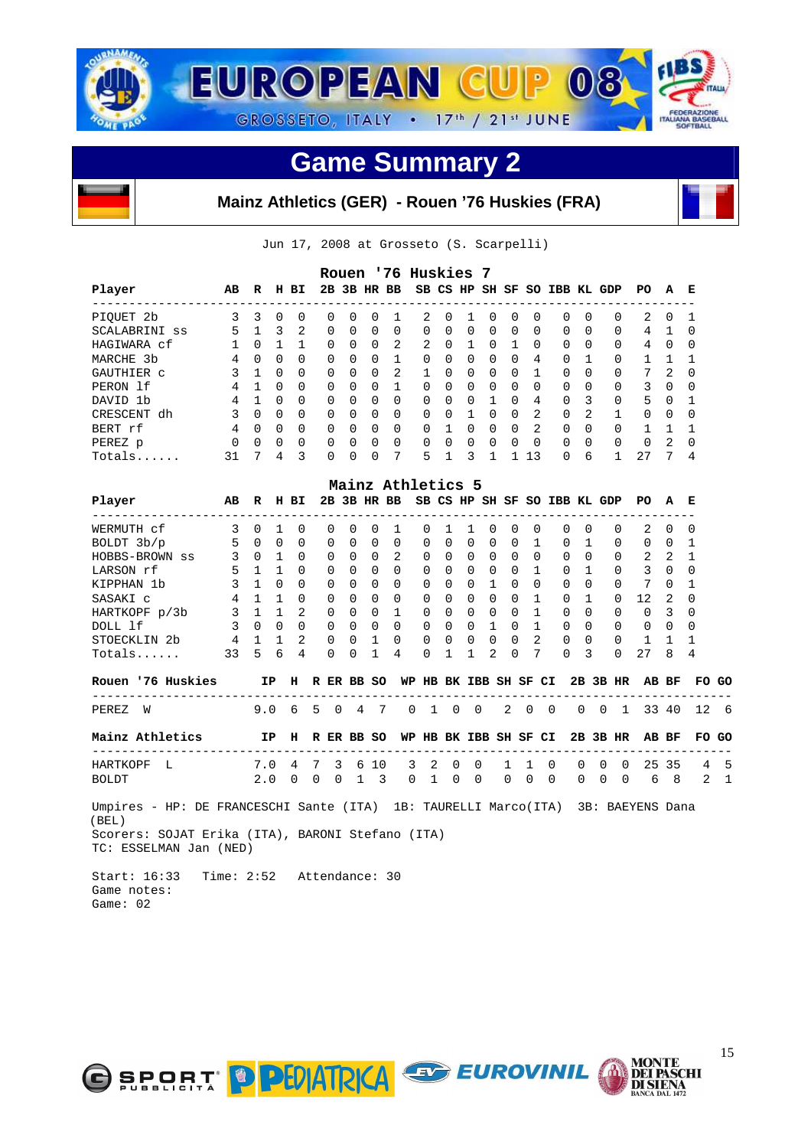



Jun 17, 2008 at Grosseto (S. Scarpelli)

| Player                                                                                                                                                                  | AВ                                      | R               |                         | H BI         |   |                | 2B 3B HR BB    |                          | Rouen '76 Huskies 7                      |              |                |              |              | SB CS HP SH SF SO IBB KL GDP |              |                |             |          |                |          |              | PO.               | A                       | Е               |              |
|-------------------------------------------------------------------------------------------------------------------------------------------------------------------------|-----------------------------------------|-----------------|-------------------------|--------------|---|----------------|----------------|--------------------------|------------------------------------------|--------------|----------------|--------------|--------------|------------------------------|--------------|----------------|-------------|----------|----------------|----------|--------------|-------------------|-------------------------|-----------------|--------------|
| --------------------<br>PIQUET 2b                                                                                                                                       | 3                                       | 3               | $\mathbf 0$             | 0            |   | 0              | 0              | 0                        | 1                                        | 2            |                | 0            | 1            | 0                            | 0            | 0              |             | 0        | 0              |          | 0            | 2                 | 0                       | 1               |              |
| SCALABRINI ss                                                                                                                                                           | $5^{\circ}$                             | $\mathbf{1}$    | $\overline{\mathbf{3}}$ | 2            |   | $\Omega$       | $\Omega$       | $\Omega$                 | $\Omega$                                 | $\mathbf 0$  |                | $\Omega$     | $\mathbf 0$  | $\mathbf 0$                  | 0            | $\Omega$       |             | $\Omega$ | $\Omega$       |          | $\Omega$     | 4 1               |                         | $\Omega$        |              |
| HAGIWARA cf                                                                                                                                                             | $\begin{matrix} 1 & 0 & 1 \end{matrix}$ |                 |                         | $\mathbf{1}$ |   | 0              | $\Omega$       | $\Omega$                 | 2                                        | 2            |                | $\Omega$     | 1            | $\overline{0}$               | $\mathbf{1}$ | $\Omega$       |             | $\Omega$ | 0              |          | $\Omega$     | 4 0               |                         | $\Omega$        |              |
| MARCHE 3b                                                                                                                                                               |                                         | 4 0             | $\overline{0}$          | $\Omega$     |   | $\Omega$       | 0              | $\Omega$                 | $\mathbf{1}$                             | 0            |                | 0            | $\mathbf 0$  | $\overline{0}$               | $\Omega$     | 4              |             | $\Omega$ | 1              |          | 0            | $1\quad1$         |                         | 1               |              |
| GAUTHIER C                                                                                                                                                              | 3                                       | $\mathbf{1}$    | $\Omega$                | $\Omega$     |   | $\Omega$       | $\Omega$       | $\Omega$                 | $\overline{2}$                           | $\mathbf{1}$ |                | $\Omega$     | $\Omega$     | $\Omega$                     | 0            | $\mathbf{1}$   |             | $\Omega$ | $\Omega$       |          | $\Omega$     | 7                 | 2                       | $\Omega$        |              |
| PERON 1f                                                                                                                                                                | 4                                       | $\mathbf{1}$    | $\Omega$                | $\Omega$     |   | 0              | $\Omega$       | $\Omega$                 | $\mathbf{1}$                             | $\Omega$     |                | $\Omega$     | 0            | $\mathbf 0$                  | $\Omega$     | $\Omega$       |             | $\Omega$ | $\Omega$       |          | $\Omega$     | 3                 | $\overline{0}$          | 0               |              |
| DAVID 1b                                                                                                                                                                | 4                                       | $\mathbf{1}$    | $\overline{0}$          | $\Omega$     |   | 0              | 0              | $\mathbf 0$              | $\Omega$                                 | 0            |                | 0            | $\mathbf 0$  | $\mathbf{1}$                 | 0            | 4              |             | $\Omega$ | $\overline{3}$ |          | 0            | $5 \quad 0$       |                         | $\mathbf 1$     |              |
| CRESCENT dh                                                                                                                                                             | 3                                       | $\Omega$        | $\overline{0}$          | $\Omega$     |   | $\Omega$       | $\Omega$       | $\Omega$                 | $\Omega$                                 | $\Omega$     |                | $\Omega$     | $\mathbf{1}$ | $\bigcirc$                   | $\Omega$     | 2              |             | $\Omega$ | $\overline{2}$ |          | $\mathbf{1}$ | $\Omega$          | $\Omega$                | $\Omega$        |              |
| BERT rf                                                                                                                                                                 | 4                                       |                 | $0\quad 0$              | $\Omega$     |   | $\overline{0}$ | 0              | $\mathbf 0$              | $\Omega$                                 | 0            |                | 1            |              | $0\quad 0$                   | $\Omega$     | 2              |             | $\Omega$ | $\overline{0}$ |          | $\Omega$     | 1                 | $\overline{1}$          | 1               |              |
| PEREZ p                                                                                                                                                                 | 0                                       | $0\quad 0$      |                         | $\Omega$     |   | $\Omega$       | 0              | $\Omega$                 | $\Omega$                                 | 0            |                | 0            | 0            | $\overline{\phantom{0}}$     | $\Omega$     | $\Omega$       |             | $\Omega$ | $\Omega$       |          | $\Omega$     | 0                 | $\overline{2}$          | $\Omega$        |              |
| Totals                                                                                                                                                                  | 31                                      | $7\phantom{.0}$ | 4                       | 3            |   | $\Omega$       | $\Omega$       | $\Omega$                 | 7                                        | 5            |                | $\mathbf{1}$ | 3            | $\mathbf 1$                  |              | 1 13           |             | $\Omega$ | 6              |          | $\mathbf{1}$ | 27                | 7                       | 4               |              |
|                                                                                                                                                                         |                                         |                 |                         |              |   |                |                |                          | Mainz Athletics 5                        |              |                |              |              |                              |              |                |             |          |                |          |              |                   |                         |                 |              |
| Player<br>-----------------                                                                                                                                             | AВ                                      | R               |                         | H BI         |   |                |                |                          | 2B 3B HR BB SB CS HP SH SF SO IBB KL GDP |              |                |              |              |                              |              |                |             |          |                |          |              | PO A              |                         | Е               |              |
| WERMUTH cf                                                                                                                                                              | $\overline{\phantom{a}}$                | $\overline{0}$  | <sup>1</sup>            | 0            |   | $\Omega$       | 0              | 0                        | 1                                        | 0            |                | 1            | 1            | 0                            | 0            | 0              |             | 0        | 0              |          | 0            | 2                 | 0                       | 0               |              |
| BOLDT 3b/p                                                                                                                                                              | 5                                       | $\overline{0}$  | $\overline{0}$          | $\mathbf 0$  |   | 0              | 0              | $\mathbf 0$              | 0                                        | $\mathbf 0$  |                | $\mathbf 0$  | $\mathbf 0$  | $\mathbf 0$                  | $\mathbf 0$  | $\mathbf 1$    |             | 0        | $\mathbf{1}$   |          | 0            | $0\quad 0$        |                         | $\mathbf 1$     |              |
| HOBBS-BROWN ss                                                                                                                                                          | 3                                       | $0\quad1$       |                         | $\Omega$     |   | $\Omega$       | $\Omega$       | $\Omega$                 | 2                                        | $\Omega$     |                | $\Omega$     | $\Omega$     | $\Omega$                     | $\Omega$     | $\Omega$       |             | $\Omega$ | $\Omega$       |          | $\Omega$     | $2\quad 2$        |                         | $\mathbf{1}$    |              |
| LARSON rf                                                                                                                                                               | 5                                       | $\mathbf{1}$    | $\mathbf{1}$            | $\Omega$     |   | 0              | 0              | $\mathbf 0$              | $\Omega$                                 | 0            |                | 0            | 0            | $\overline{0}$               | 0            | $\mathbf{1}$   |             | 0        | - 1            |          | $\Omega$     | $3 \quad 0$       |                         | 0               |              |
| KIPPHAN 1b                                                                                                                                                              | 3                                       | $\mathbf{1}$    | $\overline{0}$          | $\Omega$     |   | 0              | 0              | $\Omega$                 | $\Omega$                                 | 0            |                | 0            |              | $0\quad1$                    | $\Omega$     | $\Omega$       |             | $\Omega$ | 0              |          | $\Omega$     | 7 0               |                         | 1               |              |
| SASAKI C                                                                                                                                                                | $\overline{4}$                          |                 | $1\quad1$               | $\Omega$     |   | $\Omega$       | $\Omega$       | $\Omega$                 | $\Omega$                                 | $\Omega$     |                | $\Omega$     | $\Omega$     | $\overline{0}$               | $\Omega$     | $\mathbf{1}$   |             | $\Omega$ | $\mathbf{1}$   |          | $\Omega$     | $12 \overline{ }$ | 2                       | $\Omega$        |              |
| HARTKOPF p/3b                                                                                                                                                           | 3                                       | 1 1             |                         | 2            |   | 0              | $\mathbf 0$    | 0                        | $\mathbf 1$                              | 0            |                | $\mathbf 0$  |              | $0\quad 0$                   | $\mathbf 0$  | $\mathbf{1}$   |             | 0        | 0              |          | $\mathbf 0$  | 0                 | $\overline{\mathbf{3}}$ | 0               |              |
| DOLL 1f                                                                                                                                                                 | 3                                       | $0\quad 0$      |                         | $\Omega$     |   | $\overline{0}$ | $\Omega$       | $\Omega$                 | $\Omega$                                 | $\Omega$     |                | $\Omega$     |              | $0\quad1$                    | $\Omega$     | $\overline{1}$ |             | $\Omega$ | $\Omega$       |          | $\Omega$     | $\Omega$          | $\overline{0}$          | $\Omega$        |              |
| STOECKLIN <sub>2b</sub>                                                                                                                                                 | $\overline{4}$                          | $\mathbf{1}$    | $\mathbf{1}$            | 2            |   | 0              | 0              | 1                        | $\Omega$                                 | 0            |                | 0            | 0            | 0                            | $\Omega$     | 2              |             | 0        | $\Omega$       |          | $\Omega$     | 1                 | 1                       | 1               |              |
| Totals                                                                                                                                                                  | 33                                      | 5               | 6                       | 4            |   | 0              | $\Omega$       | $\mathbf{1}$             | 4                                        | 0            |                | 1            | 1            | 2                            | $\Omega$     | 7              |             | $\Omega$ | 3              |          | $\Omega$     | 27                | 8                       | 4               |              |
| Rouen '76 Huskies                                                                                                                                                       | IP H R ER BB SO                         |                 |                         |              |   |                |                |                          |                                          |              |                |              |              | WP HB BK IBB SH SF CI        |              |                |             |          |                |          | 2B 3B HR     |                   | AB BF                   |                 | FO GO        |
| -------------------------------------<br>PEREZ<br>W                                                                                                                     |                                         | 9.0             |                         | 6            | 5 | $\mathbf 0$    | 4              | 7                        |                                          | 0            | $\overline{1}$ | 0            | 0            |                              | $\mathbf{2}$ | $\mathbf 0$    | $\mathbf 0$ |          | 0              | 0        | 1            |                   | 33 40                   | 12              | 6            |
| Mainz Athletics                                                                                                                                                         | IP H R ER BB SO                         |                 |                         |              |   |                |                |                          |                                          |              |                |              |              | WP HB BK IBB SH SF CI        |              |                |             |          |                |          | 2B 3B HR     |                   | AB BF                   |                 | FO GO        |
| --------------------------<br>HARTKOPF<br>L                                                                                                                             |                                         | 7.0             |                         | 4            | 7 | 3              |                | 6 10                     |                                          | 3            | 2              | 0            | 0            |                              | 1            | 1              | 0           |          | 0              | 0        | $\Omega$     |                   | 25 35                   | $4\overline{4}$ | 5            |
| <b>BOLDT</b>                                                                                                                                                            |                                         | 2.0             |                         | 0            | 0 | 0              | $\mathbf{1}$   | $\overline{\phantom{a}}$ |                                          | $\Omega$     | $\mathbf{1}$   | 0            | 0            |                              | $\Omega$     | $\Omega$       | $\Omega$    |          | 0              | $\Omega$ | $\Omega$     | 6                 | 8 <sup>8</sup>          | 2               | $\mathbf{1}$ |
| Umpires - HP: DE FRANCESCHI Sante (ITA) 1B: TAURELLI Marco(ITA) 3B: BAEYENS Dana<br>(BEL)<br>Scorers: SOJAT Erika (ITA), BARONI Stefano (ITA)<br>TC: ESSELMAN Jan (NED) |                                         |                 |                         |              |   |                |                |                          |                                          |              |                |              |              |                              |              |                |             |          |                |          |              |                   |                         |                 |              |
| Start: 16:33                                                                                                                                                            | Time: $2:52$                            |                 |                         |              |   |                | Attendance: 30 |                          |                                          |              |                |              |              |                              |              |                |             |          |                |          |              |                   |                         |                 |              |

 Game notes: Game: 02



**MONTE<br>DEI PASCHI<br>DI SIENA<br>BANCA DAL 1472**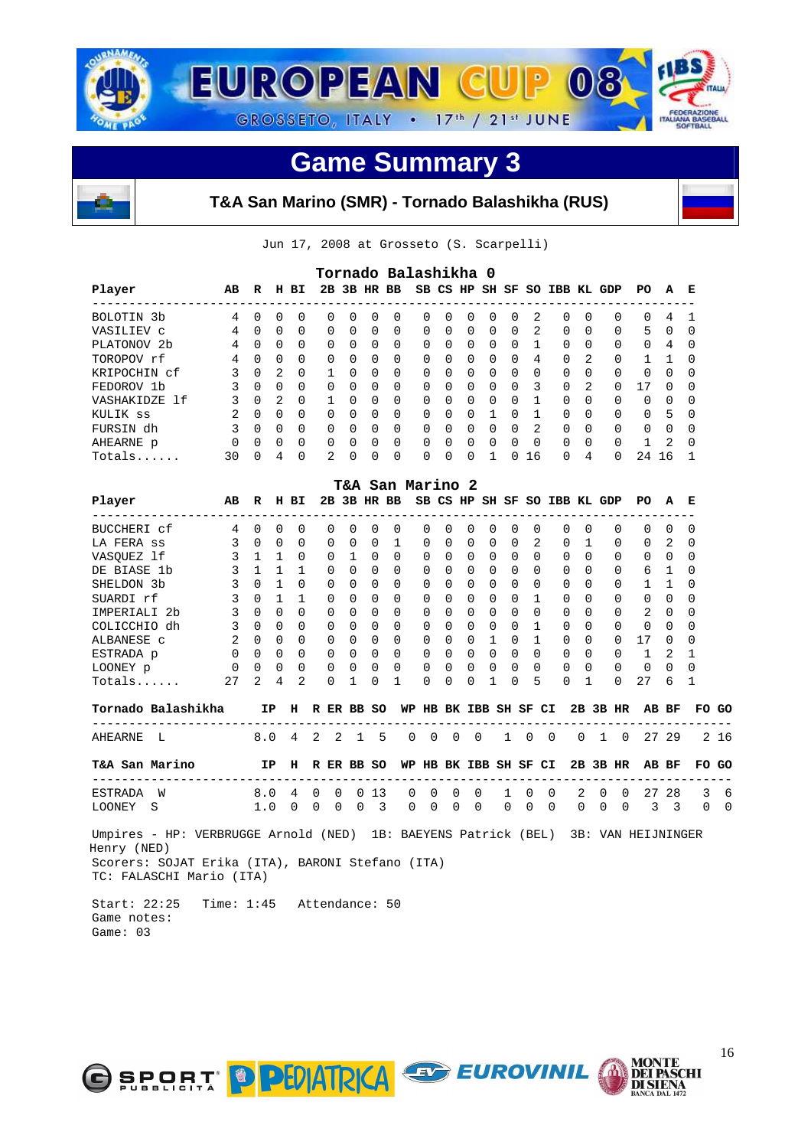



#### **T&A San Marino (SMR) - Tornado Balashikha (RUS)**

Jun 17, 2008 at Grosseto (S. Scarpelli)

| Player                                                                                                                                                        | AВ                       | R              |                          | H BI            |                 | Tornado Balashikha 0          |             |                           |   |                |                       |                          |                |             |                |          | 2B 3B HR BB SB CS HP SH SF SO IBB KL GDP |              |                      | PO.                | А                       | Е                                  |          |
|---------------------------------------------------------------------------------------------------------------------------------------------------------------|--------------------------|----------------|--------------------------|-----------------|-----------------|-------------------------------|-------------|---------------------------|---|----------------|-----------------------|--------------------------|----------------|-------------|----------------|----------|------------------------------------------|--------------|----------------------|--------------------|-------------------------|------------------------------------|----------|
| -------------------<br>BOLOTIN 3b                                                                                                                             | 4                        | 0              | 0                        | $\mathbf 0$     | 0               | 0                             | $\mathbf 0$ | 0                         |   | 0              | 0                     | 0                        | 0              | 0           | 2              |          | 0                                        | $\Omega$     | 0                    | 0                  | 4                       | 1                                  |          |
| VASILIEV C                                                                                                                                                    | 4                        | $\Omega$       | $\Omega$                 | $\Omega$        | $\Omega$        | $\Omega$                      | $\Omega$    | $\Omega$                  |   | 0              | $\Omega$              | $\Omega$                 | $\Omega$       | $\Omega$    | $\overline{2}$ |          | 0                                        | $\Omega$     | $\Omega$             | 5                  | $\Omega$                | $\Omega$                           |          |
| PLATONOV 2b                                                                                                                                                   | 4                        | $\Omega$       | $\overline{\phantom{0}}$ | 0               | $\Omega$        | $\Omega$                      | 0           | $\Omega$                  |   | 0              | 0                     | 0                        | 0              | $\Omega$    | 1              |          | $\Omega$                                 | 0            | $\Omega$             | 0                  | 4                       | 0                                  |          |
| TOROPOV rf                                                                                                                                                    | 4                        | $\Omega$       | $\Omega$                 | $\Omega$        | $\Omega$        | $\Omega$                      | $\Omega$    | $\Omega$                  |   | $\Omega$       | $\Omega$              | $\Omega$                 | $\Omega$       | $\Omega$    | 4              |          | $\Omega$                                 | 2            | $\Omega$             | 1                  | - 1                     | $\Omega$                           |          |
| KRIPOCHIN cf                                                                                                                                                  | 3                        |                | $0\quad 2$               | $\Omega$        | $\mathbf{1}$    | $\Omega$                      | $\Omega$    | $\Omega$                  |   | $\Omega$       | $\Omega$              | $\Omega$                 | $\Omega$       | $\Omega$    | $\Omega$       |          | $\Omega$                                 | $\Omega$     | $\Omega$             | $\Omega$           | $\Omega$                | 0                                  |          |
| FEDOROV 1b                                                                                                                                                    | 3                        |                | $0 \quad 0$              | $\Omega$        | $\Omega$        | 0                             | $\Omega$    | $\Omega$                  |   | $\Omega$       | 0                     | $\Omega$                 | $\Omega$       | $\Omega$    | 3              |          | $\Omega$                                 | 2            | $\Omega$             | 17                 | $\Omega$                | <sup>0</sup>                       |          |
| VASHAKIDZE 1f                                                                                                                                                 | 3                        |                | $0\quad 2$               | $\Omega$        |                 | $\mathbf{1}$<br>$\Omega$      | $\Omega$    | $\Omega$                  |   | $\Omega$       | $\Omega$              | $\Omega$                 | $\overline{0}$ | $\Omega$    | 1              |          | $\Omega$                                 | $\Omega$     | $\Omega$             | $\Omega$           | 0                       | 0                                  |          |
| KULIK ss                                                                                                                                                      | 2                        | $0\quad 0$     |                          | $\Omega$        |                 | $\overline{0}$<br>$\Omega$    | $\Omega$    | $\Omega$                  |   | 0              | 0                     | $\Omega$                 | $\mathbf{1}$   | $\Omega$    | $\mathbf{1}$   |          | $\Omega$                                 | $\Omega$     | $\Omega$             | $\Omega$           | 5                       | 0                                  |          |
| FURSIN dh                                                                                                                                                     | 3                        | $\Omega$       | $\overline{0}$           | $\Omega$        | 0               | $\Omega$                      | $\Omega$    | $\Omega$                  |   | 0              | $\Omega$              | 0                        | $\bigcirc$     | $\Omega$    | 2              |          | $\Omega$                                 | $\Omega$     | $\Omega$             | 0                  | $\overline{0}$          | 0                                  |          |
| AHEARNE p                                                                                                                                                     | $\mathbf 0$              | 0              | $\overline{0}$           | $\Omega$        | 0               | 0                             | $\Omega$    | $\Omega$                  |   | 0              | 0                     | 0                        | $\mathbf 0$    | 0           | $\Omega$       |          | 0                                        | $\Omega$     | 0                    | 1                  | 2                       | 0                                  |          |
| Totals                                                                                                                                                        | 30                       | $\Omega$       | $\overline{4}$           | $\Omega$        | 2               | 0                             | 0           | 0                         |   | $\Omega$       | $\Omega$              | $\Omega$                 | $\mathbf{1}$   | $\Omega$    | 16             |          | $\Omega$                                 | 4            | $\Omega$             | 24 16              |                         | $\mathbf{1}$                       |          |
|                                                                                                                                                               |                          |                |                          |                 |                 | T&A San Marino 2              |             |                           |   |                |                       |                          |                |             |                |          |                                          |              |                      |                    |                         |                                    |          |
| Player<br>----------------------                                                                                                                              | AВ                       | R              |                          | H BI            |                 | 2B 3B HR BB                   |             |                           |   |                |                       |                          |                |             |                |          | SB CS HP SH SF SO IBB KL GDP             |              |                      | PO.                | A                       | Е                                  |          |
| BUCCHERI cf                                                                                                                                                   | 4                        | $\Omega$       | 0                        | 0               | $\Omega$        | 0                             | $\Omega$    | -------------<br>$\Omega$ |   | $\Omega$       | $\Omega$              | $\Omega$                 | $\Omega$       | $\Omega$    | $\Omega$       |          | $\Omega$                                 | $\Omega$     | $\Omega$             | $\Omega$           | $\Omega$                | $\Omega$                           |          |
| LA FERA SS                                                                                                                                                    | 3                        | $\overline{0}$ | $\overline{0}$           | 0               | 0               | 0                             | 0           | $\mathbf{1}$              |   | 0              | 0                     | 0                        | $\mathbf 0$    | 0           | 2              |          | 0                                        | 1            | 0                    | 0                  | 2                       | 0                                  |          |
| VASOUEZ lf                                                                                                                                                    | 3                        | $\mathbf{1}$   | $\overline{1}$           | $\Omega$        | $\Omega$        | $\mathbf{1}$                  | $\Omega$    | $\Omega$                  |   | $\Omega$       | $\Omega$              | $\Omega$                 | $\Omega$       | $\Omega$    | $\Omega$       |          | $\Omega$                                 | $\Omega$     | $\Omega$             |                    | $0 \quad 0$             | $\Omega$                           |          |
| DE BIASE 1b                                                                                                                                                   | 3                        | $\mathbf{1}$   | $\mathbf{1}$             | 1               | 0               | $\Omega$                      | $\Omega$    | $\Omega$                  |   | 0              | 0                     | 0                        | $\overline{0}$ | $\Omega$    | $\Omega$       |          | $\Omega$                                 | $\Omega$     | $\Omega$             |                    | 6 1                     | $\Omega$                           |          |
| SHELDON 3b                                                                                                                                                    | $\overline{3}$           | $\Omega$       | $\mathbf{1}$             | $\Omega$        | $\Omega$        | $\Omega$                      | $\Omega$    | $\Omega$                  |   | $\Omega$       | $\Omega$              | $\Omega$                 | $\Omega$       | $\Omega$    | $\Omega$       |          | $\Omega$                                 | $\Omega$     | $\Omega$             | $\mathbf{1}$       | $\overline{1}$          | $\Omega$                           |          |
| SUARDI rf                                                                                                                                                     | 3                        | $\Omega$       | $\mathbf{1}$             | $\mathbf{1}$    | $\Omega$        | $\Omega$                      | $\Omega$    | $\Omega$                  |   | $\Omega$       | 0                     | $\Omega$                 | $\Omega$       | $\Omega$    | $\mathbf{1}$   |          | 0                                        | $\Omega$     | $\Omega$             | $\Omega$           | $\Omega$                | $\Omega$                           |          |
| IMPERIALI 2b                                                                                                                                                  | 3                        | 0              | $\overline{0}$           | $\Omega$        | 0               | $\Omega$                      | 0           | $\Omega$                  |   | 0              | 0                     | 0                        | $\overline{0}$ | $\mathbf 0$ | $\mathbf 0$    |          | 0                                        | 0            | $\Omega$             | 2                  | 0                       | 0                                  |          |
| COLICCHIO dh                                                                                                                                                  | $\overline{\phantom{a}}$ |                | $0\quad 0$               | $\Omega$        | $\Omega$        | $\Omega$                      | $\Omega$    | $\Omega$                  |   | 0              | $\Omega$              | $\Omega$                 | $\overline{0}$ | $\Omega$    | $\mathbf{1}$   |          | $\Omega$                                 | $\Omega$     | $\Omega$             | 0                  | $\Omega$                | $\Omega$                           |          |
| ALBANESE C                                                                                                                                                    | 2                        |                | $0\quad 0$               | $\Omega$        |                 | $\overline{0}$<br>$\mathbf 0$ | $\Omega$    | $\Omega$                  |   | $\mathbf 0$    | 0                     | 0                        | $\overline{1}$ | $\Omega$    | $\mathbf{1}$   |          | $\Omega$                                 | $\Omega$     | $\Omega$             | 17                 | $\mathbf 0$             | 0                                  |          |
| ESTRADA p                                                                                                                                                     | $\Omega$                 | $\Omega$       | $\overline{0}$           | $\Omega$        | $\Omega$        | $\Omega$                      | $\Omega$    | $\Omega$                  |   | $\Omega$       | $\Omega$              | 0                        | $\bigcirc$     | $\Omega$    | $\Omega$       |          | $\Omega$                                 | $\Omega$     | $\Omega$             | $\mathbf{1}$       | 2                       | 1                                  |          |
| LOONEY p                                                                                                                                                      | 0                        | 0              | $\overline{0}$           | $\mathbf 0$     | 0               | 0                             | 0           | $\Omega$                  |   | 0              | 0                     | 0                        | 0              | 0           | $\Omega$       |          | 0                                        | $\mathbf 0$  | 0                    | 0                  | $\Omega$                | $\Omega$                           |          |
| Totals                                                                                                                                                        | 27                       | 2              | 4                        | $\overline{2}$  | $\Omega$        | $\mathbf{1}$                  | 0           | $\mathbf{1}$              |   | $\Omega$       | 0                     | <sup>0</sup>             | $\mathbf{1}$   | $\Omega$    | 5              |          | $\Omega$                                 | $\mathbf{1}$ | $\Omega$             | 27                 | 6                       | $\mathbf{1}$                       |          |
| Tornado Balashikha                                                                                                                                            |                          |                |                          |                 | IP H R ER BB SO |                               |             |                           |   |                | WP HB BK IBB SH SF CI |                          |                |             |                |          |                                          |              | 2B 3B HR             |                    | AB BF                   |                                    | FO GO    |
| --------------------------------<br>AHEARNE<br>L                                                                                                              |                          | 8.0            |                          | $4\overline{ }$ | 2               | 2                             | 1           | 5                         | 0 | $\overline{0}$ | 0                     | $\overline{\phantom{0}}$ |                | $1 \quad 0$ |                | $\Omega$ | 0                                        | 1            | $\overline{0}$       |                    | 27 29                   | __________________________________ | 216      |
| T&A San Marino                                                                                                                                                |                          |                | IP                       | н               |                 | R ER BB SO                    |             |                           |   |                | WP HB BK IBB SH SF CI |                          |                |             |                |          |                                          |              | 2B 3B HR             |                    | AB BF                   |                                    | FO GO    |
| ----------------------<br>ESTRADA W                                                                                                                           |                          | 8.0            |                          | 4               | 0               | 0                             | 013         |                           | 0 | 0              | 0                     | 0                        |                | 1           | $\mathbf 0$    | 0        | 2                                        |              | 0<br>0               |                    | 27 28                   | 3                                  | 6        |
| LOONEY<br>S                                                                                                                                                   |                          | 1.0            |                          | 0               | 0               | 0                             | $\mathbf 0$ | 3                         | 0 | $\Omega$       | $\Omega$              | $\Omega$                 |                | $\mathbf 0$ | $\Omega$       | $\Omega$ | 0                                        |              | $\Omega$<br>$\Omega$ | 3                  | $\overline{\mathbf{3}}$ | $\Omega$                           | $\Omega$ |
| Umpires - HP: VERBRUGGE Arnold (NED) 1B: BAEYENS Patrick (BEL)<br>Henry (NED)<br>Scorers: SOJAT Erika (ITA), BARONI Stefano (ITA)<br>TC: FALASCHI Mario (ITA) |                          |                |                          |                 |                 |                               |             |                           |   |                |                       |                          |                |             |                |          |                                          |              |                      | 3B: VAN HEIJNINGER |                         |                                    |          |

 Start: 22:25 Time: 1:45 Attendance: 50 Game notes: Game: 03

O SPORT PPEDATRICA



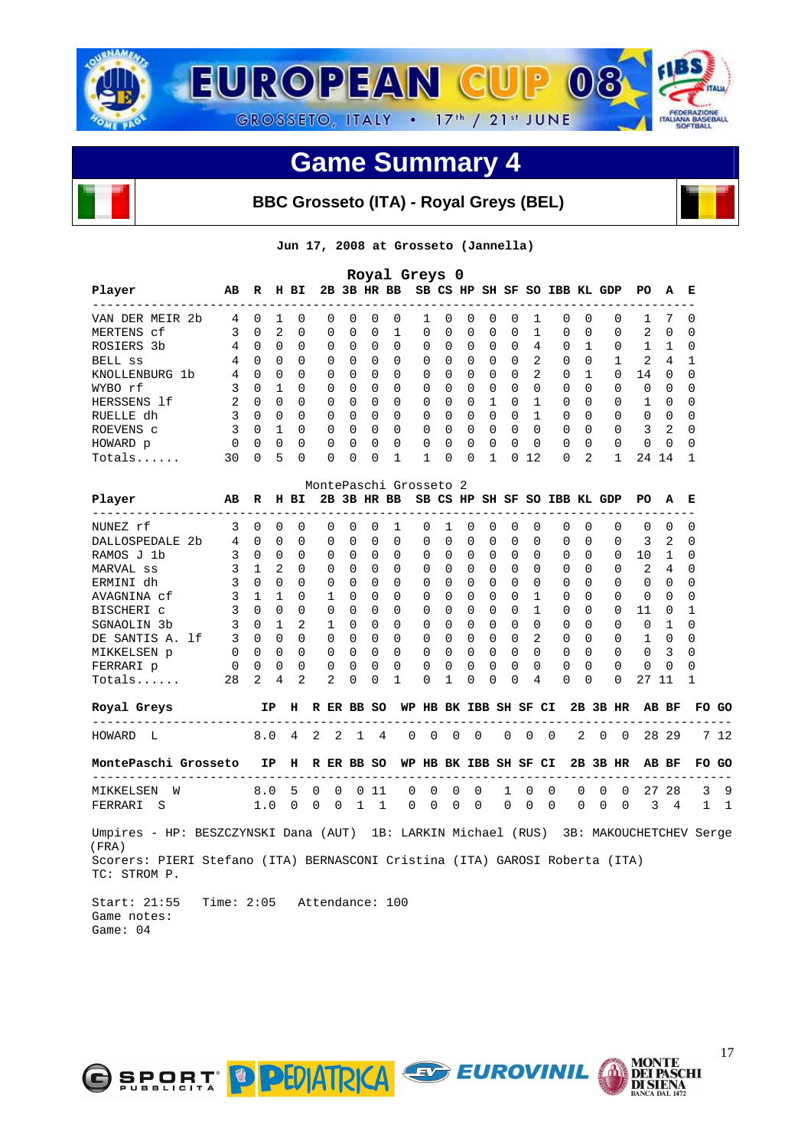

#### **BBC Grosseto (ITA) - Royal Greys (BEL)**

**Jun 17, 2008 at Grosseto (Jannella)** 

|                                                                                             |                            |              |                          |                |   |                |             |                | Royal Greys 0          |                       |             |          |              |          |              |                              |          |              |                |                         |                |                    |      |
|---------------------------------------------------------------------------------------------|----------------------------|--------------|--------------------------|----------------|---|----------------|-------------|----------------|------------------------|-----------------------|-------------|----------|--------------|----------|--------------|------------------------------|----------|--------------|----------------|-------------------------|----------------|--------------------|------|
| Player<br>-------------------                                                               | AВ                         | $\mathbf R$  |                          | H BI           |   |                |             | 2B 3B HR BB    |                        |                       |             |          |              |          |              | SB CS HP SH SF SO IBB KL GDP |          |              |                | PO                      | А              | Е<br>$-$           |      |
| VAN DER MEIR 2b                                                                             | 4                          | 0            | 1                        | 0              |   | 0              | 0           | 0              | 0                      | 1                     | 0           | 0        | 0            | 0        | 1            |                              | 0        | 0            | 0              | 1                       | 7              | 0                  |      |
| MERTENS cf                                                                                  | 3                          | $\Omega$     | 2                        | $\Omega$       |   | 0              | $\Omega$    | $\Omega$       | $\mathbf{1}$           | $\Omega$              | 0           | $\Omega$ | $\Omega$     | $\Omega$ | $\mathbf{1}$ |                              | $\Omega$ | $\Omega$     | $\Omega$       | 2                       | $\Omega$       | $\Omega$           |      |
| ROSIERS 3b                                                                                  |                            | 4 0          | $\overline{0}$           | $\Omega$       |   | 0              | $\Omega$    | $\Omega$       | $\Omega$               | 0                     | $\Omega$    | 0        | 0            | 0        | 4            |                              | $\Omega$ | 1            | $\Omega$       | 1                       | $\mathbf{1}$   | 0                  |      |
| BELL SS                                                                                     | 4                          | $\Omega$     | $\overline{0}$           | $\Omega$       |   | $\Omega$       | $\Omega$    | $\Omega$       | $\Omega$               | $\Omega$              | $\Omega$    | $\Omega$ | 0            | $\Omega$ | 2            |                              | $\Omega$ | $\Omega$     | $\mathbf{1}$   | 2                       | 4              | $\mathbf{1}$       |      |
| KNOLLENBURG 1b                                                                              | 4                          | 0            | $\overline{0}$           | $\Omega$       |   | 0              | $\Omega$    | 0              | $\Omega$               | 0                     | 0           | 0        | 0            | $\Omega$ | 2            |                              | $\Omega$ | $\mathbf{1}$ | 0              | 14                      | 0              | $\Omega$           |      |
| WYBO rf                                                                                     | 3                          | $\Omega$     | $\mathbf{1}$             | $\Omega$       |   | 0              | 0           | 0              | $\Omega$               | 0                     | 0           | 0        | 0            | 0        | 0            |                              | $\Omega$ | $\Omega$     | 0              | 0                       | 0              | 0                  |      |
| HERSSENS 1f                                                                                 | 2                          | $\Omega$     | $\overline{0}$           | $\Omega$       |   | $\Omega$       | $\Omega$    | $\Omega$       | $\Omega$               | $\Omega$              | 0           | $\Omega$ | $\mathbf{1}$ | $\Omega$ | $\mathbf{1}$ |                              | $\Omega$ | $\Omega$     | $\Omega$       | 1                       | $\Omega$       | 0                  |      |
| RUELLE dh                                                                                   | 3                          | $\Omega$     | $\overline{0}$           | $\Omega$       |   | 0              | $\Omega$    | $\Omega$       | $\Omega$               | 0                     | $\Omega$    | 0        | $\Omega$     | $\Omega$ | $\mathbf{1}$ |                              | $\Omega$ | $\Omega$     | $\Omega$       | $\Omega$                | 0              | $\Omega$           |      |
| ROEVENS C                                                                                   | 3                          |              | $0\quad 1$               | $\Omega$       |   | 0              | 0           | $\Omega$       | $\Omega$               | 0                     | 0           | 0        | 0            | $\Omega$ | $\Omega$     |                              | $\Omega$ | 0            | $\Omega$       | 3                       | $\overline{2}$ | 0                  |      |
| HOWARD p                                                                                    | 0                          | 0            | 0                        | 0              |   | 0              | 0           | 0              | $\Omega$               | 0                     | 0           | 0        | 0            | 0        | 0            |                              | 0        | 0            | 0              | 0                       | 0              | 0                  |      |
| Totals                                                                                      | 30                         | $\Omega$     | 5                        | $\Omega$       |   | $\Omega$       | $\Omega$    | $\Omega$       | $\mathbf{1}$           | $\mathbf{1}$          | $\Omega$    | $\Omega$ | 1            |          | 012          |                              | $\Omega$ | 2            | $\mathbf{1}$   | 24 14                   |                | $\mathbf{1}$       |      |
|                                                                                             |                            |              |                          |                |   |                |             |                | MontePaschi Grosseto 2 |                       |             |          |              |          |              |                              |          |              |                |                         |                |                    |      |
| Player                                                                                      | AВ                         | R            |                          | H BI           |   |                |             |                | 2B 3B HR BB            |                       |             |          |              |          |              | SB CS HP SH SF SO IBB KL GDP |          |              |                | PO.                     | А              | Е                  |      |
| ---------------------<br>NUNEZ rf                                                           | 3                          | 0            | 0                        | 0              |   | 0              | $\mathbf 0$ | 0              | $\mathbf{1}$           | 0                     | 1           | 0        | 0            | 0        | $\Omega$     |                              | 0        | $\Omega$     | $\Omega$       | $\mathbf 0$             | 0              | $-$<br>0           |      |
| DALLOSPEDALE 2b                                                                             | 4                          | 0            | $\mathbf 0$              | 0              |   | 0              | 0           | $\mathbf 0$    | 0                      | 0                     | 0           | 0        | 0            | 0        | 0            |                              | 0        | $\Omega$     | 0              | 3                       | 2              | 0                  |      |
| RAMOS J 1b                                                                                  | 3                          | $\Omega$     | $\overline{0}$           | $\Omega$       |   | 0              | 0           | 0              | $\Omega$               | 0                     | 0           | 0        | 0            | $\Omega$ | 0            |                              | 0        | $\Omega$     | 0              | 10                      | 1              | 0                  |      |
| MARVAL ss                                                                                   | 3                          | $\mathbf{1}$ | $\overline{2}$           | $\Omega$       |   | $\Omega$       | $\Omega$    | 0              | $\Omega$               | 0                     | 0           | 0        | 0            | $\Omega$ | $\Omega$     |                              | $\Omega$ | $\Omega$     | $\Omega$       | 2                       | 4              | 0                  |      |
| ERMINI dh                                                                                   | 3                          | $\Omega$     | $\overline{\phantom{0}}$ | $\Omega$       |   | 0              | $\Omega$    | $\Omega$       | $\Omega$               | 0                     | 0           | 0        | $\Omega$     | $\Omega$ | $\Omega$     |                              | 0        | $\Omega$     | $\Omega$       | $\Omega$                | 0              | 0                  |      |
| AVAGNINA cf                                                                                 | 3                          | $\mathbf{1}$ | $\overline{1}$           | $\Omega$       |   | $\mathbf{1}$   | $\Omega$    | $\Omega$       | $\Omega$               | $\Omega$              | 0           | $\Omega$ | $\Omega$     | $\Omega$ | $\mathbf{1}$ |                              | $\Omega$ | $\Omega$     | $\Omega$       | $\Omega$                | $\Omega$       | $\Omega$           |      |
| BISCHERI C                                                                                  | 3                          | $\Omega$     | $\overline{0}$           | $\Omega$       |   | 0              | $\Omega$    | $\Omega$       | $\Omega$               | 0                     | $\Omega$    | 0        | 0            | $\Omega$ | $\mathbf{1}$ |                              | $\Omega$ | $\Omega$     | $\Omega$       | 11                      | 0              | $\mathbf{1}$       |      |
| SGNAOLIN 3b                                                                                 | 3                          |              | $0\quad1$                | 2              |   | $\mathbf{1}$   | $\Omega$    | $\Omega$       | $\Omega$               | 0                     | 0           | 0        | 0            | $\Omega$ | 0            |                              | $\Omega$ | $\Omega$     | $\Omega$       | 0                       | 1              | 0                  |      |
| DE SANTIS A. 1f                                                                             | 3                          | $\Omega$     | $\Omega$                 | $\Omega$       |   | $\Omega$       | $\Omega$    | $\Omega$       | $\Omega$               | $\Omega$              | 0           | 0        | 0            | $\Omega$ | 2            |                              | 0        | $\Omega$     | $\Omega$       | 1                       | - 0            | 0                  |      |
|                                                                                             | $\mathbf 0$                | $\Omega$     | $\overline{0}$           | $\Omega$       |   | $\overline{0}$ | $\Omega$    | $\Omega$       | $\Omega$               | $\Omega$              | $\Omega$    | $\Omega$ | $\Omega$     | $\Omega$ | $\Omega$     |                              | $\Omega$ | $\Omega$     | $\Omega$       | 0                       | 3              | 0                  |      |
| MIKKELSEN p                                                                                 | $\overline{0}$             | 0            | 0                        | 0              |   | 0              | 0           | $\Omega$       | $\Omega$               | 0                     | 0           | 0        | 0            | $\Omega$ | $\Omega$     |                              | 0        | $\Omega$     | $\Omega$       | 0                       | 0              | 0                  |      |
| FERRARI p                                                                                   |                            | 2            |                          | $\overline{2}$ |   | 2              | 0           | $\Omega$       | $\mathbf{1}$           |                       |             |          |              | $\Omega$ | 4            |                              |          | $\Omega$     | $\Omega$       |                         |                |                    |      |
| Totals                                                                                      | 28                         |              | 4                        |                |   |                |             |                |                        | 0                     | 1           | $\Omega$ | $\Omega$     |          |              |                              | $\Omega$ |              |                | 27 11                   |                | 1                  |      |
| Royal Greys<br>---------------------------                                                  |                            |              | IP                       | н              |   |                |             | R ER BB SO     | WP HB BK IBB SH SF CI  |                       |             |          |              |          |              |                              |          |              | 2B 3B HR       |                         | AB BF          | FO GO              |      |
| HOWARD L                                                                                    |                            | 8.0          |                          | 4              | 2 | 2              | 1           | $\overline{4}$ | 0                      | 0                     | $\mathbf 0$ |          | $\mathbf 0$  | 0        | $\mathbf 0$  | $\Omega$                     | 2        | $\mathbf 0$  | $\overline{0}$ |                         | 28 29          |                    | 7 12 |
| MontePaschi Grosseto IP H R ER BB SO                                                        |                            |              |                          |                |   |                |             |                |                        | WP HB BK IBB SH SF CI |             |          |              |          |              |                              |          |              | 2B 3B HR       |                         | AB BF          | FO GO              |      |
| ----------------------------------                                                          |                            | 8.0          |                          | 5              | 0 | 0              |             | $= -$<br>011   | 0                      | 0                     | $\mathbf 0$ |          | 0            | 1        | 0            | -------<br>0                 | 0        | 0            | 0              |                         | 27 28          | -------------<br>3 |      |
| MIKKELSEN W<br>FERRARI S                                                                    |                            | 1.0          |                          | 0              | 0 | 0              |             | $1\quad1$      | 0                      | 0                     | 0           |          | 0            | $\Omega$ | $\Omega$     | $\mathbf 0$                  | 0        | 0            | $\Omega$       | 3                       | $\overline{4}$ |                    | 1    |
| Umpires – HP: BESZCZYNSKI Dana (AUT)  1B: LARKIN Michael (RUS)<br>(FRA)                     |                            |              |                          |                |   |                |             |                |                        |                       |             |          |              |          |              |                              |          |              |                | 3B: MAKOUCHETCHEV Serge |                |                    |      |
| Scorers: PIERI Stefano (ITA) BERNASCONI Cristina (ITA) GAROSI Roberta (ITA)<br>TC: STROM P. |                            |              |                          |                |   |                |             |                |                        |                       |             |          |              |          |              |                              |          |              |                |                         |                |                    |      |
| Start: 21:55<br>Game notes:                                                                 | Time: 2:05 Attendance: 100 |              |                          |                |   |                |             |                |                        |                       |             |          |              |          |              |                              |          |              |                |                         |                |                    |      |

Game: 04



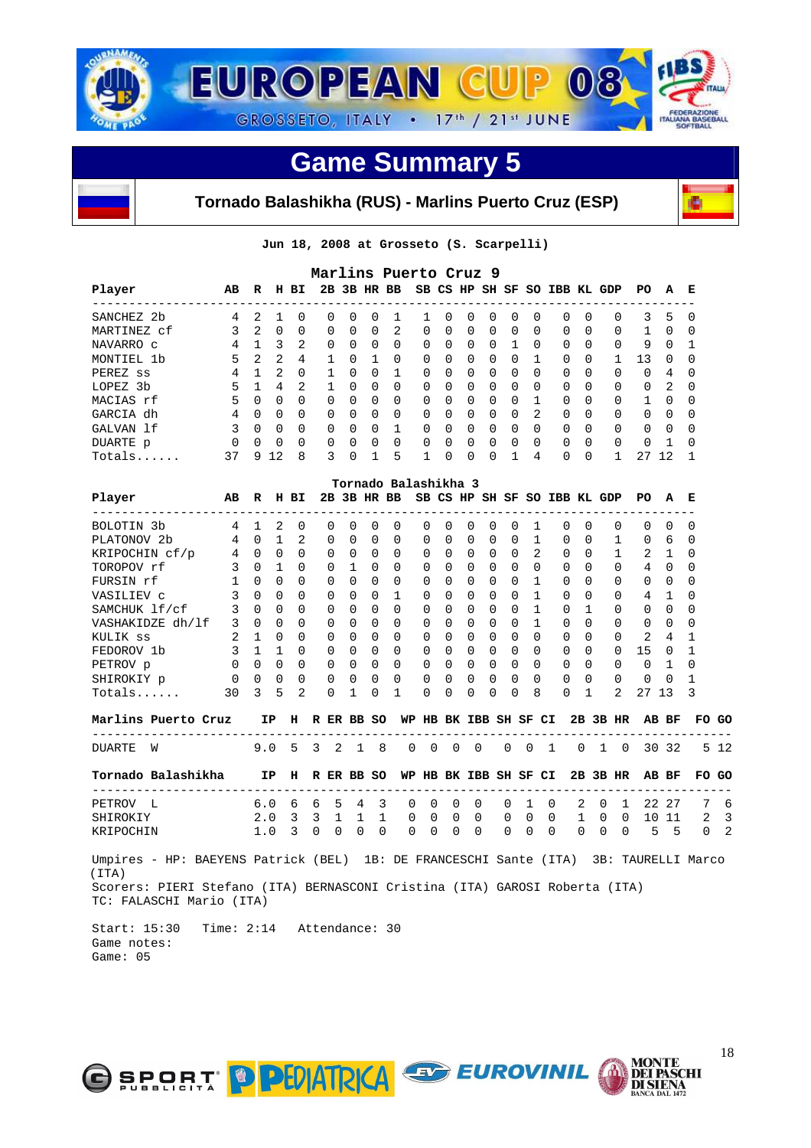





**Jun 18, 2008 at Grosseto (S. Scarpelli)** 

|                                                                                                         |              |              |                         |                |                         |              |              |              | Marlins Puerto Cruz 9 |                       |              |             |             |              |                |                              |          |              |              |                                 |              |              |
|---------------------------------------------------------------------------------------------------------|--------------|--------------|-------------------------|----------------|-------------------------|--------------|--------------|--------------|-----------------------|-----------------------|--------------|-------------|-------------|--------------|----------------|------------------------------|----------|--------------|--------------|---------------------------------|--------------|--------------|
| Player                                                                                                  | AВ           | R            |                         | H BI           |                         |              |              |              | 2B 3B HR BB           |                       |              |             |             |              |                | SB CS HP SH SF SO IBB KL GDP |          |              |              | PO.                             | A            | Е            |
| SANCHEZ 2b                                                                                              | 4            | 2            | $\mathbf{1}$            | $\Omega$       |                         | $\Omega$     | $\Omega$     | $\Omega$     | $\mathbf{1}$          | $\mathbf{1}$          | $\Omega$     | $\Omega$    | $\Omega$    | $\Omega$     | $\Omega$       |                              | $\Omega$ | $\Omega$     | $\Omega$     | 3                               | 5            | $\Omega$     |
| MARTINEZ cf                                                                                             | 3            | 2            | $\Omega$                | $\Omega$       |                         | $\Omega$     | $\Omega$     | $\Omega$     | $\overline{2}$        | $\Omega$              | $\Omega$     | $\Omega$    | $\Omega$    | $\Omega$     | $\Omega$       |                              | $\Omega$ | $\Omega$     | $\Omega$     | 1                               | 0            | $\Omega$     |
| NAVARRO C                                                                                               | 4            | 1            | $\overline{\mathbf{3}}$ | 2              |                         | 0            | $\Omega$     | $\Omega$     | 0                     | 0                     | $\Omega$     | 0           | 0           | 1            | 0              |                              | 0        | $\Omega$     | 0            | 9                               | $\Omega$     | 1            |
| MONTIEL 1b                                                                                              | 5            |              | $2 \quad 2$             | 4              |                         | $\mathbf{1}$ | $\Omega$     | $\mathbf{1}$ | $\Omega$              | 0                     | 0            | $\Omega$    | 0           | $\Omega$     | $\mathbf{1}$   |                              | $\Omega$ | 0            | 1            | 13                              | 0            | 0            |
| PEREZ ss                                                                                                | 4            | $\mathbf{1}$ | 2                       | $\Omega$       |                         | $\mathbf{1}$ | $\Omega$     | $\Omega$     | $\mathbf{1}$          | 0                     | $\Omega$     | $\Omega$    | $\Omega$    | $\Omega$     | $\Omega$       |                              | $\Omega$ | $\Omega$     | $\Omega$     | $\Omega$                        | 4            | 0            |
| LOPEZ 3b                                                                                                | 5            | $\mathbf{1}$ | $\overline{4}$          | $\mathfrak{D}$ |                         | $\mathbf{1}$ | $\Omega$     | $\Omega$     | $\Omega$              | <sup>0</sup>          | <sup>0</sup> | $\Omega$    | $\Omega$    | $\Omega$     | $\Omega$       |                              | 0        | $\Omega$     | $\Omega$     | 0                               | 2            | $\Omega$     |
| MACIAS rf                                                                                               | 5            | $\Omega$     | $\overline{0}$          | $\Omega$       |                         | $\Omega$     | $\Omega$     | $\Omega$     | $\Omega$              | $\Omega$              | $\Omega$     | $\Omega$    | 0           | $\Omega$     | 1              |                              | $\Omega$ | $\Omega$     | $\Omega$     | 1                               | 0            | 0            |
| GARCIA dh                                                                                               | 4            | $\Omega$     | $\overline{0}$          | $\Omega$       |                         | 0            | $\Omega$     | $\Omega$     | $\Omega$              | $\Omega$              | $\Omega$     | $\Omega$    | $\mathbf 0$ | $\Omega$     | $\overline{a}$ |                              | $\Omega$ | $\Omega$     | $\Omega$     | $\Omega$                        | 0            | 0            |
| GALVAN lf                                                                                               | 3            | $\Omega$     | $\overline{0}$          | $\Omega$       |                         | $\Omega$     | $\Omega$     | $\Omega$     | $\mathbf{1}$          | $\Omega$              | $\Omega$     | $\Omega$    | $\Omega$    | $\Omega$     | $\Omega$       |                              | $\Omega$ | $\Omega$     | $\Omega$     | $\Omega$                        | $\Omega$     | 0            |
| DUARTE p                                                                                                | $\Omega$     | $\Omega$     | $\mathbf 0$             | $\Omega$       |                         | 0            | 0            | $\Omega$     | $\Omega$              | 0                     | $\Omega$     | $\Omega$    | $\Omega$    | $\Omega$     | $\Omega$       |                              | $\Omega$ | $\Omega$     | $\Omega$     | 0                               | 1            | 0            |
| Totals                                                                                                  | 37           |              | 9 12                    | 8              |                         | 3            | 0            | 1            | 5                     | 1                     | $\Omega$     | $\Omega$    | $\Omega$    | $\mathbf{1}$ | 4              |                              | $\Omega$ | $\Omega$     | $\mathbf{1}$ | 27 12                           |              | 1            |
|                                                                                                         |              |              |                         |                |                         |              |              |              | Tornado Balashikha 3  |                       |              |             |             |              |                |                              |          |              |              |                                 |              |              |
| Player<br>-------------------                                                                           | AB           |              |                         | R H BI         | ----------              |              |              | 2B 3B HR BB  | --------------------  |                       |              |             |             |              |                | SB CS HP SH SF SO IBB KL GDP |          |              |              | PO                              | A            | Е            |
| BOLOTIN 3b                                                                                              | 4            | $\mathbf{1}$ | 2                       | $\mathbf 0$    |                         | 0            | 0            | 0            | 0                     | 0                     | 0            | 0           | 0           | 0            | 1              |                              | 0        | $\Omega$     | 0            | 0                               | $\mathbf 0$  | 0            |
| PLATONOV 2b                                                                                             | 4            | $\Omega$     | $\mathbf{1}$            | 2              |                         | $\Omega$     | $\Omega$     | $\Omega$     | $\Omega$              | $\Omega$              | $\Omega$     | $\Omega$    | 0           | $\Omega$     | $\mathbf{1}$   |                              | $\Omega$ | $\Omega$     | $\mathbf{1}$ | 0                               | 6            | $\Omega$     |
| KRIPOCHIN cf/p                                                                                          | 4            | 0            | $\overline{0}$          | $\Omega$       |                         | 0            | 0            | 0            | $\Omega$              | 0                     | 0            | 0           | 0           | 0            | 2              |                              | 0        | $\Omega$     | 1            | $\overline{2}$                  | 1            | 0            |
| TOROPOV rf                                                                                              | 3            | $\Omega$     | $\mathbf{1}$            | $\Omega$       |                         | 0            | $\mathbf{1}$ | $\Omega$     | $\Omega$              | 0                     | $\Omega$     | $\Omega$    | 0           | $\Omega$     | 0              |                              | 0        | $\Omega$     | $\Omega$     | $4 \quad 0$                     |              | 0            |
| FURSIN rf                                                                                               | $\mathbf{1}$ | $\Omega$     | $\overline{0}$          | $\Omega$       |                         | $\Omega$     | $\Omega$     | $\Omega$     | $\Omega$              | $\Omega$              | 0            | $\Omega$    | 0           | $\Omega$     | $\mathbf{1}$   |                              | $\Omega$ | $\Omega$     | $\Omega$     | $\Omega$                        | 0            | $\Omega$     |
| VASILIEV C                                                                                              | 3            | $\Omega$     | $\overline{\mathbf{0}}$ | $\Omega$       |                         | 0            | 0            | 0            | 1                     | 0                     | 0            | 0           | 0           | 0            | 1              |                              | $\Omega$ | $\Omega$     | 0            | 4                               | 1            | <sup>0</sup> |
| SAMCHUK lf/cf                                                                                           | 3            | $\Omega$     | $\overline{0}$          | $\Omega$       |                         | $\Omega$     | $\Omega$     | $\Omega$     | $\Omega$              | $\Omega$              | $\Omega$     | $\Omega$    | 0           | $\Omega$     | $\mathbf{1}$   |                              | $\Omega$ | $\mathbf{1}$ | $\Omega$     | $\Omega$                        | 0            | 0            |
| VASHAKIDZE dh/lf                                                                                        | 3            | $\Omega$     | $\overline{0}$          | $\Omega$       |                         | $\Omega$     | $\Omega$     | $\Omega$     | $\Omega$              | $\Omega$              | 0            | $\Omega$    | $\Omega$    | $\Omega$     | $\mathbf{1}$   |                              | 0        | $\Omega$     | $\Omega$     | $\Omega$                        | $\Omega$     | $\Omega$     |
| KULIK SS                                                                                                | 2            | 1            | 0                       | $\Omega$       |                         | 0            | 0            | 0            | $\Omega$              | 0                     | 0            | 0           | 0           | 0            | 0              |                              | 0        | 0            | 0            | 2                               | 4            | 1            |
| FEDOROV 1b                                                                                              | 3            | $\mathbf{1}$ | $\overline{1}$          | $\Omega$       |                         | $\Omega$     | $\Omega$     | $\Omega$     | $\Omega$              | $\Omega$              | 0            | $\Omega$    | 0           | $\Omega$     | $\Omega$       |                              | $\Omega$ | $\Omega$     | $\Omega$     | 15                              | 0            | $\mathbf{1}$ |
| PETROV p                                                                                                | $\Omega$     | $\Omega$     | $\overline{0}$          | $\Omega$       |                         | $\Omega$     | $\Omega$     | $\Omega$     | $\Omega$              | $\Omega$              | $\Omega$     | $\Omega$    | $\Omega$    | $\Omega$     | $\Omega$       |                              | $\Omega$ | $\Omega$     | $\Omega$     | $\Omega$                        | $\mathbf{1}$ | 0            |
| SHIROKIY p                                                                                              | 0            | 0            | $\mathbf 0$             | $\mathbf 0$    |                         | 0            | 0            | 0            | 0                     | 0                     | 0            | $\Omega$    | 0           | $\Omega$     | $\Omega$       |                              | $\Omega$ | $\Omega$     | $\Omega$     | 0                               | 0            | $\mathbf{1}$ |
| Totals                                                                                                  | 30           | 3            | 5                       | 2              |                         | 0            | 1            | 0            | 1                     | 0                     | 0            | 0           | $\Omega$    | 0            | 8              |                              | $\Omega$ | $\mathbf{1}$ | 2            | 27 13                           |              | 3            |
|                                                                                                         |              |              |                         |                |                         |              |              |              |                       |                       |              |             |             |              |                |                              |          |              |              |                                 |              |              |
| Marlins Puerto Cruz<br>---------------------------                                                      |              |              | IP                      | --------       | H R ER BB SO            |              |              |              | -------               |                       |              |             |             |              |                | WP HB BK IBB SH SF CI        |          |              | 2B 3B HR     | ------------------------------- | AB BF        | FO GO        |
| <b>DUARTE</b><br>W                                                                                      |              |              | 9.0                     | 5              | 3                       | 2            | 1            | 8            | $\mathbf 0$           | $\mathbf 0$           | $\mathbf 0$  | $\mathbf 0$ |             | $\mathbf 0$  | $\mathbf 0$    | $\mathbf{1}$                 | 0        | $\mathbf{1}$ | $\mathbf 0$  |                                 | 30 32        | 5 12         |
| Tornado Balashikha                                                                                      |              |              | IP                      | н              |                         |              |              | R ER BB SO   |                       | WP HB BK IBB SH SF CI |              |             |             |              |                |                              |          |              | 2B 3B HR     |                                 | AB BF        | FO GO        |
| --------------------------------<br>PETROV L                                                            |              |              | 6.0                     | 6              | 6                       | 5            | 4            | 3            | 0                     | 0                     | 0            | 0           |             | 0            | 1              | 0                            | 2        | 0            | 1            |                                 | 22 27        | 7            |
| SHIROKIY                                                                                                |              |              | 2.0                     | 3              | $\overline{\mathbf{3}}$ | 1            | 1            | 1            | 0                     | 0                     | 0            | 0           |             | 0            | 0              | 0                            | 1        | 0            | 0            | 10                              | 11           | 2            |
| KRIPOCHIN                                                                                               |              |              | 1.0                     | 3              | 0                       | 0            | 0            | $\Omega$     | $\Omega$              | $\Omega$              | 0            | $\Omega$    |             | $\Omega$     | $\mathbf 0$    | $\Omega$                     | $\Omega$ | $\Omega$     | $\Omega$     | 5                               | $-5$         | $\Omega$     |
| Umpires - HP: BAEYENS Patrick (BEL) 1B: DE FRANCESCHI Sante (ITA) 3B: TAURELLI Marco<br>(TTA)           |              |              |                         |                |                         |              |              |              |                       |                       |              |             |             |              |                |                              |          |              |              |                                 |              |              |
| Scorers: PIERI Stefano (ITA) BERNASCONI Cristina (ITA) GAROSI Roberta (ITA)<br>TC: FALASCHI Mario (ITA) |              |              |                         |                |                         |              |              |              |                       |                       |              |             |             |              |                |                              |          |              |              |                                 |              |              |

 Start: 15:30 Time: 2:14 Attendance: 30 Game notes: Game: 05



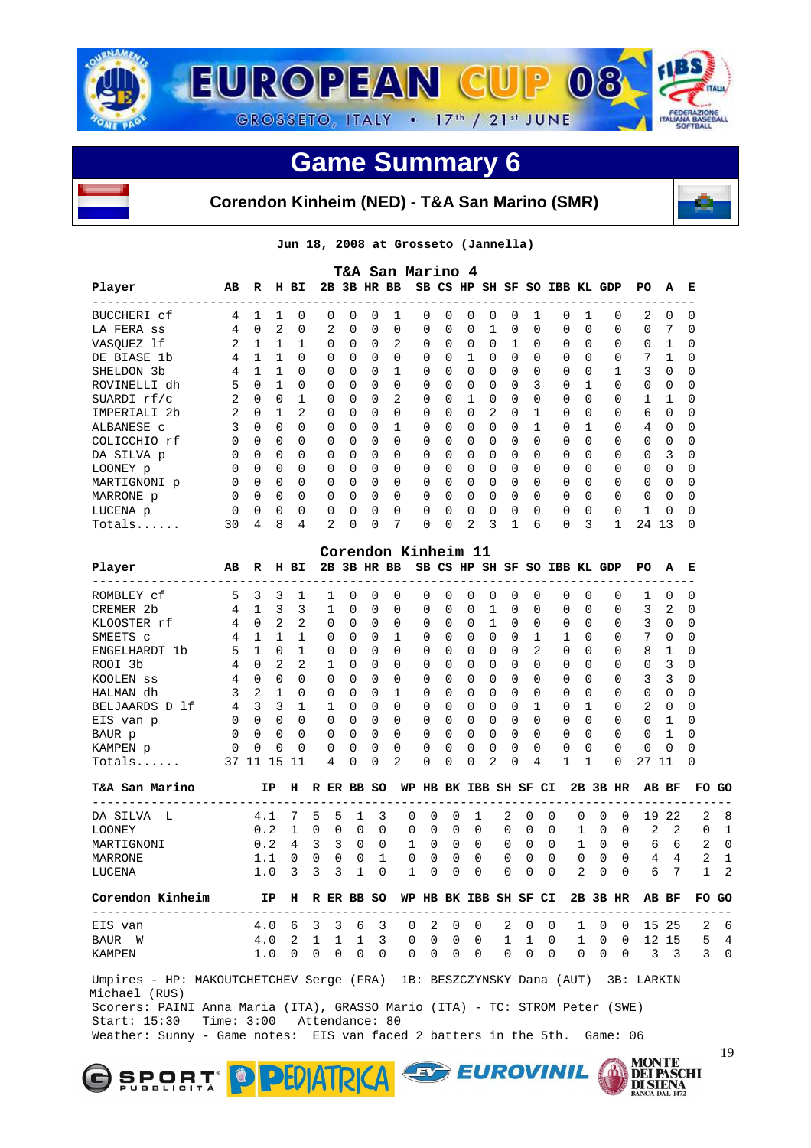



#### **Corendon Kinheim (NED) - T&A San Marino (SMR)**



**Jun 18, 2008 at Grosseto (Jannella)** 

| Player                                                                                                                 | AВ             | R              |                          | H BI         |   |              |          |              | <b>T&amp;A San Marino 4</b><br>2B 3B HR BB |                       |             |          |                          |              |              |   | SB CS HP SH SF SO IBB KL GDP |          |          | PO                                                                                         | А     | Е        |    |
|------------------------------------------------------------------------------------------------------------------------|----------------|----------------|--------------------------|--------------|---|--------------|----------|--------------|--------------------------------------------|-----------------------|-------------|----------|--------------------------|--------------|--------------|---|------------------------------|----------|----------|--------------------------------------------------------------------------------------------|-------|----------|----|
| BUCCHERI cf                                                                                                            | 4              | 1              | 1                        | 0            |   | 0            | 0        | 0            | 1                                          | 0                     | 0           | 0        | 0                        | 0            | 1            |   | 0<br>1                       |          | 0        | ----------<br>2                                                                            | 0     | 0        |    |
| LA FERA SS                                                                                                             | 4              | 0              | 2                        | 0            |   | 2            | 0        | 0            | 0                                          | 0                     | 0           | 0        | 1                        | 0            | 0            |   | $\Omega$<br>0                |          | 0        | 0                                                                                          | 7     | 0        |    |
| VASQUEZ 1f                                                                                                             | 2              | $\mathbf{1}$   | $\mathbf{1}$             | 1            |   | 0            | 0        | $\Omega$     | 2                                          | 0                     | 0           | 0        | 0                        | $\mathbf{1}$ | 0            |   | $\Omega$<br>0                |          | 0        | 0                                                                                          | 1     | 0        |    |
| DE BIASE 1b                                                                                                            | 4              | $\mathbf{1}$   | <sup>1</sup>             | $\Omega$     |   | 0            | 0        | $\Omega$     | $\Omega$                                   | 0                     | 0           | 1        | 0                        | 0            | 0            |   | 0<br>0                       |          | 0        | 7                                                                                          | 1     | 0        |    |
| SHELDON 3b                                                                                                             | 4              | $\mathbf{1}$   | 1                        | $\Omega$     |   | 0            | 0        | 0            | 1                                          | 0                     | 0           | 0        | 0                        | 0            | 0            |   | 0<br>0                       |          | 1        | 3                                                                                          | 0     | 0        |    |
| ROVINELLI dh                                                                                                           | 5              | 0              | 1                        | $\Omega$     |   | 0            | 0        | 0            | $\Omega$                                   | 0                     | 0           | 0        | 0                        | 0            | 3            |   | 1<br>0                       |          | 0        | 0                                                                                          | 0     | 0        |    |
| SUARDI rf/c                                                                                                            | $\overline{2}$ | $\Omega$       | $\overline{\phantom{0}}$ | 1            |   | 0            | 0        | 0            | 2                                          | 0                     | 0           | 1        | 0                        | $\Omega$     | 0            |   | 0<br>$\Omega$                |          | 0        | 1                                                                                          | 1     | 0        |    |
| IMPERIALI 2b                                                                                                           | 2              | $\Omega$       | 1                        | 2            |   | 0            | 0        | 0            | 0                                          | 0                     | 0           | 0        | 2                        | $\Omega$     | 1            |   | $\Omega$<br>0                |          | $\Omega$ | 6                                                                                          | 0     | 0        |    |
| ALBANESE C                                                                                                             | 3              | 0              | $\mathbf 0$              | $\Omega$     |   | 0            | 0        | 0            | 1                                          | 0                     | 0           | 0        | 0                        | 0            | 1            |   | 0<br>1                       |          | 0        | 4                                                                                          | 0     | 0        |    |
| COLICCHIO rf                                                                                                           | 0              | $\Omega$       | 0                        | $\Omega$     |   | 0            | 0        | 0            | $\Omega$                                   | 0                     | 0           | 0        | 0                        | 0            | 0            |   | $\Omega$<br>$\Omega$         |          | 0        | 0                                                                                          | 0     | 0        |    |
| DA SILVA p                                                                                                             | 0              | 0              | 0                        | 0            |   | 0            | 0        | 0            | 0                                          | 0                     | 0           | 0        | 0                        | 0            | 0            |   | 0<br>0                       |          | 0        | 0                                                                                          | 3     | 0        |    |
| LOONEY p                                                                                                               | 0              | 0              | $\overline{0}$           | 0            |   | 0            | 0        | 0            | 0                                          | 0                     | 0           | 0        | 0                        | 0            | 0            |   | 0<br>0                       |          | 0        | 0                                                                                          | 0     | 0        |    |
| MARTIGNONI p                                                                                                           | 0              | $\Omega$       | $\overline{0}$           | $\Omega$     |   | 0            | $\Omega$ | $\Omega$     | $\Omega$                                   | 0                     | 0           | 0        | 0                        | $\Omega$     | $\Omega$     |   | $\Omega$<br>$\Omega$         |          | $\Omega$ | 0                                                                                          | 0     | 0        |    |
| MARRONE p                                                                                                              | 0              | $\Omega$       | $\overline{0}$           | 0            |   | 0            | 0        | 0            | $\Omega$                                   | 0                     | 0           | 0        | $\overline{\phantom{0}}$ | 0            | 0            |   | 0<br>0                       |          | 0        | 0                                                                                          | 0     | 0        |    |
| LUCENA p                                                                                                               | 0              | 0              | 0                        | 0            |   | 0            | 0        | 0            | 0                                          | 0                     | 0           | 0        | 0                        | 0            | 0            |   | 0                            | 0        | 0        | 1                                                                                          | 0     | 0        |    |
| Totals                                                                                                                 | 30             | 4              | 8                        | 4            |   | 2            | 0        | 0            | 7                                          | 0                     | 0           | 2        | 3                        | 1            | 6            |   | 0                            | 3        | 1        | 24 13                                                                                      |       | 0        |    |
|                                                                                                                        |                |                |                          |              |   |              |          |              |                                            |                       |             |          |                          |              |              |   |                              |          |          |                                                                                            |       |          |    |
|                                                                                                                        |                |                |                          |              |   |              |          |              | Corendon Kinheim 11                        |                       |             |          |                          |              |              |   |                              |          |          |                                                                                            |       |          |    |
| Player<br>---------------                                                                                              | AВ             | R              |                          | H BI         |   |              |          |              | 2B 3B HR BB                                |                       |             |          |                          |              |              |   | SB CS HP SH SF SO IBB KL GDP |          |          | PO.                                                                                        | A     | Е        |    |
| ROMBLEY Cf                                                                                                             | 5              | 3              | 3                        | 1            |   | 1            | 0        | 0            | 0                                          | 0                     | 0           | 0        | 0                        | 0            | 0            |   | 0<br>0                       |          | 0        | 1                                                                                          | 0     | 0        |    |
| CREMER 2b                                                                                                              | 4              | $\mathbf{1}$   | $\overline{\mathbf{3}}$  | 3            |   | $\mathbf{1}$ | $\Omega$ | $\Omega$     | 0                                          | 0                     | 0           | 0        | $\mathbf{1}$             | 0            | 0            |   | $\Omega$<br>0                |          | 0        | 3                                                                                          | 2     | 0        |    |
| KLOOSTER rf                                                                                                            | 4              | $\overline{0}$ | $\overline{2}$           | 2            |   | 0            | 0        | 0            | $\Omega$                                   | 0                     | 0           | 0        | 1                        | 0            | 0            |   | 0<br>0                       |          | 0        | 3                                                                                          | 0     | 0        |    |
| SMEETS C                                                                                                               | 4              | $\mathbf{1}$   | $\mathbf{1}$             | $\mathbf{1}$ |   | 0            | 0        | $\Omega$     | 1                                          | 0                     | 0           | 0        | 0                        | $\Omega$     | 1            |   | $\mathbf{1}$                 | $\Omega$ | 0        | 7                                                                                          | 0     | 0        |    |
| ENGELHARDT 1b                                                                                                          | 5              | $\mathbf{1}$   | $\mathbf 0$              | 1            |   | 0            | 0        | $\Omega$     | $\Omega$                                   | 0                     | 0           | 0        | 0                        | 0            | 2            |   | $\Omega$<br>$\Omega$         |          | 0        | 8                                                                                          | 1     | 0        |    |
| ROOI 3b                                                                                                                | 4              | $\Omega$       | - 2                      | 2            |   | 1            | 0        | 0            | 0                                          | 0                     | 0           | 0        | 0                        | 0            | $\Omega$     |   | $\Omega$<br>$\Omega$         |          | 0        | 0                                                                                          | 3     | 0        |    |
| KOOLEN SS                                                                                                              | 4              | $\Omega$       | $\overline{0}$           | $\Omega$     |   | $\Omega$     | 0        | 0            | 0                                          | 0                     | 0           | $\Omega$ | $\Omega$                 | $\Omega$     | 0            |   | $\Omega$<br>0                |          | 0        | 3                                                                                          | 3     | 0        |    |
| HALMAN dh                                                                                                              | 3              | 2              | $\mathbf{1}$             | 0            |   | 0            | 0        | $\Omega$     | 1                                          | 0                     | 0           | 0        | 0                        | 0            | 0            |   | $\Omega$<br>$\Omega$         |          | $\Omega$ | 0                                                                                          | 0     | 0        |    |
| BELJAARDS D lf                                                                                                         | 4              | 3              | $\overline{\mathbf{3}}$  | 1            |   | 1            | 0        | 0            | $\Omega$                                   | 0                     | 0           | 0        | 0                        | 0            | 1            |   | 1<br>0                       |          | 0        | 2                                                                                          | 0     | 0        |    |
| EIS van p                                                                                                              | 0              | $\Omega$       | $\overline{0}$           | $\Omega$     |   | 0            | 0        | 0            | $\Omega$                                   | 0                     | 0           | 0        | 0                        | 0            | $\Omega$     |   | $\Omega$<br>0                |          | 0        | 0                                                                                          | 1     | 0        |    |
| BAUR p                                                                                                                 | 0              | 0              | 0                        | 0            |   | 0            | 0        | $\Omega$     | $\Omega$                                   | 0                     | 0           | 0        | 0                        | $\Omega$     | 0            |   | 0                            | 0        | $\Omega$ | 0                                                                                          | 1     | 0        |    |
| KAMPEN p                                                                                                               | 0              | 0              | 0                        | 0            |   | 0            | 0        | 0            | 0                                          | 0                     | 0           | 0        | 0                        | 0            | 0            |   | 0<br>0                       |          | 0        | 0                                                                                          | 0     | 0        |    |
| Totals                                                                                                                 | 37 11 15       |                |                          | -11          |   | 4            | 0        | 0            | 2                                          | 0                     | 0           | 0        | 2                        | 0            | 4            |   | 1<br>1                       |          | $\Omega$ | 27 11                                                                                      |       | 0        |    |
| T&A San Marino                                                                                                         |                |                | ΙP                       | н            |   |              |          | R ER BB SO   |                                            | WP HB BK IBB SH SF CI |             |          |                          |              |              |   |                              |          | 2B 3B HR |                                                                                            | AB BF | FO.      | GO |
| ____________________________________<br>DA SILVA L                                                                     |                |                |                          | 7            | 5 | 5            |          | 3            |                                            | 0                     | 0           |          |                          |              | 0            | 0 | 0                            | 0        | 0        |                                                                                            | 19 22 | 2        |    |
|                                                                                                                        |                |                | 4.1                      |              |   |              | 1        |              | 0                                          |                       |             | 1        |                          | 2            |              |   |                              |          |          |                                                                                            | 2     |          |    |
| <b>LOONEY</b>                                                                                                          |                |                | 0.2                      | 1            | 0 | 0            | 0        | 0            | 0                                          | 0                     | 0           | 0        |                          | 0            | 0            | 0 | 1                            | 0        | 0        | 2                                                                                          |       | $\Omega$ |    |
| MARTIGNONI                                                                                                             |                |                | 0.2                      | 4            | 3 | 3            | 0        | 0            | 1                                          | 0                     | 0           | 0        |                          | 0            | 0            | 0 | 1                            | 0        | 0        | 6                                                                                          | 6     | 2        |    |
| MARRONE                                                                                                                |                |                | 1.1                      | 0            | 0 | 0            | 0        | $\mathbf{1}$ | $\mathbf 0$                                | 0                     | $\mathbf 0$ | $\Omega$ |                          | 0            | $\mathbf 0$  | 0 | 0                            | 0        | 0        | 4                                                                                          | 4     | 2        |    |
| LUCENA                                                                                                                 |                |                | $1.0-3$                  |              | 3 | 3            | 1        | 0            | 1                                          | 0                     | 0           | 0        |                          | $\Omega$     | <sup>0</sup> | 0 | 2                            | 0        | $\Omega$ | 6                                                                                          | 7     | 1        |    |
|                                                                                                                        |                |                |                          |              |   |              |          |              |                                            |                       |             |          |                          |              |              |   |                              |          |          |                                                                                            |       | FO GO    |    |
|                                                                                                                        |                |                |                          |              |   |              |          |              |                                            |                       |             |          |                          |              |              |   |                              |          |          |                                                                                            |       |          |    |
|                                                                                                                        |                |                |                          |              |   |              |          |              |                                            |                       |             |          |                          |              |              |   |                              |          |          |                                                                                            |       |          |    |
| Corendon Kinheim IP H R ER BB SO WP HB BK IBB SH SF CI 2B 3B HR AB BF<br>------------------------<br>EIS van<br>BAUR W |                |                |                          |              |   |              |          |              |                                            |                       |             |          |                          |              |              |   |                              |          |          | 4.0 6 3 3 6 3 0 2 0 0 2 0 0 1 0 0 15 25 2 6<br>4.0 2 1 1 1 3 0 0 0 0 0 1 1 0 1 0 0 12 15 5 |       |          |    |

 Scorers: PAINI Anna Maria (ITA), GRASSO Mario (ITA) - TC: STROM Peter (SWE) Start: 15:30 Time: 3:00 Attendance: 80 Weather: Sunny - Game notes: EIS van faced 2 batters in the 5th. Game: 06





**MONTE<br>DEI PASCHI<br>DI SIENA<br>BANCA DAL 1472**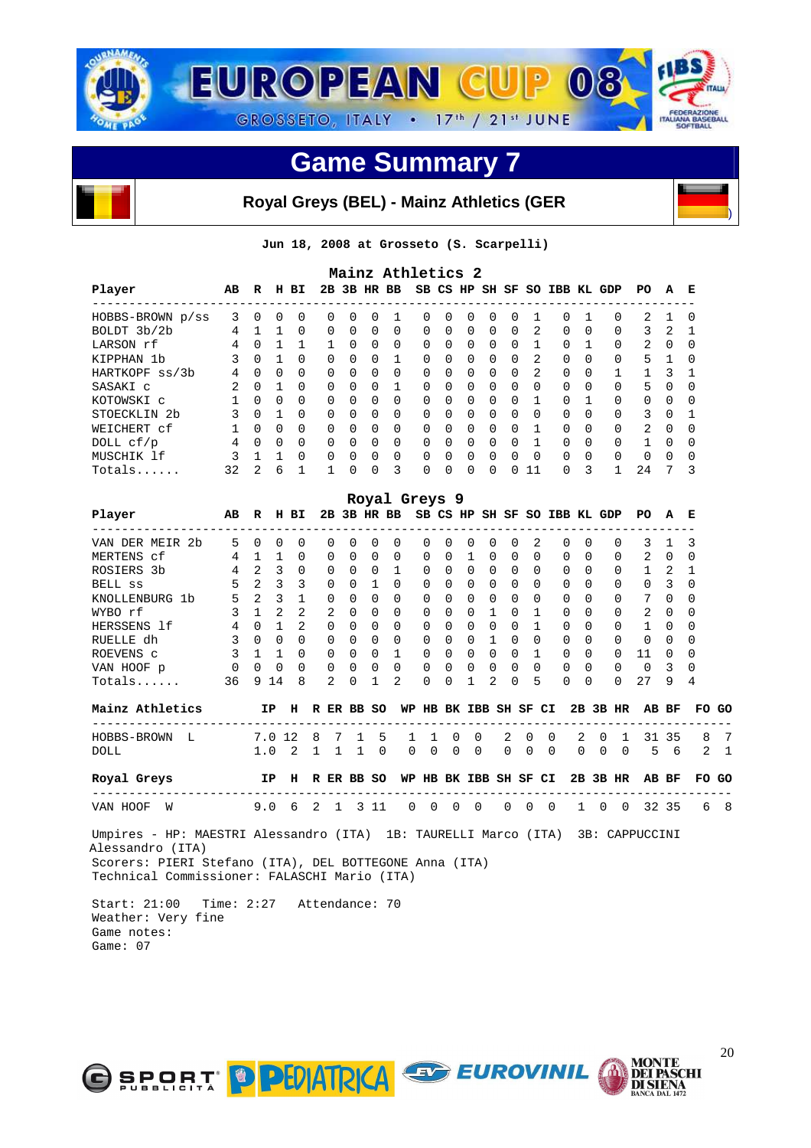

#### **Royal Greys (BEL) - Mainz Athletics (GER**

**Jun 18, 2008 at Grosseto (S. Scarpelli)** 

|                         |    |          |          |              |          |          |              | Mainz Athletics 2 |          |              |          |          |              |                |                              |              |          |                |          |              |
|-------------------------|----|----------|----------|--------------|----------|----------|--------------|-------------------|----------|--------------|----------|----------|--------------|----------------|------------------------------|--------------|----------|----------------|----------|--------------|
| Player                  | AB | R        | н        | ВI           |          |          |              | 2B 3B HR BB       |          |              |          |          |              |                | SB CS HP SH SF SO IBB KL GDP |              |          | PO.            | A        | Е            |
| HOBBS-BROWN p/ss        | 3  | $\Omega$ | 0        | <sup>0</sup> | 0        | $\Omega$ | <sup>0</sup> |                   | $\Omega$ | $\Omega$     | $\Omega$ | $\Omega$ | $\Omega$     |                | <sup>0</sup>                 |              | $\Omega$ | 2              |          | $\Omega$     |
| BOLDT 3b/2b             | 4  |          |          | $\Omega$     | $\Omega$ | $\Omega$ | $\Omega$     | $\Omega$          | $\Omega$ | $\Omega$     | $\Omega$ | $\Omega$ | $\Omega$     | $\mathcal{L}$  | $\Omega$                     | $\Omega$     | $\Omega$ | 3              | 2        |              |
| LARSON rf               | 4  | $\Omega$ |          |              |          | $\Omega$ | $\Omega$     | $\Omega$          | $\Omega$ | $\Omega$     | $\Omega$ | $\Omega$ | $\Omega$     |                | $\Omega$                     |              | $\Omega$ | 2              | $\Omega$ | <sup>0</sup> |
| KIPPHAN 1b              | 3  | $\Omega$ |          | $\Omega$     | $\Omega$ | $\Omega$ | $\Omega$     | 1                 | $\Omega$ | $\Omega$     | $\Omega$ | $\Omega$ | $\Omega$     | $\mathfrak{D}$ | $\Omega$                     | $\Omega$     | $\Omega$ | 5              |          | $\Omega$     |
| HARTKOPF ss/3b          | 4  | $\Omega$ | $\Omega$ | $\Omega$     | $\Omega$ | $\Omega$ | $\Omega$     | $\Omega$          | $\Omega$ | $\Omega$     | $\Omega$ | $\Omega$ | $\Omega$     | $\mathcal{L}$  | $\Omega$                     | 0            |          |                | κ        |              |
| SASAKI C                | 2  | $\Omega$ |          | $\Omega$     | $\Omega$ | $\cap$   | $\Omega$     |                   | $\Omega$ | <sup>n</sup> | $\Omega$ | $\Omega$ | $\Omega$     | $\Omega$       | $\Omega$                     | $\Omega$     | $\Omega$ | 5              | $\cap$   | $\Omega$     |
| KOTOWSKI C              |    | $\Omega$ | $\Omega$ | $\Omega$     | $\Omega$ | $\Omega$ | $\Omega$     | $\Omega$          | $\Omega$ | $\Omega$     | $\Omega$ | $\Omega$ | $\Omega$     |                | $\Omega$                     |              | $\Omega$ | $\Omega$       | $\Omega$ | <sup>0</sup> |
| STOECKLIN <sub>2b</sub> | २  | $\Omega$ |          | $\Omega$     | $\Omega$ | $\cap$   | $\Omega$     | $\Omega$          | $\Omega$ | <sup>n</sup> | $\Omega$ | $\Omega$ | $\Omega$     | $\Omega$       | $\Omega$                     | 0            | $\Omega$ | 3              | $\cap$   |              |
| WEICHERT cf             |    | $\Omega$ | $\Omega$ | $\Omega$     | $\Omega$ | $\Omega$ | $\Omega$     | $\Omega$          | $\Omega$ | <sup>0</sup> | $\Omega$ | $\Omega$ | $\Omega$     |                | $\Omega$                     | <sup>0</sup> | $\Omega$ | $\overline{a}$ | $\Omega$ | <sup>0</sup> |
| DOLL cf/p               | 4  | $\cap$   | $\Omega$ | $\Omega$     | $\Omega$ | $\cap$   | $\Omega$     | $\Omega$          | $\Omega$ | <sup>n</sup> | $\Omega$ | $\Omega$ | $\cap$       |                | $\Omega$                     | <sup>0</sup> | $\Omega$ |                | $\cap$   | $\Omega$     |
| MUSCHIK 1f              |    |          |          | $\Omega$     | $\Omega$ | $\cap$   | $\Omega$     | $\Omega$          | $\Omega$ | $\cap$       | $\Omega$ | $\Omega$ | $\cap$       | $\Omega$       | $\Omega$                     | $\Omega$     | $\Omega$ | 0              | $\cap$   | <sup>0</sup> |
| Totals                  | 32 | 2        | 6        |              |          | $\cap$   | $\Omega$     | 3                 | $\Omega$ | <sup>n</sup> | $\Omega$ | $\Omega$ | <sup>n</sup> | 11             | <sup>0</sup>                 | ζ            |          | 24             |          | ्र           |

|                    |              |               |              |              |               |          |              |           | Royal Greys 9 |              |              |              |              |          |              |          |          |              |              |          |
|--------------------|--------------|---------------|--------------|--------------|---------------|----------|--------------|-----------|---------------|--------------|--------------|--------------|--------------|----------|--------------|----------|----------|--------------|--------------|----------|
| Player             | AВ           | R             | н            | вI           | 2B            |          | 3B HR        | <b>BB</b> | SB            | CS HP        |              |              | SH SF        | .so      | IBB KL       |          | GDP      | PO.          | A            | Е        |
| VAN DER MEIR 2b    | 5.           | 0             | <sup>0</sup> | $\Omega$     | 0             | 0        | 0            | $\Omega$  | 0             | 0            |              | 0            | 0            |          |              | $\Omega$ | $\Omega$ | 3            |              | 3        |
| MERTENS cf         | 4            |               |              | <sup>0</sup> | 0             | 0        | O            | $\Omega$  | $\Omega$      | 0            |              | <sup>0</sup> | $\Omega$     | $\Omega$ | 0            | $\Omega$ | $\Omega$ | 2            | <sup>0</sup> | $\Omega$ |
| ROSIERS 3b         | 4            | 2             | 3            | $\Omega$     | $\Omega$      | 0        | <sup>0</sup> |           | $\Omega$      | $\Omega$     | $\Omega$     | <sup>0</sup> | $\Omega$     | $\Omega$ | 0            | $\Omega$ | $\Omega$ |              | 2            |          |
| <b>BELL</b> SS     | 5            | $\mathcal{L}$ | 3            | 3            | <sup>n</sup>  | 0        |              | $\Omega$  | $\Omega$      | $\Omega$     | $\Omega$     | <sup>0</sup> | $\Omega$     | $\Omega$ | 0            | $\Omega$ | $\Omega$ | 0            | 3            | $\Omega$ |
| KNOLLENBURG<br>-1b | 5            | $\mathcal{L}$ | 3            |              | $\Omega$      | 0        | <sup>n</sup> | $\Omega$  | $\Omega$      | $\Omega$     | <sup>0</sup> | $\Omega$     | 0            | $\Omega$ | <sup>n</sup> | $\Omega$ | $\Omega$ | 7            | <sup>0</sup> | $\Omega$ |
| WYBO rf            |              |               | 2            | 2            | $\mathcal{L}$ | $\Omega$ | O            | $\Omega$  | $\Omega$      | 0            | <sup>0</sup> |              | <sup>0</sup> |          |              | $\Omega$ | $\Omega$ | 2            | $\Omega$     | $\Omega$ |
| HERSSENS 1f        | 4            | U             |              | 2            | $\cap$        | 0        | <sup>n</sup> | $\Omega$  | $\Omega$      | <sup>n</sup> | $\Omega$     | <sup>n</sup> | $\Omega$     |          | U            | $\Omega$ | $\Omega$ |              | U            | $\Omega$ |
| RUELLE dh          | 3            | $\Omega$      | 0            | $\Omega$     | 0             | 0        | <sup>0</sup> | $\Omega$  | $\Omega$      | $\Omega$     | <sup>0</sup> |              | 0            | $\Omega$ | 0            | $\Omega$ | $\Omega$ | <sup>0</sup> | 0            | $\Omega$ |
| ROEVENS C          |              |               |              | $\Omega$     | <sup>n</sup>  | $\Omega$ | U            |           | 0             | 0            | U            | <sup>0</sup> | $\Omega$     |          |              | $\Omega$ | $\Omega$ | 11           | O            | $\Omega$ |
| VAN HOOF p         | <sup>0</sup> | <sup>n</sup>  | U            | <sup>0</sup> | <sup>n</sup>  | 0        | <sup>n</sup> | $\Omega$  | <sup>n</sup>  | <sup>n</sup> | $\Omega$     | <sup>0</sup> | $\Omega$     | $\Omega$ | <sup>n</sup> | $\Omega$ | $\Omega$ | <sup>n</sup> | 3            | $\Omega$ |
| $Totals$           | 36           | Q             | 14           | 8            | 2             | 0        |              | 2         | $\Omega$      | U            |              | 2            | $\Omega$     | 5        | <sup>0</sup> | $\Omega$ | 0        | 27           | 9            | 4        |

| Mainz Athletics     | IP H R ER BB SO |  |  |  |  |  |  |  |  | WP HB BK IBB SH SF CI 2B 3B HR AB BF FO GO                                                  |  |
|---------------------|-----------------|--|--|--|--|--|--|--|--|---------------------------------------------------------------------------------------------|--|
| HOBBS-BROWN<br>DOLL |                 |  |  |  |  |  |  |  |  | 7.0 12 8 7 1 5 1 1 0 0 2 0 0 2 0 1 31 35 8 7<br>1.0 2 1 1 1 0 0 0 0 0 0 0 0 0 0 0 0 5 6 2 1 |  |
| Royal Greys         |                 |  |  |  |  |  |  |  |  | IP H R ER BB SO WP HB BK IBB SH SF CI 2B 3B HR AB BF FO GO                                  |  |
| VAN HOOF W          |                 |  |  |  |  |  |  |  |  | 9.0 6 2 1 3 11 0 0 0 0 0 0 0 1 0 0 32 35 6 8                                                |  |

 Umpires - HP: MAESTRI Alessandro (ITA) 1B: TAURELLI Marco (ITA) 3B: CAPPUCCINI Alessandro (ITA) Scorers: PIERI Stefano (ITA), DEL BOTTEGONE Anna (ITA) Technical Commissioner: FALASCHI Mario (ITA)

 Start: 21:00 Time: 2:27 Attendance: 70 Weather: Very fine Game notes: Game: 07







)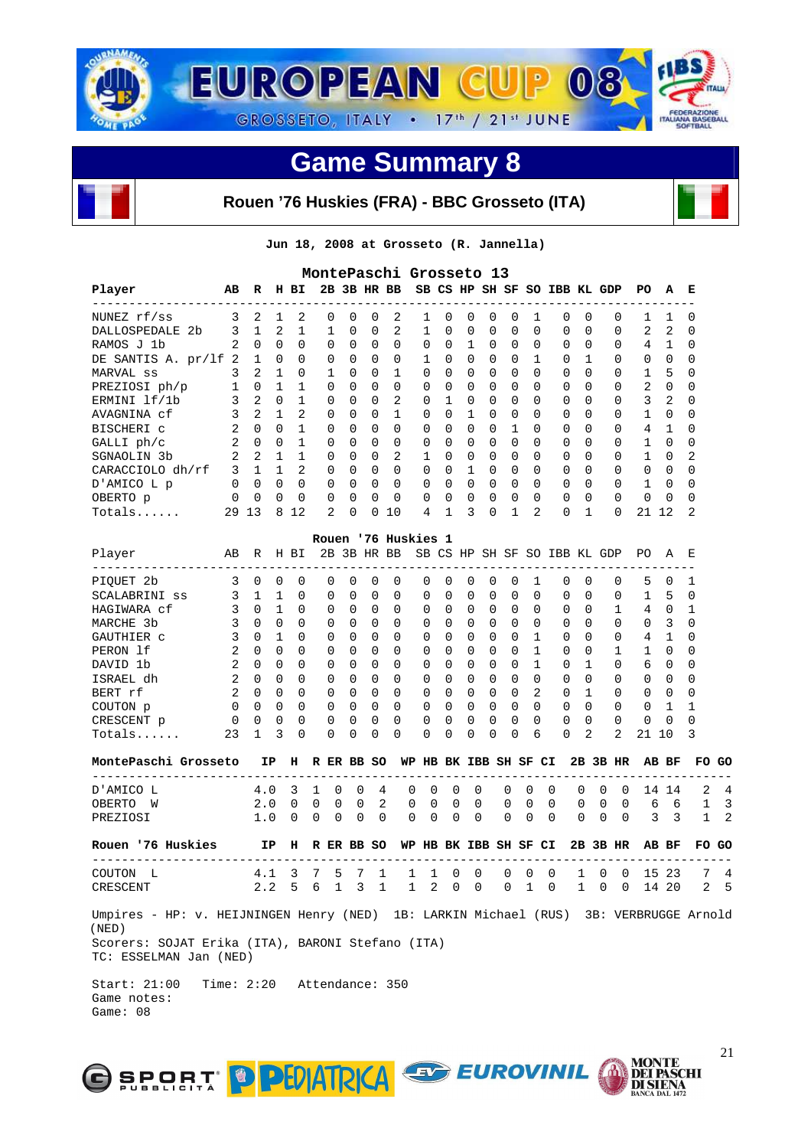

#### **Rouen '76 Huskies (FRA) - BBC Grosseto (ITA)**

**Jun 18, 2008 at Grosseto (R. Jannella)** 

| 2B 3B HR BB<br>SB CS HP SH SF SO IBB KL GDP<br>Player<br>AВ<br>R<br>H BI<br>PО<br>А<br>2<br>NUNEZ rf/ss<br>3<br>2<br>0<br>0<br>2<br>0<br>0<br>0<br>0<br>0<br>1<br>0<br>1<br>1<br>0<br>0<br>1<br>1<br>$\mathbf{1}$<br>2<br>2<br>2<br>DALLOSPEDALE 2b<br>3<br>1<br>1<br>$\Omega$<br>0<br>1<br>0<br>0<br>0<br>0<br>0<br>$\Omega$<br>$\Omega$<br>$\Omega$<br>2<br>2<br>RAMOS J 1b<br>$\mathbf{0}$<br>$\overline{0}$<br>0<br>0<br>0<br>0<br>$\Omega$<br>0<br>0<br>0<br>0<br>0<br>4<br>1<br>1<br>0<br>0<br>0<br>DE SANTIS A. pr/lf 2<br>$\mathbf{1}$<br>$\overline{0}$<br>$\Omega$<br>0<br>0<br>0<br>1<br>0<br>0<br>0<br>$\Omega$<br>1<br>1<br>0<br>0<br>0<br>0<br>0<br>2<br>$\mathbf{1}$<br>$\Omega$<br><sup>1</sup><br>$\Omega$<br>1<br>$\Omega$<br>$\Omega$<br>0<br>0<br>$\Omega$<br>$\Omega$<br>$\Omega$<br>$\Omega$<br>$\Omega$<br>$\Omega$<br>1<br>5<br>MARVAL ss<br>3<br>1<br>$\overline{0}$<br>$\overline{1}$<br>1<br>0<br>$\Omega$<br>0<br>$\Omega$<br>0<br>0<br>0<br>0<br>$\Omega$<br>0<br>2<br>0<br>PREZIOSI ph/p<br>0<br>0<br>0<br>2<br>$\mathbf{1}$<br>2<br>3<br>3<br>$\overline{0}$<br>1<br>$\Omega$<br>$\Omega$<br>2<br>ERMINI lf/1b<br>0<br>$\Omega$<br>$\Omega$<br>0<br>0<br>0<br>$\Omega$<br>$\Omega$<br>0<br>3<br>2<br>2<br>1<br>$\mathbf{1}$<br>0<br>0<br>$\Omega$<br>0<br>0<br>1<br>0<br>0<br>0<br>0<br>0<br>0<br>1<br>0<br>AVAGNINA cf<br>2<br>$\Omega$<br>$\overline{0}$<br>1<br>0<br>0<br>$\Omega$<br>0<br>0<br>0<br>0<br>1<br>0<br>0<br>$\Omega$<br>0<br>4<br>1<br>BISCHERI C<br>0<br>2<br>$\Omega$<br>$\overline{0}$<br>$\mathbf{1}$<br>$\Omega$<br>$\Omega$<br>$\Omega$<br>$\Omega$<br>0<br>$\Omega$<br>0<br>0<br>$\Omega$<br>0<br>0<br>$\Omega$<br>$\Omega$<br>1<br>0<br>GALLI ph/c<br>2<br>2<br>1<br>2<br>$\mathbf{1}$<br>0<br>0<br>0<br>1<br>0<br>0<br>0<br>0<br>0<br>0<br>0<br>0<br>1<br>SGNAOLIN 3b<br>0<br>2<br>3<br>$\mathbf{1}$<br>$\Omega$<br>1<br>CARACCIOLO dh/rf<br>$\mathbf{1}$<br>0<br>$\Omega$<br>$\Omega$<br>0<br>0<br>0<br>$\Omega$<br>0<br>$\Omega$<br>$\Omega$<br>$\Omega$<br>0<br>0<br>$\overline{0}$<br>$\overline{0}$<br>$\Omega$<br>D'AMICO L p<br>0<br>0<br>0<br>0<br>$\Omega$<br>0<br>0<br>0<br>0<br>0<br>$\Omega$<br>0<br>0<br>0<br>0<br>1<br>$\mathbf 0$<br>$\overline{0}$<br>$\mathbf 0$<br>0<br>0<br>0<br>0<br>0<br>0<br>0<br>0<br>0<br>0<br>$\mathbf 0$<br>0<br>OBERTO p<br>0<br>0<br>0<br>0<br>2<br>2<br>29 13<br>8 1 2<br>0<br>0<br>$\mathbf{1}$<br>3<br>$\mathbf{1}$<br>$\Omega$<br>$\mathbf{1}$<br>21 12<br>10<br>4<br>0<br>$\Omega$<br>Totals<br>Rouen '76 Huskies 1<br>2B 3B HR BB<br>SB CS HP SH SF SO IBB KL GDP<br>Player<br>AВ<br>H BI<br>PO A<br>R<br>3<br>$\Omega$<br>$\Omega$<br>0<br>$\Omega$<br>PIQUET 2b<br>$\Omega$<br>0<br>$\Omega$<br>0<br>0<br>0<br>0<br>0<br>1<br>$\Omega$<br>$\Omega$<br>$\Omega$<br>5<br>0<br>$\overline{\mathbf{3}}$<br>SCALABRINI ss<br>$\mathbf{1}$<br>$\Omega$<br>$\Omega$<br>$\Omega$<br>$\Omega$<br>0<br>0<br>$\Omega$<br>$\Omega$<br>5<br>$\mathbf{1}$<br>0<br>0<br>0<br>0<br>0<br>0<br>1<br>3<br>HAGIWARA cf<br>$\overline{0}$<br>$\Omega$<br>$\Omega$<br>0<br>0<br>0<br>$\Omega$<br>$\Omega$<br>$\mathbf{1}$<br>0<br>0<br>0<br>0<br>0<br>0<br>1<br>40<br>3<br>$\Omega$<br>$\overline{0}$<br>$\Omega$<br>0<br>0<br>0<br>$\Omega$<br>0<br>0<br>0<br>$\Omega$<br>0<br>$\Omega$<br>0<br>3<br>MARCHE 3b<br>0<br>0<br>0<br>3<br>$\Omega$<br><sup>1</sup><br>$\Omega$<br>0<br>$\Omega$<br>$\Omega$<br>0<br>0<br>0<br>0<br>$\Omega$<br>1<br>$\Omega$<br>$\Omega$<br>0<br>4<br>- 1<br>GAUTHIER C<br>0<br>2<br>PERON 1f<br>$\Omega$<br>$\Omega$<br>$\Omega$<br>$\Omega$<br>$\Omega$<br>$\Omega$<br>$\Omega$<br>0<br>0<br>$\Omega$<br>$\Omega$<br>$\Omega$<br>1<br>$\Omega$<br>$\Omega$<br>0<br>1<br>1<br>2<br>$\overline{\mathbf{0}}$<br>$\Omega$<br>$\Omega$<br>$\Omega$<br>0<br><sup>1</sup><br>6<br>0<br>DAVID 1b<br>$\Omega$<br>0<br>$\Omega$<br>0<br>0<br>0<br>0<br>1<br>0<br>$\Omega$<br>2<br>$\overline{0}$<br>$\Omega$<br>$\Omega$<br>$\Omega$<br>ISRAEL dh<br>$\Omega$<br>$\Omega$<br>0<br>$\Omega$<br>$\Omega$<br>0<br>0<br>$\Omega$<br>0<br>$\Omega$<br>$\Omega$<br>$\Omega$<br>0<br>0<br>2<br>2<br>BERT rf<br>$\Omega$<br>$\overline{0}$<br>0<br>0<br>0<br>0<br>$\Omega$<br>0<br>0<br>0<br>0<br>$\mathbf{1}$<br>0<br>0<br>0<br>0<br>$\overline{\phantom{0}}$<br>0<br>$\overline{0}$<br>$\overline{0}$<br>0<br>0<br>0<br>$\Omega$<br>0<br>0<br>0<br>0<br>$\Omega$<br>0<br>0<br>COUTON p<br>0<br>0<br>0<br>0<br>1<br>0<br>$\mathbf 0$<br>$\Omega$<br>$\Omega$<br>$\Omega$<br>$\Omega$<br>CRESCENT p<br>0<br>$\Omega$<br>0<br>0<br>$\Omega$<br>0<br>0<br>0<br>0<br>$\Omega$<br>$\Omega$<br>0<br>0<br>23<br>3<br>0<br>2<br>2<br>$Totals$<br>$\mathbf{1}$<br>$\Omega$<br>0<br>0<br>0<br>0<br>0<br>0<br>$\Omega$<br>0<br>6<br>$\Omega$<br>21 10<br>MontePaschi Grosseto<br>IP H R ER BB SO WP HB BK IBB SH SF CI<br>2B 3B HR<br>AB BF<br>___________________________<br>$\Omega$<br>$\Omega$<br>$\Omega$<br>0<br>D'AMICO L<br>4.0<br>3<br>1<br>0<br>0<br>4<br>0<br>0<br>0<br>0<br>0<br>0<br>14 14<br>2.0<br>2<br>0<br>0<br>0<br>0<br>OBERTO W<br>$\mathbf{0}$<br>$\overline{\phantom{0}}$<br>0<br>0<br>0<br>0<br>0<br>0<br>0<br>0<br>6<br>- 6<br>PREZIOSI<br>1.0<br>0<br>0<br>$\Omega$<br>$\Omega$<br>0<br>$\Omega$<br>0<br>0<br>$\Omega$<br>0<br>$\Omega$<br>$\Omega$<br>3<br>$\overline{\mathbf{3}}$<br>0<br>0<br>0<br>Rouen '76 Huskies<br>IP H R ER BB SO WP HB BK IBB SH SF CI<br>2B 3B HR AB BF<br>------------------------------------<br>4.1 3 7 5 7 1 1 1 0 0 0 0 0 1 0 0 15 23<br>COUTON L<br>2.2 5 6 1 3 1<br>1 2 0 0<br>$0\quad 1\quad 0$<br>CRESCENT<br>1 0 0 14 20 |  |  |  |  | MontePaschi Grosseto 13 |  |  |  |  |  |  |                |
|---------------------------------------------------------------------------------------------------------------------------------------------------------------------------------------------------------------------------------------------------------------------------------------------------------------------------------------------------------------------------------------------------------------------------------------------------------------------------------------------------------------------------------------------------------------------------------------------------------------------------------------------------------------------------------------------------------------------------------------------------------------------------------------------------------------------------------------------------------------------------------------------------------------------------------------------------------------------------------------------------------------------------------------------------------------------------------------------------------------------------------------------------------------------------------------------------------------------------------------------------------------------------------------------------------------------------------------------------------------------------------------------------------------------------------------------------------------------------------------------------------------------------------------------------------------------------------------------------------------------------------------------------------------------------------------------------------------------------------------------------------------------------------------------------------------------------------------------------------------------------------------------------------------------------------------------------------------------------------------------------------------------------------------------------------------------------------------------------------------------------------------------------------------------------------------------------------------------------------------------------------------------------------------------------------------------------------------------------------------------------------------------------------------------------------------------------------------------------------------------------------------------------------------------------------------------------------------------------------------------------------------------------------------------------------------------------------------------------------------------------------------------------------------------------------------------------------------------------------------------------------------------------------------------------------------------------------------------------------------------------------------------------------------------------------------------------------------------------------------------------------------------------------------------------------------------------------------------------------------------------------------------------------------------------------------------------------------------------------------------------------------------------------------------------------------------------------------------------------------------------------------------------------------------------------------------------------------------------------------------------------------------------------------------------------------------------------------------------------------------------------------------------------------------------------------------------------------------------------------------------------------------------------------------------------------------------------------------------------------------------------------------------------------------------------------------------------------------------------------------------------------------------------------------------------------------------------------------------------------------------------------------------------------------------------------------------------------------------------------------------------------------------------------------------------------------------------------------------------------------------------------------------------------------------------------------------------------------------------------------------------------------------------------------------------------------------------------------------------------------------------------------------------------------------------------------------------------------------------------------------------------------------------------------------------------------------------------------------------------------------------------------------------------------------------------------------------------------------------------------------------------------------------------------------------------------------------------------------------------------------------------------------------------------------------------------------------------------------------------------------------------------------------------------------------------------------------------------------------------------------------------------------------------------------------------------------------|--|--|--|--|-------------------------|--|--|--|--|--|--|----------------|
|                                                                                                                                                                                                                                                                                                                                                                                                                                                                                                                                                                                                                                                                                                                                                                                                                                                                                                                                                                                                                                                                                                                                                                                                                                                                                                                                                                                                                                                                                                                                                                                                                                                                                                                                                                                                                                                                                                                                                                                                                                                                                                                                                                                                                                                                                                                                                                                                                                                                                                                                                                                                                                                                                                                                                                                                                                                                                                                                                                                                                                                                                                                                                                                                                                                                                                                                                                                                                                                                                                                                                                                                                                                                                                                                                                                                                                                                                                                                                                                                                                                                                                                                                                                                                                                                                                                                                                                                                                                                                                                                                                                                                                                                                                                                                                                                                                                                                                                                                                                                                                                                                                                                                                                                                                                                                                                                                                                                                                                                                                                                                                                 |  |  |  |  |                         |  |  |  |  |  |  | Е              |
|                                                                                                                                                                                                                                                                                                                                                                                                                                                                                                                                                                                                                                                                                                                                                                                                                                                                                                                                                                                                                                                                                                                                                                                                                                                                                                                                                                                                                                                                                                                                                                                                                                                                                                                                                                                                                                                                                                                                                                                                                                                                                                                                                                                                                                                                                                                                                                                                                                                                                                                                                                                                                                                                                                                                                                                                                                                                                                                                                                                                                                                                                                                                                                                                                                                                                                                                                                                                                                                                                                                                                                                                                                                                                                                                                                                                                                                                                                                                                                                                                                                                                                                                                                                                                                                                                                                                                                                                                                                                                                                                                                                                                                                                                                                                                                                                                                                                                                                                                                                                                                                                                                                                                                                                                                                                                                                                                                                                                                                                                                                                                                                 |  |  |  |  |                         |  |  |  |  |  |  | 0              |
|                                                                                                                                                                                                                                                                                                                                                                                                                                                                                                                                                                                                                                                                                                                                                                                                                                                                                                                                                                                                                                                                                                                                                                                                                                                                                                                                                                                                                                                                                                                                                                                                                                                                                                                                                                                                                                                                                                                                                                                                                                                                                                                                                                                                                                                                                                                                                                                                                                                                                                                                                                                                                                                                                                                                                                                                                                                                                                                                                                                                                                                                                                                                                                                                                                                                                                                                                                                                                                                                                                                                                                                                                                                                                                                                                                                                                                                                                                                                                                                                                                                                                                                                                                                                                                                                                                                                                                                                                                                                                                                                                                                                                                                                                                                                                                                                                                                                                                                                                                                                                                                                                                                                                                                                                                                                                                                                                                                                                                                                                                                                                                                 |  |  |  |  |                         |  |  |  |  |  |  | 0              |
|                                                                                                                                                                                                                                                                                                                                                                                                                                                                                                                                                                                                                                                                                                                                                                                                                                                                                                                                                                                                                                                                                                                                                                                                                                                                                                                                                                                                                                                                                                                                                                                                                                                                                                                                                                                                                                                                                                                                                                                                                                                                                                                                                                                                                                                                                                                                                                                                                                                                                                                                                                                                                                                                                                                                                                                                                                                                                                                                                                                                                                                                                                                                                                                                                                                                                                                                                                                                                                                                                                                                                                                                                                                                                                                                                                                                                                                                                                                                                                                                                                                                                                                                                                                                                                                                                                                                                                                                                                                                                                                                                                                                                                                                                                                                                                                                                                                                                                                                                                                                                                                                                                                                                                                                                                                                                                                                                                                                                                                                                                                                                                                 |  |  |  |  |                         |  |  |  |  |  |  | 0              |
|                                                                                                                                                                                                                                                                                                                                                                                                                                                                                                                                                                                                                                                                                                                                                                                                                                                                                                                                                                                                                                                                                                                                                                                                                                                                                                                                                                                                                                                                                                                                                                                                                                                                                                                                                                                                                                                                                                                                                                                                                                                                                                                                                                                                                                                                                                                                                                                                                                                                                                                                                                                                                                                                                                                                                                                                                                                                                                                                                                                                                                                                                                                                                                                                                                                                                                                                                                                                                                                                                                                                                                                                                                                                                                                                                                                                                                                                                                                                                                                                                                                                                                                                                                                                                                                                                                                                                                                                                                                                                                                                                                                                                                                                                                                                                                                                                                                                                                                                                                                                                                                                                                                                                                                                                                                                                                                                                                                                                                                                                                                                                                                 |  |  |  |  |                         |  |  |  |  |  |  | 0              |
|                                                                                                                                                                                                                                                                                                                                                                                                                                                                                                                                                                                                                                                                                                                                                                                                                                                                                                                                                                                                                                                                                                                                                                                                                                                                                                                                                                                                                                                                                                                                                                                                                                                                                                                                                                                                                                                                                                                                                                                                                                                                                                                                                                                                                                                                                                                                                                                                                                                                                                                                                                                                                                                                                                                                                                                                                                                                                                                                                                                                                                                                                                                                                                                                                                                                                                                                                                                                                                                                                                                                                                                                                                                                                                                                                                                                                                                                                                                                                                                                                                                                                                                                                                                                                                                                                                                                                                                                                                                                                                                                                                                                                                                                                                                                                                                                                                                                                                                                                                                                                                                                                                                                                                                                                                                                                                                                                                                                                                                                                                                                                                                 |  |  |  |  |                         |  |  |  |  |  |  | 0              |
|                                                                                                                                                                                                                                                                                                                                                                                                                                                                                                                                                                                                                                                                                                                                                                                                                                                                                                                                                                                                                                                                                                                                                                                                                                                                                                                                                                                                                                                                                                                                                                                                                                                                                                                                                                                                                                                                                                                                                                                                                                                                                                                                                                                                                                                                                                                                                                                                                                                                                                                                                                                                                                                                                                                                                                                                                                                                                                                                                                                                                                                                                                                                                                                                                                                                                                                                                                                                                                                                                                                                                                                                                                                                                                                                                                                                                                                                                                                                                                                                                                                                                                                                                                                                                                                                                                                                                                                                                                                                                                                                                                                                                                                                                                                                                                                                                                                                                                                                                                                                                                                                                                                                                                                                                                                                                                                                                                                                                                                                                                                                                                                 |  |  |  |  |                         |  |  |  |  |  |  | 0              |
|                                                                                                                                                                                                                                                                                                                                                                                                                                                                                                                                                                                                                                                                                                                                                                                                                                                                                                                                                                                                                                                                                                                                                                                                                                                                                                                                                                                                                                                                                                                                                                                                                                                                                                                                                                                                                                                                                                                                                                                                                                                                                                                                                                                                                                                                                                                                                                                                                                                                                                                                                                                                                                                                                                                                                                                                                                                                                                                                                                                                                                                                                                                                                                                                                                                                                                                                                                                                                                                                                                                                                                                                                                                                                                                                                                                                                                                                                                                                                                                                                                                                                                                                                                                                                                                                                                                                                                                                                                                                                                                                                                                                                                                                                                                                                                                                                                                                                                                                                                                                                                                                                                                                                                                                                                                                                                                                                                                                                                                                                                                                                                                 |  |  |  |  |                         |  |  |  |  |  |  | 0              |
|                                                                                                                                                                                                                                                                                                                                                                                                                                                                                                                                                                                                                                                                                                                                                                                                                                                                                                                                                                                                                                                                                                                                                                                                                                                                                                                                                                                                                                                                                                                                                                                                                                                                                                                                                                                                                                                                                                                                                                                                                                                                                                                                                                                                                                                                                                                                                                                                                                                                                                                                                                                                                                                                                                                                                                                                                                                                                                                                                                                                                                                                                                                                                                                                                                                                                                                                                                                                                                                                                                                                                                                                                                                                                                                                                                                                                                                                                                                                                                                                                                                                                                                                                                                                                                                                                                                                                                                                                                                                                                                                                                                                                                                                                                                                                                                                                                                                                                                                                                                                                                                                                                                                                                                                                                                                                                                                                                                                                                                                                                                                                                                 |  |  |  |  |                         |  |  |  |  |  |  | 0              |
|                                                                                                                                                                                                                                                                                                                                                                                                                                                                                                                                                                                                                                                                                                                                                                                                                                                                                                                                                                                                                                                                                                                                                                                                                                                                                                                                                                                                                                                                                                                                                                                                                                                                                                                                                                                                                                                                                                                                                                                                                                                                                                                                                                                                                                                                                                                                                                                                                                                                                                                                                                                                                                                                                                                                                                                                                                                                                                                                                                                                                                                                                                                                                                                                                                                                                                                                                                                                                                                                                                                                                                                                                                                                                                                                                                                                                                                                                                                                                                                                                                                                                                                                                                                                                                                                                                                                                                                                                                                                                                                                                                                                                                                                                                                                                                                                                                                                                                                                                                                                                                                                                                                                                                                                                                                                                                                                                                                                                                                                                                                                                                                 |  |  |  |  |                         |  |  |  |  |  |  | 0              |
|                                                                                                                                                                                                                                                                                                                                                                                                                                                                                                                                                                                                                                                                                                                                                                                                                                                                                                                                                                                                                                                                                                                                                                                                                                                                                                                                                                                                                                                                                                                                                                                                                                                                                                                                                                                                                                                                                                                                                                                                                                                                                                                                                                                                                                                                                                                                                                                                                                                                                                                                                                                                                                                                                                                                                                                                                                                                                                                                                                                                                                                                                                                                                                                                                                                                                                                                                                                                                                                                                                                                                                                                                                                                                                                                                                                                                                                                                                                                                                                                                                                                                                                                                                                                                                                                                                                                                                                                                                                                                                                                                                                                                                                                                                                                                                                                                                                                                                                                                                                                                                                                                                                                                                                                                                                                                                                                                                                                                                                                                                                                                                                 |  |  |  |  |                         |  |  |  |  |  |  | 0              |
|                                                                                                                                                                                                                                                                                                                                                                                                                                                                                                                                                                                                                                                                                                                                                                                                                                                                                                                                                                                                                                                                                                                                                                                                                                                                                                                                                                                                                                                                                                                                                                                                                                                                                                                                                                                                                                                                                                                                                                                                                                                                                                                                                                                                                                                                                                                                                                                                                                                                                                                                                                                                                                                                                                                                                                                                                                                                                                                                                                                                                                                                                                                                                                                                                                                                                                                                                                                                                                                                                                                                                                                                                                                                                                                                                                                                                                                                                                                                                                                                                                                                                                                                                                                                                                                                                                                                                                                                                                                                                                                                                                                                                                                                                                                                                                                                                                                                                                                                                                                                                                                                                                                                                                                                                                                                                                                                                                                                                                                                                                                                                                                 |  |  |  |  |                         |  |  |  |  |  |  | 2              |
|                                                                                                                                                                                                                                                                                                                                                                                                                                                                                                                                                                                                                                                                                                                                                                                                                                                                                                                                                                                                                                                                                                                                                                                                                                                                                                                                                                                                                                                                                                                                                                                                                                                                                                                                                                                                                                                                                                                                                                                                                                                                                                                                                                                                                                                                                                                                                                                                                                                                                                                                                                                                                                                                                                                                                                                                                                                                                                                                                                                                                                                                                                                                                                                                                                                                                                                                                                                                                                                                                                                                                                                                                                                                                                                                                                                                                                                                                                                                                                                                                                                                                                                                                                                                                                                                                                                                                                                                                                                                                                                                                                                                                                                                                                                                                                                                                                                                                                                                                                                                                                                                                                                                                                                                                                                                                                                                                                                                                                                                                                                                                                                 |  |  |  |  |                         |  |  |  |  |  |  | 0              |
|                                                                                                                                                                                                                                                                                                                                                                                                                                                                                                                                                                                                                                                                                                                                                                                                                                                                                                                                                                                                                                                                                                                                                                                                                                                                                                                                                                                                                                                                                                                                                                                                                                                                                                                                                                                                                                                                                                                                                                                                                                                                                                                                                                                                                                                                                                                                                                                                                                                                                                                                                                                                                                                                                                                                                                                                                                                                                                                                                                                                                                                                                                                                                                                                                                                                                                                                                                                                                                                                                                                                                                                                                                                                                                                                                                                                                                                                                                                                                                                                                                                                                                                                                                                                                                                                                                                                                                                                                                                                                                                                                                                                                                                                                                                                                                                                                                                                                                                                                                                                                                                                                                                                                                                                                                                                                                                                                                                                                                                                                                                                                                                 |  |  |  |  |                         |  |  |  |  |  |  | 0              |
|                                                                                                                                                                                                                                                                                                                                                                                                                                                                                                                                                                                                                                                                                                                                                                                                                                                                                                                                                                                                                                                                                                                                                                                                                                                                                                                                                                                                                                                                                                                                                                                                                                                                                                                                                                                                                                                                                                                                                                                                                                                                                                                                                                                                                                                                                                                                                                                                                                                                                                                                                                                                                                                                                                                                                                                                                                                                                                                                                                                                                                                                                                                                                                                                                                                                                                                                                                                                                                                                                                                                                                                                                                                                                                                                                                                                                                                                                                                                                                                                                                                                                                                                                                                                                                                                                                                                                                                                                                                                                                                                                                                                                                                                                                                                                                                                                                                                                                                                                                                                                                                                                                                                                                                                                                                                                                                                                                                                                                                                                                                                                                                 |  |  |  |  |                         |  |  |  |  |  |  | 0              |
|                                                                                                                                                                                                                                                                                                                                                                                                                                                                                                                                                                                                                                                                                                                                                                                                                                                                                                                                                                                                                                                                                                                                                                                                                                                                                                                                                                                                                                                                                                                                                                                                                                                                                                                                                                                                                                                                                                                                                                                                                                                                                                                                                                                                                                                                                                                                                                                                                                                                                                                                                                                                                                                                                                                                                                                                                                                                                                                                                                                                                                                                                                                                                                                                                                                                                                                                                                                                                                                                                                                                                                                                                                                                                                                                                                                                                                                                                                                                                                                                                                                                                                                                                                                                                                                                                                                                                                                                                                                                                                                                                                                                                                                                                                                                                                                                                                                                                                                                                                                                                                                                                                                                                                                                                                                                                                                                                                                                                                                                                                                                                                                 |  |  |  |  |                         |  |  |  |  |  |  | 2              |
|                                                                                                                                                                                                                                                                                                                                                                                                                                                                                                                                                                                                                                                                                                                                                                                                                                                                                                                                                                                                                                                                                                                                                                                                                                                                                                                                                                                                                                                                                                                                                                                                                                                                                                                                                                                                                                                                                                                                                                                                                                                                                                                                                                                                                                                                                                                                                                                                                                                                                                                                                                                                                                                                                                                                                                                                                                                                                                                                                                                                                                                                                                                                                                                                                                                                                                                                                                                                                                                                                                                                                                                                                                                                                                                                                                                                                                                                                                                                                                                                                                                                                                                                                                                                                                                                                                                                                                                                                                                                                                                                                                                                                                                                                                                                                                                                                                                                                                                                                                                                                                                                                                                                                                                                                                                                                                                                                                                                                                                                                                                                                                                 |  |  |  |  |                         |  |  |  |  |  |  |                |
|                                                                                                                                                                                                                                                                                                                                                                                                                                                                                                                                                                                                                                                                                                                                                                                                                                                                                                                                                                                                                                                                                                                                                                                                                                                                                                                                                                                                                                                                                                                                                                                                                                                                                                                                                                                                                                                                                                                                                                                                                                                                                                                                                                                                                                                                                                                                                                                                                                                                                                                                                                                                                                                                                                                                                                                                                                                                                                                                                                                                                                                                                                                                                                                                                                                                                                                                                                                                                                                                                                                                                                                                                                                                                                                                                                                                                                                                                                                                                                                                                                                                                                                                                                                                                                                                                                                                                                                                                                                                                                                                                                                                                                                                                                                                                                                                                                                                                                                                                                                                                                                                                                                                                                                                                                                                                                                                                                                                                                                                                                                                                                                 |  |  |  |  |                         |  |  |  |  |  |  | Е              |
|                                                                                                                                                                                                                                                                                                                                                                                                                                                                                                                                                                                                                                                                                                                                                                                                                                                                                                                                                                                                                                                                                                                                                                                                                                                                                                                                                                                                                                                                                                                                                                                                                                                                                                                                                                                                                                                                                                                                                                                                                                                                                                                                                                                                                                                                                                                                                                                                                                                                                                                                                                                                                                                                                                                                                                                                                                                                                                                                                                                                                                                                                                                                                                                                                                                                                                                                                                                                                                                                                                                                                                                                                                                                                                                                                                                                                                                                                                                                                                                                                                                                                                                                                                                                                                                                                                                                                                                                                                                                                                                                                                                                                                                                                                                                                                                                                                                                                                                                                                                                                                                                                                                                                                                                                                                                                                                                                                                                                                                                                                                                                                                 |  |  |  |  |                         |  |  |  |  |  |  | 1              |
|                                                                                                                                                                                                                                                                                                                                                                                                                                                                                                                                                                                                                                                                                                                                                                                                                                                                                                                                                                                                                                                                                                                                                                                                                                                                                                                                                                                                                                                                                                                                                                                                                                                                                                                                                                                                                                                                                                                                                                                                                                                                                                                                                                                                                                                                                                                                                                                                                                                                                                                                                                                                                                                                                                                                                                                                                                                                                                                                                                                                                                                                                                                                                                                                                                                                                                                                                                                                                                                                                                                                                                                                                                                                                                                                                                                                                                                                                                                                                                                                                                                                                                                                                                                                                                                                                                                                                                                                                                                                                                                                                                                                                                                                                                                                                                                                                                                                                                                                                                                                                                                                                                                                                                                                                                                                                                                                                                                                                                                                                                                                                                                 |  |  |  |  |                         |  |  |  |  |  |  | 0              |
|                                                                                                                                                                                                                                                                                                                                                                                                                                                                                                                                                                                                                                                                                                                                                                                                                                                                                                                                                                                                                                                                                                                                                                                                                                                                                                                                                                                                                                                                                                                                                                                                                                                                                                                                                                                                                                                                                                                                                                                                                                                                                                                                                                                                                                                                                                                                                                                                                                                                                                                                                                                                                                                                                                                                                                                                                                                                                                                                                                                                                                                                                                                                                                                                                                                                                                                                                                                                                                                                                                                                                                                                                                                                                                                                                                                                                                                                                                                                                                                                                                                                                                                                                                                                                                                                                                                                                                                                                                                                                                                                                                                                                                                                                                                                                                                                                                                                                                                                                                                                                                                                                                                                                                                                                                                                                                                                                                                                                                                                                                                                                                                 |  |  |  |  |                         |  |  |  |  |  |  | 1              |
|                                                                                                                                                                                                                                                                                                                                                                                                                                                                                                                                                                                                                                                                                                                                                                                                                                                                                                                                                                                                                                                                                                                                                                                                                                                                                                                                                                                                                                                                                                                                                                                                                                                                                                                                                                                                                                                                                                                                                                                                                                                                                                                                                                                                                                                                                                                                                                                                                                                                                                                                                                                                                                                                                                                                                                                                                                                                                                                                                                                                                                                                                                                                                                                                                                                                                                                                                                                                                                                                                                                                                                                                                                                                                                                                                                                                                                                                                                                                                                                                                                                                                                                                                                                                                                                                                                                                                                                                                                                                                                                                                                                                                                                                                                                                                                                                                                                                                                                                                                                                                                                                                                                                                                                                                                                                                                                                                                                                                                                                                                                                                                                 |  |  |  |  |                         |  |  |  |  |  |  | 0              |
|                                                                                                                                                                                                                                                                                                                                                                                                                                                                                                                                                                                                                                                                                                                                                                                                                                                                                                                                                                                                                                                                                                                                                                                                                                                                                                                                                                                                                                                                                                                                                                                                                                                                                                                                                                                                                                                                                                                                                                                                                                                                                                                                                                                                                                                                                                                                                                                                                                                                                                                                                                                                                                                                                                                                                                                                                                                                                                                                                                                                                                                                                                                                                                                                                                                                                                                                                                                                                                                                                                                                                                                                                                                                                                                                                                                                                                                                                                                                                                                                                                                                                                                                                                                                                                                                                                                                                                                                                                                                                                                                                                                                                                                                                                                                                                                                                                                                                                                                                                                                                                                                                                                                                                                                                                                                                                                                                                                                                                                                                                                                                                                 |  |  |  |  |                         |  |  |  |  |  |  | 0              |
|                                                                                                                                                                                                                                                                                                                                                                                                                                                                                                                                                                                                                                                                                                                                                                                                                                                                                                                                                                                                                                                                                                                                                                                                                                                                                                                                                                                                                                                                                                                                                                                                                                                                                                                                                                                                                                                                                                                                                                                                                                                                                                                                                                                                                                                                                                                                                                                                                                                                                                                                                                                                                                                                                                                                                                                                                                                                                                                                                                                                                                                                                                                                                                                                                                                                                                                                                                                                                                                                                                                                                                                                                                                                                                                                                                                                                                                                                                                                                                                                                                                                                                                                                                                                                                                                                                                                                                                                                                                                                                                                                                                                                                                                                                                                                                                                                                                                                                                                                                                                                                                                                                                                                                                                                                                                                                                                                                                                                                                                                                                                                                                 |  |  |  |  |                         |  |  |  |  |  |  | 0              |
|                                                                                                                                                                                                                                                                                                                                                                                                                                                                                                                                                                                                                                                                                                                                                                                                                                                                                                                                                                                                                                                                                                                                                                                                                                                                                                                                                                                                                                                                                                                                                                                                                                                                                                                                                                                                                                                                                                                                                                                                                                                                                                                                                                                                                                                                                                                                                                                                                                                                                                                                                                                                                                                                                                                                                                                                                                                                                                                                                                                                                                                                                                                                                                                                                                                                                                                                                                                                                                                                                                                                                                                                                                                                                                                                                                                                                                                                                                                                                                                                                                                                                                                                                                                                                                                                                                                                                                                                                                                                                                                                                                                                                                                                                                                                                                                                                                                                                                                                                                                                                                                                                                                                                                                                                                                                                                                                                                                                                                                                                                                                                                                 |  |  |  |  |                         |  |  |  |  |  |  | 0              |
|                                                                                                                                                                                                                                                                                                                                                                                                                                                                                                                                                                                                                                                                                                                                                                                                                                                                                                                                                                                                                                                                                                                                                                                                                                                                                                                                                                                                                                                                                                                                                                                                                                                                                                                                                                                                                                                                                                                                                                                                                                                                                                                                                                                                                                                                                                                                                                                                                                                                                                                                                                                                                                                                                                                                                                                                                                                                                                                                                                                                                                                                                                                                                                                                                                                                                                                                                                                                                                                                                                                                                                                                                                                                                                                                                                                                                                                                                                                                                                                                                                                                                                                                                                                                                                                                                                                                                                                                                                                                                                                                                                                                                                                                                                                                                                                                                                                                                                                                                                                                                                                                                                                                                                                                                                                                                                                                                                                                                                                                                                                                                                                 |  |  |  |  |                         |  |  |  |  |  |  | 0              |
|                                                                                                                                                                                                                                                                                                                                                                                                                                                                                                                                                                                                                                                                                                                                                                                                                                                                                                                                                                                                                                                                                                                                                                                                                                                                                                                                                                                                                                                                                                                                                                                                                                                                                                                                                                                                                                                                                                                                                                                                                                                                                                                                                                                                                                                                                                                                                                                                                                                                                                                                                                                                                                                                                                                                                                                                                                                                                                                                                                                                                                                                                                                                                                                                                                                                                                                                                                                                                                                                                                                                                                                                                                                                                                                                                                                                                                                                                                                                                                                                                                                                                                                                                                                                                                                                                                                                                                                                                                                                                                                                                                                                                                                                                                                                                                                                                                                                                                                                                                                                                                                                                                                                                                                                                                                                                                                                                                                                                                                                                                                                                                                 |  |  |  |  |                         |  |  |  |  |  |  | 0              |
|                                                                                                                                                                                                                                                                                                                                                                                                                                                                                                                                                                                                                                                                                                                                                                                                                                                                                                                                                                                                                                                                                                                                                                                                                                                                                                                                                                                                                                                                                                                                                                                                                                                                                                                                                                                                                                                                                                                                                                                                                                                                                                                                                                                                                                                                                                                                                                                                                                                                                                                                                                                                                                                                                                                                                                                                                                                                                                                                                                                                                                                                                                                                                                                                                                                                                                                                                                                                                                                                                                                                                                                                                                                                                                                                                                                                                                                                                                                                                                                                                                                                                                                                                                                                                                                                                                                                                                                                                                                                                                                                                                                                                                                                                                                                                                                                                                                                                                                                                                                                                                                                                                                                                                                                                                                                                                                                                                                                                                                                                                                                                                                 |  |  |  |  |                         |  |  |  |  |  |  | 1              |
|                                                                                                                                                                                                                                                                                                                                                                                                                                                                                                                                                                                                                                                                                                                                                                                                                                                                                                                                                                                                                                                                                                                                                                                                                                                                                                                                                                                                                                                                                                                                                                                                                                                                                                                                                                                                                                                                                                                                                                                                                                                                                                                                                                                                                                                                                                                                                                                                                                                                                                                                                                                                                                                                                                                                                                                                                                                                                                                                                                                                                                                                                                                                                                                                                                                                                                                                                                                                                                                                                                                                                                                                                                                                                                                                                                                                                                                                                                                                                                                                                                                                                                                                                                                                                                                                                                                                                                                                                                                                                                                                                                                                                                                                                                                                                                                                                                                                                                                                                                                                                                                                                                                                                                                                                                                                                                                                                                                                                                                                                                                                                                                 |  |  |  |  |                         |  |  |  |  |  |  | 0              |
|                                                                                                                                                                                                                                                                                                                                                                                                                                                                                                                                                                                                                                                                                                                                                                                                                                                                                                                                                                                                                                                                                                                                                                                                                                                                                                                                                                                                                                                                                                                                                                                                                                                                                                                                                                                                                                                                                                                                                                                                                                                                                                                                                                                                                                                                                                                                                                                                                                                                                                                                                                                                                                                                                                                                                                                                                                                                                                                                                                                                                                                                                                                                                                                                                                                                                                                                                                                                                                                                                                                                                                                                                                                                                                                                                                                                                                                                                                                                                                                                                                                                                                                                                                                                                                                                                                                                                                                                                                                                                                                                                                                                                                                                                                                                                                                                                                                                                                                                                                                                                                                                                                                                                                                                                                                                                                                                                                                                                                                                                                                                                                                 |  |  |  |  |                         |  |  |  |  |  |  | 3              |
|                                                                                                                                                                                                                                                                                                                                                                                                                                                                                                                                                                                                                                                                                                                                                                                                                                                                                                                                                                                                                                                                                                                                                                                                                                                                                                                                                                                                                                                                                                                                                                                                                                                                                                                                                                                                                                                                                                                                                                                                                                                                                                                                                                                                                                                                                                                                                                                                                                                                                                                                                                                                                                                                                                                                                                                                                                                                                                                                                                                                                                                                                                                                                                                                                                                                                                                                                                                                                                                                                                                                                                                                                                                                                                                                                                                                                                                                                                                                                                                                                                                                                                                                                                                                                                                                                                                                                                                                                                                                                                                                                                                                                                                                                                                                                                                                                                                                                                                                                                                                                                                                                                                                                                                                                                                                                                                                                                                                                                                                                                                                                                                 |  |  |  |  |                         |  |  |  |  |  |  | FO GO          |
|                                                                                                                                                                                                                                                                                                                                                                                                                                                                                                                                                                                                                                                                                                                                                                                                                                                                                                                                                                                                                                                                                                                                                                                                                                                                                                                                                                                                                                                                                                                                                                                                                                                                                                                                                                                                                                                                                                                                                                                                                                                                                                                                                                                                                                                                                                                                                                                                                                                                                                                                                                                                                                                                                                                                                                                                                                                                                                                                                                                                                                                                                                                                                                                                                                                                                                                                                                                                                                                                                                                                                                                                                                                                                                                                                                                                                                                                                                                                                                                                                                                                                                                                                                                                                                                                                                                                                                                                                                                                                                                                                                                                                                                                                                                                                                                                                                                                                                                                                                                                                                                                                                                                                                                                                                                                                                                                                                                                                                                                                                                                                                                 |  |  |  |  |                         |  |  |  |  |  |  | 2              |
|                                                                                                                                                                                                                                                                                                                                                                                                                                                                                                                                                                                                                                                                                                                                                                                                                                                                                                                                                                                                                                                                                                                                                                                                                                                                                                                                                                                                                                                                                                                                                                                                                                                                                                                                                                                                                                                                                                                                                                                                                                                                                                                                                                                                                                                                                                                                                                                                                                                                                                                                                                                                                                                                                                                                                                                                                                                                                                                                                                                                                                                                                                                                                                                                                                                                                                                                                                                                                                                                                                                                                                                                                                                                                                                                                                                                                                                                                                                                                                                                                                                                                                                                                                                                                                                                                                                                                                                                                                                                                                                                                                                                                                                                                                                                                                                                                                                                                                                                                                                                                                                                                                                                                                                                                                                                                                                                                                                                                                                                                                                                                                                 |  |  |  |  |                         |  |  |  |  |  |  | $\mathbf{1}$   |
|                                                                                                                                                                                                                                                                                                                                                                                                                                                                                                                                                                                                                                                                                                                                                                                                                                                                                                                                                                                                                                                                                                                                                                                                                                                                                                                                                                                                                                                                                                                                                                                                                                                                                                                                                                                                                                                                                                                                                                                                                                                                                                                                                                                                                                                                                                                                                                                                                                                                                                                                                                                                                                                                                                                                                                                                                                                                                                                                                                                                                                                                                                                                                                                                                                                                                                                                                                                                                                                                                                                                                                                                                                                                                                                                                                                                                                                                                                                                                                                                                                                                                                                                                                                                                                                                                                                                                                                                                                                                                                                                                                                                                                                                                                                                                                                                                                                                                                                                                                                                                                                                                                                                                                                                                                                                                                                                                                                                                                                                                                                                                                                 |  |  |  |  |                         |  |  |  |  |  |  | $\mathbf{1}$   |
|                                                                                                                                                                                                                                                                                                                                                                                                                                                                                                                                                                                                                                                                                                                                                                                                                                                                                                                                                                                                                                                                                                                                                                                                                                                                                                                                                                                                                                                                                                                                                                                                                                                                                                                                                                                                                                                                                                                                                                                                                                                                                                                                                                                                                                                                                                                                                                                                                                                                                                                                                                                                                                                                                                                                                                                                                                                                                                                                                                                                                                                                                                                                                                                                                                                                                                                                                                                                                                                                                                                                                                                                                                                                                                                                                                                                                                                                                                                                                                                                                                                                                                                                                                                                                                                                                                                                                                                                                                                                                                                                                                                                                                                                                                                                                                                                                                                                                                                                                                                                                                                                                                                                                                                                                                                                                                                                                                                                                                                                                                                                                                                 |  |  |  |  |                         |  |  |  |  |  |  |                |
|                                                                                                                                                                                                                                                                                                                                                                                                                                                                                                                                                                                                                                                                                                                                                                                                                                                                                                                                                                                                                                                                                                                                                                                                                                                                                                                                                                                                                                                                                                                                                                                                                                                                                                                                                                                                                                                                                                                                                                                                                                                                                                                                                                                                                                                                                                                                                                                                                                                                                                                                                                                                                                                                                                                                                                                                                                                                                                                                                                                                                                                                                                                                                                                                                                                                                                                                                                                                                                                                                                                                                                                                                                                                                                                                                                                                                                                                                                                                                                                                                                                                                                                                                                                                                                                                                                                                                                                                                                                                                                                                                                                                                                                                                                                                                                                                                                                                                                                                                                                                                                                                                                                                                                                                                                                                                                                                                                                                                                                                                                                                                                                 |  |  |  |  |                         |  |  |  |  |  |  | FO GO          |
|                                                                                                                                                                                                                                                                                                                                                                                                                                                                                                                                                                                                                                                                                                                                                                                                                                                                                                                                                                                                                                                                                                                                                                                                                                                                                                                                                                                                                                                                                                                                                                                                                                                                                                                                                                                                                                                                                                                                                                                                                                                                                                                                                                                                                                                                                                                                                                                                                                                                                                                                                                                                                                                                                                                                                                                                                                                                                                                                                                                                                                                                                                                                                                                                                                                                                                                                                                                                                                                                                                                                                                                                                                                                                                                                                                                                                                                                                                                                                                                                                                                                                                                                                                                                                                                                                                                                                                                                                                                                                                                                                                                                                                                                                                                                                                                                                                                                                                                                                                                                                                                                                                                                                                                                                                                                                                                                                                                                                                                                                                                                                                                 |  |  |  |  |                         |  |  |  |  |  |  | 7              |
|                                                                                                                                                                                                                                                                                                                                                                                                                                                                                                                                                                                                                                                                                                                                                                                                                                                                                                                                                                                                                                                                                                                                                                                                                                                                                                                                                                                                                                                                                                                                                                                                                                                                                                                                                                                                                                                                                                                                                                                                                                                                                                                                                                                                                                                                                                                                                                                                                                                                                                                                                                                                                                                                                                                                                                                                                                                                                                                                                                                                                                                                                                                                                                                                                                                                                                                                                                                                                                                                                                                                                                                                                                                                                                                                                                                                                                                                                                                                                                                                                                                                                                                                                                                                                                                                                                                                                                                                                                                                                                                                                                                                                                                                                                                                                                                                                                                                                                                                                                                                                                                                                                                                                                                                                                                                                                                                                                                                                                                                                                                                                                                 |  |  |  |  |                         |  |  |  |  |  |  | 2 <sub>5</sub> |
| Umpires - HP: v. HEIJNINGEN Henry (NED) 1B: LARKIN Michael (RUS) 3B: VERBRUGGE Arnold<br>(NED)                                                                                                                                                                                                                                                                                                                                                                                                                                                                                                                                                                                                                                                                                                                                                                                                                                                                                                                                                                                                                                                                                                                                                                                                                                                                                                                                                                                                                                                                                                                                                                                                                                                                                                                                                                                                                                                                                                                                                                                                                                                                                                                                                                                                                                                                                                                                                                                                                                                                                                                                                                                                                                                                                                                                                                                                                                                                                                                                                                                                                                                                                                                                                                                                                                                                                                                                                                                                                                                                                                                                                                                                                                                                                                                                                                                                                                                                                                                                                                                                                                                                                                                                                                                                                                                                                                                                                                                                                                                                                                                                                                                                                                                                                                                                                                                                                                                                                                                                                                                                                                                                                                                                                                                                                                                                                                                                                                                                                                                                                  |  |  |  |  |                         |  |  |  |  |  |  |                |
| Scorers: SOJAT Erika (ITA), BARONI Stefano (ITA)<br>TC: ESSELMAN Jan (NED)                                                                                                                                                                                                                                                                                                                                                                                                                                                                                                                                                                                                                                                                                                                                                                                                                                                                                                                                                                                                                                                                                                                                                                                                                                                                                                                                                                                                                                                                                                                                                                                                                                                                                                                                                                                                                                                                                                                                                                                                                                                                                                                                                                                                                                                                                                                                                                                                                                                                                                                                                                                                                                                                                                                                                                                                                                                                                                                                                                                                                                                                                                                                                                                                                                                                                                                                                                                                                                                                                                                                                                                                                                                                                                                                                                                                                                                                                                                                                                                                                                                                                                                                                                                                                                                                                                                                                                                                                                                                                                                                                                                                                                                                                                                                                                                                                                                                                                                                                                                                                                                                                                                                                                                                                                                                                                                                                                                                                                                                                                      |  |  |  |  |                         |  |  |  |  |  |  |                |

 Game notes: Game: 08



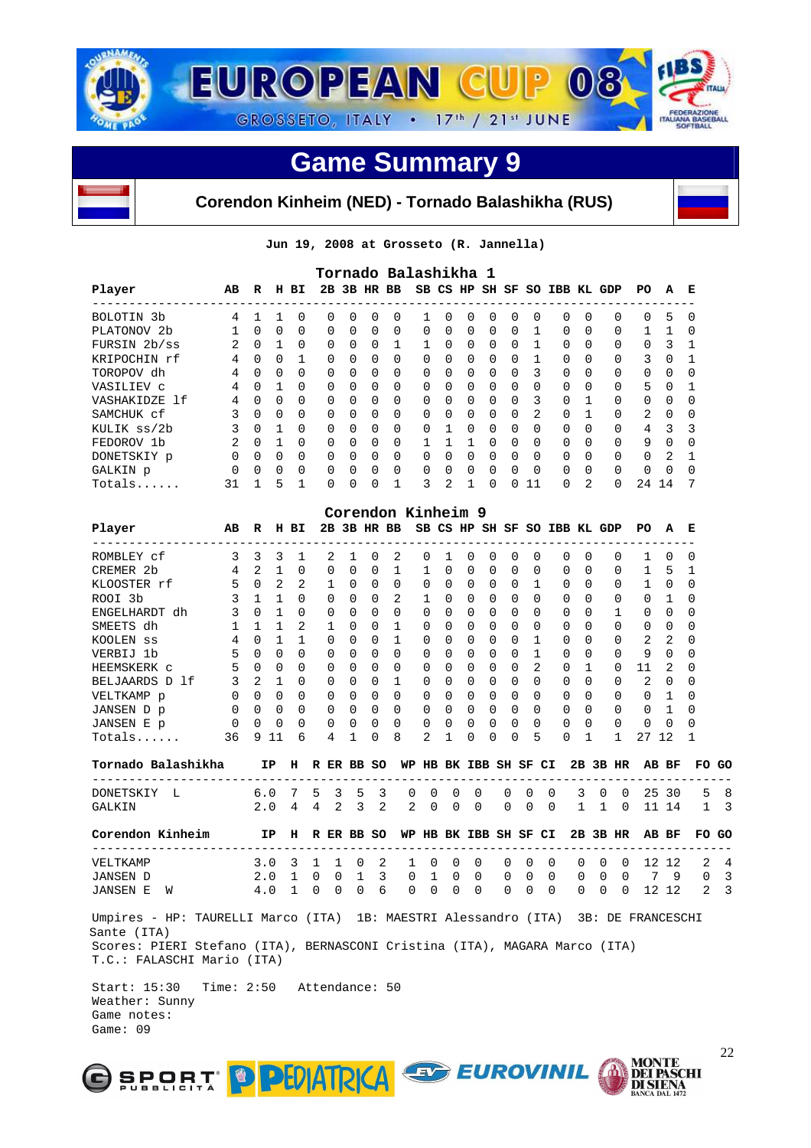



#### **Corendon Kinheim (NED) - Tornado Balashikha (RUS)**

**Jun 19, 2008 at Grosseto (R. Jannella)** 

|               |                |              |              |              |             |              |             |                | Tornado Balashikha 1 |              |             |             |             |              |               |          |                     |             |              |              |
|---------------|----------------|--------------|--------------|--------------|-------------|--------------|-------------|----------------|----------------------|--------------|-------------|-------------|-------------|--------------|---------------|----------|---------------------|-------------|--------------|--------------|
| Player        | AB             | R            |              | H BI         | 2B          |              |             | 3B HR BB       |                      |              | SB CS HP    |             | SH SF       |              | SO IBB KL GDP |          |                     | PO.         | A            | Е            |
| BOLOTIN 3b    | 4              | 1            | 1            | $\Omega$     | 0           | <sup>0</sup> | $\Omega$    | 0              | 1                    | 0            | $\Omega$    | $\Omega$    | $\Omega$    | 0            | 0             | $\Omega$ | 0                   | 0           | 5            | U            |
| PLATONOV 2b   | $\mathbf{1}$   | $\Omega$     | $\Omega$     | 0            | 0           | $\Omega$     | 0           | 0              | $\Omega$             | $\Omega$     | $\Omega$    | 0           | $\mathbf 0$ | 1            | $\mathbf 0$   | $\Omega$ | 0                   |             |              | <sup>0</sup> |
| FURSIN 2b/ss  | $\overline{2}$ | $\Omega$     | $\mathbf{1}$ | $\Omega$     | 0           | $\Omega$     | $\Omega$    | 1              | $\mathbf{1}$         | $\Omega$     | $\Omega$    | $\Omega$    | $\Omega$    | 1            | $\Omega$      | $\Omega$ | 0                   | $\mathbf 0$ | 3            |              |
| KRIPOCHIN rf  | 4              | $\Omega$     | $\Omega$     | 1            | $\Omega$    | $\Omega$     | $\Omega$    | $\Omega$       | $\Omega$             | $\Omega$     | $\Omega$    | $\Omega$    | $\Omega$    | $\mathbf{1}$ | $\Omega$      | $\Omega$ | 0                   | 3           | $\Omega$     |              |
| TOROPOV dh    | 4              | $\Omega$     | $\Omega$     | $\Omega$     | 0           | 0            | $\Omega$    | $\Omega$       | <sup>0</sup>         | 0            | $\Omega$    | $\Omega$    | $\Omega$    | ς            | $\Omega$      | $\Omega$ | 0                   | $\Omega$    | $\Omega$     |              |
| VASILIEV C    | 4              | $\Omega$     |              | $\Omega$     | 0           | 0            | $\Omega$    | $\Omega$       | <sup>n</sup>         | 0            | $\Omega$    | $\Omega$    | $\Omega$    | 0            | 0             | $\Omega$ | 0                   | 5           | <sup>0</sup> |              |
| VASHAKIDZE 1f | 4              | $\Omega$     | $\Omega$     | $\Omega$     | $\Omega$    | <sup>0</sup> | $\Omega$    | $\Omega$       | <sup>0</sup>         | 0            | $\Omega$    | $\Omega$    | $\Omega$    | 3            | $\Omega$      | 1        | 0                   | $\Omega$    | $\Omega$     |              |
| SAMCHUK cf    | 3              | $\Omega$     | $\Omega$     | 0            | $\Omega$    | 0            | $\Omega$    | O              | <sup>0</sup>         | 0            | $\Omega$    | $\Omega$    | $\Omega$    | 2            | $\Omega$      | 1        | 0                   | 2           | <sup>0</sup> |              |
| KULIK ss/2b   | 3              | $\Omega$     |              | $\Omega$     | $\Omega$    | 0            | $\Omega$    | O              | <sup>0</sup>         | 1            | $\Omega$    | $\Omega$    | $\Omega$    | $\Omega$     | $\Omega$      | $\Omega$ | 0                   | 4           | 3            |              |
| FEDOROV 1b    | $\overline{2}$ | $\Omega$     |              | $\Omega$     | 0           | $\Omega$     | $\Omega$    | $\Omega$       | 1                    | $\mathbf{1}$ | 1           | $\Omega$    | $\Omega$    | $\Omega$     | $\Omega$      | $\Omega$ | 0                   | 9           | $\Omega$     |              |
| DONETSKIY p   | $\Omega$       | $\Omega$     | $\Omega$     | $\Omega$     | $\Omega$    | 0            | $\Omega$    | $\Omega$       | $\Omega$             | 0            | $\Omega$    | $\Omega$    | $\Omega$    | 0            | $\Omega$      | $\Omega$ | 0                   | $\Omega$    | 2            |              |
| GALKIN p      | $\Omega$       | $\Omega$     | 0            | 0            | 0           | 0            | $\mathbf 0$ | 0              | $\Omega$             | 0            | $\mathbf 0$ | $\mathbf 0$ | 0           | 0            | 0             | $\Omega$ | 0                   | 0           | $\Omega$     | ∩            |
| $Totals$      | 31             | $\mathbf{1}$ | 5            | 1            | 0           | <sup>0</sup> | $\Omega$    |                | 3                    | 2            | 1           | $\Omega$    | 0           | 11           | 0             | 2        | $\Omega$            | 24          | 14           |              |
|               |                |              |              |              |             |              |             |                | Corendon Kinheim 9   |              |             |             |             |              |               |          |                     |             |              |              |
| Player        | AB             | $\mathbf R$  |              | H BI         | 2B          |              |             | 3B HR BB       |                      |              | SB CS HP    |             |             |              |               |          | SH SF SO IBB KL GDP | PO.         | A            | Е            |
| ROMBLEY cf    | 3              | 3            | 3            | $\mathbf{1}$ | 2           | 1            | $\Omega$    | 2              | $\Omega$             | 1            | $\Omega$    | $\Omega$    | $\Omega$    | $\Omega$     | 0             | $\Omega$ | $\Omega$            |             | <sup>0</sup> | <sup>0</sup> |
| CREMER 2b     | 4              | 2            | $\mathbf{1}$ | $\Omega$     | 0           | 0            | $\Omega$    | 1              | 1                    | $\Omega$     | $\Omega$    | $\Omega$    | $\Omega$    | $\Omega$     | $\Omega$      | $\Omega$ | 0                   | 1           | 5            |              |
| KLOOSTER rf   | 5              | $\Omega$     | 2            | 2            | $\mathbf 1$ | $\Omega$     | $\Omega$    | 0              | $\Omega$             | 0            | $\Omega$    | $\Omega$    | $\Omega$    | 1            | $\mathbf 0$   | $\Omega$ | 0                   |             | $\Omega$     | U            |
| ROOI 3b       | 3              | 1            | $\mathbf{1}$ | $\Omega$     | $\Omega$    | 0            | $\Omega$    | $\mathfrak{D}$ | 1                    | 0            | 0           | $\Omega$    | $\Omega$    | 0            | $\Omega$      | $\Omega$ | $\Omega$            | 0           | 1            |              |
| ENGELHARDT dh | 3              | $\Omega$     | 1            | $\Omega$     | 0           | 0            | $\Omega$    | 0              | 0                    | 0            | 0           | O           | 0           | $\Omega$     | 0             | $\Omega$ | 1                   | $\Omega$    | $\Omega$     |              |

| SMEETS dh             |          |              |          |          |               | O          | O            |          |              | 0        |              | II.          |              | 0            | 0        | $\Omega$ | $\Omega$     | O  | 0        |              |       |
|-----------------------|----------|--------------|----------|----------|---------------|------------|--------------|----------|--------------|----------|--------------|--------------|--------------|--------------|----------|----------|--------------|----|----------|--------------|-------|
| KOOLEN SS             | 4        | 0            |          |          | 0             | $\Omega$   | <sup>0</sup> |          | U            | 0        | <sup>0</sup> | O.           | <sup>n</sup> |              | $\Omega$ | $\Omega$ | $\Omega$     | 2  | 2        | $\Omega$     |       |
| VERBIJ 1b             | 5.       | <sup>0</sup> | $\Omega$ | $\Omega$ | $\Omega$      | $\Omega$   | $\Omega$     | $\Omega$ | <sup>0</sup> | $\Omega$ | <sup>0</sup> | 0            | <sup>n</sup> |              | $\Omega$ | $\Omega$ | $\Omega$     | 9  | $\Omega$ | $\Omega$     |       |
| HEEMSKERK C           | 5.       | $\Omega$     | $\Omega$ | $\Omega$ | $\Omega$      | $\Omega$   | $\Omega$     | $\Omega$ | <sup>n</sup> | $\Omega$ | <sup>n</sup> | <sup>n</sup> | 0            | 2            | 0        |          | <sup>0</sup> | 11 | 2        | $\Omega$     |       |
| BELJAARDS D 1f        | 3        | 2            |          | $\Omega$ | $\Omega$      | $\Omega$   | <sup>0</sup> |          | 0            | $\Omega$ | <sup>0</sup> | 0            | 0            | $\Omega$     | $\Omega$ | $\Omega$ | $\Omega$     | 2  | $\Omega$ | $\Omega$     |       |
| VELTKAMP p            | 0        | 0            | $\Omega$ | $\Omega$ | $\Omega$      | $\Omega$   | $\Omega$     | $\Omega$ | <sup>n</sup> | $\Omega$ | <sup>n</sup> | <sup>n</sup> | <sup>n</sup> | $\Omega$     | 0        | $\Omega$ | $\Omega$     | U  |          |              |       |
| JANSEN D p            | 0        | $\Omega$     | $\Omega$ | $\Omega$ | $\Omega$      | $\Omega$   | $\Omega$     | $\Omega$ | <sup>n</sup> | $\cap$   | <sup>n</sup> | <sup>n</sup> | <sup>n</sup> | <sup>n</sup> | 0        | $\Omega$ | $\Omega$     | 0  |          | <sup>0</sup> |       |
| JANSEN E p            | $\Omega$ | $\Omega$     | $\Omega$ | $\Omega$ | $\Omega$      | $\Omega$   | $\Omega$     | $\Omega$ | 0            | $\Omega$ | $\Omega$     | 0            | 0            | $\Omega$     | 0        | $\Omega$ | $\Omega$     | 0  | $\Omega$ | $\Omega$     |       |
| $Totals$              | 36       | 9            | 11       | 6        | 4             |            | $\Omega$     | 8        | 2            |          | U            | <sup>n</sup> | <sup>n</sup> | 5            | $\Omega$ |          |              | 27 | 12       |              |       |
| Tornado Balashikha    |          | IP.          | н        |          |               | R ER BB SO |              | WP       | HB           |          | BK IBB SH SF |              |              | CI.          | 2B       | 3B       | HR.          | AB | BF       |              | FO GO |
| DONETSKIY<br><b>L</b> |          | 6.0          |          | ъ        | 3             | 5          | 3            | $\Omega$ | $\Omega$     | $\Omega$ | $\Omega$     | $\Omega$     | $\Omega$     | $\Omega$     | 3        |          | <sup>n</sup> | 25 | 30       | 5.           | 8     |
| GALKIN                |          | 2.0          | 4        | 4        | $\mathcal{L}$ | ર          | 2            | 2        | $\Omega$     | $\Omega$ | $\Omega$     | $\Omega$     | $\Omega$     | $\Omega$     |          |          | ∩            |    | 14       |              |       |

| Corendon Kinheim |                                             |  |  |  |  |  |  |  |  | IP H R ER BB SO WP HB BK IBB SH SF CI 2B 3B HR AB BF FO GO |  |
|------------------|---------------------------------------------|--|--|--|--|--|--|--|--|------------------------------------------------------------|--|
| VELTKAMP         | 3.0 3 1 1 0 2 1 0 0 0 0 0 0 0 0 0 12 12 2 4 |  |  |  |  |  |  |  |  |                                                            |  |
| JANSEN D         | 2.0 1 0 0 1 3 0 1 0 0 0 0 0 0 0 0 0 7 9 0 3 |  |  |  |  |  |  |  |  |                                                            |  |
| JANSEN E W       | 4010                                        |  |  |  |  |  |  |  |  | 0 0 6 0 0 0 0 0 0 0 0 0 0 12 12 2 3                        |  |

 Umpires - HP: TAURELLI Marco (ITA) 1B: MAESTRI Alessandro (ITA) 3B: DE FRANCESCHI Sante (ITA) Scores: PIERI Stefano (ITA), BERNASCONI Cristina (ITA), MAGARA Marco (ITA) T.C.: FALASCHI Mario (ITA)

 Start: 15:30 Time: 2:50 Attendance: 50 Weather: Sunny Game notes: Game: 09



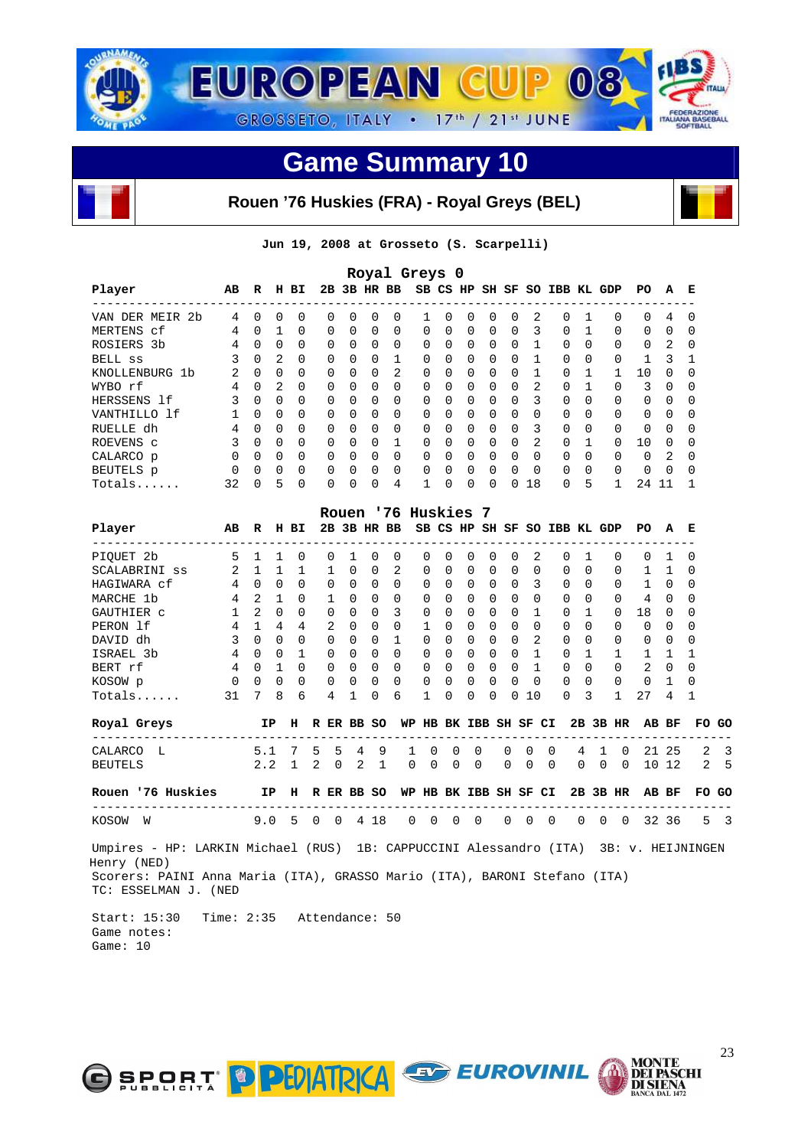

#### **Rouen '76 Huskies (FRA) - Royal Greys (BEL)**

**Jun 19, 2008 at Grosseto (S. Scarpelli)** 

| Royal Greys 0       |               |              |               |          |          |              |              |          |          |              |          |          |          |               |                     |              |          |          |               |              |
|---------------------|---------------|--------------|---------------|----------|----------|--------------|--------------|----------|----------|--------------|----------|----------|----------|---------------|---------------------|--------------|----------|----------|---------------|--------------|
| Player              | AB            | R            | н             | вI       | 2в       |              |              | 3B HR BB |          | SB CS HP     |          |          |          |               | SH SF SO IBB KL GDP |              |          | PO.      | A             | Е            |
| VAN DER MEIR<br>-2b | 4             | $\Omega$     | 0             | $\Omega$ | 0        | $\Omega$     | $\Omega$     | $\Omega$ |          | <sup>n</sup> | $\Omega$ | $\Omega$ | $\Omega$ | 2             | $\Omega$            |              | $\Omega$ | $\Omega$ | 4             | $\Omega$     |
| MERTENS cf          | 4             | <sup>0</sup> |               | $\Omega$ | $\Omega$ | $\Omega$     | $\Omega$     | $\Omega$ | $\Omega$ | $\Omega$     | $\Omega$ | $\Omega$ | $\Omega$ | ς             | $\Omega$            |              | $\Omega$ | 0        | $\Omega$      | O            |
| ROSIERS 3b          | 4             | $\Omega$     | 0             | $\Omega$ | $\Omega$ | $\Omega$     | $\Omega$     | $\Omega$ | $\Omega$ | $\Omega$     | $\Omega$ | $\Omega$ | $\Omega$ |               | $\Omega$            | 0            | $\Omega$ | 0        | 2             | $\Omega$     |
| BELL SS             | 3             | $\Omega$     | $\mathcal{L}$ | $\Omega$ | $\Omega$ | $\Omega$     | $\Omega$     |          | 0        | <sup>0</sup> | $\Omega$ | $\Omega$ | $\Omega$ |               | $\Omega$            | <sup>0</sup> | $\Omega$ |          | २             |              |
| KNOLLENBURG 1b      | $\mathcal{L}$ | $\Omega$     | 0             | $\Omega$ | $\Omega$ | <sup>n</sup> | <sup>0</sup> | 2        | 0        | $\Omega$     | $\Omega$ | $\Omega$ | $\Omega$ |               | $\Omega$            |              |          | 10       | $\cap$        | ∩            |
| WYBO rf             | 4             | 0            | 2             | $\Omega$ | $\Omega$ | 0            | 0            | 0        | $\Omega$ | <sup>0</sup> | $\Omega$ | $\Omega$ | $\Omega$ | 2             | $\Omega$            |              | $\Omega$ | 3        | $\Omega$      | 0            |
| HERSSENS 1f         | 3             | $\Omega$     | $\Omega$      | $\Omega$ | $\Omega$ | $\cap$       | $\Omega$     | $\Omega$ | $\Omega$ | $\cap$       | $\Omega$ | $\Omega$ | $\Omega$ | 3             | $\Omega$            | <sup>0</sup> | $\Omega$ | 0        | $\Omega$      | <sup>0</sup> |
| VANTHILLO 1f        |               | $\cap$       | $\Omega$      | $\Omega$ | $\Omega$ | $\cap$       | $\Omega$     | $\Omega$ | 0        | $\cap$       | $\Omega$ | $\Omega$ | $\Omega$ | <sup>0</sup>  | $\Omega$            | U            | $\Omega$ | 0        | $\cap$        | $\Omega$     |
| RUELLE dh           | 4             | $\Omega$     | $\Omega$      | $\Omega$ | $\Omega$ | $\Omega$     | $\Omega$     | $\Omega$ | $\Omega$ | $\Omega$     | $\Omega$ | $\Omega$ | $\Omega$ | 3             | $\Omega$            | 0            | $\Omega$ | $\Omega$ | $\Omega$      | 0            |
| ROEVENS C           | 3             | $\Omega$     | $\Omega$      | $\Omega$ | $\Omega$ | $\cap$       | $\Omega$     |          | $\Omega$ | <sup>n</sup> | $\Omega$ | $\Omega$ | $\Omega$ | $\mathcal{L}$ | $\Omega$            |              | $\Omega$ | 10       | $\cap$        | <sup>0</sup> |
| CALARCO p           | $\Omega$      | $\cap$       | $\cap$        | $\Omega$ | $\Omega$ | <sup>n</sup> | $\Omega$     | 0        | $\Omega$ | <sup>n</sup> | $\Omega$ | $\Omega$ | $\Omega$ | <sup>n</sup>  | $\Omega$            | <sup>0</sup> | $\Omega$ | $\Omega$ | $\mathcal{L}$ | $\Omega$     |
| BEUTELS p           | $\Omega$      | $\Omega$     | $\Omega$      | $\Omega$ | $\Omega$ | $\Omega$     | $\Omega$     | $\Omega$ | $\Omega$ | $\cap$       | $\Omega$ | $\Omega$ | $\Omega$ | $\Omega$      | $\Omega$            | <sup>0</sup> | $\Omega$ | 0        | $\Omega$      | $\Omega$     |
| Totals              | 32            | <sup>0</sup> | 5             | $\Omega$ | 0        | U            | $\Omega$     | 4        |          |              | $\Omega$ | $\Omega$ | 0        | 18            | 0                   | 5            |          | 24       |               |              |

|                                                                                                                                                                                                          |                 |                |                |                |             |              |              |             | Rouen '76 Huskies 7 |                       |             |             |                |                |              |          |                              |                |                |                           |              |                |  |
|----------------------------------------------------------------------------------------------------------------------------------------------------------------------------------------------------------|-----------------|----------------|----------------|----------------|-------------|--------------|--------------|-------------|---------------------|-----------------------|-------------|-------------|----------------|----------------|--------------|----------|------------------------------|----------------|----------------|---------------------------|--------------|----------------|--|
| Player<br>----------------------------------                                                                                                                                                             | AB              | R H BI         |                |                |             |              |              | 2B 3B HR BB |                     |                       |             |             |                |                |              |          | SB CS HP SH SF SO IBB KL GDP |                |                | PO A E<br>--------------  |              |                |  |
| PIOUET 2b                                                                                                                                                                                                | 5               | $1 \quad 1$    |                | $\mathbf{0}$   |             | $\Omega$     | $\mathbf{1}$ | $\Omega$    | $\Omega$            | $\Omega$              | $\Omega$    | $\Omega$    | $\Omega$       | $\Omega$       | 2            |          | $\Omega$                     | $\overline{1}$ | $\Omega$       | $\Omega$                  | 1            | $\Omega$       |  |
| SCALABRINI SS                                                                                                                                                                                            | 2               | $\mathbf{1}$   | $\overline{1}$ | $\mathbf{1}$   |             | $\mathbf{1}$ | $\Omega$     | $\Omega$    | 2                   | $\Omega$              | $\Omega$    | $\Omega$    | $\Omega$       | $\cap$         | $\Omega$     |          | $\Omega$                     | $\Omega$       | $\Omega$       | $\mathbf{1}$              | 1            | $\Omega$       |  |
| HAGIWARA cf                                                                                                                                                                                              | $\overline{4}$  | $\Omega$       | $\overline{0}$ | $\Omega$       |             | $\Omega$     | $\Omega$     | $\Omega$    | $\Omega$            | $\Omega$              | $\Omega$    | $\Omega$    | $\Omega$       | $\Omega$       | 3            |          | $\Omega$                     | $\Omega$       | $\Omega$       | $\mathbf{1}$              | $\bigcirc$   | $\Omega$       |  |
| MARCHE 1b                                                                                                                                                                                                | $\overline{4}$  |                | $2 \quad 1$    | $\Omega$       |             | $\mathbf{1}$ | $\Omega$     | $\Omega$    | $\Omega$            | $\Omega$              | $\Omega$    | $\Omega$    | $\Omega$       | $\Omega$       | $\Omega$     |          | $\Omega$                     | $\Omega$       | $\Omega$       | $\overline{4}$            | $\Omega$     | <sup>0</sup>   |  |
| GAUTHIER C                                                                                                                                                                                               | $\mathbf{1}$    | $2^{1}$        | $\Omega$       | $\Omega$       |             | $\Omega$     | $\Omega$     | $\Omega$    | 3                   | $\Omega$              | 0           | $\Omega$    | $\Omega$       | $\Omega$       | $\mathbf{1}$ |          | $\Omega$<br>$\overline{1}$   |                | $\Omega$       | 18                        | $\Omega$     | <sup>0</sup>   |  |
| PERON 1f                                                                                                                                                                                                 | 4               | $\overline{1}$ | $\sim$ 4       | $\overline{4}$ |             | 2            | $\Omega$     | $\Omega$    | $\Omega$            | $\mathbf{1}$          | $\Omega$    | $\Omega$    | $\Omega$       | $\Omega$       | $\Omega$     |          | $\Omega$                     | $\Omega$       | $\Omega$       | $\Omega$                  | $\Omega$     | <sup>0</sup>   |  |
| DAVID dh                                                                                                                                                                                                 | $\overline{3}$  |                | $0 \quad 0$    | $\Omega$       |             | $\Omega$     | $\Omega$     | $\Omega$    | $\mathbf{1}$        | $\Omega$              | $\Omega$    | $\Omega$    | $\Omega$       | $\Omega$       | 2            |          | $\Omega$                     | $\Omega$       | $\Omega$       | $\Omega$                  | $\Omega$     | <sup>0</sup>   |  |
| ISRAEL 3b                                                                                                                                                                                                | $\overline{4}$  | $\Omega$       | $\Omega$       | $\mathbf{1}$   |             | $\Omega$     | $\Omega$     | $\Omega$    | $\Omega$            | $\Omega$              | $\Omega$    | $\Omega$    | $\Omega$       | $\Omega$       | 1            |          | $\Omega$                     | $\overline{1}$ | $\mathbf{1}$   | 1                         | $\mathbf{1}$ | 1              |  |
| BERT rf                                                                                                                                                                                                  | $4\overline{ }$ | $\Omega$       | $\overline{1}$ | $\Omega$       |             | $\Omega$     | $\Omega$     | $\Omega$    | $\Omega$            | $\Omega$              | $\Omega$    | $\Omega$    | $\overline{0}$ |                | $0\quad1$    |          | $\Omega$                     | $\Omega$       | $\Omega$       | 2                         | $\Omega$     | $\Omega$       |  |
| KOSOW p                                                                                                                                                                                                  | $\Omega$        | $\Omega$       | $\Omega$       | $\Omega$       |             | $\mathbf{0}$ | $\Omega$     | $\Omega$    | $\Omega$            | $\Omega$              | $\Omega$    | $\Omega$    | $\Omega$       | $\Omega$       | $\bigcap$    |          | $\Omega$                     | $\Omega$       | $\Omega$       | $\Omega$                  | $\mathbf{1}$ | <sup>0</sup>   |  |
| $Totals$                                                                                                                                                                                                 | 31              | $7^{\circ}$    | 8              | 6              |             | 4            | 1            | $\Omega$    | 6                   | 1                     | $\Omega$    | 0           | $\Omega$       | 0              | 10           |          | $\Omega$                     | 3              | $\mathbf{1}$   | 27                        | 4            | 1              |  |
| Royal Greys                                                                                                                                                                                              |                 |                | IP             | н              |             |              |              | R ER BB SO  |                     | WP HB BK IBB SH SF CI |             |             |                |                |              |          |                              |                | $2B$ $3B$ $HR$ |                           | AB BF        | FO GO          |  |
| -----------------------<br>CALARCO L                                                                                                                                                                     |                 | 5.1            |                | 7 5            |             | 5            | 4            | 9           | -1                  | $\Omega$              | $\Omega$    | $\Omega$    |                | $\Omega$       | $\Omega$     | $\Omega$ | $\overline{4}$               | $\mathbf{1}$   | $\Omega$       | ------------------------- | 21 25        | 2              |  |
| <b>BEUTELS</b>                                                                                                                                                                                           |                 |                | 2.2            | $1 \quad 2$    |             | $\Omega$     |              | $2 \quad 1$ | $\Omega$            | $\mathbf 0$           | $\mathbf 0$ | $\mathbf 0$ |                | $\overline{0}$ | $\Omega$     | $\Omega$ | $\Omega$                     | $\Omega$       | $\overline{0}$ |                           | 10 12        | 2 <sub>5</sub> |  |
| Rouen '76 Huskies IP H R ER BB SO                                                                                                                                                                        |                 |                |                |                |             |              |              |             |                     | WP HB BK IBB SH SF CI |             |             |                |                |              |          |                              |                | 2B 3B HR       |                           | AB BF        | FO GO          |  |
| ------------------------<br>KOSOW<br>W                                                                                                                                                                   |                 | 9.0            |                | 5              | $\mathbf 0$ | $\Omega$     |              | 4 18        | $\Omega$            | $\mathbf 0$           | $\Omega$    | $\mathbf 0$ |                | $\Omega$       | $\mathbf 0$  | $\Omega$ | $\Omega$                     | $\Omega$       | $\Omega$       | ----------------          | 32 36        | 5 <sup>3</sup> |  |
| Umpires - HP: LARKIN Michael (RUS) 1B: CAPPUCCINI Alessandro (ITA) 3B: v. HEIJNINGEN<br>Henry (NED)<br>Scorers: PAINI Anna Maria (ITA), GRASSO Mario (ITA), BARONI Stefano (ITA)<br>TC: ESSELMAN J. (NED |                 |                |                |                |             |              |              |             |                     |                       |             |             |                |                |              |          |                              |                |                |                           |              |                |  |

 Start: 15:30 Time: 2:35 Attendance: 50 Game notes: Game: 10



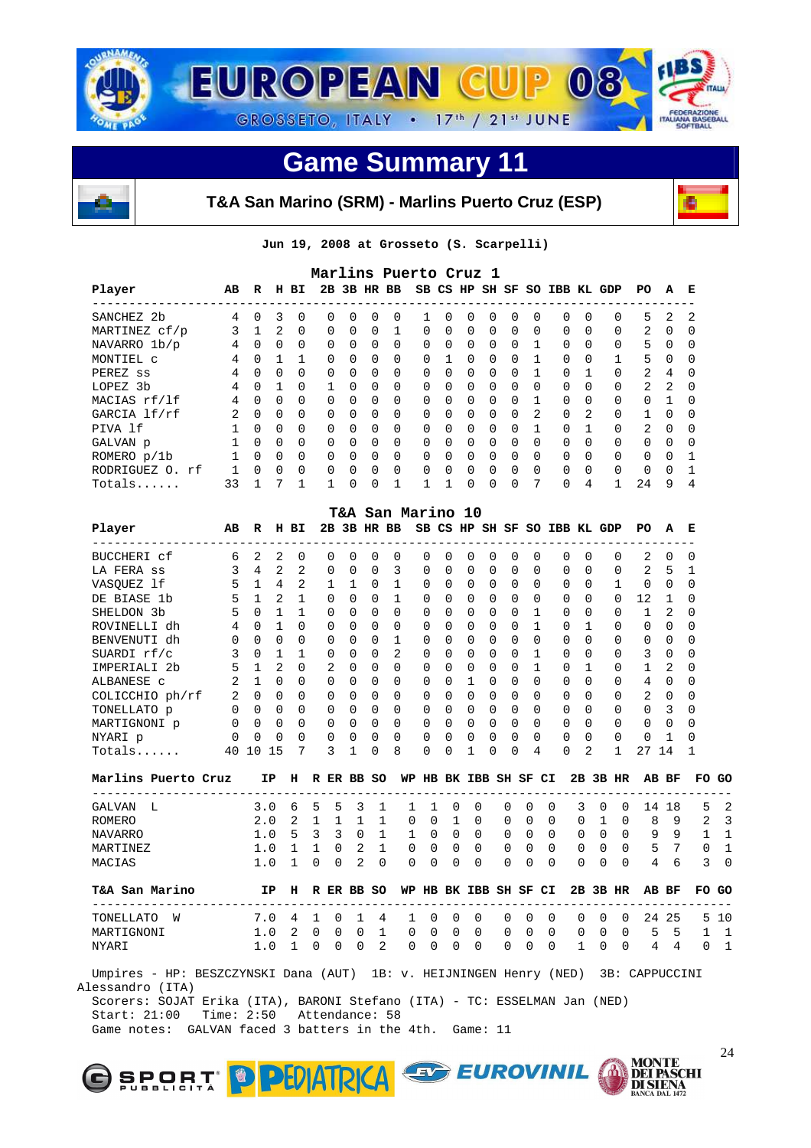



**T&A San Marino (SRM) - Marlins Puerto Cruz (ESP)** 



**Jun 19, 2008 at Grosseto (S. Scarpelli)** 

| Marlins Puerto Cruz 1                                                                                                                                                                                                                                                                                                                                                                                           |                |          |              |          |              |          |          |                   |          |              |          |          |          |          |          |          |              |              |          |          |
|-----------------------------------------------------------------------------------------------------------------------------------------------------------------------------------------------------------------------------------------------------------------------------------------------------------------------------------------------------------------------------------------------------------------|----------------|----------|--------------|----------|--------------|----------|----------|-------------------|----------|--------------|----------|----------|----------|----------|----------|----------|--------------|--------------|----------|----------|
| 2B 3B HR BB<br>Player<br>SB CS HP SH SF<br>SO IBB KL GDP<br>AB<br>PO.<br>$\mathbf{R}$<br>H BI<br>A                                                                                                                                                                                                                                                                                                              |                |          |              |          |              |          |          |                   |          |              |          |          |          |          |          | E        |              |              |          |          |
| $\Omega$<br>$\Omega$<br>SANCHEZ 2b<br>3<br>$\Omega$<br>$\Omega$<br>$\Omega$<br>5.<br>4<br>$\Omega$<br>0<br>$\Omega$<br>2<br>$\Omega$<br>$\Omega$<br>$\Omega$<br>$\Omega$<br>0<br>$\Omega$<br>3<br>2<br>$\mathbf{1}$<br>$\Omega$<br>$\Omega$<br>$\Omega$<br>2<br>$\Omega$<br>$\Omega$<br>$\Omega$<br>1<br>$\Omega$<br>$\Omega$<br>$\Omega$<br>$\Omega$<br>$\Omega$<br>$\Omega$<br>0<br>MARTINEZ cf/p<br>$\Omega$ |                |          |              |          |              |          |          |                   |          |              |          |          |          |          | -2       |          |              |              |          |          |
| 5<br>$\Omega$<br>$\Omega$<br>$\Omega$<br>$\Omega$<br>$\Omega$<br>0<br>$\Omega$<br>NAVARRO 1b/p<br>4<br>$\Omega$<br>$\Omega$<br>$\Omega$<br>$\Omega$<br>$\Omega$<br>$\Omega$<br>$\Omega$<br>$\Omega$<br>$\Omega$                                                                                                                                                                                                 |                |          |              |          |              |          |          |                   |          |              |          |          |          |          | $\Omega$ |          |              |              |          |          |
|                                                                                                                                                                                                                                                                                                                                                                                                                 |                |          |              |          |              |          |          |                   |          |              |          |          |          |          | $\Omega$ |          |              |              |          |          |
| MONTIEL C                                                                                                                                                                                                                                                                                                                                                                                                       | 4              | $\Omega$ | $\mathbf{1}$ | 1        | $\Omega$     | $\Omega$ | $\Omega$ | 0                 | $\Omega$ | $\mathbf{1}$ | $\Omega$ | $\Omega$ | $\Omega$ |          | $\Omega$ | $\Omega$ | $\mathbf{1}$ | 5            | $\Omega$ | $\Omega$ |
| PEREZ ss                                                                                                                                                                                                                                                                                                                                                                                                        | 4              | $\Omega$ | $\Omega$     | $\Omega$ | $\Omega$     | $\Omega$ | $\Omega$ | 0                 | $\Omega$ | $\Omega$     | $\Omega$ | $\Omega$ | $\Omega$ |          | $\Omega$ |          | 0            | 2            | 4        | $\Omega$ |
| LOPEZ 3b                                                                                                                                                                                                                                                                                                                                                                                                        | 4              | $\Omega$ | $\mathbf{1}$ | $\Omega$ | $\mathbf{1}$ | $\Omega$ | $\Omega$ | $\Omega$          | $\Omega$ | $\Omega$     | $\Omega$ | $\Omega$ | $\Omega$ | $\Omega$ | $\Omega$ | 0        | 0            | 2            | 2        | $\Omega$ |
| MACIAS rf/lf                                                                                                                                                                                                                                                                                                                                                                                                    | 4              | $\Omega$ | $\Omega$     | $\Omega$ | $\Omega$     | $\Omega$ | $\Omega$ | $\Omega$          | $\Omega$ | $\Omega$     | $\Omega$ | $\Omega$ | $\Omega$ |          | $\Omega$ | 0        | 0            | 0            |          | $\Omega$ |
| GARCIA lf/rf                                                                                                                                                                                                                                                                                                                                                                                                    | $\overline{2}$ | $\Omega$ | $\Omega$     | $\Omega$ | $\Omega$     | $\Omega$ | $\Omega$ | $\Omega$          | $\Omega$ | $\Omega$     | $\Omega$ | $\Omega$ | $\Omega$ | 2        | $\Omega$ | 2        | $\Omega$     | $\mathbf{1}$ | $\Omega$ | $\Omega$ |
| PIVA 1f                                                                                                                                                                                                                                                                                                                                                                                                         |                | $\Omega$ | $\Omega$     | $\Omega$ | $\Omega$     | $\Omega$ | $\Omega$ | 0                 | $\Omega$ | $\Omega$     | $\Omega$ | $\Omega$ | $\Omega$ | 1.       | $\Omega$ |          | 0            | 2            | $\Omega$ | $\Omega$ |
| GALVAN p                                                                                                                                                                                                                                                                                                                                                                                                        | $\mathbf{1}$   | $\Omega$ | $\Omega$     | $\Omega$ | $\Omega$     | $\Omega$ | $\Omega$ | $\Omega$          | $\Omega$ | $\Omega$     | $\Omega$ | $\Omega$ | $\Omega$ | $\Omega$ | $\Omega$ | $\Omega$ | 0            | $\Omega$     | $\Omega$ | $\Omega$ |
| ROMERO $p/1b$                                                                                                                                                                                                                                                                                                                                                                                                   | $\mathbf{1}$   | $\Omega$ | $\Omega$     | $\Omega$ | $\Omega$     | $\Omega$ | $\Omega$ | $\Omega$          | $\Omega$ | $\Omega$     | $\Omega$ | $\Omega$ | $\Omega$ | $\Omega$ | $\Omega$ | $\Omega$ | $\Omega$     | $\Omega$     | $\Omega$ |          |
| RODRIGUEZ O. rf                                                                                                                                                                                                                                                                                                                                                                                                 | $\mathbf{1}$   | $\Omega$ | $\Omega$     | $\Omega$ | $\Omega$     | $\Omega$ | $\Omega$ | $\Omega$          | $\Omega$ | $\Omega$     | $\Omega$ | $\Omega$ | $\Omega$ | $\Omega$ | $\Omega$ | 0        | $\Omega$     | $\Omega$     | $\Omega$ |          |
| $Totals$                                                                                                                                                                                                                                                                                                                                                                                                        | 33             | 1        | 7            |          |              | $\Omega$ | $\Omega$ |                   |          |              | $\Omega$ | 0        | $\Omega$ |          | 0        | 4        | $\mathbf{1}$ | 24           | 9        | 4        |
|                                                                                                                                                                                                                                                                                                                                                                                                                 |                |          |              |          |              |          |          | T&A San Marino 10 |          |              |          |          |          |          |          |          |              |              |          |          |

| Player              | AB          | R              |              | H BI         |              |              | 2B 3B HR BB    |              |              |                       |              |              |                    |              |              | SB CS HP SH SF SO IBB KL GDP |                      |          |              | PО       | А           | Е            |              |
|---------------------|-------------|----------------|--------------|--------------|--------------|--------------|----------------|--------------|--------------|-----------------------|--------------|--------------|--------------------|--------------|--------------|------------------------------|----------------------|----------|--------------|----------|-------------|--------------|--------------|
| BUCCHERI cf         | 6           | 2              | 2            | 0            |              | 0            | 0              | 0            | 0            | 0                     | 0            | 0            | 0                  | 0            | 0            |                              | 0                    | 0        | 0            | 2        | 0           | 0            |              |
| LA FERA SS          | 3           | $\overline{4}$ | 2            | 2            |              | 0            | $\Omega$       | 0            | 3            | 0                     | 0            | 0            | $\Omega$           | $\Omega$     | 0            |                              | $\Omega$             | $\Omega$ | 0            | 2        | 5           | 1            |              |
| VASQUEZ 1f          | 5           | $\mathbf{1}$   | 4            | 2            |              | 1            | 1              | 0            | $\mathbf{1}$ | 0                     | 0            | 0            | $\Omega$           | 0            | $\Omega$     |                              | 0                    | $\Omega$ | 1            | $\Omega$ | 0           | $\Omega$     |              |
| DE BIASE 1b         | 5           | $\mathbf{1}$   | 2            | 1            |              | 0            | 0              | <sup>0</sup> | 1            | <sup>0</sup>          | 0            | <sup>0</sup> | 0                  | 0            | <sup>0</sup> |                              | <sup>0</sup>         | 0        | <sup>0</sup> | 12       | 1           | <sup>0</sup> |              |
| SHELDON 3b          | 5           | 0              | $\mathbf{1}$ | 1            |              | $\Omega$     | <sup>0</sup>   | <sup>0</sup> | $\Omega$     | <sup>0</sup>          | <sup>0</sup> | <sup>0</sup> | 0                  | <sup>n</sup> | 1            |                              | $\Omega$             | $\Omega$ | $\Omega$     | 1        | 2           | 0            |              |
| ROVINELLI dh        | 4           | $\Omega$       | $\mathbf{1}$ | $\Omega$     |              | $\Omega$     | 0              | 0            | $\Omega$     | 0                     | 0            | 0            | 0                  | $\Omega$     | 1            |                              | 1<br>$\Omega$        |          | $\Omega$     | 0        | 0           | 0            |              |
| BENVENUTI dh        | $\Omega$    | 0              | $\Omega$     | $\Omega$     |              | 0            | 0              | <sup>0</sup> | $\mathbf{1}$ | 0                     | 0            | 0            | $\Omega$           | 0            | <sup>0</sup> |                              | 0                    | $\Omega$ | 0            | 0        | 0           | 0            |              |
| SUARDI rf/c         | 3           | $\Omega$       | 1            | 1.           |              | 0            | <sup>0</sup>   | <sup>0</sup> | 2            | 0                     | 0            | 0            | 0                  | 0            | 1            |                              | 0                    | $\Omega$ | <sup>0</sup> | 3        | 0           | <sup>0</sup> |              |
| IMPERIALI 2b        | 5           | $\mathbf{1}$   | 2            | $\Omega$     |              | 2            | 0              | <sup>0</sup> | $\Omega$     | 0                     | 0            | 0            | 0                  | 0            | 1            |                              | <sup>0</sup>         | 1        | <sup>0</sup> | 1        | 2           | 0            |              |
| ALBANESE C          | 2           | $\mathbf{1}$   | $\Omega$     | $\Omega$     |              | 0            | 0              | <sup>0</sup> | $\Omega$     | 0                     | 0            | 1            | $\Omega$           | 0            | 0            |                              | $\Omega$             | $\Omega$ | $\Omega$     | 4        | 0           | 0            |              |
| COLICCHIO ph/rf     | 2           | $\Omega$       | $\Omega$     | $\Omega$     |              | $\Omega$     | 0              | <sup>0</sup> | $\Omega$     | 0                     | 0            | $\Omega$     | $\Omega$           | 0            | 0            |                              | 0                    | $\Omega$ | $\Omega$     | 2        | 0           | 0            |              |
| TONELLATO p         | $\Omega$    | $\Omega$       | $\Omega$     | $\Omega$     |              | 0            | $\Omega$       | <sup>0</sup> | $\Omega$     | <sup>0</sup>          | 0            | 0            | $\Omega$           | 0            | <sup>0</sup> |                              | <sup>0</sup>         | 0        | 0            | 0        | 3           | <sup>0</sup> |              |
| MARTIGNONI p        | $\mathbf 0$ | $\Omega$       | $\Omega$     | $\Omega$     |              | $\Omega$     | 0              | 0            | $\Omega$     | 0                     | 0            | 0            | 0                  | 0            | 0            |                              | $\Omega$<br>$\Omega$ |          | $\Omega$     | 0        | $\mathbf 0$ | 0            |              |
| NYARI p             | $\Omega$    | $\Omega$       | $\Omega$     | $\Omega$     |              | 0            | 0              | 0            | 0            | 0                     | 0            | 0            | $\Omega$           | 0            | 0            |                              | 0                    | $\Omega$ | $\Omega$     | 0        | 1           | 0            |              |
| Totals              | 40          | 10             | 15           | 7            |              | 3            | 1              | O            | 8            | 0                     | 0            | 1            | 0                  | 0            | 4            |                              | $\Omega$             | 2        | 1            | 27       | 14          | 1            |              |
| Marlins Puerto Cruz |             |                | ΙP           | н            |              |              | R ER BB SO     |              | WP           |                       |              |              | HB BK IBB SH SF CI |              |              |                              |                      |          | 2B 3B HR     |          | AB BF       | FO.          | GO           |
| GALVAN<br>L         |             | 3.0            |              | 6            | 5            | 5            | 3              | 1            | 1            | 1                     | 0            |              | 0                  | $\Omega$     | $\Omega$     | 0                            | 3                    | 0        | 0            |          | 14 18       | 5            | 2            |
| ROMERO              |             | 2.0            |              | 2            | $\mathbf{1}$ | 1            | 1              | 1            | 0            | 0                     | 1            |              | $\Omega$           | 0            | $\Omega$     | $\Omega$                     | 0                    | 1        | 0            | 8        | 9           | 2            | 3            |
| <b>NAVARRO</b>      |             | 1.0            |              | 5            | 3            | 3            | $\Omega$       | 1            | $\mathbf{1}$ | 0                     | $\Omega$     |              | $\Omega$           | $\Omega$     | $\Omega$     | 0                            | $\Omega$             | $\Omega$ | $\Omega$     | 9        | 9           | $\mathbf{1}$ | $\mathbf{1}$ |
| MARTINEZ            |             | 1.0            |              | $\mathbf{1}$ | 1            | 0            | 2              | 1            | $\Omega$     | $\Omega$              | 0            |              | $\Omega$           | $\Omega$     | $\Omega$     | 0                            | 0                    | 0        | $\Omega$     | 5        | 7           | $\Omega$     | $\mathbf{1}$ |
| MACIAS              |             | 1.0            |              | $\mathbf{1}$ | 0            | <sup>0</sup> | $\mathfrak{D}$ | $\Omega$     | $\Omega$     | $\Omega$              | $\Omega$     | $\Omega$     |                    | $\Omega$     | O            | <sup>0</sup>                 | $\Omega$             | $\Omega$ | 0            | 4        | 6           | ζ            | $\Omega$     |
| T&A San Marino      |             |                | IP           | н            |              |              | R ER BB SO     |              |              | WP HB BK IBB SH SF CI |              |              |                    |              |              |                              |                      |          | 2B 3B HR     |          | AB BF       | FO GO        |              |
| TONELLATO<br>W      |             | 7.0            |              | 4            | $\mathbf{1}$ | 0            | 1              | 4            | 1            | $\Omega$              | $\mathbf 0$  |              | $\Omega$           | $\mathbf 0$  | 0            | $\Omega$                     | 0                    | 0        | 0            | 24       | 25          | 5            | 10           |
| MARTIGNONI          |             | 1.0            |              | 2            | 0            | 0            | 0              | 1            | 0            | 0                     | 0            |              | 0                  | 0            | 0            | 0                            | 0                    | 0        | 0            | 5        | 5           | 1            | 1            |
| NYARI               |             | 1.0            |              | 1            | 0            | 0            | $\Omega$       | 2            | $\Omega$     | $\Omega$              | 0            |              | $\Omega$           | $\Omega$     | $\Omega$     | $\Omega$                     | $\mathbf{1}$         | $\Omega$ | $\Omega$     | 4        | 4           | $\Omega$     | 1            |

 Umpires - HP: BESZCZYNSKI Dana (AUT) 1B: v. HEIJNINGEN Henry (NED) 3B: CAPPUCCINI Alessandro (ITA) Scorers: SOJAT Erika (ITA), BARONI Stefano (ITA) - TC: ESSELMAN Jan (NED) Start: 21:00 Time: 2:50 Attendance: 58 Game notes: GALVAN faced 3 batters in the 4th. Game: 11







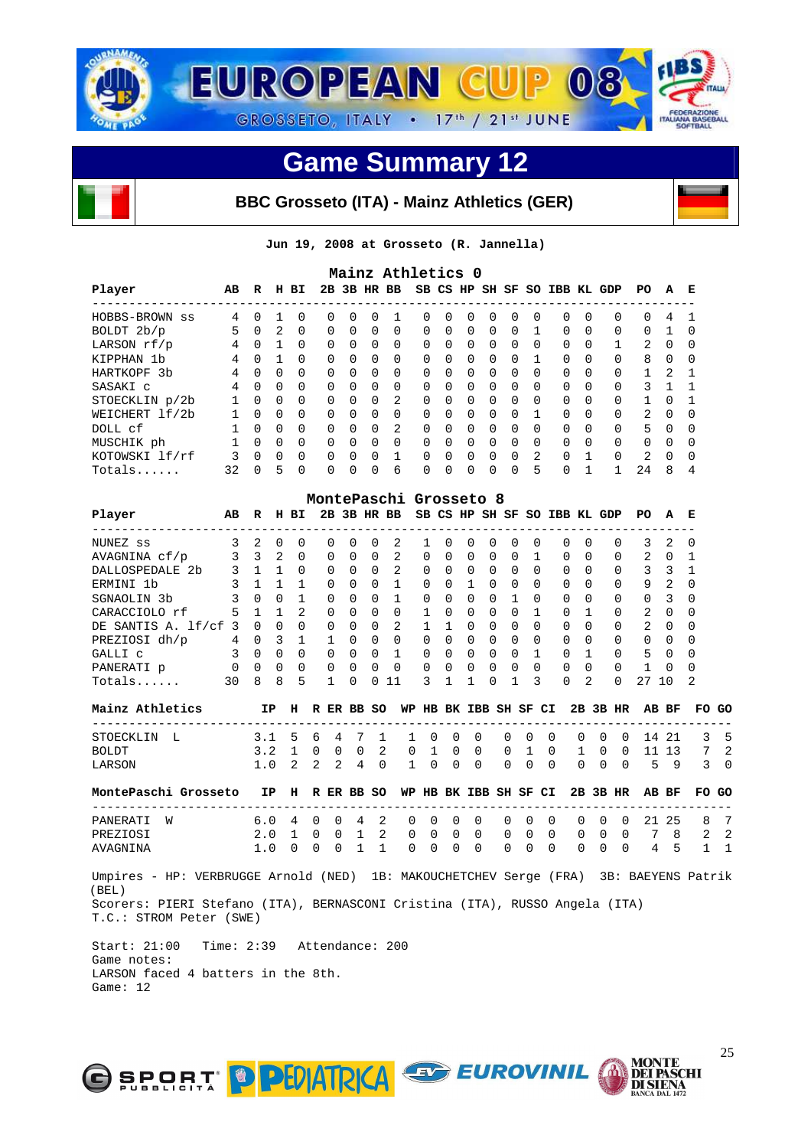

#### **BBC Grosseto (ITA) - Mainz Athletics (GER)**

**Jun 19, 2008 at Grosseto (R. Jannella)** 

| Mainz Athletics 0 |    |          |          |              |          |              |              |                |          |              |          |          |          |              |                              |              |              |                |          |              |
|-------------------|----|----------|----------|--------------|----------|--------------|--------------|----------------|----------|--------------|----------|----------|----------|--------------|------------------------------|--------------|--------------|----------------|----------|--------------|
| Player            | AB | R        | н        | вI           |          |              |              | 2B 3B HR BB    |          |              |          |          |          |              | SB CS HP SH SF SO IBB KL GDP |              |              | PO.            | A        | E            |
| HOBBS-BROWN ss    | 4  | 0        |          | <sup>0</sup> | 0        | $\Omega$     | <sup>0</sup> |                | $\Omega$ | $\Omega$     | $\Omega$ | $\Omega$ | $\Omega$ | $\Omega$     | $\Omega$                     | <sup>0</sup> | <sup>0</sup> | $\Omega$       | 4        |              |
| BOLDT 2b/p        | 5  | $\Omega$ | 2        | $\Omega$     | $\Omega$ | $\Omega$     | $\Omega$     | $\Omega$       | $\Omega$ | $\Omega$     | $\Omega$ | $\Omega$ | $\Omega$ |              | $\Omega$                     | $\Omega$     | $\Omega$     | 0              |          | ∩            |
| LARSON rf/p       | 4  | $\Omega$ |          | $\Omega$     | $\Omega$ | $\Omega$     | $\Omega$     | $\Omega$       | $\Omega$ | $\Omega$     | $\Omega$ | $\Omega$ | $\Omega$ | $\Omega$     | $\Omega$                     | $\Omega$     |              | $\mathfrak{D}$ | $\Omega$ | <sup>0</sup> |
| KIPPHAN 1b        | 4  | $\Omega$ |          | $\Omega$     | $\Omega$ | $\cap$       | $\Omega$     | $\Omega$       | $\Omega$ | $\Omega$     | $\Omega$ | $\Omega$ | $\Omega$ |              | $\Omega$                     | $\Omega$     | $\Omega$     | 8              | $\Omega$ | $\Omega$     |
| HARTKOPF 3b       | 4  | $\Omega$ | $\Omega$ | $\Omega$     | $\Omega$ | $\Omega$     | $\Omega$     | $\Omega$       | $\Omega$ | $\Omega$     | $\Omega$ | $\Omega$ | $\Omega$ | $\Omega$     | $\Omega$                     | <sup>0</sup> | $\Omega$     |                | 2        |              |
| SASAKI C          | 4  | $\Omega$ | $\Omega$ | $\Omega$     | $\Omega$ | $\cap$       | $\Omega$     | $\Omega$       | $\Omega$ | $\cap$       | $\Omega$ | $\Omega$ | $\Omega$ | $\Omega$     | $\Omega$                     | $\Omega$     | $\Omega$     | 3              |          |              |
| STOECKLIN p/2b    |    | $\Omega$ | $\Omega$ | $\Omega$     | $\Omega$ | $\Omega$     | $\Omega$     | 2              | $\Omega$ | $\Omega$     | $\Omega$ | $\Omega$ | $\Omega$ | $\Omega$     | $\Omega$                     | <sup>0</sup> | $\Omega$     |                | $\cap$   |              |
| WEICHERT lf/2b    |    | $\Omega$ | $\Omega$ | $\Omega$     | $\Omega$ | $\cap$       | $\Omega$     | $\Omega$       | $\Omega$ | $\cap$       | $\Omega$ | $\Omega$ | $\cap$   |              | $\Omega$                     | U            | $\Omega$     | $\mathcal{D}$  | $\cap$   | $\Omega$     |
| DOLL cf           |    | $\Omega$ | $\Omega$ | $\Omega$     | $\Omega$ | $\Omega$     | $\Omega$     | $\mathfrak{D}$ | $\Omega$ | $\Omega$     | $\Omega$ | $\Omega$ | $\Omega$ | <sup>0</sup> | $\Omega$                     | 0            | $\Omega$     | 5              | $\cap$   | <sup>0</sup> |
| MUSCHIK ph        |    | $\cap$   | $\Omega$ | $\Omega$     | $\Omega$ | $\cap$       | $\Omega$     | $\Omega$       | $\Omega$ | <sup>n</sup> | $\Omega$ | $\Omega$ | $\cap$   | $\cap$       | $\Omega$                     | $\Omega$     | $\Omega$     | 0              | $\cap$   | $\Omega$     |
| KOTOWSKI lf/rf    |    | $\Omega$ | $\Omega$ | $\Omega$     | $\Omega$ | $\Omega$     | <sup>0</sup> |                | $\Omega$ | $\cap$       | $\Omega$ | $\Omega$ | $\Omega$ | 2            | $\Omega$                     |              | $\Omega$     | $\overline{2}$ | $\cap$   | $\Omega$     |
| Totals            | 32 | $\cap$   | 5        | $\Omega$     | 0        | <sup>n</sup> | $\Omega$     | 6              | $\Omega$ | <sup>n</sup> | $\Omega$ | $\Omega$ | $\Omega$ | 5            | $\Omega$                     |              |              | 24             | 8        | 4            |

|                           |    |              |              |               | MontePaschi Grosseto 8 |              |          |          |          |              |              |          |              |          |                     |          |              |               |              |          |
|---------------------------|----|--------------|--------------|---------------|------------------------|--------------|----------|----------|----------|--------------|--------------|----------|--------------|----------|---------------------|----------|--------------|---------------|--------------|----------|
| Player                    | AВ | R            | н            | BI.           | 2в.                    |              | 3B HR BB |          |          |              | SB CS HP     |          |              |          | SH SF SO IBB KL GDP |          |              | PO.           | A            | Е        |
| NUNEZ ss                  |    |              | 0            | 0             | 0                      | 0            | $\Omega$ | 2        |          | <sup>0</sup> | <sup>0</sup> | 0        | <sup>0</sup> | $\Omega$ | 0                   | $\Omega$ | 0            | 3             | 2            | $\Omega$ |
| AVAGNINA cf/p             | 3  | 3            | 2            | 0             | 0                      | 0            | $\Omega$ | 2        | $\Omega$ | $\Omega$     | <sup>0</sup> | $\Omega$ | $\Omega$     |          | 0                   | $\Omega$ | $\Omega$     | 2             | $\Omega$     |          |
| <b>DALLOSPEDALE</b><br>2b |    |              |              | <sup>0</sup>  | $\Omega$               | 0            | $\Omega$ | 2        | $\Omega$ | $\Omega$     | $\Omega$     | $\Omega$ | $\Omega$     | $\Omega$ | 0                   | $\Omega$ | <sup>0</sup> | 3             | 3            |          |
| ERMINI 1b                 | ζ  |              |              |               | $\Omega$               | 0            | $\Omega$ |          | $\Omega$ | $\Omega$     |              | $\Omega$ | 0            | $\Omega$ | 0                   | $\Omega$ | 0            | 9             | 2            | $\Omega$ |
| SGNAOLIN 3b               |    | U            | <sup>0</sup> |               | 0                      | 0            | $\Omega$ | 1        | $\Omega$ | $\Omega$     | $\Omega$     | $\Omega$ |              | $\cap$   | <sup>n</sup>        | $\Omega$ | $\Omega$     | $\Omega$      | 3            | $\Omega$ |
| CARACCIOLO rf             | 5  |              |              | $\mathcal{L}$ | $\Omega$               | $\Omega$     | $\Omega$ | $\Omega$ |          | $\cap$       | $\Omega$     | $\Omega$ | $\Omega$     |          | <sup>n</sup>        |          | $\Omega$     | $\mathcal{L}$ | $\Omega$     | $\Omega$ |
| DE SANTIS A. 1f/cf        | 3  | <sup>n</sup> | $\Omega$     | O             | $\Omega$               | 0            | $\Omega$ | 2        |          |              | $\Omega$     | $\Omega$ | $\cap$       | $\Omega$ | 0                   | $\Omega$ | <sup>0</sup> | $\mathcal{L}$ | $\Omega$     | $\Omega$ |
| PREZIOSI dh/p             | 4  | 0            | ς            |               |                        | <sup>n</sup> | $\Omega$ | $\Omega$ | $\cap$   | $\cap$       | $\Omega$     | $\Omega$ | <sup>n</sup> | $\Omega$ | <sup>n</sup>        | $\Omega$ | $\Omega$     | $\Omega$      | $\cap$       | $\Omega$ |
| GALLI C                   | ς  | <sup>n</sup> | <sup>0</sup> | <sup>0</sup>  | 0                      | 0            | $\Omega$ |          | $\Omega$ | <sup>n</sup> | <sup>n</sup> | $\Omega$ | U            |          | U                   |          | $\Omega$     | 5             | $\Omega$     | $\Omega$ |
| PANERATI p                |    | <sup>n</sup> | $\Omega$     | 0             | $\Omega$               | 0            | $\Omega$ | $\Omega$ | $\cap$   | $\cap$       | U            | $\Omega$ | <sup>0</sup> | $\Omega$ | 0                   | $\Omega$ | <sup>0</sup> |               | <sup>n</sup> | $\Omega$ |
| $Totals$                  | 30 | 8            | 8            | 5             |                        |              |          | 11       | 3.       |              |              | U        |              | २        | O                   | 2        | U            | 27            | 10           | 2        |

| Mainz Athletics      |                                             |  |  |                  |  |                                |  |  |  |  | IP H R ER BB SO WP HB BK IBB SH SF CI 2B 3B HR AB BF FO GO |  |
|----------------------|---------------------------------------------|--|--|------------------|--|--------------------------------|--|--|--|--|------------------------------------------------------------|--|
| STOECKLIN L          | 3.1 5 6 4 7 1 1 0 0 0 0 0 0 0 0 0 14 21 3 5 |  |  |                  |  |                                |  |  |  |  |                                                            |  |
| BOLDT                | 3.2 1 0 0 0 2 0 1 0 0 0 1 0 1 0 0 11 13     |  |  |                  |  |                                |  |  |  |  |                                                            |  |
| LARSON               | 1.0 2 2 2 4 0 1 0 0 0 0 0 0 0 0 0 5 9 3 0   |  |  |                  |  |                                |  |  |  |  |                                                            |  |
| MonteDeschi Crosseto |                                             |  |  | י מם סדם כדי נדר |  | סט מכ מר רח סם טם ממד שם מט מש |  |  |  |  | חם הם פת מ                                                 |  |

|            | roncer aschi Giosseco | -- -                                        | . | יט שע אש א |  |  | סט סוב עם תוכנים בא על המים של המים של המים של ה |  |  |  |  |  |
|------------|-----------------------|---------------------------------------------|---|------------|--|--|--------------------------------------------------|--|--|--|--|--|
|            |                       |                                             |   |            |  |  |                                                  |  |  |  |  |  |
| PANERATI W |                       | 6.0 4 0 0 4 2 0 0 0 0 0 0 0 0 0 0 21 25 8 7 |   |            |  |  |                                                  |  |  |  |  |  |
| PREZIOSI   |                       | 2.0 1 0 0 1 2 0 0 0 0 0 0 0 0 0 0 7 8 2 2   |   |            |  |  |                                                  |  |  |  |  |  |
| AVAGNINA   |                       | 1.0 0 0                                     |   |            |  |  | 0 1 1 0 0 0 0 0 0 0 0 0 0 0 4 5 1 1              |  |  |  |  |  |
|            |                       |                                             |   |            |  |  |                                                  |  |  |  |  |  |

 Umpires - HP: VERBRUGGE Arnold (NED) 1B: MAKOUCHETCHEV Serge (FRA) 3B: BAEYENS Patrik (BEL) Scorers: PIERI Stefano (ITA), BERNASCONI Cristina (ITA), RUSSO Angela (ITA) T.C.: STROM Peter (SWE)

 Start: 21:00 Time: 2:39 Attendance: 200 Game notes: LARSON faced 4 batters in the 8th. Game: 12



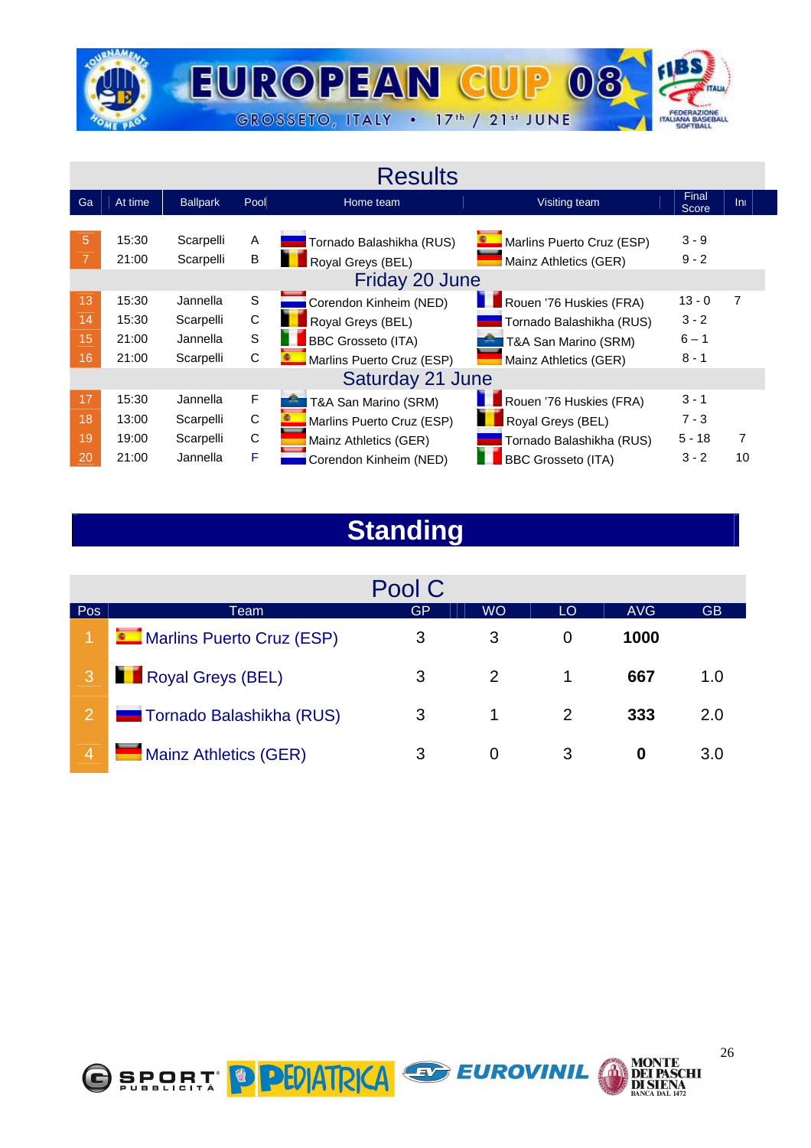

#### **Results**

| Ga                   | At time                          | <b>Ballpark</b>                                | Pool             | Home team                                                                                      | Visiting team                                                                                        | Final<br>Score                            | Ini |
|----------------------|----------------------------------|------------------------------------------------|------------------|------------------------------------------------------------------------------------------------|------------------------------------------------------------------------------------------------------|-------------------------------------------|-----|
| 5                    | 15:30<br>21:00                   | Scarpelli<br>Scarpelli                         | A<br>B           | Tornado Balashikha (RUS)<br>Royal Greys (BEL)<br>Friday 20 June                                | Marlins Puerto Cruz (ESP)<br>Mainz Athletics (GER)                                                   | $3 - 9$<br>$9 - 2$                        |     |
| 13<br>14<br>15<br>16 | 15:30<br>15:30<br>21:00<br>21:00 | Jannella<br>Scarpelli<br>Jannella<br>Scarpelli | S<br>C<br>S<br>С | Corendon Kinheim (NED)<br>Royal Greys (BEL)<br>BBC Grosseto (ITA)<br>Marlins Puerto Cruz (ESP) | Rouen '76 Huskies (FRA)<br>Tornado Balashikha (RUS)<br>T&A San Marino (SRM)<br>Mainz Athletics (GER) | $13 - 0$<br>$3 - 2$<br>$6 - 1$<br>$8 - 1$ | 7   |
|                      |                                  |                                                |                  | Saturday 21 June                                                                               |                                                                                                      |                                           |     |
| 17                   | 15:30                            | Jannella                                       | F                | T&A San Marino (SRM)                                                                           | Rouen '76 Huskies (FRA)                                                                              | $3 - 1$                                   |     |
| 18                   | 13:00                            | Scarpelli                                      | C                | Marlins Puerto Cruz (ESP)                                                                      | Royal Greys (BEL)                                                                                    | $7 - 3$                                   |     |
| 19                   | 19:00                            | Scarpelli                                      | C                | Mainz Athletics (GER)                                                                          | Tornado Balashikha (RUS)                                                                             | $5 - 18$                                  | 7   |
| 20                   | 21:00                            | Jannella                                       | F                | Corendon Kinheim (NED)                                                                         | <b>BBC Grosseto (ITA)</b>                                                                            | $3 - 2$                                   | 10  |

## **Standing**

|                |                              | Pool C |           |    |            |     |
|----------------|------------------------------|--------|-----------|----|------------|-----|
| Pos            | Team                         | GP     | <b>WO</b> | LO | <b>AVG</b> | GB  |
|                | Marlins Puerto Cruz (ESP)    | 3      | 3         | 0  | 1000       |     |
|                | Royal Greys (BEL)            | 3      | 2         | 1  | 667        | 1.0 |
| 2              | Tornado Balashikha (RUS)     | 3      | 1         | 2  | 333        | 2.0 |
| $\overline{4}$ | <b>Mainz Athletics (GER)</b> | 3      | $\Omega$  | 3  | 0          | 3.0 |

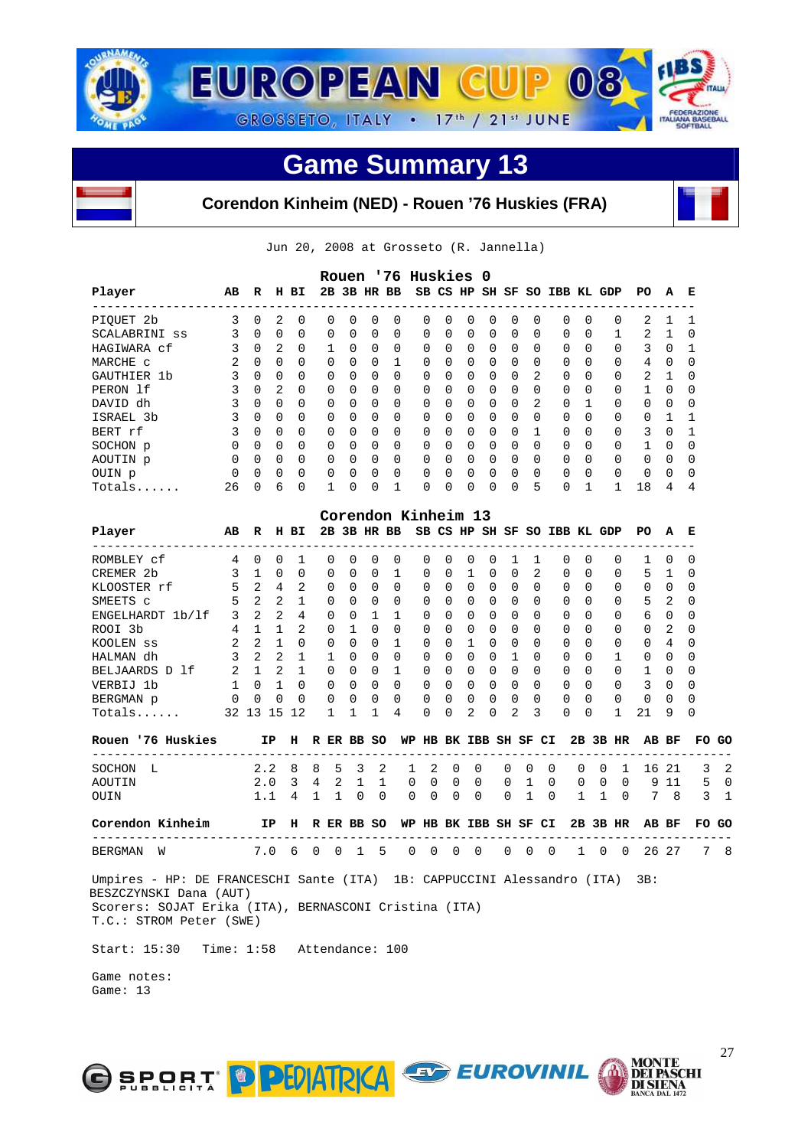



**Corendon Kinheim (NED) - Rouen '76 Huskies (FRA)**

Jun 20, 2008 at Grosseto (R. Jannella)

| ----------<br>----------------<br>3<br>2<br>0<br>PIQUET 2b<br>0<br>0<br>0<br>0<br>0<br>0<br>0<br>0<br>0<br>0<br>0<br>0<br>0<br>3<br>$\mathbf 0$<br>0<br>0<br>0<br>0<br>$\Omega$<br>0<br>0<br>0<br>0<br>0<br>0<br>0<br>SCALABRINI ss<br>0<br>0<br>3<br>2<br>$\mathbf 0$<br>$\mathbf{1}$<br>0<br>0<br>$\Omega$<br>0<br>0<br>0<br>0<br>0<br>$\Omega$<br>$\Omega$<br>HAGIWARA cf<br>0<br>0<br>2<br>0<br>$\mathbf 1$<br>0<br>MARCHE C<br>0<br>$\overline{\phantom{0}}$<br>$\Omega$<br>$\Omega$<br>0<br>0<br>0<br>0<br>0<br>0<br>0<br>0<br>3<br>$\overline{0}$<br>$\Omega$<br>$\mathbf 0$<br>2<br>$\Omega$<br>$\Omega$<br>0<br>$\Omega$<br>$\Omega$<br>0<br>0<br>0<br>$\Omega$<br>$\Omega$<br>$\Omega$<br>GAUTHIER 1b<br>3<br>$\overline{2}$<br>$\Omega$<br>$\Omega$<br>$\Omega$<br>$\Omega$<br>0<br>$\mathbf 0$<br>$\mathbf 0$<br>$\Omega$<br>$\Omega$<br>$\Omega$<br>PERON 1f<br>$\Omega$<br>0<br>0<br>0<br>3<br>$\overline{a}$<br>$\overline{0}$<br>$\Omega$<br>$\Omega$<br>$\Omega$<br>DAVID dh<br>$\Omega$<br>0<br>$\Omega$<br>0<br>$\Omega$<br>0<br>0<br>$\Omega$<br>0<br>1<br>3<br>$\Omega$<br>$\overline{\mathbf{0}}$<br>$\Omega$<br>$\Omega$<br>$\Omega$<br>$\Omega$<br>$\Omega$<br>$\Omega$<br>0<br>$\Omega$<br>$\Omega$<br>$\Omega$<br>$\Omega$<br>$\Omega$<br>$\Omega$<br>ISRAEL 3b<br>3<br>$\Omega$<br>$\overline{\mathbf{0}}$<br>$\Omega$<br>0<br>$\Omega$<br>$\Omega$<br>$\Omega$<br>$\Omega$<br>$\Omega$<br>$\Omega$<br>$\Omega$<br>$\Omega$<br>$\mathbf{1}$<br>$\Omega$<br>BERT rf<br>0<br>$\Omega$<br>$\Omega$<br>$\overline{\phantom{0}}$<br>$\Omega$<br>$\Omega$<br>$\Omega$<br>$\Omega$<br>$\Omega$<br>$\Omega$<br>$\Omega$<br>$\Omega$<br>0<br>$\Omega$<br>$\Omega$<br>$\Omega$<br>$\Omega$<br>SOCHON p<br>0<br>0<br>$\overline{\phantom{0}}$<br>0<br>0<br>0<br>0<br>0<br>0<br>0<br>0<br>0<br>0<br>0<br>0<br>0<br>AOUTIN p<br>$\mathbf 0$<br>0<br>$\mathbf 0$<br>0<br>0<br>0<br>0<br>0<br>0<br>0<br>0<br>0<br>0<br>0<br>0<br>0<br>OUIN p<br>5<br>6<br>$\mathbf 0$<br>1<br>0<br>0<br>1<br>0<br>$\mathbf 0$<br>0<br>$\mathbf{1}$<br>26<br>0<br>0<br>0<br>0<br>$Totals$<br>Corendon Kinheim 13<br>Player<br>H BI<br>2B 3B HR BB<br>SB CS HP SH SF SO IBB KL GDP<br>AB<br>R<br>ROMBLEY cf<br>4<br>0<br>0<br>1<br>0<br>0<br>0<br>0<br>0<br>0<br>0<br>0<br>1<br>1<br>0<br>$\Omega$<br>3<br>$\mathbf 0$<br>0<br>0<br>0<br>$\mathbf 0$<br>$\mathbf 1$<br>1<br>$\mathbf 0$<br>0<br>2<br>$\Omega$<br>CREMER 2b<br>$\mathbf{1}$<br>0<br>0<br>0<br>5<br>2<br>$\overline{4}$<br>KLOOSTER rf<br>2<br>0<br>0<br>0<br>$\Omega$<br>0<br>0<br>0<br>0<br>$\Omega$<br>$\Omega$<br>$\Omega$<br>0<br>5<br>2<br>$\overline{2}$<br>$\Omega$<br>SMEETS C<br>1<br>0<br>$\Omega$<br>0<br>0<br>0<br>0<br>0<br>0<br>$\Omega$<br>$\Omega$<br>$\Omega$<br>3<br>2<br>$\overline{2}$<br>4<br>0<br>1<br>$\mathbf{1}$<br>ENGELHARDT 1b/1f<br>0<br>0<br>$\Omega$<br>0<br>0<br>$\Omega$<br>0<br>0<br>$\Omega$<br>4<br>$\mathbf{1}$<br>2<br>$\Omega$<br>$\mathbf{1}$<br>$\Omega$<br>$\Omega$<br>$\mathbf 0$<br>$\Omega$<br>$\mathbf 0$<br>$\Omega$<br>$\Omega$<br>ROOI 3b<br>$\mathbf{1}$<br>0<br>0<br>$\Omega$<br>2<br>2<br>$\mathbf{1}$<br>0<br>$\Omega$<br>$\mathbf{1}$<br>0<br>$\Omega$<br>$\Omega$<br>$\Omega$<br>0<br>0<br>1<br>$\Omega$<br>0<br>$\Omega$<br>KOOLEN SS<br>3<br>$2\quad 2$<br>1<br>$\mathbf{1}$<br>$\Omega$<br>$\Omega$<br>$\Omega$<br>0<br>0<br>0<br>0<br>1<br>$\Omega$<br>$\Omega$<br>HALMAN dh<br>0<br>2<br>1<br>$\overline{2}$<br>$\mathbf{1}$<br>$\Omega$<br>$\Omega$<br>$\mathbf{1}$<br>$\Omega$<br>0<br>$\Omega$<br>$\Omega$<br>$\Omega$<br>BELJAARDS D 1f<br>0<br>0<br>0<br>0<br>$\mathbf{1}$<br>$\Omega$<br>$\mathbf{1}$<br>$\Omega$<br>$\Omega$<br>$\Omega$<br>$\Omega$<br>$\Omega$<br>$\Omega$<br>0<br>0<br>$\Omega$<br>$\Omega$<br>$\Omega$<br>$\Omega$<br>$\Omega$<br>VERBIJ 1b<br>0<br>0<br>0<br>0<br>0<br>0<br>0<br>0<br>0<br>0<br>0<br>0<br>0<br>BERGMAN p<br>0<br>0<br>0<br>$\mathbf 1$<br>4<br>2<br>2<br>3<br>32 13 15 12<br>1<br>1<br>0<br>0<br>0<br>0<br>0<br>Totals<br>Rouen '76 Huskies<br>IP<br>H R ER BB SO<br>WP HB BK IBB SH SF CI<br>____________________________<br>-----<br>8<br>8<br>5<br>2<br>2<br>$\mathbf 0$<br>$\mathbf 0$<br>0<br>$\mathbf 0$<br>2.2<br>3<br>0<br>0<br>SOCHON L<br>1<br>4<br>2<br>1<br>1<br>2.0<br>3<br>1<br>0<br>0<br>0<br>0<br>0<br>0<br>0<br>AOUTIN<br>1.1<br>4<br>$\mathbf{1}$<br>1<br>0<br>$\mathbf 0$<br>0<br>0<br>0<br>1<br>0<br>1<br>OUIN<br>0<br>0<br>Corendon Kinheim<br>IP<br>H R ER BB SO<br>WP HB BK IBB SH SF CI | 0<br>1<br>$\Omega$<br>0<br>$\Omega$<br>$\Omega$<br>$\Omega$<br>$\Omega$<br>$\Omega$<br>$\Omega$<br>0<br>0 | 2<br>2<br>3<br>4<br>2<br>1<br>$\Omega$<br>$\Omega$ | 1<br>1<br>0<br>0<br>1<br>0<br>0 | 1<br>0<br>1<br>0<br>0<br>0 |
|----------------------------------------------------------------------------------------------------------------------------------------------------------------------------------------------------------------------------------------------------------------------------------------------------------------------------------------------------------------------------------------------------------------------------------------------------------------------------------------------------------------------------------------------------------------------------------------------------------------------------------------------------------------------------------------------------------------------------------------------------------------------------------------------------------------------------------------------------------------------------------------------------------------------------------------------------------------------------------------------------------------------------------------------------------------------------------------------------------------------------------------------------------------------------------------------------------------------------------------------------------------------------------------------------------------------------------------------------------------------------------------------------------------------------------------------------------------------------------------------------------------------------------------------------------------------------------------------------------------------------------------------------------------------------------------------------------------------------------------------------------------------------------------------------------------------------------------------------------------------------------------------------------------------------------------------------------------------------------------------------------------------------------------------------------------------------------------------------------------------------------------------------------------------------------------------------------------------------------------------------------------------------------------------------------------------------------------------------------------------------------------------------------------------------------------------------------------------------------------------------------------------------------------------------------------------------------------------------------------------------------------------------------------------------------------------------------------------------------------------------------------------------------------------------------------------------------------------------------------------------------------------------------------------------------------------------------------------------------------------------------------------------------------------------------------------------------------------------------------------------------------------------------------------------------------------------------------------------------------------------------------------------------------------------------------------------------------------------------------------------------------------------------------------------------------------------------------------------------------------------------------------------------------------------------------------------------------------------------------------------------------------------------------------------------------------------------------------------------------------------------------------------------------------------------------------------------------------------------------------------------------------------------------------------------------------------------------------------------------------------------------------------------------------------------------------------------------------------------------------------------------------------------------------------------------------------------------------------------------------------------------------------------------------------------------------------------------------------------------------------------------------------------------------------------------------------------------------------------|-----------------------------------------------------------------------------------------------------------|----------------------------------------------------|---------------------------------|----------------------------|
|                                                                                                                                                                                                                                                                                                                                                                                                                                                                                                                                                                                                                                                                                                                                                                                                                                                                                                                                                                                                                                                                                                                                                                                                                                                                                                                                                                                                                                                                                                                                                                                                                                                                                                                                                                                                                                                                                                                                                                                                                                                                                                                                                                                                                                                                                                                                                                                                                                                                                                                                                                                                                                                                                                                                                                                                                                                                                                                                                                                                                                                                                                                                                                                                                                                                                                                                                                                                                                                                                                                                                                                                                                                                                                                                                                                                                                                                                                                                                                                                                                                                                                                                                                                                                                                                                                                                                                                                                                                                                  |                                                                                                           |                                                    |                                 |                            |
|                                                                                                                                                                                                                                                                                                                                                                                                                                                                                                                                                                                                                                                                                                                                                                                                                                                                                                                                                                                                                                                                                                                                                                                                                                                                                                                                                                                                                                                                                                                                                                                                                                                                                                                                                                                                                                                                                                                                                                                                                                                                                                                                                                                                                                                                                                                                                                                                                                                                                                                                                                                                                                                                                                                                                                                                                                                                                                                                                                                                                                                                                                                                                                                                                                                                                                                                                                                                                                                                                                                                                                                                                                                                                                                                                                                                                                                                                                                                                                                                                                                                                                                                                                                                                                                                                                                                                                                                                                                                                  |                                                                                                           |                                                    |                                 |                            |
|                                                                                                                                                                                                                                                                                                                                                                                                                                                                                                                                                                                                                                                                                                                                                                                                                                                                                                                                                                                                                                                                                                                                                                                                                                                                                                                                                                                                                                                                                                                                                                                                                                                                                                                                                                                                                                                                                                                                                                                                                                                                                                                                                                                                                                                                                                                                                                                                                                                                                                                                                                                                                                                                                                                                                                                                                                                                                                                                                                                                                                                                                                                                                                                                                                                                                                                                                                                                                                                                                                                                                                                                                                                                                                                                                                                                                                                                                                                                                                                                                                                                                                                                                                                                                                                                                                                                                                                                                                                                                  |                                                                                                           |                                                    |                                 |                            |
|                                                                                                                                                                                                                                                                                                                                                                                                                                                                                                                                                                                                                                                                                                                                                                                                                                                                                                                                                                                                                                                                                                                                                                                                                                                                                                                                                                                                                                                                                                                                                                                                                                                                                                                                                                                                                                                                                                                                                                                                                                                                                                                                                                                                                                                                                                                                                                                                                                                                                                                                                                                                                                                                                                                                                                                                                                                                                                                                                                                                                                                                                                                                                                                                                                                                                                                                                                                                                                                                                                                                                                                                                                                                                                                                                                                                                                                                                                                                                                                                                                                                                                                                                                                                                                                                                                                                                                                                                                                                                  |                                                                                                           |                                                    |                                 |                            |
|                                                                                                                                                                                                                                                                                                                                                                                                                                                                                                                                                                                                                                                                                                                                                                                                                                                                                                                                                                                                                                                                                                                                                                                                                                                                                                                                                                                                                                                                                                                                                                                                                                                                                                                                                                                                                                                                                                                                                                                                                                                                                                                                                                                                                                                                                                                                                                                                                                                                                                                                                                                                                                                                                                                                                                                                                                                                                                                                                                                                                                                                                                                                                                                                                                                                                                                                                                                                                                                                                                                                                                                                                                                                                                                                                                                                                                                                                                                                                                                                                                                                                                                                                                                                                                                                                                                                                                                                                                                                                  |                                                                                                           |                                                    |                                 |                            |
|                                                                                                                                                                                                                                                                                                                                                                                                                                                                                                                                                                                                                                                                                                                                                                                                                                                                                                                                                                                                                                                                                                                                                                                                                                                                                                                                                                                                                                                                                                                                                                                                                                                                                                                                                                                                                                                                                                                                                                                                                                                                                                                                                                                                                                                                                                                                                                                                                                                                                                                                                                                                                                                                                                                                                                                                                                                                                                                                                                                                                                                                                                                                                                                                                                                                                                                                                                                                                                                                                                                                                                                                                                                                                                                                                                                                                                                                                                                                                                                                                                                                                                                                                                                                                                                                                                                                                                                                                                                                                  |                                                                                                           |                                                    |                                 |                            |
|                                                                                                                                                                                                                                                                                                                                                                                                                                                                                                                                                                                                                                                                                                                                                                                                                                                                                                                                                                                                                                                                                                                                                                                                                                                                                                                                                                                                                                                                                                                                                                                                                                                                                                                                                                                                                                                                                                                                                                                                                                                                                                                                                                                                                                                                                                                                                                                                                                                                                                                                                                                                                                                                                                                                                                                                                                                                                                                                                                                                                                                                                                                                                                                                                                                                                                                                                                                                                                                                                                                                                                                                                                                                                                                                                                                                                                                                                                                                                                                                                                                                                                                                                                                                                                                                                                                                                                                                                                                                                  |                                                                                                           |                                                    |                                 | 0                          |
|                                                                                                                                                                                                                                                                                                                                                                                                                                                                                                                                                                                                                                                                                                                                                                                                                                                                                                                                                                                                                                                                                                                                                                                                                                                                                                                                                                                                                                                                                                                                                                                                                                                                                                                                                                                                                                                                                                                                                                                                                                                                                                                                                                                                                                                                                                                                                                                                                                                                                                                                                                                                                                                                                                                                                                                                                                                                                                                                                                                                                                                                                                                                                                                                                                                                                                                                                                                                                                                                                                                                                                                                                                                                                                                                                                                                                                                                                                                                                                                                                                                                                                                                                                                                                                                                                                                                                                                                                                                                                  |                                                                                                           |                                                    | 1                               | 1                          |
|                                                                                                                                                                                                                                                                                                                                                                                                                                                                                                                                                                                                                                                                                                                                                                                                                                                                                                                                                                                                                                                                                                                                                                                                                                                                                                                                                                                                                                                                                                                                                                                                                                                                                                                                                                                                                                                                                                                                                                                                                                                                                                                                                                                                                                                                                                                                                                                                                                                                                                                                                                                                                                                                                                                                                                                                                                                                                                                                                                                                                                                                                                                                                                                                                                                                                                                                                                                                                                                                                                                                                                                                                                                                                                                                                                                                                                                                                                                                                                                                                                                                                                                                                                                                                                                                                                                                                                                                                                                                                  |                                                                                                           | 3                                                  | $\Omega$                        | 1                          |
|                                                                                                                                                                                                                                                                                                                                                                                                                                                                                                                                                                                                                                                                                                                                                                                                                                                                                                                                                                                                                                                                                                                                                                                                                                                                                                                                                                                                                                                                                                                                                                                                                                                                                                                                                                                                                                                                                                                                                                                                                                                                                                                                                                                                                                                                                                                                                                                                                                                                                                                                                                                                                                                                                                                                                                                                                                                                                                                                                                                                                                                                                                                                                                                                                                                                                                                                                                                                                                                                                                                                                                                                                                                                                                                                                                                                                                                                                                                                                                                                                                                                                                                                                                                                                                                                                                                                                                                                                                                                                  |                                                                                                           | 1                                                  | 0                               | $\Omega$                   |
|                                                                                                                                                                                                                                                                                                                                                                                                                                                                                                                                                                                                                                                                                                                                                                                                                                                                                                                                                                                                                                                                                                                                                                                                                                                                                                                                                                                                                                                                                                                                                                                                                                                                                                                                                                                                                                                                                                                                                                                                                                                                                                                                                                                                                                                                                                                                                                                                                                                                                                                                                                                                                                                                                                                                                                                                                                                                                                                                                                                                                                                                                                                                                                                                                                                                                                                                                                                                                                                                                                                                                                                                                                                                                                                                                                                                                                                                                                                                                                                                                                                                                                                                                                                                                                                                                                                                                                                                                                                                                  |                                                                                                           | 0                                                  | 0                               | 0                          |
|                                                                                                                                                                                                                                                                                                                                                                                                                                                                                                                                                                                                                                                                                                                                                                                                                                                                                                                                                                                                                                                                                                                                                                                                                                                                                                                                                                                                                                                                                                                                                                                                                                                                                                                                                                                                                                                                                                                                                                                                                                                                                                                                                                                                                                                                                                                                                                                                                                                                                                                                                                                                                                                                                                                                                                                                                                                                                                                                                                                                                                                                                                                                                                                                                                                                                                                                                                                                                                                                                                                                                                                                                                                                                                                                                                                                                                                                                                                                                                                                                                                                                                                                                                                                                                                                                                                                                                                                                                                                                  |                                                                                                           | $\mathbf 0$                                        | 0                               | 0                          |
|                                                                                                                                                                                                                                                                                                                                                                                                                                                                                                                                                                                                                                                                                                                                                                                                                                                                                                                                                                                                                                                                                                                                                                                                                                                                                                                                                                                                                                                                                                                                                                                                                                                                                                                                                                                                                                                                                                                                                                                                                                                                                                                                                                                                                                                                                                                                                                                                                                                                                                                                                                                                                                                                                                                                                                                                                                                                                                                                                                                                                                                                                                                                                                                                                                                                                                                                                                                                                                                                                                                                                                                                                                                                                                                                                                                                                                                                                                                                                                                                                                                                                                                                                                                                                                                                                                                                                                                                                                                                                  | 1                                                                                                         | 18                                                 | 4                               | 4                          |
|                                                                                                                                                                                                                                                                                                                                                                                                                                                                                                                                                                                                                                                                                                                                                                                                                                                                                                                                                                                                                                                                                                                                                                                                                                                                                                                                                                                                                                                                                                                                                                                                                                                                                                                                                                                                                                                                                                                                                                                                                                                                                                                                                                                                                                                                                                                                                                                                                                                                                                                                                                                                                                                                                                                                                                                                                                                                                                                                                                                                                                                                                                                                                                                                                                                                                                                                                                                                                                                                                                                                                                                                                                                                                                                                                                                                                                                                                                                                                                                                                                                                                                                                                                                                                                                                                                                                                                                                                                                                                  |                                                                                                           |                                                    |                                 |                            |
|                                                                                                                                                                                                                                                                                                                                                                                                                                                                                                                                                                                                                                                                                                                                                                                                                                                                                                                                                                                                                                                                                                                                                                                                                                                                                                                                                                                                                                                                                                                                                                                                                                                                                                                                                                                                                                                                                                                                                                                                                                                                                                                                                                                                                                                                                                                                                                                                                                                                                                                                                                                                                                                                                                                                                                                                                                                                                                                                                                                                                                                                                                                                                                                                                                                                                                                                                                                                                                                                                                                                                                                                                                                                                                                                                                                                                                                                                                                                                                                                                                                                                                                                                                                                                                                                                                                                                                                                                                                                                  |                                                                                                           | PO A<br>----------                                 |                                 | Е                          |
|                                                                                                                                                                                                                                                                                                                                                                                                                                                                                                                                                                                                                                                                                                                                                                                                                                                                                                                                                                                                                                                                                                                                                                                                                                                                                                                                                                                                                                                                                                                                                                                                                                                                                                                                                                                                                                                                                                                                                                                                                                                                                                                                                                                                                                                                                                                                                                                                                                                                                                                                                                                                                                                                                                                                                                                                                                                                                                                                                                                                                                                                                                                                                                                                                                                                                                                                                                                                                                                                                                                                                                                                                                                                                                                                                                                                                                                                                                                                                                                                                                                                                                                                                                                                                                                                                                                                                                                                                                                                                  | 0                                                                                                         | 1                                                  | 0                               | 0                          |
|                                                                                                                                                                                                                                                                                                                                                                                                                                                                                                                                                                                                                                                                                                                                                                                                                                                                                                                                                                                                                                                                                                                                                                                                                                                                                                                                                                                                                                                                                                                                                                                                                                                                                                                                                                                                                                                                                                                                                                                                                                                                                                                                                                                                                                                                                                                                                                                                                                                                                                                                                                                                                                                                                                                                                                                                                                                                                                                                                                                                                                                                                                                                                                                                                                                                                                                                                                                                                                                                                                                                                                                                                                                                                                                                                                                                                                                                                                                                                                                                                                                                                                                                                                                                                                                                                                                                                                                                                                                                                  | $\Omega$                                                                                                  | 5                                                  | 1                               | 0                          |
|                                                                                                                                                                                                                                                                                                                                                                                                                                                                                                                                                                                                                                                                                                                                                                                                                                                                                                                                                                                                                                                                                                                                                                                                                                                                                                                                                                                                                                                                                                                                                                                                                                                                                                                                                                                                                                                                                                                                                                                                                                                                                                                                                                                                                                                                                                                                                                                                                                                                                                                                                                                                                                                                                                                                                                                                                                                                                                                                                                                                                                                                                                                                                                                                                                                                                                                                                                                                                                                                                                                                                                                                                                                                                                                                                                                                                                                                                                                                                                                                                                                                                                                                                                                                                                                                                                                                                                                                                                                                                  | $\Omega$                                                                                                  | 0                                                  | 0                               | 0                          |
|                                                                                                                                                                                                                                                                                                                                                                                                                                                                                                                                                                                                                                                                                                                                                                                                                                                                                                                                                                                                                                                                                                                                                                                                                                                                                                                                                                                                                                                                                                                                                                                                                                                                                                                                                                                                                                                                                                                                                                                                                                                                                                                                                                                                                                                                                                                                                                                                                                                                                                                                                                                                                                                                                                                                                                                                                                                                                                                                                                                                                                                                                                                                                                                                                                                                                                                                                                                                                                                                                                                                                                                                                                                                                                                                                                                                                                                                                                                                                                                                                                                                                                                                                                                                                                                                                                                                                                                                                                                                                  | 0                                                                                                         | 5                                                  | 2                               | 0                          |
|                                                                                                                                                                                                                                                                                                                                                                                                                                                                                                                                                                                                                                                                                                                                                                                                                                                                                                                                                                                                                                                                                                                                                                                                                                                                                                                                                                                                                                                                                                                                                                                                                                                                                                                                                                                                                                                                                                                                                                                                                                                                                                                                                                                                                                                                                                                                                                                                                                                                                                                                                                                                                                                                                                                                                                                                                                                                                                                                                                                                                                                                                                                                                                                                                                                                                                                                                                                                                                                                                                                                                                                                                                                                                                                                                                                                                                                                                                                                                                                                                                                                                                                                                                                                                                                                                                                                                                                                                                                                                  | $\Omega$                                                                                                  | 6                                                  | 0                               | 0                          |
|                                                                                                                                                                                                                                                                                                                                                                                                                                                                                                                                                                                                                                                                                                                                                                                                                                                                                                                                                                                                                                                                                                                                                                                                                                                                                                                                                                                                                                                                                                                                                                                                                                                                                                                                                                                                                                                                                                                                                                                                                                                                                                                                                                                                                                                                                                                                                                                                                                                                                                                                                                                                                                                                                                                                                                                                                                                                                                                                                                                                                                                                                                                                                                                                                                                                                                                                                                                                                                                                                                                                                                                                                                                                                                                                                                                                                                                                                                                                                                                                                                                                                                                                                                                                                                                                                                                                                                                                                                                                                  | $\Omega$                                                                                                  | 0                                                  | 2                               | 0                          |
|                                                                                                                                                                                                                                                                                                                                                                                                                                                                                                                                                                                                                                                                                                                                                                                                                                                                                                                                                                                                                                                                                                                                                                                                                                                                                                                                                                                                                                                                                                                                                                                                                                                                                                                                                                                                                                                                                                                                                                                                                                                                                                                                                                                                                                                                                                                                                                                                                                                                                                                                                                                                                                                                                                                                                                                                                                                                                                                                                                                                                                                                                                                                                                                                                                                                                                                                                                                                                                                                                                                                                                                                                                                                                                                                                                                                                                                                                                                                                                                                                                                                                                                                                                                                                                                                                                                                                                                                                                                                                  | $\Omega$                                                                                                  | 0                                                  | 4                               | 0                          |
|                                                                                                                                                                                                                                                                                                                                                                                                                                                                                                                                                                                                                                                                                                                                                                                                                                                                                                                                                                                                                                                                                                                                                                                                                                                                                                                                                                                                                                                                                                                                                                                                                                                                                                                                                                                                                                                                                                                                                                                                                                                                                                                                                                                                                                                                                                                                                                                                                                                                                                                                                                                                                                                                                                                                                                                                                                                                                                                                                                                                                                                                                                                                                                                                                                                                                                                                                                                                                                                                                                                                                                                                                                                                                                                                                                                                                                                                                                                                                                                                                                                                                                                                                                                                                                                                                                                                                                                                                                                                                  | 1                                                                                                         | 0                                                  | 0                               | 0                          |
|                                                                                                                                                                                                                                                                                                                                                                                                                                                                                                                                                                                                                                                                                                                                                                                                                                                                                                                                                                                                                                                                                                                                                                                                                                                                                                                                                                                                                                                                                                                                                                                                                                                                                                                                                                                                                                                                                                                                                                                                                                                                                                                                                                                                                                                                                                                                                                                                                                                                                                                                                                                                                                                                                                                                                                                                                                                                                                                                                                                                                                                                                                                                                                                                                                                                                                                                                                                                                                                                                                                                                                                                                                                                                                                                                                                                                                                                                                                                                                                                                                                                                                                                                                                                                                                                                                                                                                                                                                                                                  | $\Omega$                                                                                                  | 1                                                  | 0                               | 0                          |
|                                                                                                                                                                                                                                                                                                                                                                                                                                                                                                                                                                                                                                                                                                                                                                                                                                                                                                                                                                                                                                                                                                                                                                                                                                                                                                                                                                                                                                                                                                                                                                                                                                                                                                                                                                                                                                                                                                                                                                                                                                                                                                                                                                                                                                                                                                                                                                                                                                                                                                                                                                                                                                                                                                                                                                                                                                                                                                                                                                                                                                                                                                                                                                                                                                                                                                                                                                                                                                                                                                                                                                                                                                                                                                                                                                                                                                                                                                                                                                                                                                                                                                                                                                                                                                                                                                                                                                                                                                                                                  | $\Omega$                                                                                                  | 3                                                  | 0                               | 0                          |
|                                                                                                                                                                                                                                                                                                                                                                                                                                                                                                                                                                                                                                                                                                                                                                                                                                                                                                                                                                                                                                                                                                                                                                                                                                                                                                                                                                                                                                                                                                                                                                                                                                                                                                                                                                                                                                                                                                                                                                                                                                                                                                                                                                                                                                                                                                                                                                                                                                                                                                                                                                                                                                                                                                                                                                                                                                                                                                                                                                                                                                                                                                                                                                                                                                                                                                                                                                                                                                                                                                                                                                                                                                                                                                                                                                                                                                                                                                                                                                                                                                                                                                                                                                                                                                                                                                                                                                                                                                                                                  | 0                                                                                                         | 0                                                  | 0                               | 0                          |
|                                                                                                                                                                                                                                                                                                                                                                                                                                                                                                                                                                                                                                                                                                                                                                                                                                                                                                                                                                                                                                                                                                                                                                                                                                                                                                                                                                                                                                                                                                                                                                                                                                                                                                                                                                                                                                                                                                                                                                                                                                                                                                                                                                                                                                                                                                                                                                                                                                                                                                                                                                                                                                                                                                                                                                                                                                                                                                                                                                                                                                                                                                                                                                                                                                                                                                                                                                                                                                                                                                                                                                                                                                                                                                                                                                                                                                                                                                                                                                                                                                                                                                                                                                                                                                                                                                                                                                                                                                                                                  | 1                                                                                                         | 21                                                 | 9                               | 0                          |
|                                                                                                                                                                                                                                                                                                                                                                                                                                                                                                                                                                                                                                                                                                                                                                                                                                                                                                                                                                                                                                                                                                                                                                                                                                                                                                                                                                                                                                                                                                                                                                                                                                                                                                                                                                                                                                                                                                                                                                                                                                                                                                                                                                                                                                                                                                                                                                                                                                                                                                                                                                                                                                                                                                                                                                                                                                                                                                                                                                                                                                                                                                                                                                                                                                                                                                                                                                                                                                                                                                                                                                                                                                                                                                                                                                                                                                                                                                                                                                                                                                                                                                                                                                                                                                                                                                                                                                                                                                                                                  | 2B 3B HR                                                                                                  |                                                    | AB BF                           | FO GO                      |
|                                                                                                                                                                                                                                                                                                                                                                                                                                                                                                                                                                                                                                                                                                                                                                                                                                                                                                                                                                                                                                                                                                                                                                                                                                                                                                                                                                                                                                                                                                                                                                                                                                                                                                                                                                                                                                                                                                                                                                                                                                                                                                                                                                                                                                                                                                                                                                                                                                                                                                                                                                                                                                                                                                                                                                                                                                                                                                                                                                                                                                                                                                                                                                                                                                                                                                                                                                                                                                                                                                                                                                                                                                                                                                                                                                                                                                                                                                                                                                                                                                                                                                                                                                                                                                                                                                                                                                                                                                                                                  | 0                                                                                                         | $\mathbf{1}$                                       | 16 21                           | 2<br>3                     |
|                                                                                                                                                                                                                                                                                                                                                                                                                                                                                                                                                                                                                                                                                                                                                                                                                                                                                                                                                                                                                                                                                                                                                                                                                                                                                                                                                                                                                                                                                                                                                                                                                                                                                                                                                                                                                                                                                                                                                                                                                                                                                                                                                                                                                                                                                                                                                                                                                                                                                                                                                                                                                                                                                                                                                                                                                                                                                                                                                                                                                                                                                                                                                                                                                                                                                                                                                                                                                                                                                                                                                                                                                                                                                                                                                                                                                                                                                                                                                                                                                                                                                                                                                                                                                                                                                                                                                                                                                                                                                  | 0                                                                                                         | 0                                                  | 9<br>-11                        | 5<br>0                     |
|                                                                                                                                                                                                                                                                                                                                                                                                                                                                                                                                                                                                                                                                                                                                                                                                                                                                                                                                                                                                                                                                                                                                                                                                                                                                                                                                                                                                                                                                                                                                                                                                                                                                                                                                                                                                                                                                                                                                                                                                                                                                                                                                                                                                                                                                                                                                                                                                                                                                                                                                                                                                                                                                                                                                                                                                                                                                                                                                                                                                                                                                                                                                                                                                                                                                                                                                                                                                                                                                                                                                                                                                                                                                                                                                                                                                                                                                                                                                                                                                                                                                                                                                                                                                                                                                                                                                                                                                                                                                                  | $\mathbf{1}$                                                                                              | 0<br>7                                             | $_{\rm 8}$                      | 3<br>1                     |
|                                                                                                                                                                                                                                                                                                                                                                                                                                                                                                                                                                                                                                                                                                                                                                                                                                                                                                                                                                                                                                                                                                                                                                                                                                                                                                                                                                                                                                                                                                                                                                                                                                                                                                                                                                                                                                                                                                                                                                                                                                                                                                                                                                                                                                                                                                                                                                                                                                                                                                                                                                                                                                                                                                                                                                                                                                                                                                                                                                                                                                                                                                                                                                                                                                                                                                                                                                                                                                                                                                                                                                                                                                                                                                                                                                                                                                                                                                                                                                                                                                                                                                                                                                                                                                                                                                                                                                                                                                                                                  | 2B 3B HR                                                                                                  |                                                    | AB BF                           | FO GO                      |
| 7.0<br>6<br>0<br>0<br>5<br>0<br>0<br>0<br>0<br>0<br>0<br>0<br>BERGMAN W<br>1<br>1                                                                                                                                                                                                                                                                                                                                                                                                                                                                                                                                                                                                                                                                                                                                                                                                                                                                                                                                                                                                                                                                                                                                                                                                                                                                                                                                                                                                                                                                                                                                                                                                                                                                                                                                                                                                                                                                                                                                                                                                                                                                                                                                                                                                                                                                                                                                                                                                                                                                                                                                                                                                                                                                                                                                                                                                                                                                                                                                                                                                                                                                                                                                                                                                                                                                                                                                                                                                                                                                                                                                                                                                                                                                                                                                                                                                                                                                                                                                                                                                                                                                                                                                                                                                                                                                                                                                                                                                | 0<br>$\overline{\phantom{0}}$                                                                             |                                                    | 26 27                           | 7<br>- 8                   |
| Umpires - HP: DE FRANCESCHI Sante (ITA) 1B: CAPPUCCINI Alessandro (ITA)<br>BESZCZYNSKI Dana (AUT)<br>Scorers: SOJAT Erika (ITA), BERNASCONI Cristina (ITA)<br>$T.C.$ : STROM Peter (SWE)<br>Start: 15:30<br>Time: $1:58$<br>Attendance: 100                                                                                                                                                                                                                                                                                                                                                                                                                                                                                                                                                                                                                                                                                                                                                                                                                                                                                                                                                                                                                                                                                                                                                                                                                                                                                                                                                                                                                                                                                                                                                                                                                                                                                                                                                                                                                                                                                                                                                                                                                                                                                                                                                                                                                                                                                                                                                                                                                                                                                                                                                                                                                                                                                                                                                                                                                                                                                                                                                                                                                                                                                                                                                                                                                                                                                                                                                                                                                                                                                                                                                                                                                                                                                                                                                                                                                                                                                                                                                                                                                                                                                                                                                                                                                                      |                                                                                                           | 3B:                                                |                                 |                            |

 Game notes: Game: 13

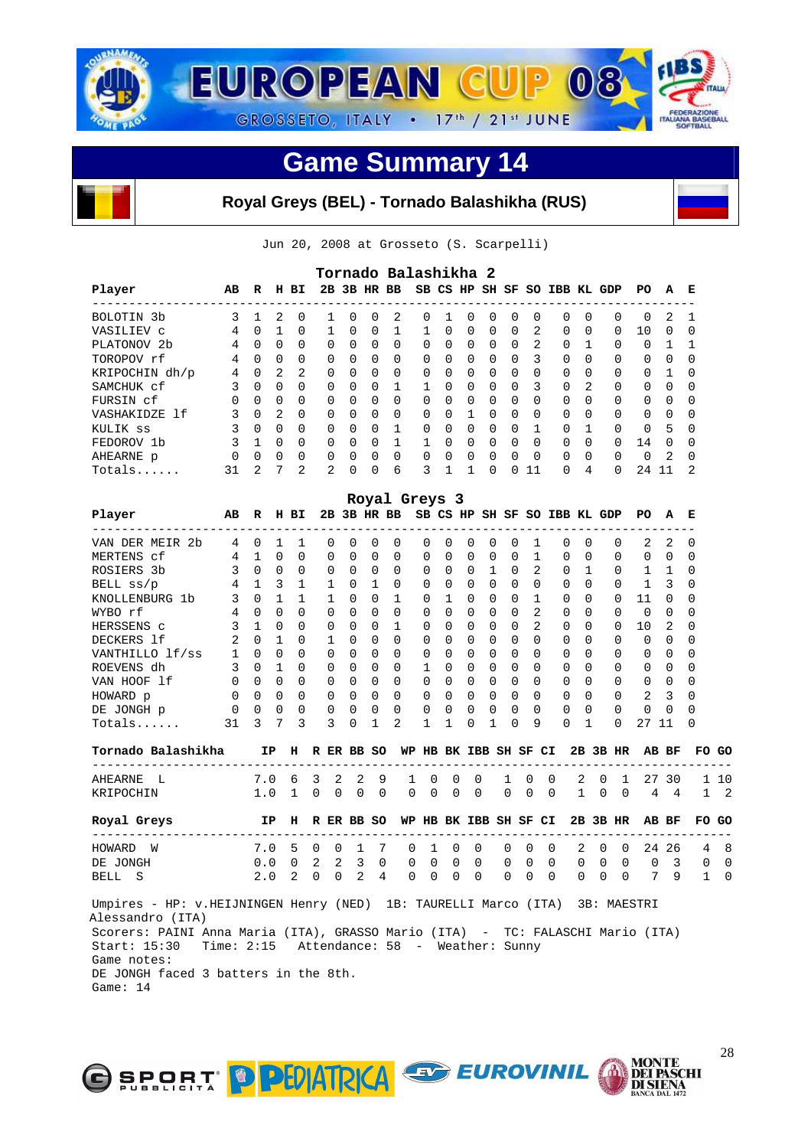

#### **Royal Greys (BEL) - Tornado Balashikha (RUS)**

Jun 20, 2008 at Grosseto (S. Scarpelli)

|                         |          |               |               |                |                |              |              | Tornado Balashikha 2 |          |              |          |          |              |              |                     |                |          |          |          |              |
|-------------------------|----------|---------------|---------------|----------------|----------------|--------------|--------------|----------------------|----------|--------------|----------|----------|--------------|--------------|---------------------|----------------|----------|----------|----------|--------------|
| Player                  | AB       | R             | н             | вI             |                |              |              | 2B 3B HR BB          |          | SB CS HP     |          |          |              |              | SH SF SO IBB KL GDP |                |          | PO.      | A        | Е            |
| BOLOTIN <sub>3b</sub>   |          |               | 2             | $\Omega$       |                | $\cap$       | <sup>0</sup> | 2                    | $\Omega$ |              | $\Omega$ | $\Omega$ | $\Omega$     | $\Omega$     | $\Omega$            | $\Omega$       | $\Omega$ | $\Omega$ | 2        |              |
| VASILIEV C              | 4        | $\Omega$      |               | $\Omega$       |                | $\cap$       | $\Omega$     |                      |          | $\Omega$     | $\Omega$ | $\Omega$ | $\Omega$     | 2            | $\Omega$            | $\Omega$       | $\Omega$ | 10       | $\Omega$ | ∩            |
| PLATONOV <sub>2</sub> b | 4        | $\Omega$      | $\Omega$      | $\Omega$       | $\Omega$       | $\Omega$     | $\Omega$     | $\Omega$             | $\Omega$ | $\Omega$     | $\Omega$ | $\Omega$ | $\Omega$     | 2            | $\Omega$            |                | $\Omega$ | $\Omega$ |          |              |
| TOROPOV rf              | 4        | $\Omega$      | $\Omega$      | $\Omega$       | $\Omega$       | $\Omega$     | $\Omega$     | $\Omega$             | $\Omega$ | $\Omega$     | $\Omega$ | $\Omega$ | $\Omega$     | 3            | $\Omega$            | <sup>0</sup>   | $\Omega$ | 0        | $\Omega$ | <sup>0</sup> |
| KRIPOCHIN dh/p          | 4        | 0             | 2             | 2              | $\Omega$       | $\Omega$     | $\Omega$     | $\Omega$             | $\Omega$ | $\Omega$     | $\Omega$ | $\Omega$ | $\Omega$     | 0            | $\Omega$            | <sup>0</sup>   | $\Omega$ | 0        |          | <sup>0</sup> |
| SAMCHUK cf              | 3.       | $\Omega$      | $\Omega$      | $\Omega$       | $\Omega$       | $\cap$       | $\Omega$     |                      |          | <sup>n</sup> | $\Omega$ | $\Omega$ | $\Omega$     | 3            | $\Omega$            | $\mathfrak{D}$ | $\Omega$ | 0        | $\cap$   | $\Omega$     |
| FURSIN cf               | $\Omega$ | $\Omega$      | $\Omega$      | $\Omega$       | $\Omega$       | $\Omega$     | $\Omega$     | $\Omega$             | $\Omega$ | $\Omega$     | $\Omega$ | $\Omega$ | $\Omega$     | <sup>0</sup> | $\Omega$            | <sup>0</sup>   | $\Omega$ | $\Omega$ | $\Omega$ | $\Omega$     |
| VASHAKIDZE 1f           | 3        | $\Omega$      | $\mathcal{D}$ | $\Omega$       | $\Omega$       | $\cap$       | $\Omega$     | $\Omega$             | $\Omega$ | <sup>n</sup> |          | $\Omega$ | $\Omega$     | $\cap$       | $\Omega$            | U              | $\Omega$ | 0        | $\cap$   | $\Omega$     |
| KULIK ss                |          | $\Omega$      | 0             | $\Omega$       | $\Omega$       | $\Omega$     | $\Omega$     |                      | $\Omega$ | <sup>0</sup> | $\Omega$ | $\Omega$ | $\Omega$     |              | $\Omega$            |                | $\Omega$ | 0        | 5        | $\Omega$     |
| FEDOROV 1b              | 3.       |               | $\Omega$      | $\Omega$       | $\Omega$       | <sup>n</sup> | $\Omega$     |                      |          | <sup>n</sup> | $\Omega$ | $\Omega$ | $\Omega$     | $\cap$       | $\Omega$            | $\Omega$       | $\Omega$ | 14       | $\cap$   | $\Omega$     |
| AHEARNE p               | $\Omega$ | $\Omega$      | $\Omega$      | $\Omega$       | $\Omega$       | $\cap$       | $\Omega$     | $\Omega$             | $\Omega$ | $\cap$       | $\Omega$ | $\Omega$ | $\Omega$     | $\Omega$     | $\Omega$            | $\Omega$       | $\Omega$ | $\Omega$ | 2        | $\Omega$     |
| $Totals$                | 31       | $\mathcal{L}$ | 7             | $\mathfrak{D}$ | $\mathfrak{D}$ | $\cap$       | $\Omega$     | 6                    | ζ        |              |          | $\Omega$ | <sup>n</sup> | 11           | $\Omega$            | 4              | $\Omega$ | 24       | 11       | 2            |

|                                                                                |                                            |                     |                  |              |             |                |             |                | Royal Greys 3                      |              |              |                   |                |                          |                |                |                       |                                          |             |                |                                    |                         |                |            |
|--------------------------------------------------------------------------------|--------------------------------------------|---------------------|------------------|--------------|-------------|----------------|-------------|----------------|------------------------------------|--------------|--------------|-------------------|----------------|--------------------------|----------------|----------------|-----------------------|------------------------------------------|-------------|----------------|------------------------------------|-------------------------|----------------|------------|
| Player                                                                         | AВ                                         |                     |                  | R H BI       |             |                |             |                |                                    |              |              |                   |                |                          |                |                |                       | 2B 3B HR BB SB CS HP SH SF SO IBB KL GDP |             |                | PO –                               | A                       | E              |            |
| VAN DER MEIR 2b                                                                | 4                                          |                     | $0\quad1$        | $\mathbf{1}$ |             | $\Omega$       | $\Omega$    | $\Omega$       | $\Omega$                           |              | $\Omega$     | $\Omega$          | $\Omega$       | $\Omega$                 | $\Omega$       | 1              |                       | $\Omega$                                 | $\Omega$    | $\Omega$       | $\mathbf{2}$                       | 2                       | 0              |            |
| MERTENS cf                                                                     |                                            | 4 1                 | $\overline{0}$   | $\Omega$     |             | $\Omega$       | $\Omega$    | $\Omega$       | $\Omega$                           |              | $\Omega$     | $\Omega$          | $\Omega$       | 0                        | $\Omega$       | 1              |                       | $\Omega$                                 | $\Omega$    | $\Omega$       | $\Omega$                           | $\overline{0}$          | 0              |            |
| ROSIERS 3b                                                                     |                                            | $3 \quad 0 \quad 0$ |                  | $\Omega$     |             | $\Omega$       | $\Omega$    | $\Omega$       | $\Omega$                           |              | $\Omega$     | $\Omega$          |                | $0\quad1$                |                | $0\quad 2$     |                       | $0\quad1$                                |             | $\Omega$       | $1\quad1$                          |                         | 0              |            |
| BELL ss/p                                                                      |                                            | $4 \quad 1 \quad 3$ |                  | 1            |             | 1              | $\Omega$    | 1              | $\Omega$                           |              | $\Omega$     | $\Omega$          |                | $0 \quad 0$              |                | $0 \quad 0$    |                       | $\Omega$                                 | $\Omega$    | $\Omega$       | 1                                  | $\overline{\mathbf{3}}$ | 0              |            |
| KNOLLENBURG 1b                                                                 | 3                                          | $0\quad1$           |                  | $\mathbf{1}$ |             | 1              | $\Omega$    | $\Omega$       | $\mathbf{1}$                       |              | $\Omega$     | 1                 |                | $0 \quad 0$              |                | $0\quad1$      |                       | $\Omega$                                 | $\Omega$    | $\Omega$       | 11                                 | $\bigcirc$              | 0              |            |
| WYBO rf                                                                        |                                            | $4 \quad 0 \quad 0$ |                  | $\cap$       |             | $\Omega$       | $\Omega$    | $\Omega$       | $\Omega$                           |              | $\Omega$     | $\Omega$          | $\Omega$       | $\overline{0}$           | $\Omega$       | $\overline{a}$ |                       | $\Omega$                                 | $\Omega$    | $\Omega$       | $\Omega$                           | $\Omega$                | 0              |            |
| HERSSENS c                                                                     | 3                                          | $\overline{1}$      | $\bigcap$        | $\Omega$     |             | $\Omega$       | $\Omega$    | $\Omega$       | $\mathbf{1}$                       |              | $\Omega$     | $\Omega$          | $\Omega$       | $\overline{0}$           | $\Omega$       | $\mathfrak{D}$ |                       | $\Omega$                                 | $\Omega$    | $\Omega$       | 10                                 | 2                       | $\Omega$       |            |
| DECKERS 1f                                                                     | 2                                          |                     | $0\quad1$        | $\Omega$     |             | $\mathbf{1}$   | $\Omega$    | $\Omega$       | $\Omega$                           |              | $\Omega$     | $\Omega$          | 0              | $\overline{0}$           | $\Omega$       | $\Omega$       |                       | $\Omega$                                 | $\Omega$    | $\Omega$       | $\Omega$                           | $\overline{0}$          | 0              |            |
| VANTHILLO 1 f/ss<br>ROEVENS dh 3 0 1<br>VAN HOOF 1 f 0 0 0<br>HOWARD r         |                                            |                     |                  | $\Omega$     |             | $\Omega$       | $\Omega$    | $\Omega$       | $\Omega$                           |              | $\Omega$     | $\Omega$          | $\Omega$       | $\bigcirc$               | $\Omega$       | $\Omega$       |                       | $\Omega$                                 | $\Omega$    | $\Omega$       | 0                                  | $\overline{0}$          | $\Omega$       |            |
|                                                                                |                                            |                     |                  | $\Omega$     |             | $\Omega$       | $\Omega$    | $\Omega$       | $\Omega$                           |              | $\mathbf{1}$ | $\Omega$          | $\Omega$       | $\overline{0}$           | $\Omega$       | $\Omega$       |                       | $\Omega$                                 | $\Omega$    | $\Omega$       | $\Omega$                           | $\overline{0}$          | $\Omega$       |            |
|                                                                                |                                            |                     |                  | $\Omega$     |             | $\Omega$       | $\Omega$    | $\Omega$       | $\Omega$                           |              | $\Omega$     | $\Omega$          |                | $0 \quad 0$              | $\Omega$       | $\Omega$       |                       | $\Omega$                                 | $\Omega$    | $\Omega$       | $0 \quad 0$                        |                         | $\Omega$       |            |
| HOWARD p                                                                       | $\begin{matrix} 0 & 0 & 0 \end{matrix}$    |                     |                  | $\Omega$     |             | $\overline{0}$ | $\Omega$    | $\Omega$       | $\Omega$                           |              |              |                   |                | $0\quad 0\quad 0\quad 0$ | $\Omega$       | $\overline{0}$ |                       | $0 \quad 0$                              |             | $\Omega$       | 2                                  | $\overline{\mathbf{3}}$ | $\Omega$       |            |
| DE JONGH p                                                                     |                                            | $0\quad 0\quad 0$   |                  | $\Omega$     |             | $\overline{0}$ | $\mathbf 0$ | $\overline{0}$ | $\Omega$                           |              | $\mathbf 0$  | $\mathbf 0$       |                | $0\quad 0$               | $\mathbf 0$    | $\bigcirc$     |                       | $\Omega$                                 | $\Omega$    | $\Omega$       | $\mathbf 0$                        | $\Omega$                | $\Omega$       |            |
| $Totals$                                                                       | 31                                         |                     | $3 \overline{7}$ | 3            |             | $\overline{3}$ | $\Omega$    | 1              | 2                                  |              | 1            | 1                 | 0              | 1                        | $\Omega$       | 9              |                       | 0                                        | 1           | $\Omega$       | 27 11                              |                         | 0              |            |
| Tornado Balashikha                                                             |                                            |                     | IP.              |              |             |                |             |                | H R ER BB SO WP HB BK IBB SH SF CI |              |              |                   |                |                          |                |                |                       |                                          |             | $2B$ $3B$ $HR$ | ---------------------------------- | AB BF                   |                | FO GO      |
| AHEARNE L                                                                      |                                            | 7.0                 |                  | 6 3          |             | 2              | 2           | 9              |                                    | 1            | 0            | 0                 | 0              |                          | 1              | 0              | 0                     | 2                                        | 0           | $\mathbf{1}$   | 27 30                              |                         |                | 1 10       |
| KRIPOCHIN                                                                      |                                            | 1.0                 |                  |              | $1 \quad 0$ | $\Omega$       |             | $0 \Omega$     |                                    | $\Omega$     | $\Omega$     | $\Omega$          | $\Omega$       |                          | $\Omega$       | $\Omega$       | $\Omega$              |                                          | $1 \quad 0$ | $\bigcap$      | $\overline{4}$                     | $\overline{4}$          |                | $1\quad 2$ |
| Royal Greys                                                                    | <b>EXERCISE IP H R ER BB SO</b>            |                     |                  |              |             |                |             |                |                                    |              |              |                   |                |                          |                |                | WP HB BK IBB SH SF CI |                                          |             | 2B 3B HR       |                                    | AB BF                   |                | FO GO      |
| --------------------------<br>HOWARD W                                         |                                            |                     | 7.0              |              | 5 0         | $\overline{0}$ | 1           | $\overline{7}$ |                                    | $\mathbf{0}$ | 1            | $\overline{0}$    | $\overline{0}$ |                          | $\overline{0}$ | 0              | 0                     | 2                                        |             | $0\quad 0$     |                                    | 24 26                   |                | 48         |
| DE JONGH                                                                       |                                            |                     | 0.0              |              |             |                |             |                | $0$ 2 2 3 0                        |              |              | $0\quad 0\quad 0$ |                | $\Omega$                 | $\overline{0}$ | $\mathbf 0$    | $\Omega$              | $0\quad 0\quad 0$                        |             |                | $\overline{0}$                     | $\overline{\mathbf{3}}$ | $\overline{0}$ | 0          |
| BELL S                                                                         |                                            | 2.0                 |                  |              | $2 \quad 0$ |                |             |                | $0 \t2 \t4$                        | $0 \Omega$   |              | $\overline{0}$    | $\Omega$       |                          | $\Omega$       | $\Omega$       | $\Omega$              | $\begin{matrix} 0 & 0 & 0 \end{matrix}$  |             |                |                                    |                         | 7 9 1          | $\Omega$   |
| Umpires - HP: v.HEIJNINGEN Henry (NED) 1B: TAURELLI Marco (ITA) 3B: MAESTRI    |                                            |                     |                  |              |             |                |             |                |                                    |              |              |                   |                |                          |                |                |                       |                                          |             |                |                                    |                         |                |            |
| Alessandro (ITA)                                                               |                                            |                     |                  |              |             |                |             |                |                                    |              |              |                   |                |                          |                |                |                       |                                          |             |                |                                    |                         |                |            |
| Scorers: PAINI Anna Maria (ITA), GRASSO Mario (ITA) - TC: FALASCHI Mario (ITA) |                                            |                     |                  |              |             |                |             |                |                                    |              |              |                   |                |                          |                |                |                       |                                          |             |                |                                    |                         |                |            |
| Start: 15:30                                                                   | Time: 2:15 Attendance: 58 - Weather: Sunny |                     |                  |              |             |                |             |                |                                    |              |              |                   |                |                          |                |                |                       |                                          |             |                |                                    |                         |                |            |
| Game notes:                                                                    |                                            |                     |                  |              |             |                |             |                |                                    |              |              |                   |                |                          |                |                |                       |                                          |             |                |                                    |                         |                |            |
| DE JONGH faced 3 batters in the 8th.                                           |                                            |                     |                  |              |             |                |             |                |                                    |              |              |                   |                |                          |                |                |                       |                                          |             |                |                                    |                         |                |            |
| Game: 14                                                                       |                                            |                     |                  |              |             |                |             |                |                                    |              |              |                   |                |                          |                |                |                       |                                          |             |                |                                    |                         |                |            |
|                                                                                |                                            |                     |                  |              |             |                |             |                |                                    |              |              |                   |                |                          |                |                |                       |                                          |             |                |                                    |                         |                |            |



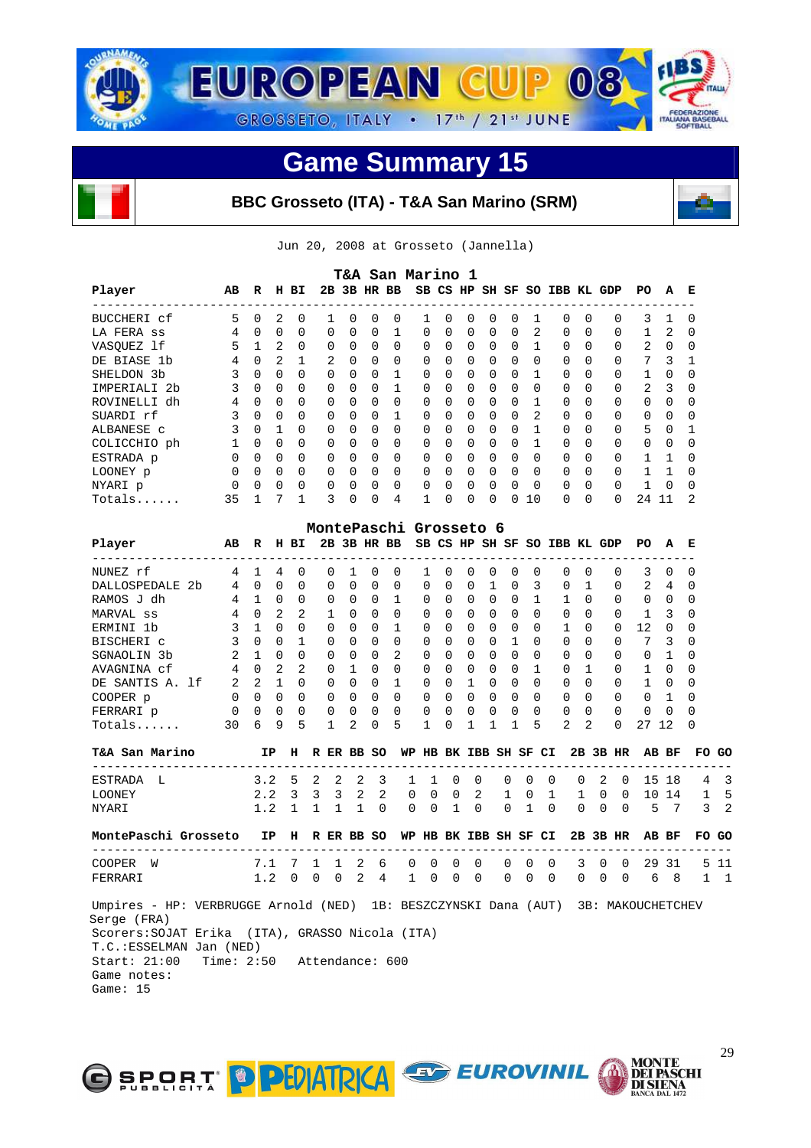

#### **BBC Grosseto (ITA) - T&A San Marino (SRM)**



Jun 20, 2008 at Grosseto (Jannella)

|                                                                                                                                                                                                                              |                            |              |          |              |              |              |          | T&A San Marino 1       |                              |   |          |              |          |              |   |                              |              |          |                     |                |       |     |
|------------------------------------------------------------------------------------------------------------------------------------------------------------------------------------------------------------------------------|----------------------------|--------------|----------|--------------|--------------|--------------|----------|------------------------|------------------------------|---|----------|--------------|----------|--------------|---|------------------------------|--------------|----------|---------------------|----------------|-------|-----|
| Player<br>-------------------------                                                                                                                                                                                          | AВ                         | R            |          | H BI         |              |              |          | 2B 3B HR BB            | SB CS HP SH SF SO IBB KL GDP |   |          |              |          |              |   |                              |              |          | PО<br>-----         | А              | Е     |     |
| BUCCHERI cf                                                                                                                                                                                                                  | 5                          | 0            | 2        | 0            | 1            | 0            | 0        | 0                      | 1                            | 0 | 0        | 0            | 0        | 1            |   | 0                            | $\Omega$     | 0        | 3                   | 1              | 0     |     |
| LA FERA SS                                                                                                                                                                                                                   | 4                          | $\Omega$     | $\Omega$ | $\Omega$     | 0            | 0            | $\Omega$ | $\mathbf{1}$           | 0                            | 0 | 0        | $\Omega$     | $\Omega$ | 2            |   | $\Omega$                     | $\Omega$     | 0        | $\mathbf{1}$        | 2              | 0     |     |
| VASOUEZ lf                                                                                                                                                                                                                   | 5                          | 1            | 2        | 0            | 0            | 0            | 0        | $\Omega$               | 0                            | 0 | 0        | 0            | 0        | 1            |   | 0                            | 0            | 0        | 2                   | 0              | 0     |     |
| DE BIASE 1b                                                                                                                                                                                                                  | 4                          | $\Omega$     | 2        | $\mathbf{1}$ | 2            | 0            | 0        | 0                      | 0                            | 0 | 0        | 0            | $\Omega$ | $\Omega$     |   | 0                            | $\Omega$     | 0        | 7                   | 3              | 1     |     |
| SHELDON 3b                                                                                                                                                                                                                   | 3                          | $\Omega$     | 0        | $\Omega$     | 0            | $\Omega$     | 0        | 1                      | 0                            | 0 | 0        | 0            | 0        | 1            |   | 0                            | $\Omega$     | 0        | 1                   | 0              | 0     |     |
| IMPERIALI 2b                                                                                                                                                                                                                 | 3                          | 0            | 0        | $\Omega$     | $\Omega$     | 0            | 0        | 1                      | 0                            | 0 | $\Omega$ | 0            | $\Omega$ | 0            |   | 0                            | $\Omega$     | 0        | 2                   | 3              | 0     |     |
| ROVINELLI dh                                                                                                                                                                                                                 | 4                          | $\Omega$     | $\Omega$ | $\Omega$     | $\Omega$     | 0            | 0        | 0                      | 0                            | 0 | 0        | $\Omega$     | $\Omega$ | 1            |   | 0                            | $\Omega$     | 0        | 0                   | 0              | 0     |     |
| SUARDI rf                                                                                                                                                                                                                    | 3                          | 0            | 0        | $\Omega$     | 0            | 0            | 0        | 1                      | 0                            | 0 | 0        | 0            | 0        | 2            |   | 0                            | $\Omega$     | 0        | 0                   | 0              | 0     |     |
| ALBANESE C                                                                                                                                                                                                                   | 3                          | $\Omega$     | 1        | $\Omega$     | 0            | 0            | 0        | $\Omega$               | 0                            | 0 | $\Omega$ | 0            | $\Omega$ | $\mathbf{1}$ |   | $\Omega$                     | $\Omega$     | $\Omega$ | 5                   | 0              | 1     |     |
| COLICCHIO ph                                                                                                                                                                                                                 | 1                          | 0            | 0        | 0            | 0            | 0            | 0        | 0                      | 0                            | 0 | 0        | 0            | 0        | 1            |   | 0                            | 0            | 0        | 0                   | 0              | 0     |     |
| ESTRADA p                                                                                                                                                                                                                    | 0                          | 0            | 0        | $\Omega$     | 0            | 0            | 0        | $\Omega$               | 0                            | 0 | 0        | 0            | 0        | $\Omega$     |   | 0                            | $\Omega$     | 0        | 1                   | 1              | 0     |     |
|                                                                                                                                                                                                                              | $\Omega$                   | $\Omega$     | $\Omega$ | $\Omega$     | 0            | $\Omega$     | 0        | $\Omega$               | 0                            | 0 | 0        | $\Omega$     | $\Omega$ | 0            |   | 0                            | $\Omega$     | 0        | 1                   | 1              | 0     |     |
| LOONEY p                                                                                                                                                                                                                     |                            |              |          |              |              |              |          |                        |                              |   |          |              |          |              |   |                              |              |          |                     |                |       |     |
| NYARI p                                                                                                                                                                                                                      | 0                          | 0            | 0        | 0            | 0            | 0            | 0        | 0                      | 0                            | 0 | 0        | 0            | 0        | 0            |   | 0                            | 0            | $\Omega$ | 1                   | 0              | 0     |     |
| Totals                                                                                                                                                                                                                       | 35                         | $\mathbf 1$  | 7        | 1            | 3            | 0            | 0        | 4                      | 1                            | 0 | 0        | 0            | 0        | 10           |   | $\Omega$                     | 0            | $\Omega$ | 24 11               |                | 2     |     |
|                                                                                                                                                                                                                              |                            |              |          |              |              |              |          | MontePaschi Grosseto 6 |                              |   |          |              |          |              |   |                              |              |          |                     |                |       |     |
| Player<br>_________________                                                                                                                                                                                                  | AВ                         | R            |          | H BI         |              |              |          | 2B 3B HR BB            |                              |   |          |              |          |              |   | SB CS HP SH SF SO IBB KL GDP |              |          | PO.                 | А              | Е     |     |
| NUNEZ rf                                                                                                                                                                                                                     | 4                          | 1            | 4        | 0            | 0            | $\mathbf{1}$ | 0        | 0                      | 1                            | 0 | 0        | 0            | 0        | 0            |   | 0                            | $\Omega$     | 0        | 3                   | 0              | 0     |     |
| DALLOSPEDALE 2b                                                                                                                                                                                                              | 4                          | $\Omega$     | $\Omega$ | $\Omega$     | 0            | $\Omega$     | 0        | 0                      | 0                            | 0 | $\Omega$ | $\mathbf{1}$ | $\Omega$ | 3            |   | 0                            | $\mathbf{1}$ | 0        | 2                   | 4              | 0     |     |
| RAMOS J dh                                                                                                                                                                                                                   | 4                          | 1            | 0        | 0            | 0            | 0            | 0        | 1                      | 0                            | 0 | 0        | 0            | 0        | 1            |   | 1                            | $\Omega$     | $\Omega$ | 0                   | 0              | 0     |     |
| MARVAL ss                                                                                                                                                                                                                    | 4                          | 0            | 2        | 2            | 1            | $\Omega$     | 0        | $\Omega$               | 0                            | 0 | 0        | 0            | $\Omega$ | $\Omega$     |   | 0                            | $\Omega$     | 0        | 1                   | 3              | 0     |     |
| ERMINI 1b                                                                                                                                                                                                                    | 3                          | $\mathbf{1}$ | 0        | $\Omega$     | 0            | 0            | 0        | 1                      | 0                            | 0 | 0        | 0            | 0        | $\Omega$     |   | 1                            | $\Omega$     | $\Omega$ | 12                  | 0              | 0     |     |
| BISCHERI c                                                                                                                                                                                                                   | 3                          | $\Omega$     | 0        | $\mathbf{1}$ | 0            | 0            | 0        | $\Omega$               | 0                            | 0 | 0        | 0            | 1        | 0            |   | $\Omega$                     | $\Omega$     | $\Omega$ | 7                   | 3              | 0     |     |
| SGNAOLIN 3b                                                                                                                                                                                                                  | 2                          | $\mathbf{1}$ | $\Omega$ | $\Omega$     | $\Omega$     | 0            | 0        | 2                      | 0                            | 0 | 0        | $\Omega$     | $\Omega$ | 0            |   | $\Omega$                     | $\Omega$     | $\Omega$ | 0                   | 1              | 0     |     |
| AVAGNINA cf                                                                                                                                                                                                                  | 4                          | $\Omega$     | 2        | 2            | 0            | 1            | 0        | $\Omega$               | 0                            | 0 | 0        | 0            | 0        | 1            |   | 0                            | 1            | 0        | 1                   | 0              | 0     |     |
| DE SANTIS A. 1f                                                                                                                                                                                                              | 2                          | 2            | 1        | $\Omega$     | 0            | 0            | $\Omega$ | 1                      | 0                            | 0 | 1        | 0            | $\Omega$ | 0            |   | $\Omega$                     | $\Omega$     | 0        | 1                   | 0              | 0     |     |
| COOPER p                                                                                                                                                                                                                     | 0                          | 0            | 0        | 0            | 0            | 0            | 0        | $\Omega$               | 0                            | 0 | 0        | 0            | 0        | 0            |   | 0                            | 0            | $\Omega$ | 0                   | 1              | 0     |     |
|                                                                                                                                                                                                                              |                            | 0            | 0        | 0            | 0            | 0            | 0        | 0                      |                              | 0 |          | 0            | 0        | 0            |   | 0                            | 0            | 0        | 0                   | 0              | 0     |     |
| FERRARI p<br>Totals                                                                                                                                                                                                          | 0<br>30                    | 6            | 9        | 5            | 1            | 2            | 0        | 5                      | 0<br>1                       | 0 | 0<br>1   | 1            | 1        | 5            |   | 2                            | 2            | 0        | 27                  | 12             | 0     |     |
|                                                                                                                                                                                                                              |                            |              |          |              |              |              |          |                        |                              |   |          |              |          |              |   |                              |              |          |                     |                |       |     |
| T&A San Marino<br>---------------------------                                                                                                                                                                                |                            |              | ΙP       | н            | R ER BB SO   |              |          |                        | WP HB BK IBB SH SF CI        |   |          |              |          |              |   |                              |              | 2B 3B HR |                     | AB BF          | FO.   | GO  |
| ESTRADA<br>L                                                                                                                                                                                                                 |                            | 3.2          |          | 5            | 2            | 2            | 2        | 3                      | 1<br>1                       | 0 | 0        |              | 0        | 0            | 0 | 0                            | 2            | 0        |                     | 15 18          | 4     |     |
| LOONEY                                                                                                                                                                                                                       |                            | 2.2          |          | 3            | 3            | 3            | 2        | 2                      | 0<br>0                       | 0 |          | 2            | 1        | 0            | 1 | 1                            | 0            | 0        |                     | 10 14          | 1     |     |
| NYARI                                                                                                                                                                                                                        |                            | 1.2          |          | $\mathbf{1}$ | 1            | 1            | 1        | 0                      | 0<br>0                       | 1 | 0        |              | 0        | 1            | 0 | 0                            | 0            | 0        | 5                   | $\overline{7}$ | 3     |     |
| MontePaschi Grosseto                                                                                                                                                                                                         |                            |              | IP       | н            | R ER BB SO   |              |          |                        | WP HB BK IBB SH SF CI        |   |          |              |          |              |   |                              |              | 2B 3B HR |                     | AB BF          | FO GO |     |
| COOPER<br>W                                                                                                                                                                                                                  |                            | 7.1          |          | 7            | $\mathbf{1}$ | 1            | 2        | 6                      | 0<br>0                       |   | 0<br>0   |              | 0        | 0            | 0 | 3                            | 0            | 0        |                     | 29 31          |       | 511 |
| FERRARI                                                                                                                                                                                                                      |                            |              |          |              |              |              |          | 1.2 0 0 0 2 4 1 0 0 0  |                              |   |          |              |          |              |   |                              |              |          | 0 0 0 0 0 0 6 8 1 1 |                |       |     |
| Umpires - HP: VERBRUGGE Arnold (NED) 1B: BESZCZYNSKI Dana (AUT) 3B: MAKOUCHETCHEV<br>Serge (FRA)<br>Scorers: SOJAT Erika (ITA), GRASSO Nicola (ITA)<br>T.C.: ESSELMAN Jan (NED)<br>Start: 21:00<br>Game notes:<br>Game: $15$ | Time: 2:50 Attendance: 600 |              |          |              |              |              |          |                        |                              |   |          |              |          |              |   |                              |              |          |                     |                |       |     |



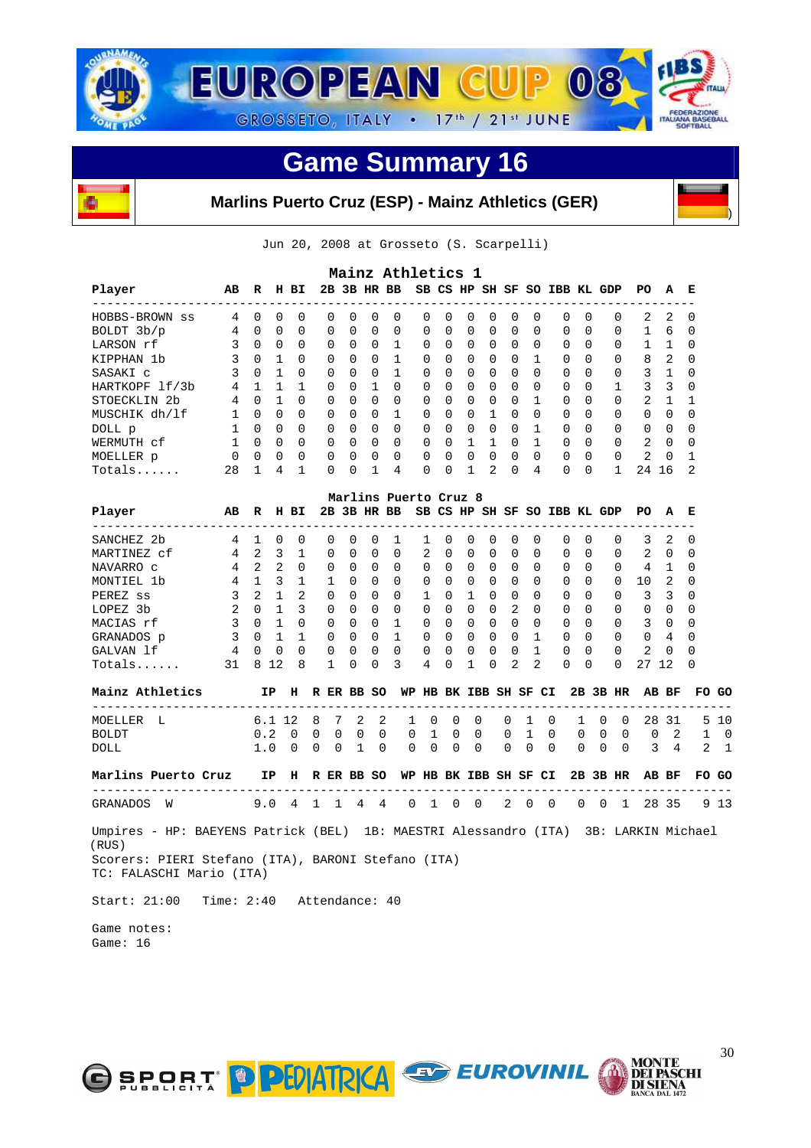



**Marlins Puerto Cruz (ESP) - Mainz Athletics (GER)**



|                         | Mainz Athletics 1<br>2B 3B HR BB<br>SB CS HP SH SF SO IBB KL GDP<br>R<br>н<br>E |              |          |          |          |          |              |              |          |          |              |                |          |          |          |          |          |                |          |              |
|-------------------------|---------------------------------------------------------------------------------|--------------|----------|----------|----------|----------|--------------|--------------|----------|----------|--------------|----------------|----------|----------|----------|----------|----------|----------------|----------|--------------|
| Player                  | AВ<br>-------------------                                                       |              |          | вI       |          |          |              |              |          |          |              |                |          |          |          |          |          | PO.            | A        |              |
| HOBBS-BROWN ss          | 4                                                                               | 0            | 0        | $\Omega$ | 0        | $\Omega$ | <sup>0</sup> | 0            | 0        | $\Omega$ | $\Omega$     | $\Omega$       | 0        | $\Omega$ | 0        | 0        | $\Omega$ | 2              | 2        | $\Omega$     |
| BOLDT 3b/p              | 4                                                                               | <sup>0</sup> | $\Omega$ | $\Omega$ | $\Omega$ | $\Omega$ | $\Omega$     | $\Omega$     | $\Omega$ | $\Omega$ | $\Omega$     | $\Omega$       | 0        | $\Omega$ | $\Omega$ | 0        | $\Omega$ | 1.             | 6        | $\Omega$     |
| LARSON rf               |                                                                                 | $\Omega$     | $\Omega$ | $\Omega$ | $\Omega$ | $\Omega$ | $\Omega$     |              | $\Omega$ | $\Omega$ | $\Omega$     | $\Omega$       | $\Omega$ | $\Omega$ | $\Omega$ | $\Omega$ | $\Omega$ |                |          |              |
| KIPPHAN<br>1b           | 3                                                                               | $\Omega$     |          | $\Omega$ | $\Omega$ | $\Omega$ | $\Omega$     |              | $\Omega$ | $\Omega$ | $\Omega$     | $\Omega$       | 0        |          | $\Omega$ | $\Omega$ | $\Omega$ | 8              | 2        | $\Omega$     |
| SASAKI C                | 3                                                                               | $\Omega$     |          | $\Omega$ | $\Omega$ | $\cap$   | $\Omega$     |              | $\Omega$ | $\Omega$ | $\Omega$     | $\Omega$       | 0        | $\cap$   | $\Omega$ | $\Omega$ | $\Omega$ | 3              |          |              |
| HARTKOPF 1f/3b          | 4                                                                               |              |          |          | $\Omega$ | $\Omega$ |              | 0            | $\Omega$ | $\Omega$ | $\Omega$     | $\Omega$       | 0        | $\Omega$ | 0        | $\Omega$ |          | ζ              | 3        | $\Omega$     |
| STOECKLIN <sub>2b</sub> | 4                                                                               | $\cap$       |          | $\Omega$ | $\Omega$ | $\Omega$ | $\Omega$     | $\Omega$     | 0        | $\Omega$ | $\Omega$     | $\Omega$       | 0        |          | $\Omega$ | $\Omega$ | $\Omega$ | $\overline{a}$ |          |              |
| MUSCHIK dh/lf           |                                                                                 | $\Omega$     | 0        | $\Omega$ | $\Omega$ | $\Omega$ | $\Omega$     |              | $\Omega$ | $\Omega$ | $\Omega$     |                | $\Omega$ | $\Omega$ | $\Omega$ | $\Omega$ | $\Omega$ | $\Omega$       | 0        | <sup>0</sup> |
| DOLL p                  |                                                                                 | U            | $\Omega$ | $\Omega$ | $\cap$   | $\cap$   | $\cap$       | <sup>0</sup> | $\Omega$ | $\Omega$ | <sup>n</sup> | $\Omega$       | $\Omega$ |          | $\Omega$ | $\cap$   | $\Omega$ | $\Omega$       | $\cap$   | ∩            |
| WERMUTH cf              |                                                                                 | U            | $\Omega$ | $\Omega$ | $\Omega$ | $\Omega$ | $\Omega$     | 0            | $\Omega$ | $\Omega$ |              |                | 0        |          | $\Omega$ | $\Omega$ | $\Omega$ | $\overline{2}$ | $\Omega$ |              |
| MOELLER p               | $\Omega$                                                                        | $\Omega$     | $\Omega$ | $\Omega$ | $\Omega$ | $\cap$   | $\Omega$     | <sup>0</sup> | $\Omega$ | $\Omega$ | <sup>n</sup> | $\Omega$       | $\Omega$ | $\Omega$ | $\Omega$ | $\Omega$ | $\Omega$ | $\mathcal{L}$  | $\Omega$ |              |
| $Totals$                | 28                                                                              |              | 4        |          | 0        | $\Omega$ |              | 4            | 0        | $\Omega$ |              | $\mathfrak{D}$ | 0        | 4        | 0        | 0        |          | 24             | 16       | 2            |

|             | Marlins Puerto Cruz 8<br>2B 3B HR BB |               |          |          |              |              |          |          |              |              |              |              |                  |          |                     |          |          |          |              |          |
|-------------|--------------------------------------|---------------|----------|----------|--------------|--------------|----------|----------|--------------|--------------|--------------|--------------|------------------|----------|---------------------|----------|----------|----------|--------------|----------|
| Player      | AВ                                   | R             | н        | BI.      |              |              |          |          |              | SB CS HP     |              |              |                  |          | SH SF SO IBB KL GDP |          |          | PO.      | A            | E        |
| SANCHEZ 2b  | 4                                    |               | $\Omega$ | $\Omega$ | 0            | 0            | $\Omega$ |          |              | $\Omega$     | $\Omega$     | $\Omega$     | $\left( \right)$ | ()       | $\Omega$            | $\Omega$ | 0        | 3        | 2            | $\Omega$ |
| MARTINEZ cf | 4                                    | 2.            | 3        |          | 0            | 0            | 0        | $\Omega$ | 2            | $\Omega$     | $\Omega$     | $\Omega$     | <sup>0</sup>     | $\Omega$ | 0                   | $\Omega$ | $\Omega$ | 2        | 0            | $\Omega$ |
| NAVARRO C   | 4                                    | 2             | 2        | $\Omega$ | 0            | 0            | $\Omega$ | $\Omega$ | 0            | $\Omega$     | $\Omega$     | $\Omega$     | <sup>0</sup>     | $\Omega$ | $\Omega$            | $\Omega$ | $\Omega$ | 4        |              | $\Omega$ |
| MONTIEL 1b  | 4                                    |               | 3        |          |              | 0            | $\Omega$ | $\Omega$ | 0            | $\Omega$     | $\Omega$     | $\Omega$     | U                | $\Omega$ | $\Omega$            | $\Omega$ | $\Omega$ | 10       | 2            | $\Omega$ |
| PEREZ ss    | 3                                    | $\mathcal{L}$ |          | 2        | <sup>n</sup> | 0            | $\Omega$ | $\Omega$ |              | $\Omega$     |              | <sup>0</sup> | U                | $\Omega$ | $\cap$              | $\Omega$ | $\Omega$ | 3        | 3            | $\Omega$ |
| LOPEZ 3b    | 2                                    | <sup>n</sup>  |          | 3        | <sup>n</sup> | 0            | $\Omega$ | $\Omega$ | 0            | $\Omega$     | $\Omega$     | $\Omega$     | 2                | $\cap$   | $\Omega$            | $\cap$   | $\Omega$ | 0        | <sup>0</sup> | $\Omega$ |
| MACIAS rf   | 3                                    | <sup>n</sup>  |          | $\cap$   | <sup>n</sup> | 0            | $\cap$   |          | U            | $\Omega$     | $\Omega$     | $\Omega$     | ∩                | $\cap$   | $\Omega$            | $\cap$   | $\Omega$ | 3        | <sup>n</sup> | $\Omega$ |
| GRANADOS p  | 3                                    | <sup>n</sup>  |          |          | <sup>n</sup> | 0            | $\cap$   |          | U            | $\Omega$     | $\Omega$     | $\Omega$     | <sup>n</sup>     |          | $\Omega$            | $\cap$   | $\Omega$ | $\Omega$ | 4            | $\Omega$ |
| GALVAN 1f   | 4                                    | U             | $\Omega$ | $\Omega$ | <sup>n</sup> | 0            | $\cap$   | $\Omega$ | <sup>n</sup> | $\Omega$     | <sup>n</sup> | $\Omega$     | U                |          | $\Omega$            | $\cap$   | $\Omega$ | 2        | <sup>n</sup> | $\Omega$ |
| Totals      | 31                                   | 8             | 12       | 8        |              | <sup>n</sup> | 0        | 3        | 4            | <sup>0</sup> |              | $\Omega$     | 2                | 2        | $\Omega$            | $\Omega$ | $\Omega$ | 2.7      | 12           | $\Omega$ |

| Mainz Athletics                   |  |  |  |  | IP H R ER BB SO WP HB BK IBB SH SF CI 2B 3B HR AB BF FO GO                                                                                  |  |  |  |  |  |
|-----------------------------------|--|--|--|--|---------------------------------------------------------------------------------------------------------------------------------------------|--|--|--|--|--|
| MOELLER L<br><b>BOLDT</b><br>DOLL |  |  |  |  | 6.1 12 8 7 2 2 1 0 0 0 0 1 0 1 0 0 28 31 5 10<br>0.2 0 0 0 0 0 0 1 0 0 0 1 0 0 0 0 0 0 2 1 0<br>1.0 0 0 0 1 0 0 0 0 0 0 0 0 0 0 0 0 3 4 2 1 |  |  |  |  |  |

| Marlins Puerto Cruz |  | TP.                                     | H R ER |  | BB SO |  |  |  |  |  |  | WP HB BK IBB SH SF CI 2B 3B HR AB BF FO GO |     |
|---------------------|--|-----------------------------------------|--------|--|-------|--|--|--|--|--|--|--------------------------------------------|-----|
| GRANADOS W          |  | 9.0 4 1 1 4 4 0 1 0 0 2 0 0 0 0 1 28 35 |        |  |       |  |  |  |  |  |  |                                            | 913 |

 Umpires - HP: BAEYENS Patrick (BEL) 1B: MAESTRI Alessandro (ITA) 3B: LARKIN Michael (RUS) Scorers: PIERI Stefano (ITA), BARONI Stefano (ITA) TC: FALASCHI Mario (ITA)

Start: 21:00 Time: 2:40 Attendance: 40

 Game notes: Game: 16





)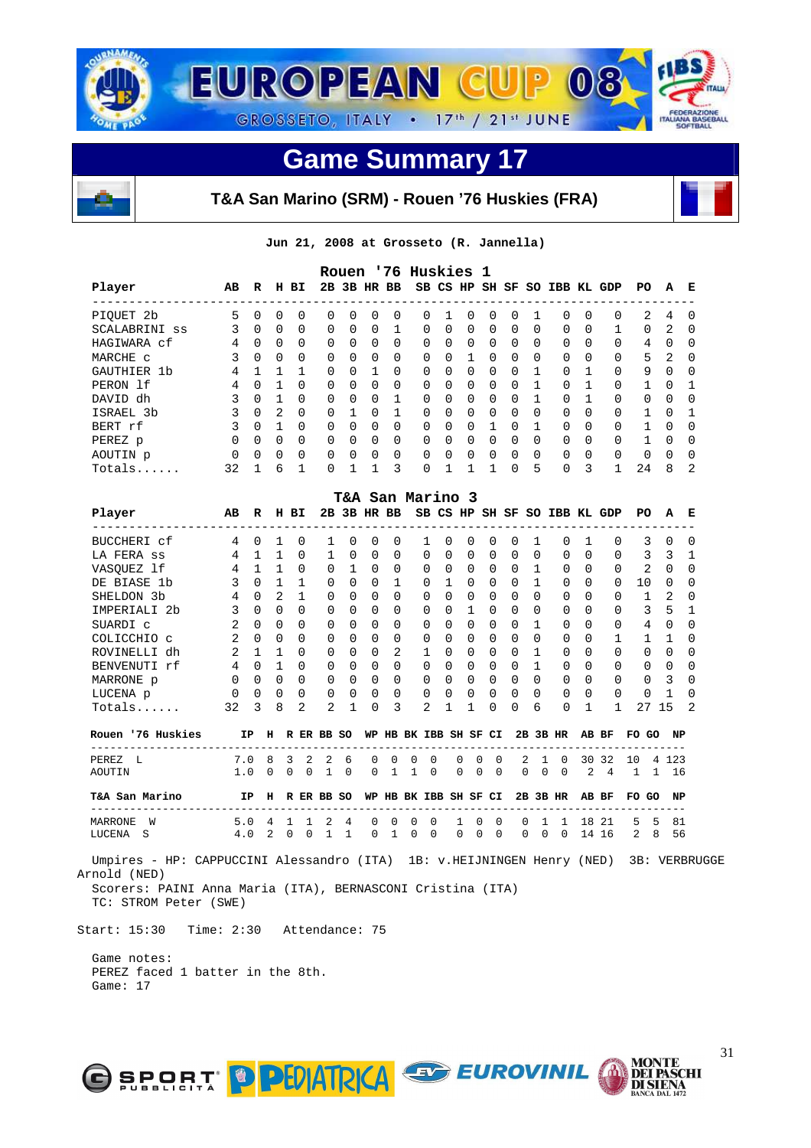



**T&A San Marino (SRM) - Rouen '76 Huskies (FRA)** 

**Jun 21, 2008 at Grosseto (R. Jannella)** 

|               |          |          |          |           |              |              |              |             | Rouen '76 Huskies 1 |              |          |          |          |              |                              |              |          |          |          |              |
|---------------|----------|----------|----------|-----------|--------------|--------------|--------------|-------------|---------------------|--------------|----------|----------|----------|--------------|------------------------------|--------------|----------|----------|----------|--------------|
| Player        | AB       | R        | н        | <b>BI</b> |              |              |              | 2B 3B HR BB |                     |              |          |          |          |              | SB CS HP SH SF SO IBB KL GDP |              |          | PO.      | A        | Е            |
| PIOUET 2b     | 5        | $\Omega$ | 0        | $\Omega$  | 0            | $\Omega$     | 0            | 0           | $\Omega$            |              | $\Omega$ | $\Omega$ | $\Omega$ |              | $\Omega$                     | 0            | $\Omega$ | 2        | 4        | $\Omega$     |
| SCALABRINI ss | 3        | $\Omega$ | $\Omega$ | $\Omega$  | $\Omega$     | $\Omega$     | $\Omega$     | 1           | $\Omega$            | <sup>0</sup> | $\Omega$ | $\Omega$ | $\Omega$ | $\Omega$     | $\Omega$                     | $\Omega$     |          | $\Omega$ | 2        | $\Omega$     |
| HAGIWARA cf   | 4        | $\Omega$ | $\Omega$ | $\Omega$  | $\Omega$     | $\Omega$     | $\Omega$     | $\Omega$    | $\Omega$            | $\Omega$     | $\Omega$ | $\Omega$ | $\Omega$ | <sup>0</sup> | $\Omega$                     | <sup>0</sup> | $\Omega$ | 4        | $\Omega$ | $\Omega$     |
| MARCHE C      |          | $\Omega$ | $\Omega$ | $\Omega$  | $\Omega$     | $\Omega$     | $\Omega$     | $\Omega$    | $\Omega$            | $\cap$       |          | $\Omega$ | $\Omega$ | $\Omega$     | $\Omega$                     | $\Omega$     | $\Omega$ | 5        | 2        | $\Omega$     |
| GAUTHIER 1b   | 4        |          |          |           | $\Omega$     | $\Omega$     |              | $\Omega$    | $\Omega$            | 0            | $\Omega$ | $\Omega$ | $\Omega$ |              | $\Omega$                     |              | $\Omega$ | 9        | $\Omega$ | $\Omega$     |
| PERON 1f      | 4        | 0        |          | $\Omega$  | $\Omega$     | $\cap$       | $\Omega$     | $\Omega$    | $\Omega$            | $\Omega$     | $\Omega$ | $\Omega$ | $\Omega$ |              | $\Omega$                     |              | $\Omega$ |          | $\cap$   |              |
| DAVID dh      | 3        | 0        |          | $\Omega$  | $\Omega$     | $\Omega$     | <sup>0</sup> |             | $\Omega$            | <sup>0</sup> | $\Omega$ | $\Omega$ | $\Omega$ |              | $\Omega$                     |              | $\Omega$ | 0        | $\Omega$ | <sup>0</sup> |
| ISRAEL 3b     | 3        | $\Omega$ | 2        | $\Omega$  | $\Omega$     |              | $\Omega$     |             | $\Omega$            | <sup>n</sup> | $\Omega$ | $\Omega$ | $\Omega$ | $\Omega$     | $\Omega$                     | <sup>0</sup> | $\Omega$ |          | $\cap$   |              |
| BERT rf       |          | 0        |          | $\Omega$  | $\Omega$     | $\Omega$     | $\Omega$     | $\Omega$    | $\Omega$            | $\Omega$     | $\Omega$ |          | $\Omega$ |              | $\Omega$                     | <sup>0</sup> | $\Omega$ |          | $\Omega$ | <sup>0</sup> |
| PEREZ p       | $\Omega$ | $\Omega$ | $\Omega$ | $\Omega$  | $\Omega$     | <sup>n</sup> | $\Omega$     | $\Omega$    | $\Omega$            | <sup>n</sup> | $\Omega$ | $\Omega$ | $\Omega$ | $\Omega$     | $\Omega$                     | <sup>0</sup> | $\Omega$ |          | $\cap$   | $\Omega$     |
| AOUTIN p      | $\Omega$ | $\Omega$ | 0        | $\Omega$  | $\Omega$     | $\Omega$     | $\Omega$     | $\Omega$    | $\Omega$            | <sup>0</sup> | $\Omega$ | $\Omega$ | $\Omega$ | 0            | $\Omega$                     | 0            | $\Omega$ | 0        | $\Omega$ | <sup>0</sup> |
| Totals        | 32       |          | б        |           | <sup>0</sup> |              |              | ζ           | 0                   |              |          |          | $\cap$   | 5            | $\Omega$                     | ζ            | 1        | 24       | 8        | 2            |

|                                                                                        |                |               |                   |                |               |                | <b>T&amp;A San Marino 3</b> |          |          |              |               |                       |              |          |          |               |                                          |                |                |              |                |               |                |
|----------------------------------------------------------------------------------------|----------------|---------------|-------------------|----------------|---------------|----------------|-----------------------------|----------|----------|--------------|---------------|-----------------------|--------------|----------|----------|---------------|------------------------------------------|----------------|----------------|--------------|----------------|---------------|----------------|
| Player                                                                                 | AB             |               | R H BI            |                |               |                |                             |          |          |              |               |                       |              |          |          |               | 2B 3B HR BB SB CS HP SH SF SO IBB KL GDP |                |                |              | PO.            | A             | Е              |
| BUCCHERI cf                                                                            | 4              | $\Omega$      | $\mathbf{1}$      |                | $\Omega$      | 1              | 0                           | $\Omega$ | 0        |              |               | $\Omega$              | $\Omega$     | $\Omega$ | 0        |               | 0                                        | 1              | $\Omega$       |              | 3              | $\Omega$      | $\Omega$       |
| LA FERA SS                                                                             | 4              |               | $\mathbf{1}$<br>1 |                | $\Omega$      | $\mathbf{1}$   | $\Omega$                    | $\Omega$ | $\Omega$ |              | 0             | $\Omega$              | $\Omega$     | $\Omega$ | $\Omega$ | 0             | $\Omega$                                 | $\Omega$       | $\Omega$       |              | 3              | 3             | 1              |
| VASQUEZ lf                                                                             | $\overline{4}$ |               | $\mathbf{1}$      | $\mathbf{1}$   | $\Omega$      | $\Omega$       | $\overline{1}$              | $\Omega$ | $\Omega$ |              | 0             | $\Omega$              | $\Omega$     | $\Omega$ | $\Omega$ | $\mathbf{1}$  | 0                                        | $\Omega$       | $\Omega$       |              | 2              | $\Omega$      | $\Omega$       |
| DE BIASE 1b                                                                            | 3              | $\Omega$      | $\mathbf{1}$      |                | $\mathbf{1}$  | $\mathbf 0$    | $\Omega$                    | 0        | 1        |              | $\Omega$      | $\mathbf{1}$          | $\Omega$     | $\Omega$ | $\Omega$ | $\mathbf{1}$  | $\Omega$                                 | $\Omega$       | $\Omega$       |              | 10             | 0             | 0              |
| SHELDON 3b                                                                             | $\overline{4}$ | $\Omega$      | 2                 |                | $\mathbf{1}$  | 0              | $\Omega$                    | $\Omega$ | $\Omega$ |              | 0             | $\Omega$              | $\Omega$     | $\Omega$ | 0        | 0             | 0                                        | $\Omega$       | $\Omega$       |              | $\mathbf{1}$   | 2             | $\Omega$       |
| IMPERIALI 2b                                                                           | 3              | $\Omega$      | $\Omega$          |                | $\cap$        | $\Omega$       | $\Omega$                    | $\Omega$ | $\Omega$ |              | 0             | $\Omega$              | $\mathbf{1}$ | $\Omega$ | $\Omega$ | $\Omega$      | $\Omega$                                 | $\Omega$       | $\Omega$       |              | 3              | 5             | $\mathbf{1}$   |
| SUARDI C                                                                               | 2              | $\Omega$      | $\Omega$          |                | $\Omega$      | $\Omega$       | 0                           | 0        | 0        |              | $\Omega$      | $\Omega$              | $\Omega$     | $\Omega$ | $\Omega$ | $\mathbf{1}$  | 0                                        | $\Omega$       | $\Omega$       |              | 4              | $\Omega$      | 0              |
| COLICCHIO c                                                                            | 2              | $\Omega$      | $\Omega$          |                | $\Omega$      | 0              | $\Omega$                    | 0        | 0        |              | $\Omega$      | $\Omega$              | $\Omega$     | $\Omega$ | 0        | 0             | 0                                        | $\Omega$       | 1              |              | $\mathbf{1}$   | 1             | $\Omega$       |
| ROVINELLI dh                                                                           | $\overline{2}$ |               | $\mathbf{1}$<br>1 |                | $\cap$        | 0              | $\Omega$                    | $\Omega$ | 2        |              | $\mathbf{1}$  | $\Omega$              | $\Omega$     | $\Omega$ | $\Omega$ | $\mathbf{1}$  | 0                                        | $\Omega$       | $\Omega$       |              | $\Omega$       | $\Omega$      | $\Omega$       |
| BENVENUTI rf                                                                           | $\overline{4}$ | $\Omega$      | $\mathbf{1}$      |                | $\Omega$      | $\Omega$       | $\Omega$                    | $\Omega$ | $\Omega$ |              | $\Omega$      | $\Omega$              | $\Omega$     | $\Omega$ | $\Omega$ | $\mathbf{1}$  | $\Omega$                                 | $\Omega$       | $\Omega$       |              | $\mathbf 0$    | $\Omega$      | 0              |
| MARRONE p                                                                              | $\Omega$       | $\Omega$      | $\Omega$          |                | $\Omega$      | $\Omega$       | $\Omega$                    | 0        | $\Omega$ |              | $\Omega$      | $\Omega$              | $\Omega$     | $\Omega$ | 0        | 0             | $\Omega$                                 | $\Omega$       | $\Omega$       |              | $\Omega$       | 3             | $\Omega$       |
| LUCENA p                                                                               | 0              | $\Omega$      | $\Omega$          |                | $\Omega$      | 0              | $\Omega$                    | 0        | $\Omega$ |              | 0             | $\Omega$              | $\Omega$     | $\Omega$ | 0        | $\Omega$      | $\Omega$                                 | $\Omega$       | $\Omega$       |              | $\Omega$       | Π.            | $\Omega$       |
| $Totals$                                                                               | 32             | $\mathcal{L}$ | 8                 |                | $\mathcal{L}$ | $\mathfrak{D}$ | 1                           | 0        | 3        |              | $\mathcal{L}$ | 1                     | 1            | 0        | 0        | 6             | $\Omega$                                 | 1              | 1              |              | 27             | 15            | $\mathfrak{D}$ |
| Rouen '76 Huskies                                                                      |                | <b>IP</b>     |                   |                |               | H R ER BB SO   |                             |          |          |              |               | WP HB BK IBB SH SF CI |              |          |          |               | 2B 3B HR                                 | AB BF          |                |              | FO GO          | NP            |                |
| PEREZ L                                                                                | 7.0            |               | 8                 | 3              | 2             | 2              | 6                           | 0        | $\Omega$ | $\Omega$     | $\Omega$      | <sup>0</sup>          | U            | $\Omega$ |          | 2<br>1        | $\Omega$                                 |                | 30 32          | 10           |                | 4 1 2 3       |                |
| AOUTIN                                                                                 | 1.0            |               | $\mathbf 0$       | $\mathbf 0$    | $\Omega$      | $\mathbf{1}$   | $\Omega$                    | $\Omega$ | 1        | $\mathbf{1}$ | $\Omega$      | $\Omega$              | $\Omega$     | $\Omega$ | $\Omega$ | $\Omega$      | $\Omega$                                 | $\overline{2}$ | $\overline{4}$ | $\mathbf{1}$ | $\overline{1}$ | 16            |                |
| T&A San Marino                                                                         |                | IP            |                   |                |               | H R ER BB SO   |                             |          |          |              |               | WP HB BK IBB SH SF CI |              |          |          |               | $2B$ $3B$ $HR$                           |                | AB BF          |              | FO GO          | NP            |                |
| <b>MARRONE</b><br>W                                                                    | 5.0            |               | 4                 | 1              | -1            |                | 4                           | 0        | $\Omega$ | 0            | $\Omega$      | 1                     | U            | $\Omega$ |          | $\Omega$<br>1 |                                          |                | 18 21          | 5            | 5              | 81            |                |
| LUCENA<br>- S                                                                          | 4.0            |               | 2                 | $\overline{0}$ | $\Omega$      | $\mathbf{1}$   | $\mathbf{1}$                | $\Omega$ | 1        | $\Omega$     | $\Omega$      | $\Omega$              | $\Omega$     | $\Omega$ | $\Omega$ | $\Omega$      | $\Omega$                                 |                | 14 16          |              | $2 \quad 8$    | 56            |                |
| Umpires - HP: CAPPUCCINI Alessandro (ITA) 1B: v.HEIJNINGEN Henry (NED)<br>Arnold (NED) |                |               |                   |                |               |                |                             |          |          |              |               |                       |              |          |          |               |                                          |                |                |              |                | 3B: VERBRUGGE |                |

 Scorers: PAINI Anna Maria (ITA), BERNASCONI Cristina (ITA) TC: STROM Peter (SWE)

Start: 15:30 Time: 2:30 Attendance: 75

O SPORT D PHATRICA

 Game notes: PEREZ faced 1 batter in the 8th. Game: 17



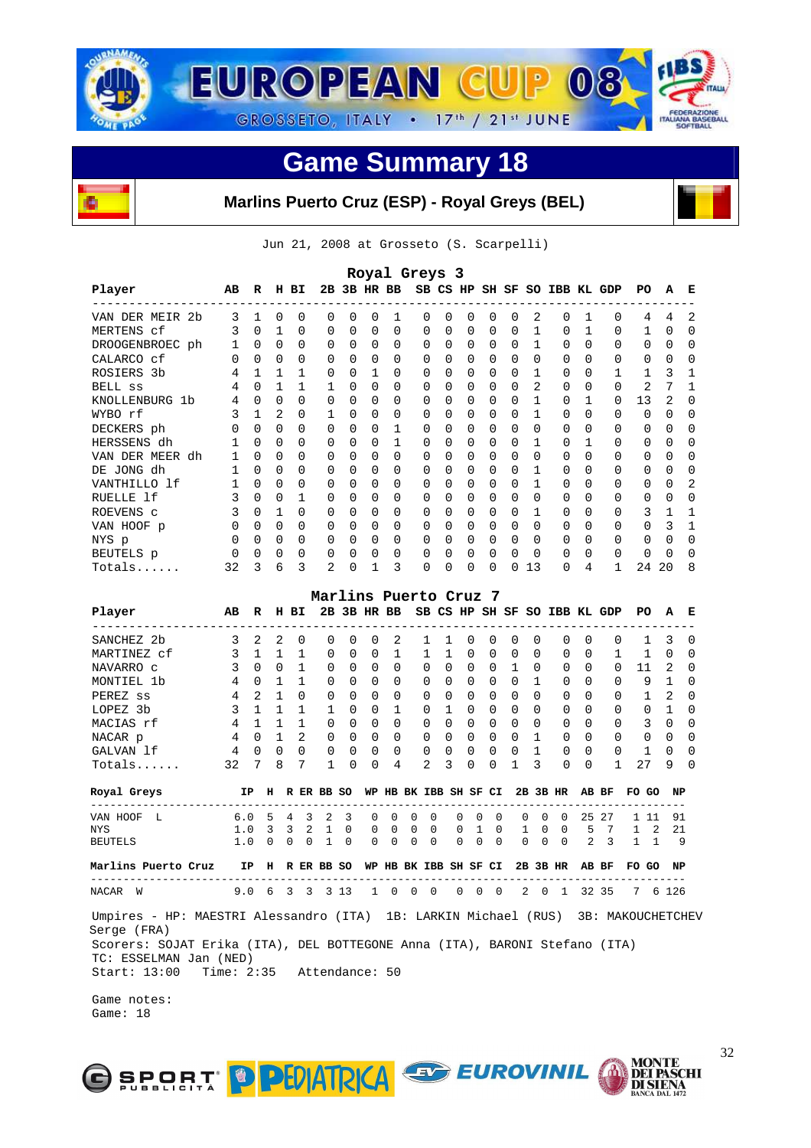



**Marlins Puerto Cruz (ESP) - Royal Greys (BEL)** 

Jun 21, 2008 at Grosseto (S. Scarpelli)

|                                                                                                                                                          |     |              |             |               |   |             | Royal Greys 3 |          |          |                       |          |          |          |   |          |                      |    |                                                    |       |      |          |   |
|----------------------------------------------------------------------------------------------------------------------------------------------------------|-----|--------------|-------------|---------------|---|-------------|---------------|----------|----------|-----------------------|----------|----------|----------|---|----------|----------------------|----|----------------------------------------------------|-------|------|----------|---|
| Player                                                                                                                                                   | AВ  | R            |             | H BI          |   | 2B 3B HR BB |               |          |          |                       |          |          |          |   |          |                      |    | SB CS HP SH SF SO IBB KL GDP                       | PО    |      | А        | Е |
| VAN DER MEIR 2b                                                                                                                                          | 3   | 1            | 0           | 0             | 0 | 0           | 0             | 1        |          | 0                     | 0        | 0        | 0        | 0 | 2        | 0                    | 1  | 0                                                  |       | 4    | 4        | 2 |
| MERTENS cf                                                                                                                                               | 3   | 0            | 1           | 0             | 0 | 0           | 0             | 0        |          | 0                     | 0        | 0        | 0        | 0 | 1        | 0                    | 1  | 0                                                  |       | 1    | 0        | 0 |
| DROOGENBROEC ph                                                                                                                                          | 1   | 0            | 0           | 0             | 0 | 0           | 0             | 0        |          | 0                     | 0        | 0        | 0        | 0 | 1        | 0                    | 0  | 0                                                  |       | 0    | 0        | 0 |
| CALARCO cf                                                                                                                                               | 0   | $\Omega$     | $\Omega$    | 0             | 0 | 0           | 0             | $\Omega$ |          | 0                     | 0        | 0        | 0        | 0 | 0        | $\Omega$             | 0  | 0                                                  |       | 0    | $\Omega$ | 0 |
| ROSIERS 3b                                                                                                                                               | 4   | 1            | 1           | 1             | 0 | $\Omega$    | 1             | 0        |          | 0                     | 0        | 0        | 0        | 0 | 1        | 0                    | 0  | 1                                                  |       | 1    | 3        | 1 |
| BELL SS                                                                                                                                                  | 4   | $\Omega$     | 1           | 1             | 1 | 0           | 0             | 0        |          | 0                     | 0        | 0        | 0        | 0 | 2        | 0                    | 0  | 0                                                  |       | 2    | 7        | 1 |
| KNOLLENBURG 1b                                                                                                                                           | 4   | 0            | $\Omega$    | 0             | 0 | 0           | 0             | 0        |          | 0                     | 0        | 0        | 0        | 0 | 1        | 0                    | 1  | 0                                                  | 13    |      | 2        | 0 |
| WYBO rf                                                                                                                                                  | 3   | 1            | 2           | 0             | 1 | $\Omega$    | 0             | 0        |          | 0                     | 0        | 0        | 0        | 0 | 1        | 0                    | 0  | 0                                                  |       | 0    | 0        | 0 |
| DECKERS ph                                                                                                                                               | 0   | $\Omega$     | 0           | 0             | 0 | $\Omega$    | 0             | 1        |          | 0                     | 0        | 0        | 0        | 0 | 0        | 0                    | 0  | 0                                                  |       | 0    | $\Omega$ | 0 |
| HERSSENS dh                                                                                                                                              | 1   | 0            | 0           | 0             | 0 | 0           | 0             | 1        |          | 0                     | 0        | 0        | 0        | 0 | 1        | 0                    | 1  | 0                                                  |       | 0    | 0        | 0 |
| VAN DER MEER dh                                                                                                                                          | 1   | $\Omega$     | $\Omega$    | 0             | 0 | 0           | 0             | 0        |          | 0                     | 0        | 0        | 0        | 0 | 0        | 0                    | 0  | 0                                                  |       | 0    | 0        | 0 |
| DE JONG dh                                                                                                                                               | 1   | $\Omega$     | 0           | 0             | 0 | 0           | 0             | 0        |          | 0                     | 0        | 0        | 0        | 0 | 1        | 0                    | 0  | 0                                                  |       | 0    | 0        | 0 |
| VANTHILLO 1f                                                                                                                                             | 1   | 0            | 0           | 0             | 0 | 0           | 0             | 0        |          | 0                     | 0        | 0        | 0        | 0 | 1        | 0                    | 0  | 0                                                  |       | 0    | 0        | 2 |
| RUELLE 1f                                                                                                                                                | 3   | $\Omega$     | 0           | $\mathbf{1}$  | 0 | 0           | 0             | $\Omega$ |          | 0                     | 0        | 0        | 0        | 0 | $\Omega$ | 0                    | 0  | 0                                                  |       | 0    | $\Omega$ | 0 |
| ROEVENS C                                                                                                                                                | 3   | 0            | 1           | 0             | 0 | 0           | 0             | 0        |          | 0                     | 0        | 0        | 0        | 0 | 1        | 0                    | 0  | 0                                                  |       | 3    | 1        | 1 |
| VAN HOOF p                                                                                                                                               | 0   | 0            | 0           | 0             | 0 | 0           | 0             | 0        |          | 0                     | 0        | 0        | 0        | 0 | 0        | 0                    | 0  | 0                                                  |       | 0    | 3        | 1 |
| NYS p                                                                                                                                                    | 0   | 0            | 0           | 0             | 0 | 0           | 0             | 0        |          | 0                     | 0        | 0        | 0        | 0 | 0        | 0                    | 0  | 0                                                  |       | 0    | 0        | 0 |
| BEUTELS p                                                                                                                                                | 0   | 0            | 0           | 0             | 0 | 0           | 0             | 0        |          | 0                     | 0        | 0        | 0        | 0 | 0        | 0                    | 0  | 0                                                  |       | 0    | 0        | 0 |
|                                                                                                                                                          | 32  | 3            | 6           | 3             |   | 0           | 1             | 3        |          |                       |          | 0        | 0        | 0 |          | $\Omega$             | 4  | 1                                                  |       |      |          |   |
|                                                                                                                                                          |     |              |             |               |   |             |               |          |          |                       |          |          |          |   |          |                      |    |                                                    |       |      |          |   |
| 2<br>13<br>$\Omega$<br>0<br>24<br>20<br>8<br>Marlins Puerto Cruz<br>-7<br>2B 3B HR BB<br>SB CS HP SH SF SO IBB KL GDP<br>AВ<br>R<br>H BI<br>PO<br>Е<br>А |     |              |             |               |   |             |               |          |          |                       |          |          |          |   |          |                      |    |                                                    |       |      |          |   |
| Totals<br>Player<br>--------------------<br>0                                                                                                            |     |              |             |               |   |             |               |          |          |                       |          |          |          |   |          |                      |    |                                                    |       |      |          |   |
| SANCHEZ 2b                                                                                                                                               | 3   | 2            | 2           | 0             | 0 | 0           | 0             | 2        |          | 1                     | 1        | 0        | 0        | 0 | 0        | 0                    | 0  | 0                                                  |       | 1    | 3        |   |
| MARTINEZ cf                                                                                                                                              | 3   | 1            | 1           | 1             | 0 | 0           | 0             | 1        |          | 1                     | 1        | 0        | 0        | 0 | 0        | 0                    | 0  | 1                                                  |       | 1    | 0        | 0 |
| NAVARRO c                                                                                                                                                | 3   | $\Omega$     | 0           | 1             | 0 | 0           | 0             | 0        |          | 0                     | 0        | 0        | 0        | 1 | 0        | 0                    | 0  | 0                                                  | 11    |      | 2        | 0 |
| MONTIEL 1b                                                                                                                                               | 4   | $\Omega$     | 1           | 1             | 0 | $\Omega$    | 0             | 0        |          | 0                     | 0        | 0        | 0        | 0 | 1        | 0                    | 0  | 0                                                  |       | 9    | 1        | 0 |
| PEREZ SS                                                                                                                                                 | 4   | 2            | 1           | 0             | 0 | 0           | 0             | 0        |          | 0                     | $\Omega$ | 0        | $\Omega$ | 0 | $\Omega$ | 0                    | 0  | 0                                                  |       | 1    | 2        | 0 |
| LOPEZ 3b                                                                                                                                                 | 3   | $\mathbf{1}$ | $\mathbf 1$ | 1             | 1 | 0           | 0             | 1        |          | 0                     | 1        | 0        | 0        | 0 | 0        | 0                    | 0  | 0                                                  |       | 0    | 1        | 0 |
| MACIAS rf                                                                                                                                                | 4   | 1            | 1           | 1             | 0 | 0           | 0             | 0        |          | 0                     | 0        | 0        | 0        | 0 | 0        | 0                    | 0  | 0                                                  |       | 3    | 0        | 0 |
| NACAR p                                                                                                                                                  | 4   | 0            | 1           | 2             | 0 | 0           | 0             | 0        |          | 0                     | 0        | 0        | 0        | 0 | 1        | 0                    | 0  | 0                                                  |       | 0    | 0        | 0 |
| GALVAN lf                                                                                                                                                | 4   | 0            | 0           | 0             | 0 | 0           | 0             | 0        |          | 0                     | $\Omega$ | 0        | 0        | 0 | 1        | 0                    | 0  | 0                                                  |       | 1    | 0        | 0 |
| Totals                                                                                                                                                   | 32  | 7            | 8           | 7             | 1 | $\Omega$    | 0             | 4        |          | 2                     | 3        | 0        | 0        | 1 | 3        | 0                    | 0  | 1                                                  | 27    |      | 9        | 0 |
| Royal Greys                                                                                                                                              |     | ΙP           | н           | R ER BB SO    |   |             |               |          |          | WP HB BK IBB SH SF CI |          |          |          |   |          | 2B 3B HR             |    | AB BF                                              | FO GO |      | ΝP       |   |
| VAN HOOF<br>L                                                                                                                                            | 6.0 |              | 5           | 4<br>3        | 2 | 3           | 0             | 0        | 0        | $\Omega$              | 0        | 0        | $\Omega$ |   | 0        | $\Omega$<br>$\Omega$ | 25 | 27                                                 |       | 1 11 | 91       |   |
| NYS                                                                                                                                                      | 1.0 |              | 3           | 3<br>2        | 1 | $\Omega$    | 0             | 0        | 0        | $\Omega$              | 0        | 1        | $\Omega$ |   | 1        | 0<br>$\Omega$        | 5  | 7                                                  | 1     | 2    | 21       |   |
| <b>BEUTELS</b>                                                                                                                                           | 1.0 |              | 0           | $\Omega$<br>0 | 1 | $\Omega$    | 0             | 0        | $\Omega$ | $\Omega$              | 0        | $\Omega$ | $\Omega$ |   | 0        | $\Omega$<br>$\Omega$ | 2  | 3                                                  | 1     | 1    |          | 9 |
| Marlins Puerto Cruz                                                                                                                                      |     | ΙP           | н           | R ER BB SO    |   |             |               |          |          | WP HB BK IBB SH SF CI |          |          |          |   |          | 2B 3B HR             |    | AB BF                                              | FO GO |      | NP       |   |
| ----------------------<br>NACAR W                                                                                                                        |     |              |             |               |   |             |               |          |          |                       |          |          |          |   |          |                      |    | 9.0 6 3 3 3 13 1 0 0 0 0 0 0 0 2 0 1 32 35 7 6 126 |       |      |          |   |
| Umpires - HP: MAESTRI Alessandro (ITA) 1B: LARKIN Michael (RUS) 3B: MAKOUCHETCHEV                                                                        |     |              |             |               |   |             |               |          |          |                       |          |          |          |   |          |                      |    |                                                    |       |      |          |   |
| Serge (FRA)<br>Scorers: SOJAT Erika (ITA), DEL BOTTEGONE Anna (ITA), BARONI Stefano (ITA)                                                                |     |              |             |               |   |             |               |          |          |                       |          |          |          |   |          |                      |    |                                                    |       |      |          |   |
| TC: ESSELMAN Jan (NED)                                                                                                                                   |     |              |             |               |   |             |               |          |          |                       |          |          |          |   |          |                      |    |                                                    |       |      |          |   |

 Game notes: Game: 18

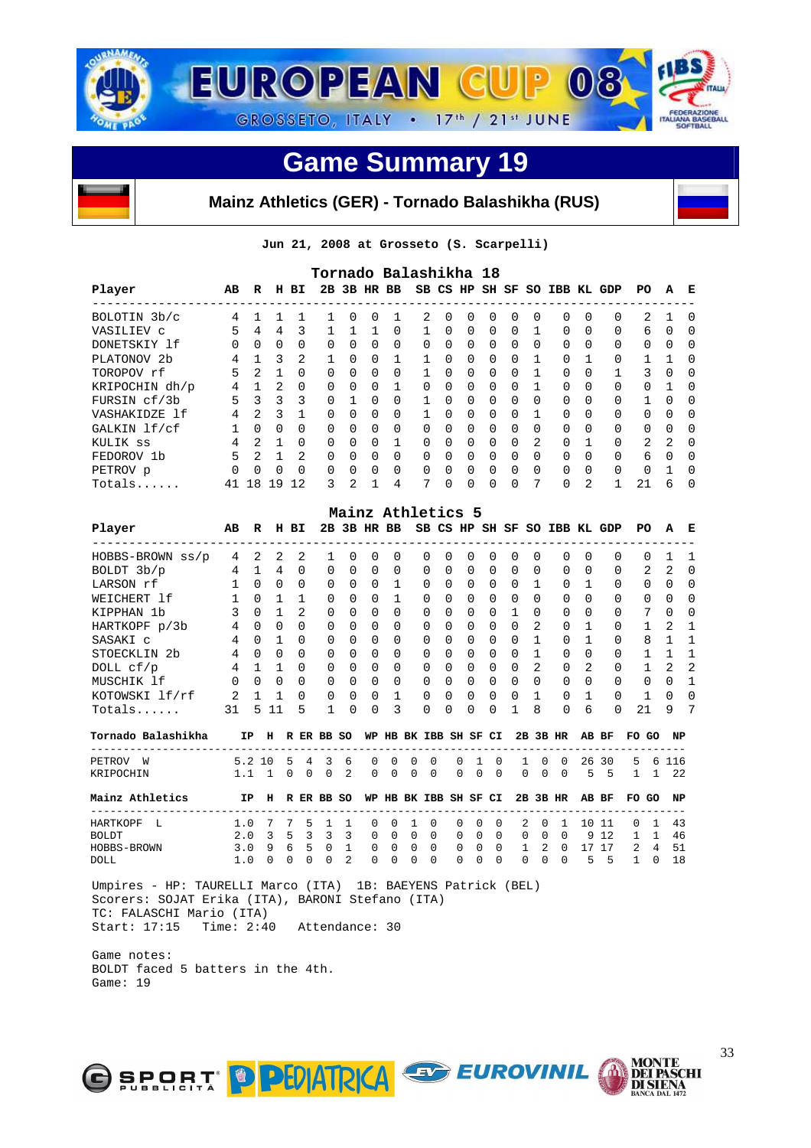

#### **Mainz Athletics (GER) - Tornado Balashikha (RUS)**

**Jun 21, 2008 at Grosseto (S. Scarpelli)** 

|                         |          |                |              |          | Tornado Balashikha 18 |               |              |             |          |              |          |          |          |               |                              |                |          |                |          |          |
|-------------------------|----------|----------------|--------------|----------|-----------------------|---------------|--------------|-------------|----------|--------------|----------|----------|----------|---------------|------------------------------|----------------|----------|----------------|----------|----------|
| Player                  | AB       | R              | н            | вI       |                       |               |              | 2B 3B HR BB |          |              |          |          |          |               | SB CS HP SH SF SO IBB KL GDP |                |          | PO.            | A        | E        |
| BOLOTIN 3b/c            | 4        |                |              |          |                       | <sup>0</sup>  | <sup>0</sup> |             | 2        | <sup>0</sup> | $\Omega$ | $\Omega$ | $\Omega$ | <sup>0</sup>  | $\Omega$                     | 0              | $\Omega$ | 2              |          | $\Omega$ |
| VASILIEV C              | 5        | 4              | 4            | 3        |                       |               |              | 0           |          | $\Omega$     | $\Omega$ | $\Omega$ | 0        |               | $\Omega$                     | 0              | $\Omega$ | 6              | $\Omega$ | O        |
| DONETSKIY 1f            | $\Omega$ | $\Omega$       | $\Omega$     | $\Omega$ | $\Omega$              | $\Omega$      | $\Omega$     | 0           | $\Omega$ | $\Omega$     | $\Omega$ | $\Omega$ | $\Omega$ | 0             | $\Omega$                     | <sup>0</sup>   | 0        | $\Omega$       | $\Omega$ | $\Omega$ |
| PLATONOV <sub>2</sub> b | 4        |                | 3            | 2        | $\mathbf{1}$          | $\Omega$      | $\Omega$     |             |          | <sup>n</sup> | $\Omega$ | $\Omega$ | $\Omega$ |               | $\Omega$                     |                | $\Omega$ |                |          | $\Omega$ |
| TOROPOV rf              | 5        | 2              |              | $\Omega$ | 0                     | $\Omega$      | $\Omega$     | 0           |          | <sup>0</sup> | $\Omega$ | $\Omega$ | $\Omega$ |               | $\Omega$                     | 0              |          | 3              | $\Omega$ | O        |
| KRIPOCHIN dh/p          | 4        |                | 2            | $\Omega$ | $\Omega$              | $\Omega$      | $\Omega$     |             | $\Omega$ | <sup>n</sup> | $\Omega$ | $\Omega$ | $\Omega$ |               | $\Omega$                     | <sup>0</sup>   | $\Omega$ | 0              |          | $\Omega$ |
| FURSIN cf/3b            | 5        | ζ              | 3            | ζ        | $\Omega$              |               | $\Omega$     | 0           |          | <sup>0</sup> | $\Omega$ | $\Omega$ | $\Omega$ | 0             | $\Omega$                     | <sup>0</sup>   | $\Omega$ |                | $\cap$   | $\Omega$ |
| VASHAKIDZE 1f           | 4        | $\mathfrak{D}$ | 3            |          | $\Omega$              | $\Omega$      | $\Omega$     | $\Omega$    |          | $\cap$       | $\Omega$ | $\Omega$ | $\Omega$ |               | $\Omega$                     | <sup>0</sup>   | $\Omega$ | 0              | $\Omega$ | O        |
| GALKIN lf/cf            |          | $\Omega$       | $\Omega$     | $\Omega$ | $\Omega$              | $\Omega$      | $\Omega$     | $\Omega$    | $\Omega$ | <sup>n</sup> | $\Omega$ | $\Omega$ | $\Omega$ | <sup>0</sup>  | $\Omega$                     | <sup>0</sup>   | $\Omega$ | 0              | $\Omega$ | $\Omega$ |
| KULIK SS                | 4        | $\mathfrak{D}$ |              | $\Omega$ | $\Omega$              | $\cap$        | 0            |             | $\Omega$ | <sup>n</sup> | $\Omega$ | $\Omega$ | $\Omega$ | $\mathcal{L}$ | $\Omega$                     |                | $\Omega$ | $\mathfrak{D}$ | 2        | $\Omega$ |
| FEDOROV 1b              | 5        | $\mathfrak{D}$ |              | 2        | $\Omega$              | $\Omega$      | $\Omega$     | $\Omega$    | $\Omega$ | $\cap$       | $\Omega$ | $\Omega$ | $\Omega$ | <sup>0</sup>  | $\Omega$                     | <sup>0</sup>   | $\Omega$ | 6              | $\cap$   | $\Omega$ |
| PETROV p                | $\Omega$ | $\cap$         | <sup>n</sup> | $\Omega$ | $\Omega$              | $\cap$        | $\Omega$     | $\Omega$    | 0        | <sup>n</sup> | $\Omega$ | $\Omega$ | $\Omega$ | <sup>0</sup>  | $\Omega$                     | <sup>0</sup>   | $\Omega$ | 0              |          | $\Omega$ |
| Totals                  | 41       | 8              | 19           | 12       | 3                     | $\mathcal{L}$ |              | 4           | 7        |              | $\Omega$ | $\Omega$ | $\Omega$ | 7             | $\Omega$                     | $\mathfrak{D}$ |          | 21             | ศ        | $\Omega$ |

|                         |          |          |          |          |          |          |          | Mainz Athletics 5 |          |              |          |          |          |                |                              |                |              |                 |              |              |
|-------------------------|----------|----------|----------|----------|----------|----------|----------|-------------------|----------|--------------|----------|----------|----------|----------------|------------------------------|----------------|--------------|-----------------|--------------|--------------|
| Player                  | AB       | R        | н        | вI       |          |          |          | 2B 3B HR BB       |          |              |          |          |          |                | SB CS HP SH SF SO IBB KL GDP |                |              | PO.             | A            | Е            |
| HOBBS-BROWN ss/p        | 4        | 2        | 2        | 2        |          | $\Omega$ | $\Omega$ | <sup>0</sup>      | $\Omega$ | $\Omega$     | $\Omega$ | $\Omega$ | $\Omega$ | $\Omega$       | $\Omega$                     | $\Omega$       | <sup>0</sup> | 0               |              |              |
| BOLDT 3b/p              | 4        |          | 4        | $\Omega$ | $\Omega$ | $\Omega$ | $\Omega$ | $\Omega$          | $\Omega$ | $\Omega$     | $\Omega$ | $\Omega$ | $\Omega$ | $\Omega$       | $\Omega$                     | $\Omega$       | $\Omega$     | $\mathcal{L}$   | 2            | $\Omega$     |
| LARSON rf               |          | $\Omega$ | $\Omega$ | $\Omega$ | $\Omega$ | $\Omega$ | $\Omega$ |                   | $\Omega$ | $\Omega$     | $\Omega$ | $\Omega$ | $\Omega$ |                | $\Omega$                     |                | $\Omega$     | $\Omega$        | $\Omega$     | <sup>0</sup> |
| WEICHERT 1f             |          | $\Omega$ |          |          | $\Omega$ | $\cap$   | $\Omega$ |                   | $\Omega$ | $\Omega$     | $\Omega$ | $\Omega$ | $\Omega$ | $\Omega$       | $\Omega$                     | $\Omega$       | $\Omega$     | 0               | $\Omega$     | $\Omega$     |
| KIPPHAN 1b              |          | $\Omega$ |          | 2        | $\Omega$ | $\Omega$ | $\Omega$ | $\Omega$          | $\Omega$ | $\Omega$     | $\Omega$ | $\Omega$ |          | $\Omega$       | $\Omega$                     | $\Omega$       | $\Omega$     | $7\overline{ }$ | $\Omega$     | $\Omega$     |
| HARTKOPF p/3b           | 4        | $\Omega$ | $\Omega$ | $\Omega$ | $\Omega$ | $\Omega$ | $\Omega$ | $\Omega$          | $\Omega$ | $\Omega$     | $\Omega$ | $\Omega$ | $\Omega$ | $\mathfrak{D}$ | $\Omega$                     |                | $\Omega$     |                 | 2            |              |
| SASAKI C                | 4        | $\Omega$ |          | $\Omega$ | $\Omega$ | $\Omega$ | $\Omega$ | $\Omega$          | $\Omega$ | $\Omega$     | $\Omega$ | $\Omega$ | $\Omega$ |                | $\Omega$                     |                | $\Omega$     | 8               |              |              |
| STOECKLIN <sub>2b</sub> | 4        | $\Omega$ | $\Omega$ | $\Omega$ | $\Omega$ | $\cap$   | $\Omega$ | $\Omega$          | $\Omega$ | $\cap$       | $\Omega$ | $\Omega$ | $\Omega$ |                | $\Omega$                     | <sup>n</sup>   | $\Omega$     |                 |              |              |
| DOLL cf/p               | 4        |          |          | $\Omega$ | $\Omega$ | $\Omega$ | $\Omega$ | $\Omega$          | $\Omega$ | $\Omega$     | $\Omega$ | $\Omega$ | $\Omega$ | $\mathfrak{D}$ | $\Omega$                     | $\mathfrak{D}$ | $\Omega$     |                 | 2            | -2           |
| MUSCHIK 1f              | $\Omega$ | $\cap$   | $\cap$   | $\Omega$ | $\Omega$ | $\cap$   | $\Omega$ | $\Omega$          | $\Omega$ | <sup>n</sup> | $\Omega$ | $\Omega$ | $\Omega$ | $\Omega$       | $\Omega$                     | U              | $\Omega$     | 0               | <sup>n</sup> |              |
| KOTOWSKI lf/rf          | 2        |          |          | $\Omega$ | $\Omega$ | $\Omega$ | $\Omega$ |                   | $\Omega$ | $\cap$       | $\Omega$ | $\Omega$ | $\cap$   |                | $\Omega$                     |                | $\Omega$     |                 | $\cap$       | <sup>0</sup> |
| Totals                  | 31       | 5        | 11       | 5        |          | $\cap$   | $\Omega$ | ζ                 | $\Omega$ | <sup>n</sup> | $\Omega$ | $\Omega$ |          | 8              | $\Omega$                     | 6              | $\Omega$     | 21              | 9            | 7            |

| Tornado Balashikha | IΡ     | н | R            | ER. | BB           | so  | WP           | HВ           |              | BK IBB SH       |              | SF CI        |          |              | 2B 3B    | HR       |     | AB BF | FO.      | GO | NP  |
|--------------------|--------|---|--------------|-----|--------------|-----|--------------|--------------|--------------|-----------------|--------------|--------------|----------|--------------|----------|----------|-----|-------|----------|----|-----|
| PETROV<br>W        | 5.2.10 |   | .5           | 4   | 3            | -6  | $\Omega$     | $\Omega$     | $\Omega$     | $\Omega$        | 0            |              | $\Omega$ |              | $\Omega$ | $\Omega$ |     | 26 30 | 5.       | 6  | 116 |
| KRIPOCHIN          |        |   | $\Omega$     | 0   | 0            | 2   | $\Omega$     | 0            | 0            | $\Omega$        | 0            | $\Omega$     | $\Omega$ | $\Omega$     | $\Omega$ | $\Omega$ | 5.  | -5    |          |    | 2.2 |
| Mainz Athletics    | IP.    | H |              |     | R ER BB      | -SO | WP           | ΗВ           |              | BK IBB SH SF CI |              |              |          |              |          | 2B 3B HR |     | AB BF | FO GO    |    | NP  |
| HARTKOPF<br>-L     |        |   |              | 5   |              |     | $\Omega$     | $\Omega$     |              | $\Omega$        | $\Omega$     | - 0          | $\Omega$ | 2            | $\Omega$ |          | 1 N | -11   | $\Omega$ |    | 43  |
| <b>BOLDT</b>       | 2.0    | 3 | 5.           | 3   | 3            | 3   | $\Omega$     | 0            | <sup>0</sup> | $\Omega$        | <sup>0</sup> | $\Omega$     | $\Omega$ | $\Omega$     | $\Omega$ | $\Omega$ |     | 9 1 2 |          |    | 46  |
| HOBBS-BROWN        | 3. O   | q | 6            | 5   | <sup>0</sup> |     | <sup>n</sup> | <sup>0</sup> | U.           | $\Omega$        | <sup>0</sup> | $\Omega$     | $\Omega$ |              | 2        | 0        |     | 17    | 2        | 4  | 51  |
| DOLL               |        |   | <sup>n</sup> |     | 0            | 2   | <sup>n</sup> | 0            | 0            | <sup>0</sup>    | <sup>0</sup> | <sup>0</sup> | $\Omega$ | <sup>0</sup> | $\Omega$ | $\Omega$ | 5   | 5     |          |    | 18  |

 Umpires - HP: TAURELLI Marco (ITA) 1B: BAEYENS Patrick (BEL) Scorers: SOJAT Erika (ITA), BARONI Stefano (ITA) TC: FALASCHI Mario (ITA) Start: 17:15 Time: 2:40 Attendance: 30

 Game notes: BOLDT faced 5 batters in the 4th. Game: 19

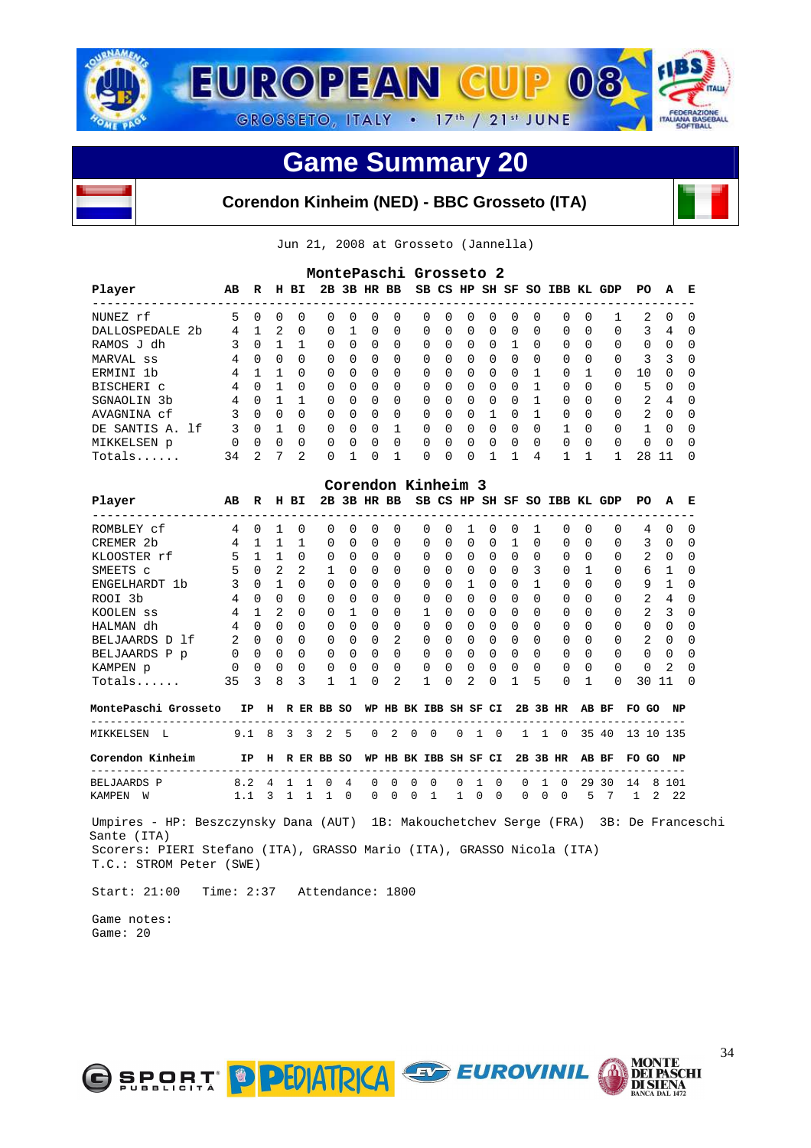

#### **Corendon Kinheim (NED) - BBC Grosseto (ITA)**

Jun 21, 2008 at Grosseto (Jannella)

|                                                                                                                                                                                                         |                |                |                 |                | MontePaschi Grosseto 2                |                    |             |                |                       |              |              |                          |                 |              |               |                   |              |                                          |              |                |                |                               |
|---------------------------------------------------------------------------------------------------------------------------------------------------------------------------------------------------------|----------------|----------------|-----------------|----------------|---------------------------------------|--------------------|-------------|----------------|-----------------------|--------------|--------------|--------------------------|-----------------|--------------|---------------|-------------------|--------------|------------------------------------------|--------------|----------------|----------------|-------------------------------|
| Player                                                                                                                                                                                                  | AB             | R              |                 | H BI           |                                       |                    |             |                |                       |              |              |                          |                 |              |               |                   |              | 2B 3B HR BB SB CS HP SH SF SO IBB KL GDP | PO           |                | Α              | Е                             |
| NUNEZ rf                                                                                                                                                                                                | 5              | $\mathbf 0$    | 0               | 0              | 0                                     | 0                  | 0           | 0              |                       | 0            | 0            | 0                        | 0               | 0            | 0             | 0                 | 0            | 1                                        | 2            |                | 0              | 0                             |
| DALLOSPEDALE 2b                                                                                                                                                                                         | 4              | 1              | 2               | 0              | 0                                     | $\mathbf{1}$       | 0           | 0              |                       | 0            | 0            | 0                        | 0               | 0            | 0             | 0                 | 0            | 0                                        | 3            |                | 4              | 0                             |
| RAMOS J dh                                                                                                                                                                                              | 3              | $\Omega$       | $\mathbf{1}$    | 1              | 0                                     | $\Omega$           | 0           | 0              |                       | 0            | 0            | 0                        | 0               | 1            | 0             | 0                 | 0            | 0                                        | $\Omega$     |                | 0              | $\Omega$                      |
| MARVAL ss                                                                                                                                                                                               | 4              | $\Omega$       | $\Omega$        | $\Omega$       | 0                                     | $\Omega$           | 0           | $\Omega$       |                       | $\Omega$     | 0            | 0                        | $\Omega$        | $\Omega$     | 0             | $\Omega$          | 0            | 0                                        |              | 3              | 3              | $\Omega$                      |
| ERMINI 1b                                                                                                                                                                                               | 4              | $\mathbf{1}$   | $\mathbf{1}$    | $\Omega$       | 0                                     | $\Omega$           | 0           | 0              |                       | 0            | $\Omega$     | 0                        | 0               | 0            | 1             | 0                 | 1            | 0                                        | 10           |                | 0              | 0                             |
| BISCHERI C                                                                                                                                                                                              | 4              | $\mathbf 0$    | 1               | 0              | 0                                     | 0                  | 0           | 0              |                       | 0            | 0            | 0                        | 0               | 0            | 1             | 0                 | 0            | 0                                        | 5            |                | 0              | 0                             |
| SGNAOLIN 3b                                                                                                                                                                                             | 4              |                | $0\quad 1$      | 1              | 0                                     | 0                  | 0           | 0              |                       | 0            | 0            | 0                        | 0               | 0            | 1             | 0                 | 0            | 0                                        | 2            |                | 4              | <sup>0</sup>                  |
| AVAGNINA cf                                                                                                                                                                                             | 3              |                | $0 \quad 0$     | $\Omega$       | $\Omega$                              | $\Omega$           | $\Omega$    | $\Omega$       |                       | $\Omega$     | $\Omega$     | $\Omega$                 | $\mathbf{1}$    | $\Omega$     | $\mathbf{1}$  | $\Omega$          | $\Omega$     | $\Omega$                                 | 2            |                | $\Omega$       | $\Omega$                      |
| DE SANTIS A. 1f                                                                                                                                                                                         | 3              |                | $0\quad1$       | $\Omega$       | 0                                     | $\Omega$           | $\Omega$    | $\mathbf 1$    |                       | $\Omega$     | $\Omega$     | $\overline{0}$           | $\Omega$        | $\Omega$     | $\Omega$      | 1                 | $\Omega$     | $\Omega$                                 | $\mathbf{1}$ |                | $\Omega$       | $\Omega$                      |
| MIKKELSEN p                                                                                                                                                                                             | $\overline{0}$ | $\Omega$       | $\Omega$        | $\Omega$       | 0                                     | $\Omega$           | $\Omega$    | $\Omega$       |                       | 0            | $\Omega$     | $\Omega$                 | $\Omega$        | $\Omega$     | $\Omega$      | $\Omega$          | $\Omega$     | $\Omega$                                 | $\Omega$     |                | $\Omega$       | $\Omega$                      |
| Totals                                                                                                                                                                                                  | 34             | $\overline{2}$ | $7\overline{ }$ | $\overline{a}$ | 0                                     | $\mathbf{1}$       | $\Omega$    | $\mathbf{1}$   |                       | $\Omega$     | $\Omega$     | $\Omega$                 | $\mathbf{1}$    | $\mathbf{1}$ | 4             | $\mathbf{1}$      | 1            | $\mathbf{1}$                             |              | 28 11          |                | $\Omega$                      |
|                                                                                                                                                                                                         |                |                |                 |                |                                       | Corendon Kinheim 3 |             |                |                       |              |              |                          |                 |              |               |                   |              |                                          |              |                |                |                               |
| Player                                                                                                                                                                                                  | AB             | R              |                 | H BI           |                                       |                    |             |                |                       |              |              |                          |                 |              |               |                   |              | 2B 3B HR BB SB CS HP SH SF SO IBB KL GDP | PO           |                | А              | Е                             |
| --------------------<br>ROMBLEY cf                                                                                                                                                                      | 4              | $\mathbf 0$    | 1               | 0              | 0                                     | 0                  | 0           | 0              |                       | 0            | 0            | 1                        | 0               | 0            | 1             | 0                 | 0            | 0                                        | 4            |                | 0              | $\overline{\phantom{0}}$<br>0 |
| CREMER 2b                                                                                                                                                                                               | 4              | $\mathbf{1}$   | 1               | 1              | 0                                     | 0                  | 0           | 0              |                       | $\Omega$     | 0            | 0                        | 0               | $\mathbf{1}$ | 0             | 0                 | 0            | $\Omega$                                 | 3            |                | $\Omega$       | $\Omega$                      |
| KLOOSTER rf                                                                                                                                                                                             | 5              |                | $1\quad1$       | $\Omega$       | $\Omega$                              | $\Omega$           | $\Omega$    | $\Omega$       |                       | $\Omega$     | 0            | $\Omega$                 | $\Omega$        | $\Omega$     | $\Omega$      | $\Omega$          | 0            | $\Omega$                                 | 2            |                | $\Omega$       | $\Omega$                      |
| SMEETS C                                                                                                                                                                                                | 5              | $\Omega$       | 2               | 2              | 1                                     | $\Omega$           | $\Omega$    | 0              |                       | $\Omega$     | $\Omega$     | $\overline{\phantom{0}}$ | $\Omega$        | $\Omega$     | 3             | 0                 | $\mathbf{1}$ | $\Omega$                                 | 6            |                | 1              | $\Omega$                      |
| ENGELHARDT 1b                                                                                                                                                                                           | 3              | $\overline{0}$ | $\mathbf{1}$    | 0              | 0                                     | $\Omega$           | $\Omega$    | 0              |                       | 0            | $\Omega$     | $\mathbf{1}$             | 0               | $\Omega$     | 1             | 0                 | 0            | 0                                        |              | 9              | 1              | 0                             |
| ROOI 3b                                                                                                                                                                                                 | 4              | $\Omega$       | $\Omega$        | $\Omega$       | $\Omega$                              | $\Omega$           | $\Omega$    | $\Omega$       |                       | 0            | $\Omega$     | 0                        | $\Omega$        | $\Omega$     | $\Omega$      | 0                 | $\Omega$     | $\Omega$                                 | 2            |                | $\overline{4}$ | $\Omega$                      |
| KOOLEN SS                                                                                                                                                                                               | 4              | 1              | 2               | 0              | 0                                     | 1                  | 0           | 0              |                       | 1            | 0            | $\overline{0}$           | 0               | 0            | $\mathbf 0$   | 0                 | 0            | 0                                        |              | 2              | 3              | $\Omega$                      |
| HALMAN dh                                                                                                                                                                                               | 4              | $\overline{0}$ | 0               | 0              | 0                                     | 0                  | 0           | 0              |                       | 0            | $\Omega$     | 0                        | 0               | 0            | $\mathbf 0$   | 0                 | $\Omega$     | 0                                        |              | $\overline{0}$ | 0              | 0                             |
| BELJAARDS D 1f                                                                                                                                                                                          | 2              | $\overline{0}$ | $\mathbf 0$     | 0              | 0                                     | $\mathbf 0$        | $\mathbf 0$ | 2              |                       | 0            | $\mathbf{0}$ | $\overline{\phantom{0}}$ | 0               | 0            | 0             | 0                 | 0            | 0                                        | 2            |                | 0              | 0                             |
| BELJAARDS P p                                                                                                                                                                                           | 0              | $\Omega$       | $\Omega$        | $\Omega$       | 0                                     | $\Omega$           | $\Omega$    | $\Omega$       |                       | 0            | $\Omega$     | $\Omega$                 | $\Omega$        | 0            | $\Omega$      | $\Omega$          | $\Omega$     | $\Omega$                                 | $\Omega$     |                | $\Omega$       | $\Omega$                      |
| KAMPEN p                                                                                                                                                                                                | 0              | 0              | 0               | $\Omega$       | 0                                     | 0                  | $\mathbf 0$ | 0              |                       | 0            | 0            | $\mathbf 0$              | $\Omega$        | 0            | 0             | 0                 | 0            | $\Omega$                                 | $\mathbf 0$  |                | 2              | $\Omega$                      |
| $Totals$                                                                                                                                                                                                | 35             | 3              | 8               | 3              | $\mathbf{1}$                          | 1                  | $\Omega$    | $\overline{2}$ |                       | $\mathbf{1}$ | $\Omega$     | 2                        | $\Omega$        | 1            | 5             | 0                 | 1            | $\Omega$                                 |              | 30 11          |                | $\Omega$                      |
| MontePaschi Grosseto                                                                                                                                                                                    |                |                |                 |                | IP H R ER BB SO WP HB BK IBB SH SF CI |                    |             |                |                       |              |              |                          |                 |              |               | 2B 3B HR          |              | AB BF                                    | FO GO NP     |                |                |                               |
| ------------------------<br>MIKKELSEN L                                                                                                                                                                 |                | $9.1 \quad 8$  |                 | $3 \quad 3$    |                                       | 2 <sub>5</sub>     | $\mathbf 0$ | 2              | $\Omega$              | $\bigcirc$   | $\Omega$     |                          | 1 0             |              |               | $1\quad 1\quad 0$ |              | 35 40                                    | 13 10 135    |                |                |                               |
| Corendon Kinheim                                                                                                                                                                                        |                |                |                 |                | IP H R ER BB SO                       |                    |             |                | WP HB BK IBB SH SF CI |              |              |                          |                 |              |               | 2B 3B HR          |              | AB BF                                    | FO GO NP     |                |                |                               |
| <b>BELJAARDS P</b>                                                                                                                                                                                      |                | 8.2            |                 |                | 4 1 1 0                               | 4                  | 0           | 0              | 0                     | 0            | 0            |                          | 1<br>0          |              | 1<br>0        | 0                 |              | 29 30                                    | 14           |                | 8 101          |                               |
| KAMPEN W                                                                                                                                                                                                |                | 1.1            |                 |                | 3 1 1 1 0                             |                    | 0           | $\overline{0}$ | 0                     | 1            | $\mathbf{1}$ |                          | 0<br>$\bigcirc$ |              | $\Omega$<br>0 | $\mathbf 0$       | 5            | $\overline{7}$                           | 1            | 2              | 22             |                               |
| Umpires - HP: Beszczynsky Dana (AUT) 1B: Makouchetchev Serge (FRA) 3B: De Franceschi<br>Sante (ITA)<br>Scorers: PIERI Stefano (ITA), GRASSO Mario (ITA), GRASSO Nicola (ITA)<br>T.C.: STROM Peter (SWE) |                |                |                 |                |                                       |                    |             |                |                       |              |              |                          |                 |              |               |                   |              |                                          |              |                |                |                               |
| Start: 21:00<br>Time: 2:37 Attendance: 1800                                                                                                                                                             |                |                |                 |                |                                       |                    |             |                |                       |              |              |                          |                 |              |               |                   |              |                                          |              |                |                |                               |
| Game notes:                                                                                                                                                                                             |                |                |                 |                |                                       |                    |             |                |                       |              |              |                          |                 |              |               |                   |              |                                          |              |                |                |                               |

Game: 20



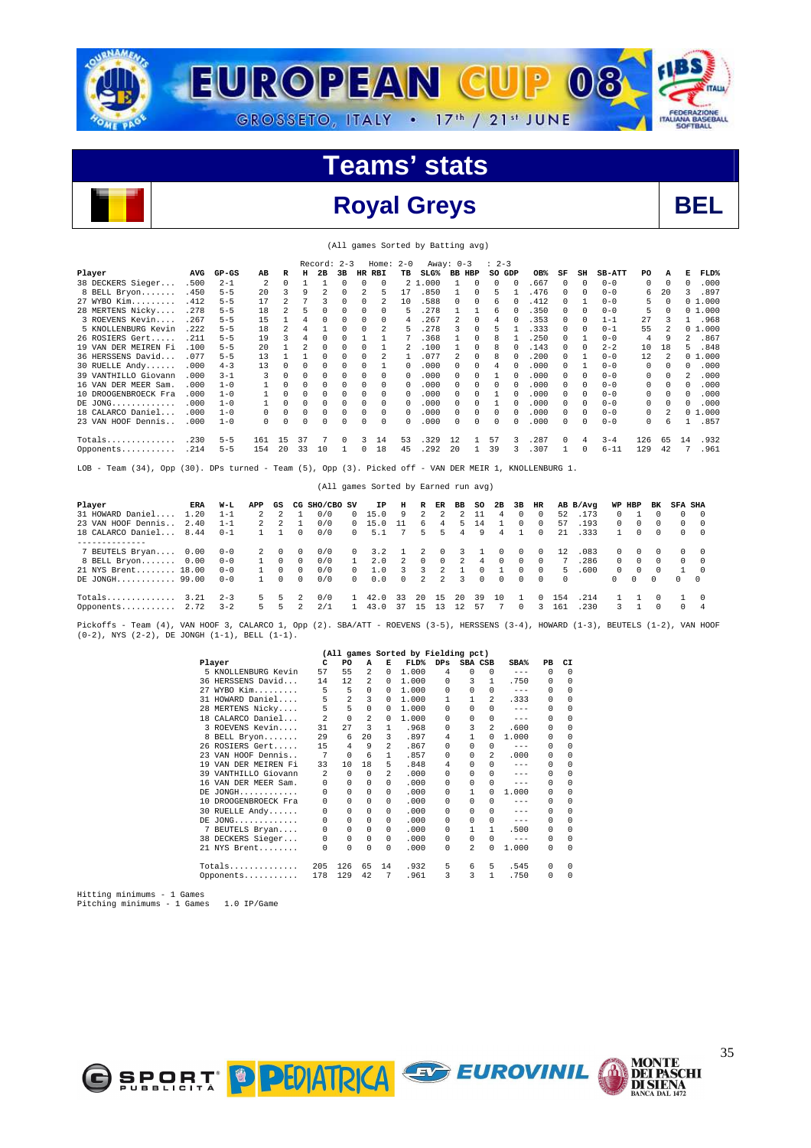

#### **Royal Greys BEL**



|                      |       |         |              |          |    | $Record: 2-3$ |          |          | Home: $2-0$  |              |                  | Away: $0-3$   |              | $\therefore$ 2-3 |          |       |              |              |               |          |          |                |           |
|----------------------|-------|---------|--------------|----------|----|---------------|----------|----------|--------------|--------------|------------------|---------------|--------------|------------------|----------|-------|--------------|--------------|---------------|----------|----------|----------------|-----------|
| Player               | AVG   | $GP-GS$ | AВ           | R        | н  | 2B            | 3B       | HR       | RBI          | TВ           | SLG <sup>8</sup> | <b>BB HBP</b> |              | SO GDP           |          | OB%   | SF           | SH           | <b>SB-ATT</b> | PO       | А        | Е              | FLD%      |
| 38 DECKERS Sieger    | .500  | $2 - 1$ | 2            | $\Omega$ |    |               | $\Omega$ | $\Omega$ | $\Omega$     |              | 2 1.000          |               | $\Omega$     | 0                | $\Omega$ | .667  | $\Omega$     | $\Omega$     | $0 - 0$       | $\Omega$ | $\Omega$ | $\Omega$       | .000      |
| 8 BELL Bryon         | .450  | $5 - 5$ | 20           | 3        | 9  |               | $\Omega$ |          | 5            | 17           | .850             |               | 0            | 5                |          | .476  | $\Omega$     | $\Omega$     | $0 - 0$       | 6        | 20       | 3              | .897      |
| 27 WYBO Kim          | .412  | $5 - 5$ | 17           |          |    |               | $\Omega$ | $\Omega$ |              | 10           | .588             | $^{\circ}$    | 0            | 6                | $\Omega$ | .412  | $\Omega$     |              | $0 - 0$       | 5        | 0        |                | 01.000    |
| 28 MERTENS Nicky     | .278  | $5 - 5$ | 18           | 2        |    |               | $\Omega$ | $\Omega$ | 0            | 5.           | .278             |               |              | 6                | 0        | .350  | $\Omega$     | $\Omega$     | $0 - 0$       | 5        | 0        |                | 01.000    |
| 3 ROEVENS Kevin      | .267  | $5 - 5$ | 15           |          |    | 0             | $\Omega$ | $\Omega$ | 0            | 4            | .267             |               | $\Omega$     | 4                | 0        | .353  | $\Omega$     | $\Omega$     | $1 - 1$       | 27       |          |                | .968      |
| 5 KNOLLENBURG Kevin  | .222  | $5 - 5$ | 18           | 2        |    |               | n        |          |              | 5            | .278             |               | 0            | 5                |          | .333  | $\Omega$     | $\cap$       | $0 - 1$       | 55       |          |                | 01.000    |
| 26 ROSIERS Gert      | .211  | $5 - 5$ | 19           | 3        |    | U             | $\Omega$ |          |              |              | .368             |               | 0            | 8                |          | .250  | $\Omega$     |              | $0 - 0$       | 4        |          | $\mathfrak{D}$ | .867      |
| 19 VAN DER MEIREN Fi | . 100 | $5 - 5$ | $20^{\circ}$ |          |    | U             | $\Omega$ | $\Omega$ |              | 2            | .100             |               | <sup>0</sup> | я                | 0        | .143  | $\Omega$     | $\cap$       | $2 - 2$       | 10       | 18       | 5.             | .848      |
| 36 HERSSENS David    | .077  | $5 - 5$ | 13           |          |    |               | $\Omega$ |          |              |              | .077             |               | O            | я                | n        | .200  | $\Omega$     |              | $0 - 0$       | 12       |          |                | 0, 1, 000 |
| 30 RUELLE Andy       | .000  | $4 - 3$ | 13           | 0        |    | U             | $\Omega$ |          |              | 0            | .000             | $^{\circ}$    | 0            | 4                | $\Omega$ | .000  | $\Omega$     |              | $0 - 0$       | 0        | 0        | 0              | .000      |
| 39 VANTHILLO Giovann | . 000 | $3 - 1$ |              | $\Omega$ |    |               | $\Omega$ |          | 0            | 0            | .000             | 0             |              |                  | $\Omega$ | . 000 | 0            | $\Omega$     | $0 - 0$       | 0        |          |                | .000      |
| 16 VAN DER MEER Sam. | . 000 | $1 - 0$ |              | $\Omega$ |    | U             | $\Omega$ | $\Omega$ | 0            | 0            | .000             | $\Omega$      | 0            | 0                | $\Omega$ | .000  | $\Omega$     | 0            | $0 - 0$       | 0        | 0        | 0              | .000      |
| 10 DROOGENBROECK Fra | .000  | $1 - 0$ |              | $\Omega$ |    | U             | $\Omega$ |          | <sup>n</sup> | 0            | .000             | $\cap$        | 0            |                  | $\cap$   | .000  | $\Omega$     | $\cap$       | $0 - 0$       | 0        | 0        | 0              | .000      |
| $DE$ JONG            | .000  | $1 - 0$ |              | $\Omega$ |    | 0             | $\Omega$ | $\Omega$ | 0            | $\Omega$     | .000             | $\Omega$      | 0            |                  | $\cap$   | .000  | $\Omega$     | <sup>n</sup> | $0 - 0$       | 0        | 0        | $\Omega$       | .000      |
| 18 CALARCO Daniel    | .000  | $1 - 0$ | 0            | 0        |    | U             | $\Omega$ |          | 0            | $\Omega$     | .000             | $^{\circ}$    | 0            | 0                | $\Omega$ | .000  | $\Omega$     | $\Omega$     | $0 - 0$       | 0        |          |                | 01.000    |
| 23 VAN HOOF Dennis   | .000  | $1 - 0$ | 0            | $\Omega$ |    | U             | $\Omega$ | $\Omega$ | 0            | <sup>n</sup> | .000             | $\cap$        | $\Omega$     | U                | 0        | .000  | <sup>0</sup> | <sup>n</sup> | $0 - 0$       | 0        | 6        |                | .857      |
| Totals               | .230  | $5 - 5$ | 161          | 15       | 37 |               | 0        | 3        | 14           | 53           | .329             | 12            |              | 57               | 3        | .287  | $\Omega$     | 4            | $3 - 4$       | 126      | 65       | 14             | .932      |
| Opponents            | .214  | $5 - 5$ | 154          | 20       | 33 | 10            |          | $\Omega$ | 18           | 45           | .292             | 20            |              | 39               | 3        | .307  |              | 0            | $6 - 11$      | 129      | 42       |                | .961      |

#### (All games Sorted by Earned run avg)

| Player             | ERA  | W-L     | APP            | GS            |          | CG SHO/CBO SV |            | IP.  | н             | R              | ER BB          |    | so       | 2B             | 3B       | HR       |          | AB B/Avq |            | WP HBP   | вĸ       | <b>SFA SHA</b> |          |
|--------------------|------|---------|----------------|---------------|----------|---------------|------------|------|---------------|----------------|----------------|----|----------|----------------|----------|----------|----------|----------|------------|----------|----------|----------------|----------|
| 31 HOWARD Daniel   | 1.20 | $1 - 1$ | $\mathcal{L}$  | $\mathcal{L}$ |          | 0/0           | $^{\circ}$ | 15.0 | 9             | $\mathcal{L}$  | $\mathcal{L}$  | 2  | 11       | 4              |          | 0        | 52       | . 173    |            |          | $\Omega$ | $\cap$         |          |
| 23 VAN HOOF Dennis | 2.40 | $1 - 1$ | $\overline{2}$ | 2             |          | 0/0           |            | 15.0 | 11            | 6.             | 4              | 5. | 14       |                | 0        | $\Omega$ | 57       | .193     | $\Omega$   | $\Omega$ | $\Omega$ | $\cap$         |          |
| 18 CALARCO Daniel  | 8.44 | $0 - 1$ |                |               | $\Omega$ | 0/0           | $^{\circ}$ | 5.1  |               | .5.            | 5.             | 4  | -9       | $\overline{4}$ |          | $\Omega$ | 21       | .333     |            | $\Omega$ | $\Omega$ | $\Omega$       |          |
| -------------      |      |         |                |               |          |               |            |      |               |                |                |    |          |                |          |          |          |          |            |          |          |                |          |
| 7 BEUTELS Bryan    | 0.00 | $0 - 0$ | 2              | - 0           | $\Omega$ | 0/0           | $^{\circ}$ | 3.2  |               | 2              | - 0            | 3  |          | 0              | $\Omega$ | $\Omega$ | 12       | . 083    | $^{\circ}$ | - 0      | $\Omega$ | ∩.             |          |
| 8 BELL Bryon 0.00  |      | $0 - 0$ |                | $\Omega$      | $\Omega$ | 0/0           |            | 2.0  | $\mathcal{L}$ | $\Omega$       | $\Omega$       | -2 | 4        | $\Omega$       | $\Omega$ | 0        |          | . 286    | $\cap$     | $\Omega$ | $\Omega$ | ∩.             |          |
| 21 NYS Brent 18.00 |      | $0 - 0$ |                | $\Omega$      | $\Omega$ | 0/0           | $^{\circ}$ | 1.0  |               |                | 2              |    | $\Omega$ |                | $\Omega$ | 0        | 5.       | . 600    | $\Omega$   | $\Omega$ | $\Omega$ |                |          |
| DE JONGH 99.00     |      | $0 - 0$ |                | $\Omega$      | $\Omega$ | 0/0           | $^{\circ}$ | 0.0  | $\Omega$      | $\overline{2}$ | $\overline{2}$ | 3  | $\Omega$ | $\Omega$       | $\Omega$ | $\Omega$ | $\Omega$ |          | $\Omega$   | $\Omega$ | $\Omega$ | $\Omega$       | $\Omega$ |
| Totals             | 3.21 | $2 - 3$ | 5.             | 5.            |          | 0/0           |            | 42.0 | 33            | 20             | 15             | 20 | 39       | 10             |          | 0        | 154      | .214     |            |          | $\cap$   |                |          |
| Opponents          | 2.72 | $3 - 2$ | 5.             | 5.            |          | 2/1           |            | 43.0 | 37            | 15             | 13             | 12 | 57       |                | $\Omega$ |          | 161      | .230     | 3.         |          | $\Box$   | ∩.             |          |

Pickoffs - Team (4), VAN HOOF 3, CALARCO 1, Opp (2). SBA/ATT - ROEVENS (3-5), HERSSENS (3-4), HOWARD (1-3), BEUTELS (1-2), VAN HOOF (0-2), NYS (2-2), DE JONGH (1-1), BELL (1-1).

|                      |          |          |             |          | (All games Sorted by Fielding pct) |              |                |               |       |          |          |
|----------------------|----------|----------|-------------|----------|------------------------------------|--------------|----------------|---------------|-------|----------|----------|
| Player               | c        | PO       | A           | Е        | FLD%                               | $_{\rm DPS}$ | SBA CSB        |               | SBA%  | PB       | CI       |
| 5 KNOLLENBURG Kevin  | 57       | 55       | 2           | 0        | 1,000                              | 4            | $\Omega$       | $\Omega$      | $---$ | $\Omega$ | $\Omega$ |
| 36 HERSSENS David    | 14       | 12       | 2           | 0        | 1,000                              | 0            | 3              | 1             | .750  | 0        | 0        |
| WYBO Kim<br>27       | 5        | 5        | 0           | 0        | 1,000                              | 0            | $\Omega$       | 0             | $---$ | 0        | $\Omega$ |
| 31 HOWARD Daniel     | 5        | 2        | 3           | 0        | 1,000                              | 1            | 1              | $\mathcal{L}$ | .333  | 0        | 0        |
| 28 MERTENS Nicky     | 5        | 5        | $\Omega$    | 0        | 1,000                              | <sup>n</sup> | $\Omega$       | <sup>n</sup>  | $---$ | 0        | $\Omega$ |
| 18 CALARCO Daniel    | 2        | $\Omega$ | 2           | 0        | 1,000                              | <sup>n</sup> | $\Omega$       | 0             | $---$ | $\Omega$ | $\Omega$ |
| 3 ROEVENS Kevin      | 31       | 2.7      | 3           | 1        | .968                               | 0            | 3              |               | .600  | $\Omega$ | $\Omega$ |
| 8 BELL Bryon         | 29       | 6        | $20 \Omega$ | 3        | .897                               | 4            | 1              | <sup>n</sup>  | 1,000 | 0        | $\Omega$ |
| 26 ROSIERS Gert      | 15       | 4        | 9           | 2        | .867                               | 0            | $\Omega$       | 0             | $---$ | $\Omega$ | $\Omega$ |
| 23 VAN HOOF Dennis   | 7        | $\Omega$ | 6           | 1        | .857                               | 0            | $\Omega$       | $\mathcal{L}$ | .000  | $\Omega$ | $\Omega$ |
| 19 VAN DER MEIREN Fi | 33       | 10       | 18          | 5        | .848                               | 4            | $\Omega$       | 0             | $---$ | 0        | $\Omega$ |
| 39 VANTHILLO Giovann | 2        | $\Omega$ | $\Omega$    | 2        | .000                               | 0            | $\Omega$       | 0             | $---$ | 0        | 0        |
| 16 VAN DER MEER Sam. | $\Omega$ | $\Omega$ | $\Omega$    | 0        | .000                               | 0            | $\Omega$       | 0             | $---$ | $\Omega$ | $\Omega$ |
| DE JONGH             | 0        | 0        | $\Omega$    | 0        | .000                               | 0            | 1              | n             | 1,000 | $\Omega$ | $\Omega$ |
| 10 DROOGENBROECK Fra | $\Omega$ | $\Omega$ | $\Omega$    | 0        | .000                               | 0            | $\Omega$       | 0             | $---$ | $\Omega$ | $\Omega$ |
| 30 RUELLE Andy       | $\Omega$ | 0        | $\Omega$    | 0        | .000                               | 0            | $\Omega$       | <sup>n</sup>  | $---$ | $\Omega$ | $\Omega$ |
| $DE$ JONG            | $\Omega$ | 0        | $\Omega$    | 0        | .000                               | 0            | $\Omega$       | 0             | $---$ | $\Omega$ | $\Omega$ |
| 7 BEUTELS Bryan      | $\Omega$ | 0        | $\Omega$    | 0        | .000                               | 0            | 1              | 1             | .500  | $\Omega$ | $\Omega$ |
| 38 DECKERS Sieger    | $\Omega$ | $\Omega$ | $\Omega$    | 0        | .000                               | 0            | $\Omega$       | 0             | $---$ | $\Omega$ | $\Omega$ |
| 21 NYS Brent         | $\Omega$ | 0        | 0           | $\Omega$ | .000                               | 0            | $\mathfrak{D}$ | 0             | 1,000 | 0        | $\Omega$ |
| $Totals$             | 205      | 126      | 65          | 14       | .932                               | 5            | 6              | 5             | .545  | 0        | $\Omega$ |
| Opponents            | 178      | 129      | 42          | 7        | .961                               | 3            | 3              | $\mathbf{1}$  | .750  | $\Omega$ | $\Omega$ |
|                      |          |          |             |          |                                    |              |                |               |       |          |          |



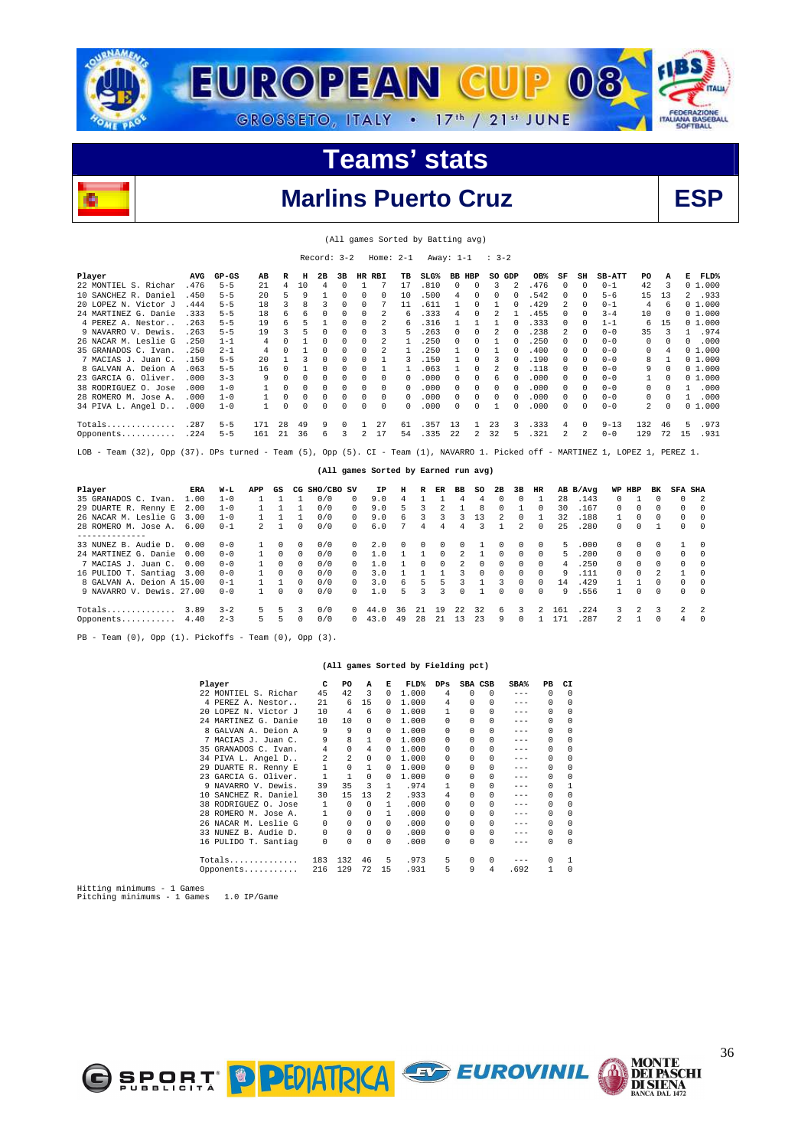

(All games Sorted by Batting avg)



#### **Marlins Puerto Cruz**

|                                                                                                                                  |      |         |     |              |              | Record: 3-2   |          |              |                | Home: $2-1$                          |                  | Away: 1-1 |                |             | $\frac{1}{2}$ 3 – 2 |                |              |    |                |               |              |              |          |                      |
|----------------------------------------------------------------------------------------------------------------------------------|------|---------|-----|--------------|--------------|---------------|----------|--------------|----------------|--------------------------------------|------------------|-----------|----------------|-------------|---------------------|----------------|--------------|----|----------------|---------------|--------------|--------------|----------|----------------------|
| Player                                                                                                                           | AVG  | $GP-GS$ | AB  | R            | н            | 2B            | 3в       | $_{\rm HR}$  | RBI            | тв                                   | SLG <sup>8</sup> |           | <b>BB HBP</b>  |             | SO GDP              |                | OB%          | SF | SH             | <b>SB-ATT</b> | PO           | A            |          | FLD%<br>Е            |
| 22 MONTIEL S. Richar                                                                                                             | .476 | $5 - 5$ | 21  | 4            | 10           | 4             | $\Omega$ | $\mathbf{1}$ | 7              | 17                                   | .810             |           | 0              | 0           | 3                   | $\overline{2}$ | .476         | 0  | $\Omega$       | $0 - 1$       | 42           | 3            |          | 01.000               |
| 10 SANCHEZ R. Daniel                                                                                                             | .450 | $5 - 5$ | 20  | 5            | 9            |               | $\Omega$ | 0            | $\Omega$       | 10                                   | .500             |           | 4              | $\Omega$    | 0                   | $\Omega$       | .542         | 0  | $\Omega$       | $5 - 6$       | 15           | 13           |          | 2<br>.933            |
| 20 LOPEZ N. Victor J                                                                                                             | .444 | $5 - 5$ | 18  | 3            | 8            | 3             | $\Omega$ | 0            | 7              | 11                                   | .611             |           | 1              | 0           | $\mathbf{1}$        | $\mathbf 0$    | .429         | 2  | 0              | $0 - 1$       | 4            | 6            |          | 01.000               |
| 24 MARTINEZ G. Danie                                                                                                             | .333 | $5 - 5$ | 18  | 6            | 6            | 0             | $\Omega$ | 0            | 2              | 6                                    | .333             |           | 4              | 0           | $\overline{2}$      | $\mathbf{1}$   | .455         | 0  | $\Omega$       | $3 - 4$       | 10           | $^{\circ}$   |          | 01.000               |
| 4 PEREZ A. Nestor                                                                                                                | .263 | $5 - 5$ | 19  | б            | 5            | $\mathbf{1}$  | $\Omega$ | 0            | 2              | 6                                    | .316             |           | 1              | 1           | $\mathbf{1}$        | $\Omega$       | .333         | 0  | $\Omega$       | $1 - 1$       | 6            | 15           |          | 01.000               |
| 9 NAVARRO V. Dewis.                                                                                                              | .263 | $5 - 5$ | 19  | 3            | 5            | $\Omega$      | $\Omega$ | 0            | 3              | 5                                    | .263             |           | 0              | $\Omega$    | $\overline{2}$      | $\Omega$       | .238         | 2  | $\Omega$       | $0 - 0$       | 35           | 3            |          | .974<br>$\mathbf{1}$ |
| 26 NACAR M. Leslie G                                                                                                             | .250 | $1 - 1$ | 4   | $\Omega$     | 1            | $\Omega$      | $\Omega$ | 0            | $\mathfrak{D}$ | $\mathbf{1}$                         | .250             |           | $\Omega$       | $\Omega$    | $\mathbf{1}$        | $\Omega$       | .250         | 0  | $\Omega$       | $0 - 0$       | $\Omega$     | $\Omega$     |          | .000<br>$\Omega$     |
| 35 GRANADOS C. Ivan.                                                                                                             | .250 | $2 - 1$ | 4   | 0            | $\mathbf{1}$ | $\Omega$      | n        | 0            | 2              | $\mathbf{1}$                         | .250             |           | 1              | $\Omega$    | $\mathbf{1}$        | $\Omega$       | .400         | 0  | $\Omega$       | $0 - 0$       | 0            | 4            |          | 01.000               |
| 7 MACIAS J. Juan C.                                                                                                              | .150 | $5 - 5$ | 20  | 1            | 3            | $\Omega$      | n        | 0            | 1              | 3                                    | .150             |           | 1              | $\Omega$    | 3                   | $\Omega$       | .190         | 0  | $\Omega$       | $0 - 0$       | 8            | $\mathbf{1}$ |          | 01.000               |
| 8 GALVAN A. Deion A                                                                                                              | .063 | $5 - 5$ | 16  | $\Omega$     | 1            | $\Omega$      | n        | 0            | 1              | $\mathbf{1}$                         | .063             |           | $\mathbf{1}$   | $\Omega$    | $\overline{2}$      | $\Omega$       | .118         | 0  | $\Omega$       | $0 - 0$       | 9            | $\Omega$     |          | 01.000               |
| 23 GARCIA G. Oliver.                                                                                                             | .000 | $3 - 3$ | 9   | $\Omega$     | $\Omega$     | $\Omega$      | $\Omega$ | 0            | $\Omega$       | 0                                    | .000             |           | $\Omega$       | 0           | 6                   | $\Omega$       | .000         | 0  | $\Omega$       | $0 - 0$       | $\mathbf{1}$ | $\Omega$     |          | 01.000               |
| 38 RODRIGUEZ O. Jose                                                                                                             | .000 | $1 - 0$ | 1   | $\Omega$     | $\Omega$     | 0             | $\Omega$ | $\Omega$     | $\Omega$       | $\Omega$                             | .000             |           | 0              | 0           | 0                   | $\Omega$       | .000         | 0  | $\Omega$       | $0 - 0$       | 0            | $\Omega$     |          | .000<br>1            |
| 28 ROMERO M. Jose A.                                                                                                             | .000 | $1 - 0$ | 1   | $\Omega$     | $\Omega$     | 0             | 0        | 0            | $\Omega$       | 0                                    | .000             |           | 0              | 0           | 0                   | $\Omega$       | .000         | 0  | $\Omega$       | $0 - 0$       | 0            | $\Omega$     |          | .000<br>$\mathbf{1}$ |
| 34 PIVA L. Angel D                                                                                                               | .000 | $1 - 0$ | 1   | $\Omega$     | $\Omega$     | $\Omega$      | $\Omega$ | 0            | $\Omega$       | 0                                    | .000             |           | $\Omega$       | 0           | 1                   | $\Omega$       | .000         | 0  | 0              | $0 - 0$       | 2            | $\Omega$     |          | 01.000               |
|                                                                                                                                  |      |         |     |              |              |               |          |              |                |                                      |                  |           |                |             |                     |                |              |    |                |               |              |              |          |                      |
| Totals                                                                                                                           | .287 | $5 - 5$ | 171 | 28           | 49           | 9             | $\Omega$ | 1            | 27             | 61                                   | .357             | 13        |                | 1           | 23                  | 3              | .333         | 4  | 0              | $9 - 13$      | 132          | 46           |          | 5<br>.973            |
| Opponents                                                                                                                        | .224 | $5 - 5$ | 161 | 21           | 36           | 6             | 3        | 2            | 17             | 54                                   | .335             | 22        |                | 2           | 32                  |                | .321         | 2  | $\mathfrak{D}$ | $0 - 0$       | 129          | 72           | 15       | .931                 |
|                                                                                                                                  |      |         |     |              |              |               |          |              |                |                                      |                  |           |                |             |                     |                |              |    |                |               |              |              |          |                      |
| Team (32), Opp (37). DPs turned - Team (5), Opp (5). CI - Team (1), NAVARRO 1. Picked off - MARTINEZ 1, LOPEZ 1, PEREZ 1.<br>LOB |      |         |     |              |              |               |          |              |                |                                      |                  |           |                |             |                     |                |              |    |                |               |              |              |          |                      |
|                                                                                                                                  |      |         |     |              |              |               |          |              |                |                                      |                  |           |                |             |                     |                |              |    |                |               |              |              |          |                      |
|                                                                                                                                  |      |         |     |              |              |               |          |              |                | (All games Sorted by Earned run avg) |                  |           |                |             |                     |                |              |    |                |               |              |              |          |                      |
| Player                                                                                                                           | ERA  | W-L     | APP | GS           |              | CG SHO/CBO SV |          |              | ΙP             | н                                    | R                | ER        | вв             | so          | 2B                  | 3B             | HR           |    | AB B/Avg       | WP HBP        |              | вĸ           |          | <b>SFA SHA</b>       |
| 35 GRANADOS C. Ivan.                                                                                                             | 1.00 | $1 - 0$ | 1   | 1            | $\mathbf{1}$ | 0/0           |          | 0            | 9.0            | 4                                    | 1                | 1         | 4              | 4           | $\Omega$            | $\Omega$       | $\mathbf{1}$ | 28 | .143           | $\Omega$      | 1            | $\Omega$     | 0        | 2                    |
| 29 DUARTE R. Renny E                                                                                                             | 2.00 | $1 - 0$ | 1   | $\mathbf{1}$ | $\mathbf{1}$ | 0/0           |          | $\Omega$     | 9.0            | 5                                    | 3                | 2         | $\mathbf{1}$   | 8           | 0                   | 1              | $\Omega$     | 30 | .167           | 0             | 0            | $\Omega$     | 0        | $\Omega$             |
| 26 NACAR M. Leslie G                                                                                                             | 3.00 | $1 - 0$ | 1   | $\mathbf{1}$ | $\mathbf{1}$ | 0/0           |          | $\Omega$     | 9.0            | 6                                    | 3                | 3         | 3              | 13          | $\overline{2}$      | $\Omega$       | $\mathbf{1}$ | 32 | .188           | 1             | 0            | $\Omega$     | 0        | 0                    |
| 28 ROMERO M. Jose A.                                                                                                             | 6.00 | $0 - 1$ | 2   | $\mathbf{1}$ | $\Omega$     | 0/0           |          | 0            | 6.0            | 7                                    | 4                | 4         | 4              | 3           | 1                   | 2              | $\Omega$     | 25 | .280           | $\Omega$      | 0            | $\mathbf{1}$ | 0        | 0                    |
| --------------                                                                                                                   |      |         |     |              |              |               |          |              |                |                                      |                  |           |                |             |                     |                |              |    |                |               |              |              |          |                      |
| 33 NUNEZ B. Audie D.                                                                                                             | 0.00 | $0 - 0$ | 1   | 0            | 0            | 0/0           |          | 0            | 2.0            | 0                                    | 0                | 0         | 0              | 1           | 0                   | 0              | 0            | 5  | .000           | 0             | 0            | 0            | 1        | 0                    |
| 24 MARTINEZ G. Danie                                                                                                             | 0.00 | $0 - 0$ | 1   | 0            | 0            | 0/0           |          | 0            | 1.0            |                                      |                  | 0         | $\overline{2}$ | 1           | 0                   | $\mathbf 0$    | 0            | 5  | .200           | 0             | 0            | 0            | 0        | 0                    |
| 7 MACIAS J. Juan C.                                                                                                              | 0.00 | $0 - 0$ | 1   | 0            | 0            | 0/0           |          | 0            | 1.0            |                                      | 0                | 0         | 2              | 0           | 0                   | $\Omega$       | $\mathbf 0$  | 4  | .250           | 0             | 0            | 0            | 0        | 0                    |
| 16 PULIDO T. Santiag                                                                                                             | 3.00 | $0 - 0$ | 1   | 0            | 0            | 0/0           |          | 0            | 3.0            |                                      |                  |           | 3              | $\mathbf 0$ | 0                   | $\Omega$       | $\mathbf 0$  | 9  | .111           | 0             | 0            | 2            | 1        | 0                    |
| 8 GALVAN A. Deion A 15.00                                                                                                        |      | $0 - 1$ | 1   | $\mathbf{1}$ | 0            | 0/0           |          | 0            | 3.0            | 6                                    | 5                | 5         | 3              |             | 3                   | $\Omega$       | $\mathbf 0$  | 14 | .429           | 1             |              | $\Omega$     | 0        | 0                    |
| 9 NAVARRO V. Dewis, 27.00                                                                                                        |      | $0 - 0$ | 1   | O            | <sup>n</sup> | 0/0           |          | O            | 1.0            |                                      | 3                | 3         | $\Omega$       |             | $\Omega$            |                | $\Omega$     | 9  | .556           | -1            | $\Omega$     | $\Omega$     | $\Omega$ | U                    |

PB - Team (0), Opp (1). Pickoffs - Team (0), Opp (3).

#### **(All games Sorted by Fielding pct)**

EUROVINIL

Totals.............. 3.89 3-2 5 5 3 0/0 0 44.0 36 21 19 22 32 6 3 2 161 .224 3 2 3 2 2 Opponents........... 4.40 2-3 5 5 0 0/0 0 43.0 49 28 21 13 23 9 0 1 171 .287 2 1 0 4 0

|                           | Player               | c            | PO             | A            | Е              | FLD%  | $_{\rm DPS}$ |          | SBA CSB  | $SBA\%$ | PВ           | CI       |
|---------------------------|----------------------|--------------|----------------|--------------|----------------|-------|--------------|----------|----------|---------|--------------|----------|
|                           | 22 MONTIEL S. Richar | 45           | 42             | 3            | 0              | 1,000 | 4            | $\Omega$ | $\Omega$ | $---$   | $\Omega$     | $\Omega$ |
|                           | 4 PEREZ A. Nestor    | 21           | 6              | 15           | 0              | 1,000 | 4            | 0        | 0        | $- - -$ | $\Omega$     | $\cap$   |
|                           | 20 LOPEZ N. Victor J | 10           | 4              | 6            | 0              | 1,000 | 1            | $\Omega$ | $\Omega$ | $---$   | 0            |          |
|                           | 24 MARTINEZ G. Danie | 10           | 10             | 0            | 0              | 1,000 | $\Omega$     | 0        | 0        | $---$   | $\Omega$     |          |
|                           | 8 GALVAN A. Deion A  | 9            | 9              | 0            | 0              | 1,000 | 0            | 0        | U        | $- - -$ | 0            |          |
|                           | 7 MACIAS J. Juan C.  | 9            | 8              | 1            | 0              | 1,000 | 0            | 0        | $\Omega$ | $---$   | 0            | $\Omega$ |
|                           | 35 GRANADOS C. Ivan. | 4            | $\Omega$       | 4            | 0              | 1,000 | 0            | 0        | U        | $---$   | $\Omega$     |          |
|                           | 34 PIVA L. Angel D   | 2            | $\mathfrak{D}$ | 0            | 0              | 1,000 | 0            | 0        | U        | $- - -$ | 0            | $\cap$   |
|                           | 29 DUARTE R. Renny E | 1            | 0              | $\mathbf{1}$ | 0              | 1,000 | 0            | 0        | 0        | $---$   | 0            |          |
|                           | 23 GARCIA G. Oliver. | 1            | 1              | $\Omega$     | 0              | 1,000 | 0            | 0        | 0        | $- - -$ | $\Omega$     |          |
|                           | 9 NAVARRO V. Dewis.  | 39           | 35             | 3            | 1.             | .974  | 1            | $\Omega$ | U        | $- - -$ | 0            |          |
|                           | 10 SANCHEZ R. Daniel | 30           | 15             | 13           | $\mathfrak{D}$ | .933  | 4            | 0        | 0        | $- - -$ | 0            |          |
|                           | 38 RODRIGUEZ O. Jose | $\mathbf{1}$ | $\Omega$       | $\Omega$     | 1              | .000  | 0            | 0        | 0        | $---$   | $\Omega$     |          |
|                           | 28 ROMERO M. Jose A. | $\mathbf{1}$ | $\Omega$       | 0            | 1              | .000  | 0            | 0        | U        | ---     | 0            | $\cap$   |
|                           | 26 NACAR M. Leslie G | 0            | $\Omega$       | $\cap$       | 0              | .000  | 0            | 0        | $\Omega$ | $- - -$ | 0            |          |
|                           | 33 NUNEZ B. Audie D. | 0            | $\Omega$       | $\Omega$     | $\Omega$       | .000  | 0            | 0        | $\Omega$ | $---$   | 0            | $\cap$   |
|                           | 16 PULIDO T. Santiag | $\mathbf 0$  | $\Omega$       | 0            | 0              | .000  | 0            | 0        | $\Omega$ | $- - -$ | 0            | $\cup$   |
|                           | Totals               | 183          | 132            | 46           | 5              | .973  | 5            | 0        | $\Omega$ | $- - -$ | 0            |          |
|                           | Opponents            | 216          | 129            | 72           | 15             | .931  | 5            | 9        | 4        | .692    | $\mathbf{1}$ | $\Omega$ |
| $m+++$ minimums $1$ Comog |                      |              |                |              |                |       |              |          |          |         |              |          |

Hitting minimums - 1 Games Pitching minimums - 1 Games 1.0 IP/Game



**MONTE<br>DEI PASCHI<br>DI SIENA<br>BANCA DAL 1472**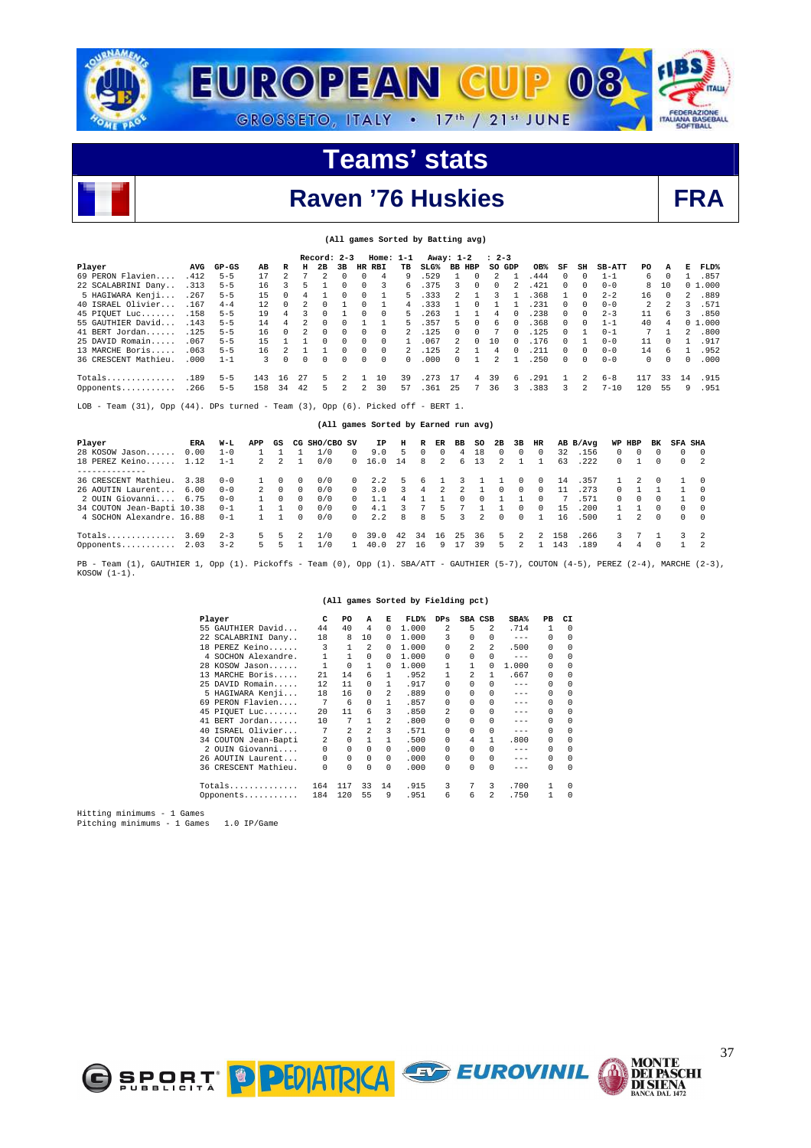



## **Raven '76 Huskies**

**(All games Sorted by Batting avg)** 

|--|

|                                                                                                                          |      |         |     |          |          | $Record: 2-3$ |    |          | $Home: 1-1$  |              |                                      | Away: 1-2     |   | $: 2 - 3$ |    |       |              |               |               |          |                |                      |        |
|--------------------------------------------------------------------------------------------------------------------------|------|---------|-----|----------|----------|---------------|----|----------|--------------|--------------|--------------------------------------|---------------|---|-----------|----|-------|--------------|---------------|---------------|----------|----------------|----------------------|--------|
| Player                                                                                                                   | AVG  | $GP-GS$ | AВ  | R        | н        | 2B            | 3B |          | HR RBI       | TВ           | $SLG\%$                              | BB HBP        |   | SO GDP    |    | OB%   | SF           | SH            | <b>SB-ATT</b> | PO.      | A              | к                    | FLD%   |
| 69 PERON Flavien                                                                                                         | .412 | $5 - 5$ | 17  |          |          |               |    |          | 4            | 9            | .529                                 |               |   |           |    | . 444 | 0            | $\Omega$      | $1 - 1$       | 6        | 0              |                      | .857   |
| 22 SCALABRINI Dany                                                                                                       | .313 | $5 - 5$ | 16  |          |          |               |    | 0        | $\mathbf{R}$ | 6            | .375                                 | 3             |   | $\cap$    |    | .421  | 0            | $\Omega$      | $0 - 0$       | 8        | 10             |                      | 01.000 |
| 5 HAGIWARA Kenji                                                                                                         | .267 | $5 - 5$ | 15  | $\Omega$ |          |               | 0  | 0        |              | 5            | .333                                 | 2             |   | 3         |    | 368   |              | $\Omega$      | $2 - 2$       | 16       | $\Omega$       | $\mathbf{2}^{\circ}$ | .889   |
| 40 ISRAEL Olivier                                                                                                        | .167 | $4 - 4$ | 12  | $\Omega$ |          | 0             |    |          |              | 4            | .333                                 |               |   |           |    | .231  | $^{\circ}$   | $^{\circ}$    | $0 - 0$       | 2        | 2              | 3.                   | .571   |
| 45 PIQUET Luc                                                                                                            | .158 | $5 - 5$ | 19  |          |          |               |    |          | $\Omega$     | 5            | .263                                 |               |   |           |    | .238  | 0            | $\Omega$      | $2 - 3$       | 11       | -6             | 3.                   | .850   |
| 55 GAUTHIER David                                                                                                        | .143 | $5 - 5$ | 14  |          |          | $\Omega$      |    |          |              |              | .357                                 | 5             |   | 6         |    | .368  | $^{\circ}$   | $\Omega$      | $1 - 1$       | 40       | $\overline{4}$ |                      | 01.000 |
| 41 BERT Jordan                                                                                                           | .125 | $5 - 5$ | 16  | $\cap$   |          | $\Omega$      | 0  | 0        | $\Omega$     |              | .125                                 | <sup>n</sup>  |   |           |    | .125  | <sup>0</sup> |               | $0 - 1$       | 7        |                | $\mathfrak{D}$       | .800   |
| 25 DAVID Romain                                                                                                          | .067 | $5 - 5$ | 15  |          |          |               |    |          | <sup>n</sup> |              | .067                                 |               |   | 10        |    | .176  |              |               | $0 - 0$       | 11       | $\Omega$       |                      | .917   |
| 13 MARCHE Boris                                                                                                          | .063 | $5 - 5$ | 16  |          |          |               | 0  | $\Omega$ | $\Omega$     |              | .125                                 | $\mathcal{L}$ |   | 4         |    | .211  | $\Omega$     | $\Omega$      | $0 - 0$       | 14       | 6              |                      | .952   |
| 36 CRESCENT Mathieu.                                                                                                     | .000 | $1 - 1$ | 3   | $\Omega$ | $\Omega$ | $\Omega$      | 0  | 0        | $\Omega$     | <sup>n</sup> | .000                                 | <sup>n</sup>  |   |           |    | 250   | <sup>0</sup> | $\Omega$      | $0 - 0$       | $\Omega$ | $\Omega$       | $\Omega$             | .000   |
| $Totals$                                                                                                                 | .189 | $5 - 5$ | 143 | 16       | 27       | 5             |    |          | 10           | 39           | . 273                                | -17           | 4 | 39        | б. | .291  |              | 2             | $6 - 8$       | 117      | 33             | 14                   | .915   |
| Opponents                                                                                                                | .266 | $5 - 5$ | 158 | 34       | 42       | 5             | 2  | 2        | 30           | 57           | .361                                 | 25            |   | 36        | 3. | .383  | 3            | $\mathcal{L}$ | $7 - 10$      | 120      | 55             | 9                    | .951   |
|                                                                                                                          |      |         |     |          |          |               |    |          |              |              |                                      |               |   |           |    |       |              |               |               |          |                |                      |        |
| Team $(31)$ , Opp $(44)$ . DPs turned - Team $(3)$ , Opp $(6)$ . Picked off - BERT 1.<br>LOB<br>$\overline{\phantom{0}}$ |      |         |     |          |          |               |    |          |              |              |                                      |               |   |           |    |       |              |               |               |          |                |                      |        |
|                                                                                                                          |      |         |     |          |          |               |    |          |              |              |                                      |               |   |           |    |       |              |               |               |          |                |                      |        |
|                                                                                                                          |      |         |     |          |          |               |    |          |              |              | (All games Sorted by Earned run avg) |               |   |           |    |       |              |               |               |          |                |                      |        |

| Player                     | ERA  | W-L     | APP         | GS |              | CG SHO/CBO SV |            | IP.    | н   | R        | ER                   | BB           | so             | 2B       | 3B           | HR       |     | AB B/Avq |              | WP HBP       | вĸ       | <b>SFA SHA</b> |          |
|----------------------------|------|---------|-------------|----|--------------|---------------|------------|--------|-----|----------|----------------------|--------------|----------------|----------|--------------|----------|-----|----------|--------------|--------------|----------|----------------|----------|
| 28 KOSOW Jason             | 0.00 | $1 - 0$ |             |    |              | 1/0           | 0          | 9.0    | 5.  | $\Omega$ | 0                    | 4            | 18             | 0        | $\Omega$     | $\Omega$ | 32  | .156     | $\Omega$     | 0            | $\Omega$ | $\Omega$       | $\Omega$ |
| 18 PEREZ Keino             | 1.12 | $1 - 1$ | $2^{\circ}$ | 2  |              | 0/0           |            | 0 16.0 | 14  | 8        | $\mathfrak{D}$       | 6.           | 13             |          |              |          | 63  | .222     | $\Omega$     |              | $\Omega$ | $\Omega$       |          |
| -----------                |      |         |             |    |              |               |            |        |     |          |                      |              |                |          |              |          |     |          |              |              |          |                |          |
| 36 CRESCENT Mathieu.       | 3.38 | $0 - 0$ |             |    | 0            | 0/0           | $^{\circ}$ | 2.2    | 5.  | 6        |                      |              |                |          |              | 0        | 14  | .357     |              |              | $\Omega$ |                |          |
| 26 AOUTIN Laurent          | 6.00 | $0 - 0$ |             |    | $\Omega$     | 0/0           | $\Omega$   | 3.0    | 3.  | -4       | $\mathbf{2}^{\circ}$ | 2            |                | $\Omega$ | $\Omega$     | $\Omega$ | 11  | . 273    | 0            |              |          |                |          |
| 2 OUIN Giovanni            | 6.75 | $0 - 0$ |             |    | $\Omega$     | 0/0           | $^{\circ}$ |        | 4   |          |                      | <sup>n</sup> |                |          |              | $\Omega$ |     | .571     | $\mathbf{r}$ | <sup>0</sup> | $\Omega$ |                | $\Omega$ |
| 34 COUTON Jean-Bapti 10.38 |      | $0 - 1$ |             |    | 0            | 0/0           | $\Omega$   | 4.1    |     |          | 5                    |              |                |          | <sup>n</sup> |          | 1.5 | .200     |              |              | $\Omega$ | $\Omega$       | $\Omega$ |
| 4 SOCHON Alexandre, 16.88  |      | $0 - 1$ |             |    | <sup>n</sup> | 0/0           | $\Omega$   | 2.2    | 8   | 8        | 5.                   | 3            | $\overline{2}$ | $\Omega$ | $\cap$       |          | 16  | .500     |              | $2^{\circ}$  | $\Omega$ | $\Omega$       | $\Omega$ |
| Totals                     | 3.69 | $2 - 3$ | 5.          |    |              | $\sqrt{0}$    | $\Omega$   | 39.0   | -42 | 34       | 16                   | 25           | 36             | 5.       | 2            |          | 158 | . 266    | 3.           |              |          |                |          |
| Opponents $2.03$           |      | $3 - 2$ | 5.          |    |              | 1/0           |            | 40.0   | 27  | 16       | 9                    |              | 39             | 5.       |              |          | 143 | .189     | 4            | 4            | $\Omega$ |                |          |

PB - Team (1), GAUTHIER 1, Opp (1). Pickoffs - Team (0), Opp (1). SBA/ATT - GAUTHIER (5-7), COUTON (4-5), PEREZ (2-4), MARCHE (2-3),  $KOSOW (1-1).$ 

**(All games Sorted by Fielding pct)** 

|    | Player               | c        | PO       | A                       | Е        | FLD%  | $_{\rm DPS}$ | SBA CSB      |   | SBA%    | PВ       | CI         |
|----|----------------------|----------|----------|-------------------------|----------|-------|--------------|--------------|---|---------|----------|------------|
|    | 55 GAUTHIER David    | 44       | 40       | 4                       | 0        | 1,000 | 2            | 5            | 2 | .714    | 1        | $\Omega$   |
|    | 22 SCALABRINI Dany   | 18       | 8        | 10                      | 0        | 1,000 | 3            | 0            | 0 | $---$   | $\Omega$ | $^{\circ}$ |
|    | 18 PEREZ Keino       | 3        | 1        | 2                       | 0        | 1,000 | $\Omega$     | 2            | 2 | .500    | 0        | $^{\circ}$ |
|    | 4 SOCHON Alexandre.  | 1        | 1        | $\Omega$                | 0        | 1,000 | $\cap$       |              | 0 | $- - -$ | $\Omega$ | $\Omega$   |
|    | 28 KOSOW Jason       |          | 0        | 1                       | 0        | 1,000 |              |              | 0 | 1,000   | 0        | $\Omega$   |
|    | 13 MARCHE Boris      | 2.1      | 14       | 6                       | 1        | .952  |              | 2            |   | .667    | 0        | $\Omega$   |
|    | 25 DAVID Romain      | 12       | 11       | 0                       | 1        | .917  | 0            | 0            | 0 | $- - -$ | $\Omega$ | 0          |
|    | 5 HAGIWARA Kenji     | 18       | 16       | 0                       | 2.       | .889  | $\cap$       | 0            | 0 | $- - -$ | 0        | $\Omega$   |
| 69 | PERON Flavien        | 7        | 6        | 0                       | 1        | .857  | $\cap$       | <sup>n</sup> | 0 | $- - -$ | $\Omega$ | $\Omega$   |
|    | 45 PIQUET Luc        | 20       | 11       | 6                       | 3        | .850  | 2            | 0            | 0 | $- - -$ | $\Omega$ | $\Omega$   |
|    | 41 BERT Jordan       | 10       | 7        | 1                       | 2        | .800  | $\Omega$     | 0            | 0 | $---$   | $\Omega$ | $\Omega$   |
| 40 | ISRAEL Olivier       | 7        | 2        | $\overline{\mathbf{c}}$ | 3        | .571  | $\Omega$     | 0            | 0 | $- - -$ | $\Omega$ | $\Omega$   |
|    | 34 COUTON Jean-Bapti | 2        | $\Omega$ |                         |          | .500  | $\Omega$     | 4            | 1 | .800    | 0        | $\Omega$   |
|    | 2 OUIN Giovanni      | $\Omega$ | 0        | 0                       | $\Omega$ | .000  | $\Omega$     | <sup>n</sup> | 0 | $- - -$ | $\Omega$ | $\Omega$   |
|    | 26 AOUTIN Laurent    | 0        | 0        | 0                       | $\Omega$ | .000  | $\Omega$     | 0            | 0 | $- - -$ | $\Omega$ | $\Omega$   |
|    | 36 CRESCENT Mathieu. | 0        | 0        | 0                       | $\Omega$ | .000  | $\Omega$     | 0            | 0 |         | $\Omega$ | $\Omega$   |
|    | Totals               | 164      | 117      | 33                      | 14       | .915  | 3            |              | 3 | .700    | 1        | $\Omega$   |
|    | Opponents            | 184      | 120      | 55                      | 9        | .951  | 6            | 6            | 2 | .750    | 1        | $\Omega$   |



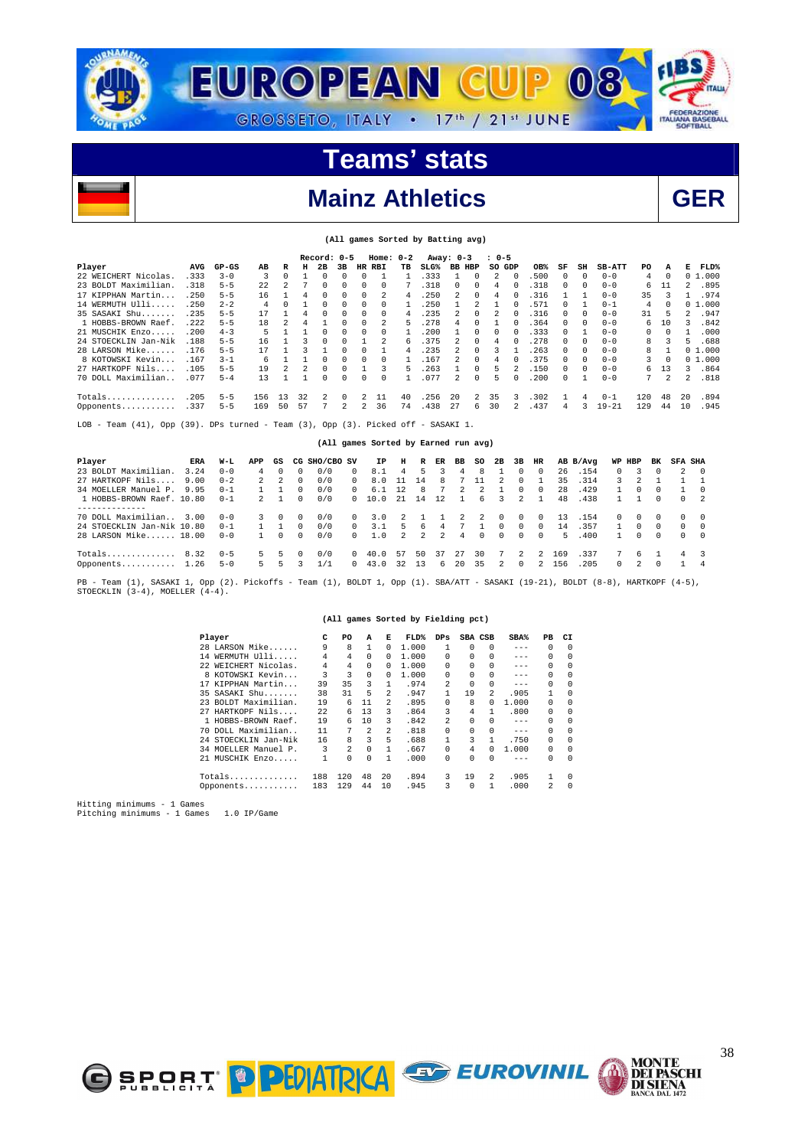

**(All games Sorted by Batting avg)** 

## **Mainz Athletics** GER



|                                                                                    |      |         |     |    |    | Record: 0-5 |    |          | Home: $0-2$ |    |                                      | Away: 0-3     |                | $10 - 5$ |          |      |              |          |               |     |          |               |               |
|------------------------------------------------------------------------------------|------|---------|-----|----|----|-------------|----|----------|-------------|----|--------------------------------------|---------------|----------------|----------|----------|------|--------------|----------|---------------|-----|----------|---------------|---------------|
| Player                                                                             | AVG  | $GP-GS$ | AB  | R  | н  | 2B          | 3B | HR       | <b>RBI</b>  | TВ | $SLG$ <sup>%</sup>                   | <b>BB HBP</b> |                | so       | GDP      | OB%  | SF           | SH       | <b>SB-ATT</b> | PO. | А        | Е             | ${\tt FLD\$}$ |
| 22 WEICHERT Nicolas                                                                | .333 | $3 - 0$ | 3   | 0  |    |             | 0  |          |             |    | .333                                 |               | $\Omega$       | 2        | $\Omega$ | .500 | <sup>0</sup> | n        | $0 - 0$       | 4   | 0        |               | 01.000        |
| 23 BOLDT Maximilian.                                                               | .318 | $5 - 5$ | 22  | 2  |    |             | 0  | $\Omega$ | 0           |    | .318                                 | 0             | 0              | 4        | $\Omega$ | .318 |              | n        | $0 - 0$       | 6   | 11       | $\mathcal{L}$ | .895          |
| 17 KIPPHAN Martin                                                                  | .250 | $5 - 5$ | 16  |    | 4  |             | 0  | 0        | 2           | 4  | .250                                 | 2             | $\Omega$       | 4        |          | .316 |              |          | $0 - 0$       | 35  | 3        |               | .974          |
| 14 WERMUTH Ulli                                                                    | .250 | $2 - 2$ | 4   |    |    |             | 0  | $\Omega$ | 0           |    | .250                                 |               | $\mathfrak{D}$ |          | $\Omega$ | .571 | $\Omega$     |          | $0 - 1$       | 4   | $\Omega$ |               | 01.000        |
| 35 SASAKI Shu                                                                      | 235  | $5 - 5$ | 17  |    | 4  | $\Omega$    | 0  | $\Omega$ | 0           | 4  | 235                                  | 2             | $\Omega$       | 2        | 0        | .316 | $\Omega$     | $\Omega$ | $0 - 0$       | 31  | 5        | 2.            | .947          |
| 1 HOBBS-BROWN Raef.                                                                | .222 | $5 - 5$ | 18  |    | 4  |             | 0  | $\Omega$ | 2           | 5  | .278                                 | 4             |                |          |          | .364 |              | $\cup$   | $0 - 0$       | 6   | 10       | ς             | .842          |
| 21 MUSCHIK Enzo                                                                    | .200 | $4 - 3$ | 5   |    |    |             | 0  | $\Omega$ | 0           |    | 200                                  |               | $\Omega$       | 0        | $\Omega$ | .333 | $\Omega$     |          | $0 - 0$       | 0   | $\Omega$ |               | .000          |
| 24 STOECKLIN Jan-Nik                                                               | .188 | $5 - 5$ | 16  |    |    |             | U  |          | 2           | 6  | 375                                  |               | $\Omega$       | 4        | $\Omega$ | 278  | $\Omega$     | $\Omega$ | $0 - 0$       | 8   | 3        | 5.            | .688          |
| 28 LARSON Mike                                                                     | .176 | $5 - 5$ | 17  |    |    |             |    |          |             | 4  | .235                                 |               | 0              |          |          | 263  | 0            | 0        | $0 - 0$       | 8   |          |               | 01.000        |
| 8 KOTOWSKI Kevin                                                                   | .167 | $3 - 1$ | 6   |    |    |             | 0  | $\Omega$ | 0           |    | .167                                 |               | $\Omega$       | 4        |          | .375 | $\Omega$     | $\Omega$ | $0 - 0$       | 3   | $\Omega$ |               | 01.000        |
| 27 HARTKOPF Nils                                                                   | .105 | $5 - 5$ | 19  | 2  | 2  |             | 0  |          | 3           | 5  | .263                                 |               | 0              | 5        |          | .150 | $\Omega$     | $\Omega$ | $0 - 0$       | 6   | 13       | 3             | .864          |
| 70 DOLL Maximilian                                                                 | .077 | $5 - 4$ | 13  |    |    | $\Omega$    | 0  | $\Omega$ | 0           |    | .077                                 | 2             | $\Omega$       | 5.       | $\Omega$ | .200 | $\Omega$     |          | $0 - 0$       | 7   | 2        | 2.            | .818          |
| $Totals$                                                                           | .205 | $5 - 5$ | 156 | 13 | 32 | 2           | 0  | 2.       | 11          | 40 | .256                                 | 2.0           | $\overline{a}$ | 35       | 3        | .302 |              | 4        | $0 - 1$       | 120 | 48       | 20            | .894          |
| Opponents                                                                          | .337 | $5 - 5$ | 169 | 50 | 57 |             | 2  | 2.       | 36          | 74 | .438                                 | 27            | 6              | 30       |          | .437 | 4            | ર        | $19 - 21$     | 129 | 44       | 10            | .945          |
| Team (41), Opp (39). DPs turned - Team (3), Opp (3). Picked off - SASAKI 1.<br>LOB |      |         |     |    |    |             |    |          |             |    |                                      |               |                |          |          |      |              |          |               |     |          |               |               |
|                                                                                    |      |         |     |    |    |             |    |          |             |    | (All games Sorted by Earned run avg) |               |                |          |          |      |              |          |               |     |          |               |               |

| Player                     | ERA  | W-L     | APP            | GS            |          | CG SHO/CBO SV |            | IP   | н   | R              | ER | ВB | so       | 2B            | 3B            | HR            |     | AB B/Avq | WP HBP        |    | вĸ       | SFA SHA  |          |
|----------------------------|------|---------|----------------|---------------|----------|---------------|------------|------|-----|----------------|----|----|----------|---------------|---------------|---------------|-----|----------|---------------|----|----------|----------|----------|
| 23 BOLDT Maximilian.       | 3.24 | $0 - 0$ | 4              |               |          | 0/0           | 0          | 8.1  | 4   | 5.             |    | 4  | 8        |               | 0             | $\Omega$      | 26  | .154     | $\Omega$      |    | $\Omega$ |          | $\Omega$ |
| 27 HARTKOPF Nils           | 9.00 | $0 - 2$ | $\overline{2}$ | $\mathcal{L}$ | $\Omega$ | 0/0           | $^{\circ}$ | 8.0  |     | 14             | 8  |    |          | $\mathcal{L}$ | $\Omega$      |               | 35  | .314     | $\mathcal{R}$ |    |          |          |          |
| 34 MOELLER Manuel P.       | 9.95 | $0 - 1$ |                |               | $\Omega$ | 0/0           | $^{\circ}$ | 6.1  | 12  | 8.             |    | 2  |          |               | 0             | $\Omega$      | 28  | .429     | $\mathbf{1}$  | 0  | $\Omega$ |          | - 0      |
| 1 HOBBS-BROWN Raef, 10.80  |      | $0 - 1$ |                |               |          | 0/0           | $^{\circ}$ | 10.0 | -21 | 14             | 12 |    | 6.       | 3             |               |               | 48  | .438     |               |    | 0        |          | - 2      |
|                            |      |         |                |               |          |               |            |      |     |                |    |    |          |               |               |               |     |          |               |    |          |          |          |
| 70 DOLL Maximilian         | 3.00 | $0 - 0$ | 3.             | -0            | $\Omega$ | 0/0           | 0          | 3.0  |     |                |    |    |          | $^{\circ}$    | $\Omega$      | $\Omega$      | 13  | .154     | $\Box$        | 0  | $\Omega$ |          | - 0      |
| 24 STOECKLIN Jan-Nik 10.80 |      | $0 - 1$ |                |               | $\Omega$ | 0/0           | $\Omega$   | 3.1  | 5   | 6              | 4  |    |          | $\Omega$      | $\Omega$      | 0             | 14  | .357     | 1.            | 0  | $\Omega$ | $\Omega$ | - 0      |
| 28 LARSON Mike 18.00       |      | $0 - 0$ |                | $\Omega$      | $\Omega$ | 0/0           | $^{\circ}$ | 1.0  | 2   | $\overline{2}$ | 2  | 4  | $\Omega$ | $\Omega$      | $\Omega$      | $\Omega$      | 5.  | .400     | $\mathbf{1}$  | 0  | $\Omega$ |          | $\Omega$ |
|                            | 8.32 | $0 - 5$ | 5.             | 5.            |          | 0/0           | $^{\circ}$ | 40.0 | 57  | 50             | 37 | 27 | 30       | 7             | $\mathcal{L}$ | $\mathcal{L}$ | 169 | .337     |               | 6. |          | 4        |          |
| Opponents 1.26             |      | $5 - 0$ | ъ.             |               |          | 1 / 1         | 0          | 43.0 | 32  | 13             | 6  | 20 | 35       | 2             | $\Omega$      |               | 156 | . 205    | $\Omega$      |    | $\Omega$ |          | -4       |

PB - Team (1), SASAKI 1, Opp (2). Pickoffs - Team (1), BOLDT 1, Opp (1). SBA/ATT - SASAKI (19-21), BOLDT (8-8), HARTKOPF (4-5),<br>STOECKLIN (3-4), MOELLER (4-4).

#### **(All games Sorted by Fielding pct)**

| Player               | с    | PO             | A  | Е              | FLD%  | $_{\rm DPS}$ | SBA CSB      |               | SBA%    | PВ       | CI.        |
|----------------------|------|----------------|----|----------------|-------|--------------|--------------|---------------|---------|----------|------------|
| 28 LARSON Mike       | 9    | 8              |    | 0              | 1,000 |              | 0            | 0             | $- - -$ | $\Omega$ | $\Omega$   |
| 14 WERMUTH Ulli      | 4    | 4              | 0  | 0              | 1,000 | $\Omega$     | 0            | 0             | $- - -$ | $\Omega$ | $^{\circ}$ |
| 22 WEICHERT Nicolas. | 4    | 4              | 0  | 0              | 1,000 | $\Omega$     | $\Omega$     | 0             | $- - -$ | $\Omega$ | $\Omega$   |
| 8 KOTOWSKI Kevin     | 3    | 3              | 0  | 0              | 1.000 | $\Omega$     | 0            | 0             | $- - -$ | 0        | $\Omega$   |
| 17 KIPPHAN Martin    | 39   | 35             | 3  |                | .974  | 2            | $\Omega$     | 0             | $- - -$ | $\Omega$ | $^{\circ}$ |
| 35 SASAKI Shu        | 38   | 31             | 5  | $\mathfrak{D}$ | .947  |              | 19           | $\mathcal{L}$ | .905    | 1        | $\Omega$   |
| 23 BOLDT Maximilian. | 19   | 6              | 11 | $\mathfrak{D}$ | .895  | <sup>n</sup> | 8            | <sup>n</sup>  | 1.000   | 0        | $\Omega$   |
| 27 HARTKOPF Nils     | 2.2. | б.             | 13 | 3              | .864  | 3            | 4            |               | .800    | 0        | $\Omega$   |
| 1 HOBBS-BROWN Raef.  | 19   | 6              | 10 | 3              | .842  | 2            | 0            | 0             | $- - -$ | $\Omega$ | $\Omega$   |
| 70 DOLL Maximilian   | 11   | 7              | 2  | $\mathfrak{D}$ | .818  | $\Omega$     | <sup>n</sup> | 0             | $- - -$ | $\Omega$ | $\Omega$   |
| 24 STOECKLIN Jan-Nik | 16   | 8              | 3  | 5              | . 688 |              | 3            |               | .750    | 0        | $\Omega$   |
| 34 MOELLER Manuel P. | 3    | $\mathfrak{D}$ | 0  |                | . 667 | $\Omega$     | 4            | O.            | 1.000   | 0        | $\Omega$   |
| 21 MUSCHIK Enzo      |      | 0              | 0  |                | .000  | $\Omega$     | <sup>n</sup> | U             | $- - -$ | $\Omega$ | $\Omega$   |
| $Totals$             | 188  | 120            | 48 | 20             | .894  | 3            | 19           | 2             | .905    | 1        | $\Omega$   |
| Opponents            | 183  | 129            | 44 | 10             | .945  | 3            | $\Omega$     |               | .000    | 2        | $\Omega$   |



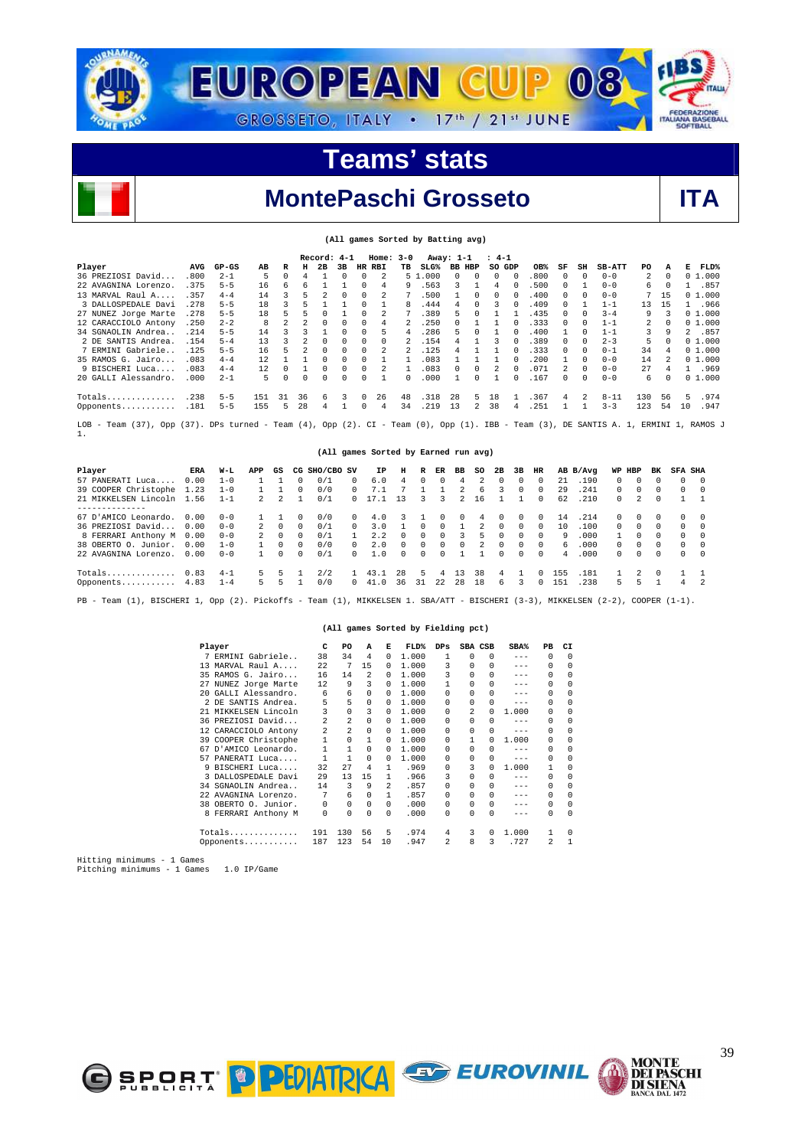



### **MontePaschi Grosseto ITA**

|                                                                                                                                               |            |         |     |    |    |                          |    |    |                         |              | (All games Sorted by Batting avg)    |              |               |          |              |      |    |          |               |                |          |              |           |
|-----------------------------------------------------------------------------------------------------------------------------------------------|------------|---------|-----|----|----|--------------------------|----|----|-------------------------|--------------|--------------------------------------|--------------|---------------|----------|--------------|------|----|----------|---------------|----------------|----------|--------------|-----------|
|                                                                                                                                               |            |         |     |    |    | Record: 4-1              |    |    | $Home: 3-0$             |              |                                      | Away: 1-1    |               | $: 4-1$  |              |      |    |          |               |                |          |              |           |
| Player                                                                                                                                        | <b>AVG</b> | $GP-GS$ | AВ  | R  | н  | 2B                       | 3B | HR | RBI                     | TВ           | $SLG\$                               |              | <b>BB HBP</b> |          | SO GDP       | OB%  | SF | SH       | <b>SB-ATT</b> | PO             | А        | Е            | FLD%      |
| 36 PREZIOSI David                                                                                                                             | .800       | $2 - 1$ | 5   | 0  |    |                          | 0  | 0  | 2                       |              | 5 1.000                              | $\Omega$     | 0             | 0        | $\Omega$     | .800 | 0  | $\Omega$ | $0 - 0$       | 2              | $\Omega$ |              | 01.000    |
| 22 AVAGNINA Lorenzo.                                                                                                                          | .375       | $5 - 5$ | 16  | 6  | 6  |                          |    | 0  | 4                       | 9            | .563                                 | 3            |               | 4        |              | .500 | 0  | 1        | $0 - 0$       | 6              |          | 1.           | .857      |
| $13$ MARVAL Raul $A$                                                                                                                          | .357       | $4 - 4$ | 14  | 3  | 5  | $\overline{\mathcal{L}}$ | 0  | 0  | $\overline{\mathbf{c}}$ |              | .500                                 |              | 0             | $\Omega$ | 0            | .400 | 0  | 0        | $0 - 0$       | 7              | 15       |              | 0, 1, 000 |
| 3 DALLOSPEDALE Davi                                                                                                                           | .278       | $5 - 5$ | 18  | 3  |    |                          |    | 0  |                         | R            | .444                                 | 4            | 0             | 3        | 0            | .409 | 0  |          | $1 - 1$       | 13             | 15       | $\mathbf{1}$ | .966      |
| 27 NUNEZ Jorge Marte                                                                                                                          | .278       | $5 - 5$ | 18  | 5  |    | $\Omega$                 |    | 0  | 2                       |              | .389                                 | 5            | 0             |          |              | .435 | 0  | 0        | $3 - 4$       | 9              |          |              | 01.000    |
| 12 CARACCIOLO Antony                                                                                                                          | .250       | $2 - 2$ | 8   | 2  |    | 0                        | 0  | 0  | 4                       |              | .250                                 | 0            |               |          | 0            | .333 | 0  | 0        | $1 - 1$       | $\overline{2}$ |          |              | 01.000    |
| 34 SGNAOLIN Andrea                                                                                                                            | .214       | $5 - 5$ | 14  | 3  |    |                          | 0  | 0  | 5                       | 4            | .286                                 | 5            | 0             |          | 0            | .400 | 1  | 0        | $1 - 1$       | 3              | 9        |              | 2 .857    |
| 2 DE SANTIS Andrea.                                                                                                                           | .154       | $5 - 4$ | 13  | ঽ  | 2. | $\Omega$                 | 0  | 0  | 0                       | 2            | .154                                 | 4            |               | ર        | 0            | .389 | 0  | 0        | $2 - 3$       | 5              |          |              | 01.000    |
| 7 ERMINI Gabriele.                                                                                                                            | .125       | $5 - 5$ | 16  | 5  |    | $\Omega$                 | 0  | 0  |                         |              | .125                                 | 4            |               |          |              | .333 | 0  | 0        | $0 - 1$       | 34             | 4        |              | 01.000    |
| 35 RAMOS G. Jairo                                                                                                                             | .083       | $4 - 4$ | 12  |    |    | $\Omega$                 |    | 0  |                         |              | .083                                 |              |               |          |              | .200 |    | 0        | $0 - 0$       | 14             |          |              | 01.000    |
| 9 BISCHERI Luca                                                                                                                               | .083       | $4 - 4$ | 12  | n  |    | $\Omega$                 | 0  | 0  | 2                       |              | .083                                 | $\Omega$     | 0             | 2        | 0            | .071 | 2. | $\Omega$ | $0 - 0$       | 27             |          |              | 1.969     |
| 20 GALLI Alessandro.                                                                                                                          | .000       | $2 - 1$ | 5   | 0  | 0  | 0                        | 0  | 0  | $\mathbf{1}$            | <sup>n</sup> | .000                                 | $\mathbf{1}$ | 0             |          | <sup>n</sup> | .167 | 0  | $\Omega$ | $0 - 0$       | 6              |          |              | 01.000    |
| Totals                                                                                                                                        | .238       | $5 - 5$ | 151 | 31 | 36 | 6                        | 3  | 0  | 26                      | 48           | .318                                 | 28           | 5.            | 18       |              | .367 | 4  | 2        | $8 - 11$      | 130            | 56       | 5            | .974      |
| Opponents                                                                                                                                     | .181       | $5 - 5$ | 155 | 5  | 28 | 4                        |    | 0  | 4                       | 34           | .219                                 | 13           | 2             | 38       | 4            | .251 |    |          | $3 - 3$       | 123            | 54       | 10           | .947      |
| Team (37), Opp (37). DPs turned - Team (4), Opp (2). CI - Team (0), Opp (1). IBB - Team (3), DE SANTIS A. 1, ERMINI 1, RAMOS J<br>LOB -<br>1. |            |         |     |    |    |                          |    |    |                         |              |                                      |              |               |          |              |      |    |          |               |                |          |              |           |
|                                                                                                                                               |            |         |     |    |    |                          |    |    |                         |              | (All games Sorted by Earned run avg) |              |               |          |              |      |    |          |               |                |          |              |           |

| Player               | ERA  | W-L     | APP            | GS         | CG | SHO/CBO SV |            | IΡ   | н        | R            | ER       | вв | so | 2B       | 3B       | HR         |     | AB B/Avq | WP HBP   |          | вĸ       | <b>SFA SHA</b> |          |
|----------------------|------|---------|----------------|------------|----|------------|------------|------|----------|--------------|----------|----|----|----------|----------|------------|-----|----------|----------|----------|----------|----------------|----------|
| 57 PANERATI Luca     | 0.00 | $1 - 0$ |                |            |    | 0/1        | $\Omega$   | 6.0  | 4        | $\Omega$     | $\Omega$ | 4  |    | $\Omega$ | $\Omega$ | $\Omega$   | 21  | .190     | $\Omega$ | 0        | $\Omega$ | $\Omega$       | $\Omega$ |
| 39 COOPER Christophe | 1.23 | $1 - 0$ |                |            |    | 0/0        | 0          |      |          |              |          |    | 6. | ર        | $\Omega$ | 0          | 29  | .241     | $\cap$   | $\Omega$ | $\Omega$ | $\Omega$       | $\Omega$ |
| 21 MIKKELSEN Lincoln | 1.56 | $1 - 1$ |                |            |    | 0/1        | $^{\circ}$ |      | 13       | 3.           | 3        |    | 16 |          |          | 0          | 62  | .210     | $\Omega$ | 2        | $\Omega$ |                |          |
|                      |      |         |                |            |    |            |            |      |          |              |          |    |    |          |          |            |     |          |          |          |          |                |          |
| 67 D'AMICO Leonardo. | 0.00 | $0 - 0$ |                |            |    | 0/0        | 0          | 4.0  |          |              |          | 0  | 4  | $\Omega$ | 0        | $^{\circ}$ | 14  | .214     | $\Omega$ |          |          |                | $\Omega$ |
| 36 PREZIOSI David    | 0.00 | $0 - 0$ | $\overline{2}$ | $^{\circ}$ |    | 0/1        | 0          | 3.0  |          | U            | $\Omega$ |    |    | $\Omega$ | $\Omega$ | 0          | 10  | .100     | $\cap$   | $\Omega$ | $\Omega$ | $\Omega$       | $\Omega$ |
| 8 FERRARI Anthony M  | 0.00 | $0 - 0$ |                | $\Omega$   |    | 0/1        |            | 2.2  |          |              | $\Omega$ |    | 5. | $\Omega$ | $\cap$   | $\cap$     | -9  | 000      |          | $\Omega$ | $\Omega$ | $\Omega$       | $\cap$   |
| 38 OBERTO O. Junior. | 0.00 | $1 - 0$ |                |            |    | 0/0        | $\Omega$   | 2.0  | $\Omega$ | <sup>n</sup> | $\cap$   | 0  |    | $\Omega$ | $\cap$   | $\cap$     | 6.  | . 000    | $\cap$   | $\Omega$ | $\Omega$ | $\Omega$       | $\cap$   |
| 22 AVAGNINA Lorenzo. | 0.00 | $0 - 0$ |                |            |    | 0/1        | $\Omega$   | 1.0  | $\Omega$ | $\Omega$     | $\cap$   |    |    | $\Omega$ | $\cap$   | $\Omega$   | 4   | .000     | $\Omega$ | $\Omega$ | $\Omega$ | $\Omega$       | $\Omega$ |
|                      |      |         |                |            |    |            |            |      |          |              |          |    |    |          |          |            |     |          |          |          |          |                |          |
| Totals 0.83          |      | $4 - 1$ | 5.             | 5          |    | 2/2        |            | 43.1 | 28       | 5.           | 4        | 13 | 38 | 4        |          | 0          | 155 | .181     |          |          | $\Box$   |                |          |
| Opponents 4.83       |      | $1 - 4$ | 5.             |            |    | 0/0        | $^{\circ}$ | 41.0 | 36       | 31           | 22       | 28 | 18 | 6        |          | 0          | 151 | . 238    | 5.       |          |          | 4              | 2        |
|                      |      |         |                |            |    |            |            |      |          |              |          |    |    |          |          |            |     |          |          |          |          |                |          |

PB - Team (1), BISCHERI 1, Opp (2). Pickoffs - Team (1), MIKKELSEN 1. SBA/ATT - BISCHERI (3-3), MIKKELSEN (2-2), COOPER (1-1).

#### **(All games Sorted by Fielding pct)**

|    | Player               | C        | PO       | A        | Е        | FLD%  | $_{\rm DPS}$            | SBA CSB      |              | SBA%    | PB       | CI           |
|----|----------------------|----------|----------|----------|----------|-------|-------------------------|--------------|--------------|---------|----------|--------------|
|    | 7 ERMINI Gabriele    | 38       | 34       | 4        | $\Omega$ | 1,000 |                         | 0            | 0            | $- - -$ | $\Omega$ | $\Omega$     |
|    | 13 MARVAL Raul A     | 2.2.     | 7        | 15       | 0        | 1,000 | 3                       | <sup>n</sup> | 0            | $- - -$ | 0        | $\Omega$     |
|    | 35 RAMOS G. Jairo    | 16       | 14       | 2        | 0        | 1,000 | 3                       | 0            | 0            | $- - -$ | $\Omega$ | $\Omega$     |
|    | 27 NUNEZ Jorge Marte | 12       | 9        | 3        | $\Omega$ | 1,000 |                         | 0            | 0            | $- - -$ | $\Omega$ | 0            |
|    | 20 GALLI Alessandro. | 6        | 6        | 0        | 0        | 1,000 | $\cap$                  | <sup>n</sup> | 0            | $- - -$ | $\Omega$ | $\Omega$     |
|    | 2 DE SANTIS Andrea.  | 5        | 5        | $\Omega$ | 0        | 1,000 | $\cap$                  | <sup>n</sup> | 0            | $- - -$ | $\Omega$ | $\Omega$     |
|    | 21 MIKKELSEN Lincoln | 3        | $\Omega$ | 3        | 0        | 1,000 | $\Omega$                | 2            | 0            | 1,000   | $\Omega$ | 0            |
|    | 36 PREZIOSI David    | 2        | 2        | 0        | 0        | 1,000 | $\cap$                  | 0            | 0            | $- - -$ | $\Omega$ | $\Omega$     |
|    | 12 CARACCIOLO Antony | 2        | 2        | 0        | 0        | 1,000 | $\Omega$                | 0            | 0            | $- - -$ | $\Omega$ | 0            |
|    | 39 COOPER Christophe | 1        | $\Omega$ | 1        | 0        | 1,000 | $\cap$                  |              | <sup>n</sup> | 1,000   | $\Omega$ | $\Omega$     |
| 67 | D'AMICO Leonardo.    | 1        | 1        | $\Omega$ | 0        | 1,000 | $\cap$                  | 0            | 0            | $- - -$ | $\Omega$ | $\Omega$     |
| 57 | PANERATI Luca        |          | 1        | $\Omega$ | 0        | 1,000 | $\Omega$                | <sup>n</sup> | 0            | $- - -$ | $\Omega$ | $\Omega$     |
| 9. | BISCHERI Luca        | 32       | 2.7      | 4        | 1        | .969  | $\cap$                  | 3            | U            | 1,000   | 1        | $\Omega$     |
|    | 3 DALLOSPEDALE Davi  | 29       | 13       | 15       | 1        | .966  | 3                       | 0            | 0            | $- - -$ | $\Omega$ | $\Omega$     |
|    | 34 SGNAOLIN Andrea   | 14       | 3        | 9        | 2        | .857  | $\Omega$                | 0            | 0            | $- - -$ | 0        | $\Omega$     |
|    | AVAGNINA Lorenzo.    | 7        | 6        | 0        | 1        | .857  | <sup>n</sup>            | <sup>n</sup> | 0            | $- - -$ | $\Omega$ | $\Omega$     |
|    | 38 OBERTO O. Junior. | $\Omega$ | $\Omega$ | 0        | $\Omega$ | .000  | $\Omega$                | <sup>n</sup> | 0            | $- - -$ | $\Omega$ | $^{\circ}$   |
|    | 8 FERRARI Anthony M  | 0        | 0        | 0        | $\Omega$ | .000  | $\cap$                  | U            | 0            | $- - -$ | $\Omega$ | $\Omega$     |
|    | Totals               | 191      | 130      | 56       | 5        | .974  | 4                       | 3            | 0            | 1,000   | 1        | $\Omega$     |
|    | Opponents            | 187      | 123      | 54       | 10       | .947  | $\overline{\mathbf{c}}$ | 8            | 3            | .727    | 2        | $\mathbf{1}$ |

Hitting minimums - 1 Games Pitching minimums - 1 Games 1.0 IP/Game





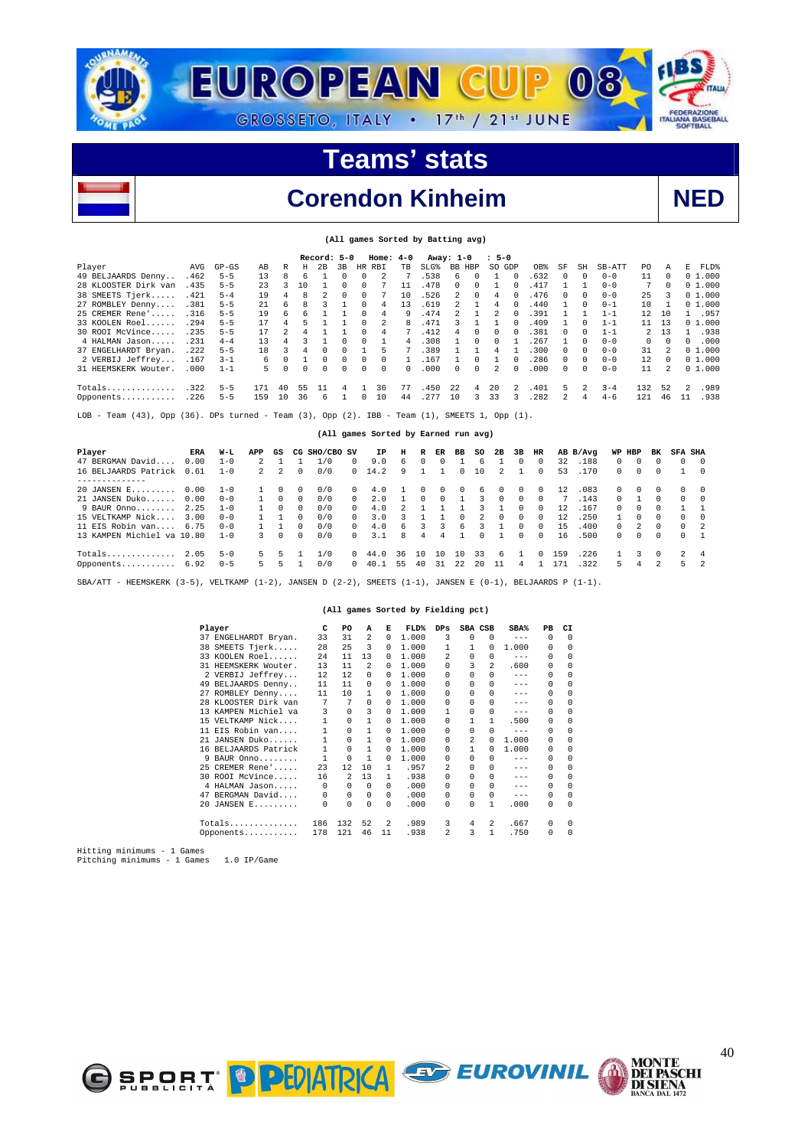



## **Corendon Kinheim NED**

|  |  | (All games Sorted by Batting avg) |  |
|--|--|-----------------------------------|--|
|  |  |                                   |  |

|                                                                                                               |      |           |     |    |    | Record: 5-0 |                |          | $Home: 4-0$   |           |      | Away: 1-0      |          | $: 5 - 0$     |               |      |               |                |          |                |               |                |        |
|---------------------------------------------------------------------------------------------------------------|------|-----------|-----|----|----|-------------|----------------|----------|---------------|-----------|------|----------------|----------|---------------|---------------|------|---------------|----------------|----------|----------------|---------------|----------------|--------|
| Player                                                                                                        | AVG  | $GP - GS$ | AB  | R  | н  | 2B          | 3 <sub>B</sub> | HR       | <b>RBT</b>    | <b>TB</b> | ST.G | BB HBP         |          | SO GDP        |               | OB%  | SF            | SH             | $SB-ATT$ | PO.            | A             | F.             | FLD%   |
| 49 BELJAARDS Denny                                                                                            | .462 | $5 - 5$   | 13  | R  |    |             |                | $\Omega$ | $\mathcal{L}$ |           | .538 | 6              | $\Omega$ |               | $\Omega$      | .632 | $\Omega$      | $\Omega$       | $0 - 0$  | 11             | $\Omega$      |                | 01.000 |
| 28 KLOOSTER Dirk van                                                                                          | .435 | $5 - 5$   | 23  |    | 10 |             |                |          |               |           | 478  | $\Omega$       | $\Omega$ |               | 0             | .417 |               |                | $0 - 0$  |                | $\Omega$      |                | 01.000 |
| 38 SMEETS Tjerk                                                                                               | .421 | $5 - 4$   | 19  |    |    |             | <sup>n</sup>   | $\Omega$ |               | 10        | .526 | $\mathcal{L}$  | $\Omega$ | 4             | $\cap$        | .476 | $\Omega$      | $\Omega$       | $0 - 0$  | 25             |               |                | 01.000 |
| 27 ROMBLEY Denny                                                                                              | .381 | $5 - 5$   | 21  |    |    |             |                |          |               | 13        | .619 | $\mathfrak{D}$ |          | 4             | $\cap$        | .440 |               | $\Omega$       | $0 - 1$  | 10             |               |                | 01.000 |
| 25 CREMER Rene'                                                                                               | .316 | $5 - 5$   | 19  |    |    |             |                | $\Omega$ | 4             | 9         | .474 | $\mathfrak{D}$ |          | 2             | 0             | .391 |               |                | $1 - 1$  | 12             | 10            |                | 1.957  |
| 33 KOOLEN Roel                                                                                                | .294 | $5 - 5$   | 17  | 4  |    |             |                | $\Omega$ | $\mathcal{L}$ | 8         | .471 | 3              |          |               | $\cap$        | .409 |               | $\cap$         | $1 - 1$  | 11             | 13            |                | 01.000 |
| 30 ROOI McVince                                                                                               | .235 | $5 - 5$   | 17  |    |    |             |                | $\cap$   | 4             |           | .412 | 4              | $\Omega$ | $\cap$        | $\cap$        | .381 | $\Omega$      | $\cap$         | $1 - 1$  | $\overline{2}$ | 13            |                | 1.938  |
| 4 HALMAN Jason                                                                                                | .231 | $4 - 4$   | 13  |    |    |             |                | $\Omega$ |               | 4         | 308  |                | $\Omega$ | $\cap$        |               | 267  |               | $\cap$         | $0 - 0$  | $\Omega$       | $\Omega$      | 0              | .000   |
| 37 ENGELHARDT Bryan.                                                                                          | .222 | $5 - 5$   | 18  |    |    |             |                |          | 5             |           | .389 |                |          | 4             |               | .300 | 0             | $\Omega$       | $0 - 0$  | 31             |               |                | 01.000 |
| 2 VERBIJ Jeffrey                                                                                              | .167 | $3 - 1$   | 6.  |    |    |             | 0              | $\Omega$ | $\cap$        |           | .167 |                | $\Omega$ |               | $\Omega$      | .286 | $\Omega$      | $\Omega$       | $0 - 0$  | 12.            | $\Omega$      |                | 01.000 |
| 31 HEEMSKERK Wouter.                                                                                          | .000 | $1 - 1$   | Б.  |    |    | $\cap$      |                | $\Omega$ | $\Omega$      | $\Omega$  | .000 | $\Omega$       | $\Omega$ | $\mathcal{L}$ | $\cap$        | .000 | $\Omega$      | $\Omega$       | $0 - 0$  | 11             | $\mathcal{L}$ |                | 01.000 |
| Totals                                                                                                        | .322 | $5 - 5$   | 171 | 40 | 55 | 11          | 4              |          | 36            | 77        | .450 | 2.2.           | 4        | 2.0           | $\mathcal{L}$ | .401 | - 5           | $\mathcal{L}$  | $3 - 4$  | 132            | 52            | $\mathfrak{D}$ | .989   |
| Opponents                                                                                                     | .226 | $5 - 5$   | 159 | 10 | 36 | 6           |                | $\Omega$ | 10            | 44        | .277 | 10             | 3        | 33            | ₹             | .282 | $\mathcal{L}$ | $\overline{4}$ | $4 - 6$  | 121            | 46            | 11             | .938   |
| $\pi$ (19) $\alpha$ (96) $\pi$ ( ) $\pi$ (9) $\alpha$ (0) $\pi$ $\pi$ $\pi$ (1) $\pi$ $\pi$ $\pi$ (1)<br>$ -$ |      |           |     |    |    |             |                |          |               |           |      |                |          |               |               |      |               |                |          |                |               |                |        |

LOB - Team (43), Opp (36). DPs turned - Team (3), Opp (2). IBB - Team (1), SMEETS 1, Opp (1).

| (All games Sorted by Earned run avg) |  |
|--------------------------------------|--|
|--------------------------------------|--|

| Player                     | ERA  | W-L     | APP            | GS            |                  | CG SHO/CBO SV |            | IΡ   | н  | R        | ER       | вв           | so       | 2B       | 3B       | HR       |     | AB B/Avg | WP HBP       |            | вĸ       | <b>SFA SHA</b> |          |
|----------------------------|------|---------|----------------|---------------|------------------|---------------|------------|------|----|----------|----------|--------------|----------|----------|----------|----------|-----|----------|--------------|------------|----------|----------------|----------|
| 47 BERGMAN David.          | 0.00 | $1 - 0$ |                |               |                  | 1/0           | $\Omega$   | 9.0  | 6  |          | $\Omega$ |              | 6.       |          |          | $\Omega$ | 32  | 188      | $\Omega$     | $\Omega$   |          |                | $\Omega$ |
| 16 BELJAARDS Patrick       | 0.61 | $1 - 0$ | $\overline{2}$ | $\mathcal{L}$ | $\Omega$         | 0/0           | $^{\circ}$ | 14.2 | 9  |          |          |              | 10       | 2.       |          | $\Omega$ | 53  | .170     | $\Omega$     | $^{\circ}$ | 0        |                | - 0      |
| . <u>.</u> .               |      |         |                |               |                  |               |            |      |    |          |          |              |          |          |          |          |     |          |              |            |          |                |          |
| $20$ JANSEN $E$            | 0.00 | $1 - 0$ |                | $\Omega$      | $\left( \right)$ | 0/0           | $\Omega$   | 4.0  |    |          | 0        | $\Omega$     | 6        | $\Omega$ |          | $\Omega$ | 12  | .083     | 0.           | $\Omega$   |          |                |          |
| 21 JANSEN Duko             | 0.00 | $0 - 0$ |                | $\Omega$      | $\Omega$         | 0/0           | $\Omega$   | 2.0  |    | $\Omega$ | $\Omega$ |              |          | $\Omega$ | $\Omega$ | $\Omega$ |     | .143     | $\cap$       |            | $\Omega$ | <sup>n</sup>   | $\Omega$ |
| 9 BAUR Onno                | 2.25 | $1 - 0$ |                | $\Omega$      | $\Omega$         | 0/0           | $\Omega$   | 4.0  |    |          |          |              |          |          | $\cap$   | $\Omega$ | 12. | .167     | $\cap$       | $\Omega$   | 0        |                |          |
| 15 VELTKAMP Nick           | 3.00 | $0 - 0$ |                |               | $\cap$           | 0/0           | $\Omega$   | 3.0  |    |          |          | <sup>n</sup> | 2        | $\Omega$ | $\Omega$ | $\Omega$ | 12  | 250      | $\mathbf{1}$ | $\Omega$   | $\Omega$ | $\cap$         | $\Omega$ |
| 11 EIS Robin van           | 6.75 | $0 - 0$ |                |               | $\Omega$         | 0/0           | 0          | 4.0  | 6  |          | ς        | 6            |          |          |          | $\Omega$ | 15  | .400     | 0            |            |          |                |          |
| 13 KAMPEN Michiel va 10.80 |      | $1 - 0$ | $\mathcal{R}$  | $\Omega$      | $\Omega$         | 0/0           | $\Omega$   | 3.1  | 8  | 4        | 4        |              | $\Omega$ |          | $\cap$   | $\Omega$ | 16  | .500     | $\Omega$     | $^{\circ}$ |          |                |          |
|                            |      |         |                |               |                  |               |            |      |    |          |          |              |          |          |          |          |     |          |              |            |          |                |          |
| Totals                     | 2.05 | $5 - 0$ | 5.             | 5             |                  | 1/0           | $^{\circ}$ | 44.0 | 36 | 10       | 10       | 10           | 33       | 6        |          | $\Omega$ | 159 | . 226    |              | 3          | $\cap$   |                | -4       |
| Opponents                  | 6.92 | $0 - 5$ | 5.             |               |                  | 0/0           | 0          | 40.1 | 55 | 40       | 31       | 22           | 20       |          | 4        |          | 171 | .322     | 5.           | 4          |          | 5.             |          |

SBA/ATT - HEEMSKERK (3-5), VELTKAMP (1-2), JANSEN D (2-2), SMEETS (1-1), JANSEN E (0-1), BELJAARDS P (1-1).

#### **(All games Sorted by Fielding pct)**

| Player               | c            | PO       | A            | Е             | FLD%  | $_{\rm DPS}$ | SBA CSB      |                | $SBA\%$ | PВ       | CI         |
|----------------------|--------------|----------|--------------|---------------|-------|--------------|--------------|----------------|---------|----------|------------|
| 37 ENGELHARDT Bryan. | 33           | 31       | 2            | 0             | 1,000 | 3            | $\Omega$     | 0              | $---$   | 0        | $\Omega$   |
| 38 SMEETS Tjerk      | 28           | 25       | 3            | 0             | 1.000 | 1            | 1            | 0              | 1,000   | 0        | $^{\circ}$ |
| 33 KOOLEN Roel       | 24           | 11       | 13           | 0             | 1,000 | 2            | 0            | 0              | $---$   | $\Omega$ | $\Omega$   |
| 31 HEEMSKERK Wouter. | 13           | 11       | 2            | 0             | 1,000 | $\Omega$     | 3            | $\mathfrak{D}$ | .600    | 0        | $\Omega$   |
| 2 VERBIJ Jeffrey     | 12           | 12       | 0            | 0             | 1,000 | $\Omega$     | <sup>n</sup> | n.             | $- - -$ | $\Omega$ | $\Omega$   |
| 49 BELJAARDS Denny   | 11           | 11       | $\Omega$     | 0             | 1,000 | $\Omega$     | <sup>n</sup> | 0              | $- - -$ | $\Omega$ | $\Omega$   |
| 27 ROMBLEY Denny     | 11           | 10       | 1            | 0             | 1,000 | $\Omega$     |              |                | $--$    | 0        | $\Omega$   |
| 28 KLOOSTER Dirk van | 7            | 7        | 0            | 0             | 1,000 | $\Omega$     | 0            | <sup>n</sup>   | $- - -$ | 0        | $\Omega$   |
| 13 KAMPEN Michiel va | 3            | $\Omega$ | 3            | 0             | 1.000 |              | $\Omega$     | 0              | $---$   | $\Omega$ | $\Omega$   |
| 15 VELTKAMP Nick     | 1            | 0        | 1            | 0             | 1,000 | $\Omega$     |              | 1              | .500    | 0        | $\Omega$   |
| 11 EIS Robin van     | 1            | $\Omega$ | $\mathbf{1}$ | 0             | 1,000 | $\Omega$     | <sup>n</sup> | O.             | $---$   | $\Omega$ | $\Omega$   |
| 21 JANSEN Duko       | $\mathbf{1}$ | $\Omega$ | 1            | 0             | 1,000 | $\Omega$     | 2            | 0              | 1,000   | 0        | $\Omega$   |
| 16 BELJAARDS Patrick | 1            | $\Omega$ | 1            | 0             | 1,000 | $\Omega$     | 1            |                | 1,000   | 0        | $\Omega$   |
| $9$ BAUR Onno        | 1            | $\Omega$ | 1            | 0             | 1.000 | $\Omega$     | 0            | O.             | $---$   | 0        | $\Omega$   |
| 25 CREMER Rene'      | 23           | 12       | 10           | 1             | .957  | 2            | $\Omega$     | <sup>n</sup>   | $---$   | $\Omega$ | $\Omega$   |
| 30 ROOI McVince      | 16           | 2        | 13           | 1             | .938  | $\Omega$     | 0            |                | $---$   | $\Omega$ | $\Omega$   |
| 4 HALMAN Jason       | $\Omega$     | $\Omega$ | $\Omega$     | $\Omega$      | .000  | $\Omega$     | $\Omega$     | <sup>n</sup>   | $- - -$ | $\Omega$ | $\Omega$   |
| 47 BERGMAN David     | $\Omega$     | $\Omega$ | 0            | 0             | .000  | $\Omega$     | $\Omega$     | 0              | ---     | $\Omega$ | $\Omega$   |
| 20 JANSEN E          | 0            | $\Omega$ | $\Omega$     | $\Omega$      | .000  | $\Omega$     | 0            | 1              | .000    | 0        | $\Omega$   |
| Totals               | 186          | 132      | 52           | $\mathcal{D}$ | .989  | 3            | 4            | 2              | .667    | 0        | 0          |
| Opponents            | 178          | 121      | 46           | 11            | .938  | 2            | 3            | 1              | .750    | 0        | $\Omega$   |

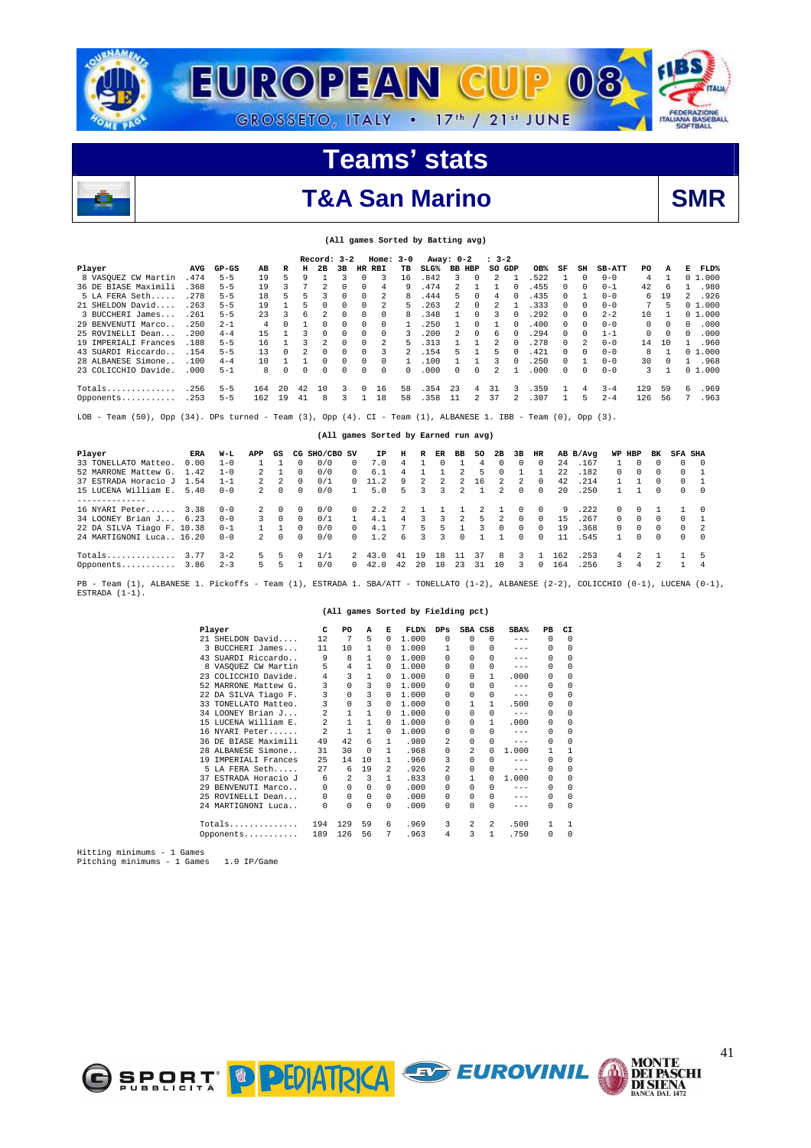

**(All games Sorted by Batting avg)** 

## T&A San Marino **SMR**

|                          |      |                                                                                                             |     |          |          | Record: 3-2 |    |          | $Home: 3-0$              |              |                                      | Away: 0-2               |          | $: 3-2$        |          |          |          |                |               |     |          |                |             |
|--------------------------|------|-------------------------------------------------------------------------------------------------------------|-----|----------|----------|-------------|----|----------|--------------------------|--------------|--------------------------------------|-------------------------|----------|----------------|----------|----------|----------|----------------|---------------|-----|----------|----------------|-------------|
| Player                   | AVG  | $GP-GS$                                                                                                     | AB  | R        | н        | 2B          | 3B | HR       | RBI                      | TB           | $SLG$ <sup>%</sup>                   | <b>BB HBP</b>           |          | so             | GDP      | OB%      | SF       | SH             | <b>SB-ATT</b> | PO  | A        | Е              | <b>FLD%</b> |
| 8 VASQUEZ CW Martin      | .474 | $5 - 5$                                                                                                     | 19  | 5        | 9        |             | ٦  | O        | 3                        | 16           | .842                                 | 3                       | $\Omega$ | 2              |          | .522     |          | $\Omega$       | $0 - 0$       | 4   |          |                | 01.000      |
| 36 DE BIASE Maximili     | .368 | $5 - 5$                                                                                                     | 19  | 3        |          |             | U  | $\Omega$ | 4                        | q            | .474                                 | $\overline{\mathbf{c}}$ |          |                |          | .455     | 0        | $\Omega$       | $0 - 1$       | 42  | 6        |                | .980        |
| 5 LA FERA Seth           | .278 | $5 - 5$                                                                                                     | 18  | 5        | 5        | ર           | U  | $\Omega$ | 2                        |              | 444                                  | 5                       | $\Omega$ | 4              |          | .435     | 0        |                | $0 - 0$       | 6   | 19       | 2              | .926        |
| 21 SHELDON David         | .263 | $5 - 5$                                                                                                     | 19  |          | 5        | $\Omega$    | 0  | $\Omega$ | $\overline{\mathcal{L}}$ | 5            | .263                                 | $\overline{\mathbf{c}}$ | $\Omega$ | $\mathfrak{D}$ |          | .333     | 0        | $^{\circ}$     | $0 - 0$       | 7   | 5        |                | 01.000      |
| 3 BUCCHERI James         | .261 | $5 - 5$                                                                                                     | 23  | 3        | 6        |             | 0  | 0        | 0                        | 8            | .348                                 |                         | $\Omega$ |                |          | . 292    | 0        | $\Omega$       | $2 - 2$       | 10  |          |                | 01.000      |
| 29 BENVENUTI Marco       | .250 | $2 - 1$                                                                                                     | 4   | U        |          | $\Omega$    | 0  | 0        | $\Omega$                 |              | .250                                 |                         | $\Omega$ |                |          | .400     | 0        | $\Omega$       | $0 - 0$       | 0   | $\Omega$ | 0              | .000        |
| 25 ROVINELLI Dean        | .200 | $4 - 4$                                                                                                     | 15  |          |          | $\Omega$    | U  | $\Omega$ | $\Omega$                 | 3            | .200                                 | 2                       | $\Omega$ | 6              |          | .294     | 0        | $\Omega$       | $1 - 1$       | 0   | $\Omega$ | 0              | .000        |
| 19 IMPERTALI Frances     | .188 | $5 - 5$                                                                                                     | 16  |          |          |             | U  | 0        |                          |              | . 313                                |                         |          |                |          | .278     | 0        | 2              | $0 - 0$       | 14  | 10       |                | .960        |
| 43 SUARDI Riccardo       | .154 | $5 - 5$                                                                                                     | 13  | 0        | 2        | $\Omega$    | 0  | $\Omega$ | 3                        |              | .154                                 | 5                       |          | 5              |          | .421     | 0        | $\Omega$       | $0 - 0$       | 8   |          |                | 01.000      |
| 28 ALBANESE Simone       | .100 | $4 - 4$                                                                                                     | 10  | 1        |          | $\Omega$    | 0  | 0        | $\Omega$                 | 1            | .100                                 |                         |          | 3              | $\Omega$ | .250     | $\Omega$ | $\mathbf{1}$   | $0 - 0$       | 30  | $\Omega$ | 1.             | .968        |
| 23 COLICCHIO Davide      | .000 | $5 - 1$                                                                                                     | 8   | $\Omega$ | $\Omega$ | $\Omega$    | U  | O        | $\Omega$                 | <sup>n</sup> | .000                                 | U                       | $\Omega$ | $\mathfrak{D}$ |          | .000     | 0        | $\Omega$       | $0 - 0$       | 3   |          |                | 01.000      |
|                          | .256 | $5 - 5$                                                                                                     | 164 | 20       | 42       | 10          | 3  | 0        | 16                       | 58           | .354                                 | 23                      | 4        | 31             | 3        | .359     |          | $\overline{4}$ | $3 - 4$       | 129 | 59       | 6              | .969        |
| Opponents                | .253 | $5 - 5$                                                                                                     | 162 | 19       | 41       | 8           | 3  |          | 18                       | 58           | .358                                 | 11                      | 2        | 37             |          | .307     |          | 5              | $2 - 4$       | 126 | 56       | 7              | .963        |
| Team $(50)$ , Opp<br>LOB |      | $(34)$ . DPs turned - Team $(3)$ , Opp $(4)$ . CI - Team $(1)$ , ALBANESE 1. IBB - Team $(0)$ , Opp $(3)$ . |     |          |          |             |    |          |                          |              |                                      |                         |          |                |          |          |          |                |               |     |          |                |             |
|                          |      |                                                                                                             |     |          |          |             |    |          |                          |              | (All games Sorted by Earned run avg) |                         |          |                |          |          |          |                |               |     |          |                |             |
| Player                   | ERA  | W-L                                                                                                         | APP | GS       | CG       | SHO/CBO SV  |    |          | ΙP                       | н            | R<br>ER                              | ВB                      | so       | 2B             | 3B       | HR       |          | AB B/Avg       | WP            | HBP | вĸ       | <b>SFA SHA</b> |             |
| 33 TONELLATO Matteo.     | 0.00 | $1 - 0$                                                                                                     |     |          | 0        | 0/0         | 0  |          | 7.0                      | 4            | n                                    |                         | 4        | $\Omega$       | $\Omega$ | $\Omega$ | 2.4      | .167           |               |     |          | $\Omega$       | $\circ$     |
| 52 MARRONE Mattew G      | 1.42 | $1 - 0$                                                                                                     |     |          | 0        | 0/0         | 0  |          | 6.1                      | 4            |                                      |                         | 5        | $\Omega$       |          |          | 2.2.     | .182           | $\Omega$      | 0   | $\Omega$ | 0              |             |
| 37 ESTRADA Horacio J     | 1.54 | $1 - 1$                                                                                                     | 2   | 2        | $\Omega$ | 0/1         | 0  |          | 11.2                     | q            |                                      |                         | 16       |                | 2        | $\Omega$ | 42       | .214           |               |     | $\Omega$ | 0              |             |
| 15 LUCENA William E.     | 5.40 | $0 - 0$                                                                                                     | 2   | $\Omega$ | 0        | 0/0         |    |          | 5.0                      |              | ঽ                                    |                         |          | $\mathfrak{D}$ | $\Omega$ | $\Omega$ | 2.0      | .250           |               |     |          | $\Omega$       | $\Omega$    |

| 52 MARRONE Mattew G. 1.42 1-0 |         | 2 1   | $\Omega$ | 0/0 | $\Omega$     | 6.1                    | 4                        |                |                | $\overline{2}$ | -5             | $\Omega$       | -1-1                    |          | 22  | . 182        | $\Omega$      | $\Omega$ | $\Omega$       | $0 \quad 1$ |  |
|-------------------------------|---------|-------|----------|-----|--------------|------------------------|--------------------------|----------------|----------------|----------------|----------------|----------------|-------------------------|----------|-----|--------------|---------------|----------|----------------|-------------|--|
| 37 ESTRADA Horacio J 1.54     | $1 - 1$ | 2 2   | $\Omega$ | 0/1 |              | $0 \quad 11.2 \quad 9$ |                          | $\mathcal{L}$  | $\overline{2}$ |                | 2 16           | $\overline{2}$ | 2 0                     |          |     | 42 .214      |               |          | $\Omega$       | 0 1         |  |
| 15 LUCENA William E. 5.40     | $0 - 0$ | 2 0 0 |          | 0/0 | $\mathbf{1}$ | 5.0                    | $-5$                     |                | 3 3            |                | 2 1            |                | 200                     |          | 20  | . 250        |               | 1 0      |                | $0 \quad 0$ |  |
|                               |         |       |          |     |              |                        |                          |                |                |                |                |                |                         |          |     |              |               |          |                |             |  |
| 16 NYARI Peter 3.38           | $0 - 0$ | 2 0   | $\Omega$ | 0/0 | $\Omega$     | 2.2                    | $\overline{\phantom{a}}$ | $\overline{1}$ | $\mathbf{1}$   |                | $\overline{2}$ |                | 100                     |          | -9  | .222         | $\Omega$      |          | $0 \quad 1$    |             |  |
| 34 LOONEY Brian J 6.23        | $0 - 0$ | 3 O   | $\Omega$ | 0/1 |              | 1 4.1                  | $\overline{4}$           |                |                | 3 3 2          | -5.            | $\overline{2}$ | $\Omega$                | $\Omega$ | 15  | .267         | $\Omega$      | $\Omega$ | $\overline{0}$ |             |  |
| 22 DA SILVA Tiago F. 10.38    | $0 - 1$ |       | $\Omega$ | 0/0 |              | $0 \t 4.1$             | $\overline{7}$           | $-5$           | 5.             |                | $\mathbf{R}$   |                | $0 \quad 0$             | $\Omega$ | 19  | .368         | $\Omega$      |          | $0 \quad 0$    | $0 \quad 2$ |  |
| 24 MARTIGNONI Luca 16.20      | $0 - 0$ | 2 0 0 |          | 0/0 |              | $0 \t 1.2 \t 6$        |                          |                | 3 <sup>3</sup> |                | $0 \quad 1$    |                | 1 0 0                   |          |     | 11 .545      | $\sim$ 1      |          | $0 \quad 0$    | $0 \quad 0$ |  |
| Totals $3.77 \quad 3-2$       |         | 5 5   | $\Omega$ |     |              | 2 43.0 41 19           |                          |                | 18             | 11 37          |                | -8             | 3 1                     |          | 162 | .253         | 4             |          | 2 1            |             |  |
| Opponents $3.86$ 2-3          |         | 5 5 1 |          | 0/0 |              | 0 42.0 42 20 18        |                          |                |                | 23 31          |                | 10             | $\overline{\mathbf{3}}$ |          |     | $0$ 164 .256 | $\mathcal{R}$ |          | 4 2            | 1 4         |  |
|                               |         |       |          |     |              |                        |                          |                |                |                |                |                |                         |          |     |              |               |          |                |             |  |

PB - Team (1), ALBANESE 1. Pickoffs - Team (1), ESTRADA 1. SBA/ATT - TONELLATO (1-2), ALBANESE (2-2), COLICCHIO (0-1), LUCENA (0-1),<br>ESTRADA (1-1).

#### **(All games Sorted by Fielding pct)**

|    | Player               | C                       | PO       | A        | к             | <b>FLD%</b> | $_{\rm DPS}$            | SBA CSB      |              | SBA <sup>%</sup> | PB       | CI.        |
|----|----------------------|-------------------------|----------|----------|---------------|-------------|-------------------------|--------------|--------------|------------------|----------|------------|
|    | 21 SHELDON David     | 12                      | 7        | 5        | $\Omega$      | 1,000       | $\Omega$                | 0            | 0            | $---$            | $\Omega$ | $\Omega$   |
|    | 3 BUCCHERI James     | 11                      | 10       |          | 0             | 1,000       |                         | <sup>n</sup> | 0            | $- - -$          | $\Omega$ | $\Omega$   |
|    | 43 SUARDI Riccardo   | 9                       | 8        | 1        | 0             | 1,000       | $\Omega$                |              | 0            | $- - -$          | 0        | $\Omega$   |
|    | 8 VASOUEZ CW Martin  | 5                       | 4        | 1        | 0             | 1,000       | $\cap$                  | <sup>n</sup> | 0            | $- - -$          | 0        | $\Omega$   |
|    | 23 COLICCHIO Davide. | 4                       | 3        | 1        | 0             | 1,000       | $\Omega$                | 0            | 1.           | .000             | 0        | $\Omega$   |
|    | 52 MARRONE Mattew G. | 3                       | $\Omega$ | 3        | 0             | 1,000       | $\Omega$                | <sup>n</sup> | <sup>n</sup> | $---$            | $\Omega$ | $\Omega$   |
|    | 22 DA SILVA Tiago F. | 3                       | $\Omega$ | 3        | 0             | 1,000       | $\Omega$                | <sup>n</sup> | 0            | $- - -$          | $\Omega$ | $\Omega$   |
|    | 33 TONELLATO Matteo. | 3                       | $\Omega$ | 3        | 0             | 1,000       | $\Omega$                |              | 1.           | .500             | 0        | $\Omega$   |
|    | 34 LOONEY Brian J    | $\mathfrak{D}$          | 1        | 1        | 0             | 1,000       | $\Omega$                | <sup>n</sup> | 0            | $---$            | $\Omega$ | $\Omega$   |
|    | 15 LUCENA William E. | $\mathfrak{D}$          | 1        | 1        | 0             | 1,000       | $\cap$                  | <sup>n</sup> | 1.           | .000             | 0        | $\Omega$   |
|    | 16 NYARI Peter       | $\overline{\mathbf{c}}$ | 1        | 1        | $\Omega$      | 1,000       | $\cap$                  | <sup>n</sup> | <sup>n</sup> | $---$            | $\Omega$ | $\Omega$   |
|    | 36 DE BIASE Maximili | 49                      | 42       | 6        | 1.            | .980        | 2                       | 0            | 0            | $---$            | 0        | 0          |
|    | 28 ALBANESE Simone   | 31                      | 30       | $\Omega$ | 1.            | .968        | $\Omega$                | 2            | <sup>n</sup> | 1,000            | 1        |            |
| 19 | IMPERIALI Frances    | 25                      | 14       | 10       | 1             | .960        | 3                       | <sup>n</sup> | <sup>n</sup> | $- - -$          | $\Omega$ | $\Omega$   |
|    | 5 LA FERA Seth       | 27                      | 6        | 19       | $\mathcal{L}$ | .926        | $\overline{\mathbf{c}}$ | <sup>n</sup> | 0            | $---$            | $\Omega$ | $\cap$     |
|    | 37 ESTRADA Horacio J | 6                       | 2        | 3        | 1             | .833        | $\Omega$                |              | <sup>n</sup> | 1,000            | 0        | $\Omega$   |
|    | 29 BENVENUTI Marco   | $\Omega$                | 0        | 0        | 0             | .000        | $\Omega$                | <sup>n</sup> | 0            | $---$            | 0        | $\Omega$   |
|    | 25 ROVINELLI Dean    | 0                       | $\Omega$ | $\Omega$ | $\Omega$      | .000        | $\Omega$                | <sup>n</sup> | 0            | $- - -$          | $\Omega$ | $\Omega$   |
|    | 24 MARTIGNONI Luca   | $\Omega$                | 0        | 0        | $\Omega$      | .000        | $\Omega$                | <sup>n</sup> | 0            | $- - -$          | $\Omega$ | $^{\circ}$ |
|    | Totals               | 194                     | 129      | 59       | 6             | .969        | 3                       | 2            | 2            | .500             | 1        |            |
|    | Opponents            | 189                     | 126      | 56       | 7             | .963        | 4                       | 3            | $\mathbf{1}$ | .750             | 0        | $\Omega$   |

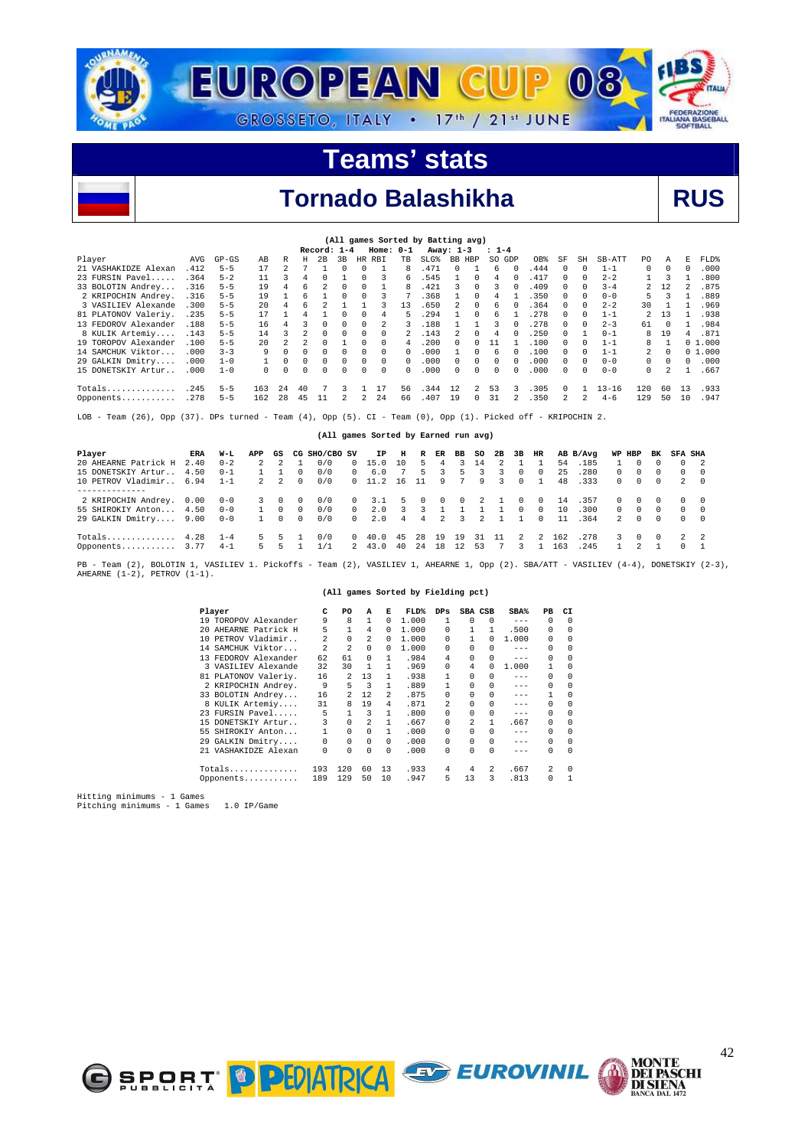



42

**MONTE<br>DEI PASCHI<br>DI SIENA<br>BANCA DAL 1472** 

|                                                                                                              | (All games Sorted by Batting avg)<br>Record: 1-4<br>$Home: 0-1$<br>Away: 1-3                                                                  |           |          |          |          |          |                |          |              |              |      |              |                |           |          |      |               |                |           |          |          |          |        |
|--------------------------------------------------------------------------------------------------------------|-----------------------------------------------------------------------------------------------------------------------------------------------|-----------|----------|----------|----------|----------|----------------|----------|--------------|--------------|------|--------------|----------------|-----------|----------|------|---------------|----------------|-----------|----------|----------|----------|--------|
|                                                                                                              |                                                                                                                                               |           |          |          |          |          |                |          |              |              |      |              |                | $: 1 - 4$ |          |      |               |                |           |          |          |          |        |
| Player                                                                                                       | AVG                                                                                                                                           | $GP - GS$ | AВ       | R        | H        | 2B       | 3 <sub>B</sub> | HR.      | RBI          | TB.          | ST.G | BB HBP       |                | SO GDP    |          | OB%  | SF            | SH             | SB-ATT    | PO.      | A        | E.       | FLD%   |
| 21 VASHAKIDZE Alexan                                                                                         | .412                                                                                                                                          | $5 - 5$   | 17       |          |          |          | <sup>n</sup>   | $\Omega$ |              | 8            | .471 | <sup>n</sup> |                | 6         | $\Omega$ | .444 | 0             | $\Omega$       | $1 - 1$   | $\Omega$ | $\Omega$ | $\Omega$ | .000   |
| 23 FURSIN Pavel                                                                                              | .364                                                                                                                                          | $5 - 2$   | 11       |          |          |          |                | $\Omega$ | 3            | 6            | .545 |              | 0              | 4         | 0        | .417 | $\Omega$      | $\Omega$       | $2 - 2$   |          | ર        |          | .800   |
| 33 BOLOTIN Andrey                                                                                            | .316                                                                                                                                          | $5 - 5$   | 19       |          |          |          |                |          |              |              | .421 |              | 0              |           |          | .409 |               |                | $3 - 4$   |          | 12       |          | .875   |
| 2 KRIPOCHIN Andrey.                                                                                          | .368<br>.350<br>.316<br>$5 - 5$<br>5.<br>3<br>.889<br>19<br>$\Omega$<br>3<br>$\Omega$<br>$0 - 0$<br><sup>n</sup><br>$\Omega$<br>$\Omega$<br>4 |           |          |          |          |          |                |          |              |              |      |              |                |           |          |      |               |                |           |          |          |          |        |
| 3 VASILIEV Alexande                                                                                          | .300                                                                                                                                          | $5 - 5$   | 20       |          |          |          |                |          |              | 13           | .650 | 2            | $\Omega$       | 6         | 0        | .364 | 0             | 0              | $2 - 2$   | 30       |          |          | .969   |
| 81 PLATONOV Valeriy.                                                                                         | .235                                                                                                                                          | $5 - 5$   | 17       |          |          |          |                |          |              |              | .294 |              | $\Omega$       | 6         |          | .278 | $\Omega$      | $\Omega$       | $1 - 1$   |          | 13       |          | .938   |
| 13 FEDOROV Alexander                                                                                         | .188                                                                                                                                          | $5 - 5$   | 16       |          |          | $\cap$   |                |          |              |              | .188 |              |                | ર         |          | .278 |               | $\cap$         | $2 - 3$   | 61       | $\Omega$ |          | .984   |
| 8 KULIK Artemiy                                                                                              | .143                                                                                                                                          | $5 - 5$   | 14       |          |          | $\Omega$ |                | $\Omega$ | n            |              | .143 | 2            | 0              | 4         |          | .250 | $\Omega$      |                | $0 - 1$   | 8        | 19       | 4        | .871   |
| 19 TOROPOV Alexander                                                                                         | .100                                                                                                                                          | $5 - 5$   | 20       |          |          |          |                |          | $\Omega$     |              | .200 | U.           | <sup>n</sup>   |           |          | .100 |               |                | $1 - 1$   | 8        |          |          | 01.000 |
| 14 SAMCHUK Viktor                                                                                            | .000                                                                                                                                          | $3 - 3$   | 9        |          |          |          |                | $\Omega$ | <sup>n</sup> | <sup>n</sup> | .000 |              | 0              | 6         |          | .100 |               | $\Omega$       | $1 - 1$   | 2.       | $\Omega$ |          | 01.000 |
| 29 GALKIN Dmitry                                                                                             | .000                                                                                                                                          | $1 - 0$   |          | $\Omega$ | $\Omega$ | $\Omega$ | 0              | 0        | $\Omega$     | $\Omega$     | .000 | $\Omega$     | $\Omega$       | $\Omega$  | $\Omega$ | .000 | $\Omega$      | $\Omega$       | $0 - 0$   | 0        | $\Omega$ | $\Omega$ | .000   |
| 15 DONETSKIY Artur                                                                                           | .000                                                                                                                                          | $1 - 0$   | $\Omega$ |          |          |          |                | 0        | $\Omega$     | 0            | .000 | U.           | $\Omega$       | 0         |          | .000 | $\Omega$      | $\Omega$       | $0 - 0$   | $\Omega$ |          |          | .667   |
| $Totals$                                                                                                     | .245                                                                                                                                          | $5 - 5$   | 163      | 2.4      | 40       |          | 3              |          |              | 56.          | .344 | 12           | $\mathfrak{D}$ | 53        |          | .305 | 0             |                | $13 - 16$ | 120      | 60       | 13       | .933   |
| Opponents                                                                                                    | .278                                                                                                                                          | $5 - 5$   | 162      | 28       | -45      | 11       | 2              | 2.       | 24           | 66           | .407 | 19           | $\Omega$       | 31        |          | .350 | $\mathcal{L}$ | $\mathfrak{D}$ | $4 - 6$   | 129      | 50       | 10       | .947   |
| LOB - Team (26), Opp (37). DPs turned - Team (4), Opp (5). CI - Team (0), Opp (1). Picked off - KRIPOCHIN 2. |                                                                                                                                               |           |          |          |          |          |                |          |              |              |      |              |                |           |          |      |               |                |           |          |          |          |        |

|  | (All games Sorted by Earned run avg) |  |  |  |
|--|--------------------------------------|--|--|--|
|  |                                      |  |  |  |

| Player                   | ERA  | W-L                | APP      | GS          |          | CG SHO/CBO SV |            | IP              | н             | R              | ER                       | BB SO    |                | 2B | 3B       | HR     |            | AB B/Avq      |          | WP HBP     | BK       | <b>SFA SHA</b>           |          |
|--------------------------|------|--------------------|----------|-------------|----------|---------------|------------|-----------------|---------------|----------------|--------------------------|----------|----------------|----|----------|--------|------------|---------------|----------|------------|----------|--------------------------|----------|
| 20 AHEARNE Patrick H     | 2.40 | $0 - 2$            | 2        |             |          | 0/0           | $^{\circ}$ | 15.0            | 10            | 5              | 4                        | 3        | 14             |    |          |        | 54         | .185          |          |            |          | $\Omega$                 |          |
| 15 DONETSKIY Artur       | 4.50 | $0 - 1$            |          |             | 0        | 0/0           | $\Omega$   | 6.0             |               | 5.             |                          | h        |                |    |          |        | 25         | .280          | ∩.       | $^{\circ}$ |          | 0                        | $\Omega$ |
| 10 PETROV Vladimir       | 6.94 | $1 - 1$            |          | $2 \quad 2$ | $\Omega$ | 0/0           |            | 0, 11.2         | 16            |                | 9                        |          | 9              | 3. | $\Omega$ |        | 48         | .333          | $\Omega$ | $\Omega$   | $\Omega$ | 2                        | $\Omega$ |
|                          |      |                    |          |             |          |               |            |                 |               |                |                          |          |                |    |          |        |            |               |          |            |          |                          |          |
| 2 KRIPOCHIN Andrey. 0.00 |      | $0 - 0$            | 3.       | $\Omega$    | 0        | 0/0           | $^{\circ}$ | 3.1             | $\mathcal{L}$ | $\Omega$       | $\overline{\phantom{0}}$ | $\Omega$ | $\overline{2}$ |    | 0        | $\cap$ | 14         | .357          | ∩.       | $\cap$     | $\Omega$ | $\Omega$                 | - 0      |
| 55 SHIROKIY Anton        | 4.50 | $0 - 0$            |          | $\Omega$    | $\Omega$ | 0/0           | $\Omega$   | 2.0             |               |                |                          |          |                |    | 0        | $\cap$ | 10         | .300          | $\cap$   | $\sim$ 0   | $\Omega$ | $\Omega$                 | $\Omega$ |
| 29 GALKIN Dmitry         | 9.00 | $0 - 0$            |          | $\Omega$    | $\Omega$ | 0/0           | $\Omega$   | 2.0             | 4             | $\overline{4}$ | $\overline{2}$           | 3        | $\mathcal{L}$  |    |          | $\cap$ | 11         | . 364         | 2        | $\Omega$   | $\Omega$ | $\cap$                   | - 0      |
| Totals<br>Opponents 3.77 | 4.28 | $1 - 4$<br>$4 - 1$ | 5.<br>5. | 5.<br>5     |          | 0/0<br>1/1    | $^{\circ}$ | 40.0<br>2, 43.0 | -45<br>40     | 28<br>2.4      | 19<br>18                 | 19<br>12 | 31<br>53       | 11 | 2        | 2      | 162<br>163 | . 278<br>.245 | 3        | $\Omega$   | $\Omega$ | $\overline{2}$<br>$\cap$ | 2        |
|                          |      |                    |          |             |          |               |            |                 |               |                |                          |          |                |    |          |        |            |               |          |            |          |                          |          |

PB - Team (2), BOLOTIN 1, VASILIEV 1. Pickoffs - Team (2), VASILIEV 1, AHEARNE 1, Opp (2). SBA/ATT - VASILIEV (4-4), DONETSKIY (2-3),<br>AHEARNE (1-2), PETROV (1-1).

#### **(All games Sorted by Fielding pct)**

|     | Player               | C              | PO             | A            | к              | FLD%  | $_{\rm DPS}$ | SBA CSB        |              | SBA%    | PB       | CI         |
|-----|----------------------|----------------|----------------|--------------|----------------|-------|--------------|----------------|--------------|---------|----------|------------|
|     | 19 TOROPOV Alexander | 9              | 8              | 1            | $\Omega$       | 1,000 | 1            | $\Omega$       | 0            | $---$   | $\Omega$ | $\Omega$   |
|     | 20 AHEARNE Patrick H | 5              | 1              | 4            | $\Omega$       | 1,000 | $\Omega$     |                | 1            | .500    | 0        | $^{\circ}$ |
|     | 10 PETROV Vladimir   | $\mathfrak{D}$ | $\Omega$       | 2            | 0              | 1,000 | $\Omega$     |                | U            | 1,000   | 0        | $\Omega$   |
|     | 14 SAMCHUK Viktor    | $\mathfrak{D}$ | $\mathfrak{D}$ | 0            | 0              | 1,000 | $\Omega$     |                |              | $- - -$ | $\Omega$ | $\Omega$   |
|     | 13 FEDOROV Alexander | 62             | 61             | <sup>n</sup> | 1              | .984  | 4            | <sup>n</sup>   | 0            | $- - -$ | $\Omega$ | $\Omega$   |
|     | 3 VASILIEV Alexande  | 32             | 30             |              |                | .969  | $\Omega$     | 4              | <sup>n</sup> | 1.000   | 1        | $\Omega$   |
|     | 81 PLATONOV Valeriy. | 16             | 2              | 13           | 1              | .938  |              | 0              | 0            | $- - -$ | 0        | $\Omega$   |
|     | 2 KRIPOCHIN Andrey.  | 9              | 5              | 3            | 1              | .889  |              | <sup>n</sup>   | 0            | $- - -$ | $\Omega$ | $\Omega$   |
|     | 33 BOLOTIN Andrey    | 16             | 2.             | 12           | $\mathfrak{D}$ | .875  | $\Omega$     | <sup>n</sup>   | 0            | $- - -$ |          | $\Omega$   |
|     | 8 KULIK Artemiy      | 31             | 8              | 19           | 4              | .871  | 2            | 0              | 0            | $- - -$ | $\Omega$ | $\Omega$   |
|     | 23 FURSIN Pavel      | 5              | 1              | 3            |                | .800  | $\Omega$     | <sup>n</sup>   | 0            | $- - -$ | $\Omega$ | $\Omega$   |
|     | 15 DONETSKIY Artur   | 3              | 0              | 2            | 1              | .667  | $\Omega$     | $\mathfrak{D}$ | 1            | .667    | 0        | $\Omega$   |
| 55. | SHIROKIY Anton       | 1              | $\Omega$       | 0            | 1              | . 000 | $\cap$       | <sup>n</sup>   | 0            | $- - -$ | $\Omega$ | $\Omega$   |
|     | 29 GALKIN Dmitry     | $\Omega$       | 0              | $\Omega$     | $\Omega$       | .000  | $\Omega$     | <sup>n</sup>   | 0            | $- - -$ | 0        | $\Omega$   |
|     | 21 VASHAKIDZE Alexan | $\Omega$       | 0              | 0            | $\Omega$       | .000  | $\Omega$     | 0              | 0            | $- - -$ | $\Omega$ | $\Omega$   |
|     | $Totals$             | 193            | 120            | 60           | 13             | .933  | 4            | 4              | 2            | .667    | 2        | $\Omega$   |
|     | Opponents            | 189            | 129            | 50           | 10             | .947  | 5            | 13             | 3            | .813    | 0        |            |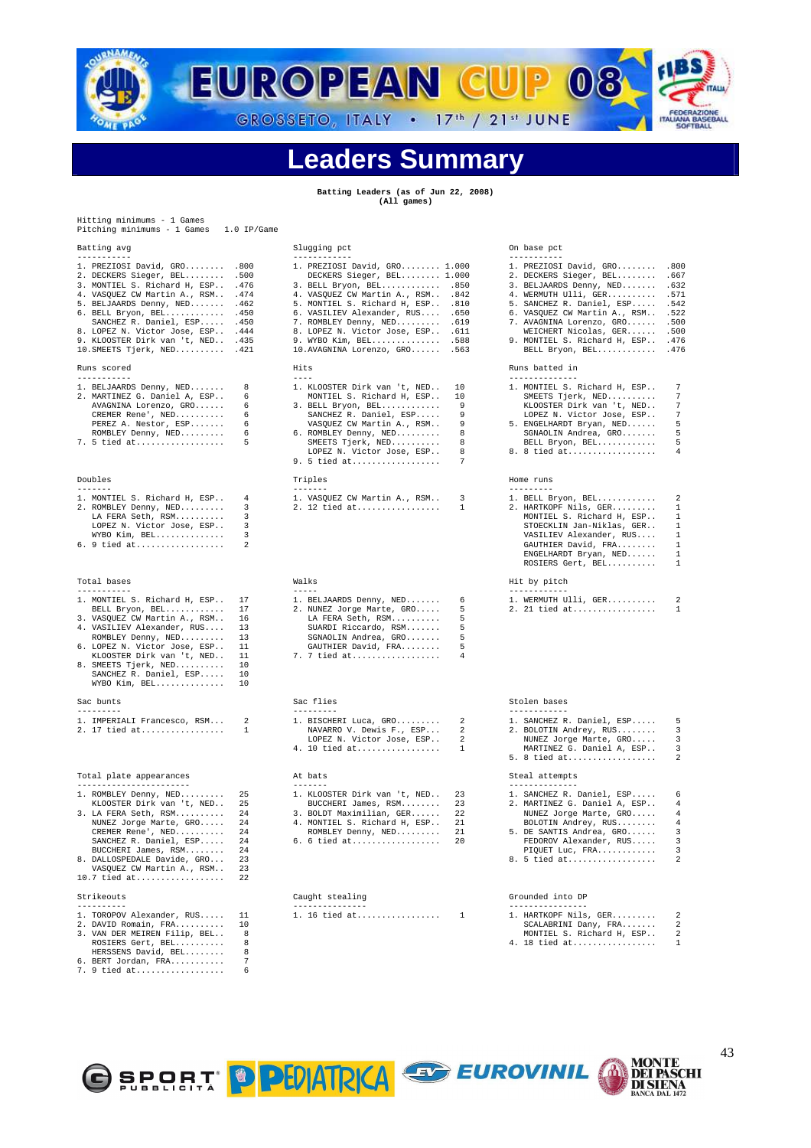

#### **Leaders Summary**

**Batting Leaders (as of Jun 22, 2008) (All games)** 

| Hitting minimums - 1 Games<br>Pitching minimums - 1 Games                                                                                                                                                                                                                                                                                                               | $1.0$ IP/Game                                            |                                                                                                                                                                                                                                                                                                                                                    |                                             |                                                                                                                                                                                                                                                                                                                             |                                                             |
|-------------------------------------------------------------------------------------------------------------------------------------------------------------------------------------------------------------------------------------------------------------------------------------------------------------------------------------------------------------------------|----------------------------------------------------------|----------------------------------------------------------------------------------------------------------------------------------------------------------------------------------------------------------------------------------------------------------------------------------------------------------------------------------------------------|---------------------------------------------|-----------------------------------------------------------------------------------------------------------------------------------------------------------------------------------------------------------------------------------------------------------------------------------------------------------------------------|-------------------------------------------------------------|
| Batting avg                                                                                                                                                                                                                                                                                                                                                             |                                                          | Slugging pct                                                                                                                                                                                                                                                                                                                                       |                                             | On base pct                                                                                                                                                                                                                                                                                                                 |                                                             |
| -----------<br>1. PREZIOSI David, GRO .800<br>2. DECKERS Sieger, BEL .500<br>3. MONTIEL S. Richard H, ESP . 476<br>4. VASQUEZ CW Martin A., RSM . 474<br>5. BELJAARDS Denny, NED .462<br>6. BELL Bryon, BEL . 450<br>SANCHEZ R. Daniel, ESP . 450<br>8. LOPEZ N. Victor Jose, ESP . 444<br>9. KLOOSTER Dirk van 't, NED .435<br>$10.SMEETS Tjerk, NED.\dots.\dots$ .421 |                                                          | ------------<br>1. PREZIOSI David, GRO 1.000<br>DECKERS Sieger, BEL 1.000<br>3. BELL Bryon, BEL .850<br>4. VASQUEZ CW Martin A., RSM . 842<br>5. MONTIEL S. Richard H, ESP .810<br>6. VASILIEV Alexander, RUS .650<br>7. ROMBLEY Denny, NED .619<br>8. LOPEZ N. Victor Jose, ESP . 611<br>9. WYBO Kim, BEL .588<br>10. AVAGNINA Lorenzo, GRO . 563 |                                             | -----------<br>1. PREZIOSI David, GRO<br>2. DECKERS Sieger, BEL<br>3. BELJAARDS Denny, NED .632<br>4. WERMUTH Ulli, GER .571<br>5. SANCHEZ R. Daniel, ESP . 542<br>6. VASQUEZ CW Martin A., RSM 522<br>7. AVAGNINA Lorenzo, GRO .500<br>WEICHERT Nicolas, GER .500<br>9. MONTIEL S. Richard H, ESP<br>BELL Bryon, BEL . 476 | .800<br>.667<br>.476                                        |
| Runs scored<br>-----------                                                                                                                                                                                                                                                                                                                                              |                                                          | Hits<br>$- - - -$                                                                                                                                                                                                                                                                                                                                  |                                             | Runs batted in<br>--------------                                                                                                                                                                                                                                                                                            |                                                             |
| 1. BELJAARDS Denny, NED<br>2. MARTINEZ G. Daniel A, ESP<br>AVAGNINA Lorenzo, GRO<br>CREMER Rene', NED<br>PEREZ A. Nestor, ESP<br>ROMBLEY Denny, NED<br>7. 5 tied at                                                                                                                                                                                                     | 8<br>6<br>6<br>6<br>6<br>6<br>5                          | 1. KLOOSTER Dirk van 't, NED<br>MONTIEL S. Richard H, ESP<br>3. BELL Bryon, BEL<br>SANCHEZ R. Daniel, ESP<br>VASQUEZ CW Martin A., RSM<br>6. ROMBLEY Denny, NED<br>SMEETS Tjerk, NED<br>LOPEZ N. Victor Jose, ESP<br>9. 5 tied at                                                                                                                  | 10<br>10<br>9<br>9<br>9<br>8<br>8<br>8<br>7 | 1. MONTIEL S. Richard H, ESP<br>SMEETS Tjerk, NED<br>KLOOSTER Dirk van 't, NED<br>LOPEZ N. Victor Jose, ESP<br>5. ENGELHARDT Bryan, NED<br>SGNAOLIN Andrea, GRO<br>BELL Bryon, BEL<br>8. 8 tied at                                                                                                                          | 7<br>7<br>7<br>7<br>5<br>5<br>5<br>4                        |
| Doubles<br>-------                                                                                                                                                                                                                                                                                                                                                      |                                                          | Triples<br>$- - - - - - - -$                                                                                                                                                                                                                                                                                                                       |                                             | Home runs<br>---------                                                                                                                                                                                                                                                                                                      |                                                             |
| 1. MONTIEL S. Richard H, ESP<br>2. ROMBLEY Denny, NED<br>LA FERA Seth, RSM<br>LOPEZ N. Victor Jose, ESP<br>WYBO Kim, BEL<br>6. 9 tied at                                                                                                                                                                                                                                | 4<br>3<br>3<br>3<br>3<br>2                               | 1. VASQUEZ CW Martin A., RSM<br>2. 12 tied at                                                                                                                                                                                                                                                                                                      | 3<br>1                                      | 1. BELL Bryon, BEL<br>2. HARTKOPF Nils, GER<br>MONTIEL S. Richard H, ESP<br>STOECKLIN Jan-Niklas, GER<br>VASILIEV Alexander, RUS<br>GAUTHIER David, FRA<br>ENGELHARDT Bryan, NED<br>ROSIERS Gert, BEL                                                                                                                       | 2<br>$\mathbf{1}$<br>1<br>$\mathbf{1}$<br>1<br>-1<br>1<br>1 |
| Total bases                                                                                                                                                                                                                                                                                                                                                             |                                                          | Walks                                                                                                                                                                                                                                                                                                                                              |                                             | Hit by pitch                                                                                                                                                                                                                                                                                                                |                                                             |
| -----------<br>1. MONTIEL S. Richard H, ESP<br>BELL Bryon, BEL<br>3. VASQUEZ CW Martin A., RSM<br>4. VASILIEV Alexander, RUS<br>ROMBLEY Denny, NED<br>6. LOPEZ N. Victor Jose, ESP<br>KLOOSTER Dirk van 't, NED<br>8. SMEETS Tjerk, NED<br>SANCHEZ R. Daniel, ESP<br>WYBO Kim, BEL                                                                                      | 17<br>17<br>16<br>13<br>13<br>11<br>11<br>10<br>10<br>10 | $- - - - -$<br>1. BELJAARDS Denny, NED<br>2. NUNEZ Jorge Marte, GRO<br>LA FERA Seth, RSM<br>SUARDI Riccardo, RSM<br>SGNAOLIN Andrea, GRO<br>GAUTHIER David, FRA<br>7. 7 tied at                                                                                                                                                                    | 6<br>5<br>5<br>5<br>5<br>5<br>4             | ------------<br>1. WERMUTH Ulli, GER<br>2. 21 tied at                                                                                                                                                                                                                                                                       | 2<br>$\mathbf{1}$                                           |
| Sac bunts                                                                                                                                                                                                                                                                                                                                                               |                                                          | Sac flies                                                                                                                                                                                                                                                                                                                                          |                                             | Stolen bases                                                                                                                                                                                                                                                                                                                |                                                             |
| ---------<br>1. IMPERIALI Francesco, RSM<br>2. 17 tied at                                                                                                                                                                                                                                                                                                               | 2<br>$\mathbf{1}$                                        | ---------<br>1. BISCHERI Luca, GRO<br>NAVARRO V. Dewis F., ESP<br>LOPEZ N. Victor Jose, ESP<br>4. 10 tied at                                                                                                                                                                                                                                       | 2<br>2<br>2<br>$\mathbf{1}$                 | ------------<br>1. SANCHEZ R. Daniel, ESP<br>2. BOLOTIN Andrey, RUS<br>NUNEZ Jorge Marte, GRO<br>MARTINEZ G. Daniel A, ESP<br>5. 8 tied at                                                                                                                                                                                  | 5<br>3<br>3<br>3<br>2                                       |
| Total plate appearances<br>-----------------------                                                                                                                                                                                                                                                                                                                      |                                                          | At bats<br>$- - - - - - -$                                                                                                                                                                                                                                                                                                                         |                                             | Steal attempts<br>--------------                                                                                                                                                                                                                                                                                            |                                                             |
| 1. ROMBLEY Denny, NED<br>KLOOSTER Dirk van 't, NED<br>3. LA FERA Seth, RSM<br>NUNEZ Jorge Marte, GRO<br>CREMER Rene', NED<br>SANCHEZ R. Daniel, ESP<br>BUCCHERI James, RSM<br>8. DALLOSPEDALE Davide, GRO<br>VASQUEZ CW Martin A., RSM<br>$10.7$ tied at                                                                                                                | 25<br>25<br>24<br>24<br>24<br>24<br>24<br>23<br>23<br>22 | 1. KLOOSTER Dirk van 't, NED<br>BUCCHERI James, RSM<br>3. BOLDT Maximilian, GER<br>4. MONTIEL S. Richard H, ESP<br>ROMBLEY Denny, NED<br>6. 6 tied at                                                                                                                                                                                              | 23<br>23<br>22<br>21<br>21<br>20            | 1. SANCHEZ R. Daniel, ESP<br>2. MARTINEZ G. Daniel A, ESP<br>NUNEZ Jorge Marte, GRO<br>BOLOTIN Andrey, RUS<br>5. DE SANTIS Andrea, GRO<br>FEDOROV Alexander, RUS<br>PIQUET Luc, FRA<br>8. 5 tied at                                                                                                                         | 6<br>4<br>4<br>4<br>3<br>3<br>3<br>2                        |
| Strikeouts                                                                                                                                                                                                                                                                                                                                                              |                                                          | Caught stealing                                                                                                                                                                                                                                                                                                                                    |                                             | Grounded into DP                                                                                                                                                                                                                                                                                                            |                                                             |
| ----------<br>1. TOROPOV Alexander, RUS<br>2. DAVID Romain, FRA<br>3. VAN DER MEIREN Filip, BEL<br>ROSIERS Gert, BEL<br>HERSSENS David, BEL<br>6. BERT Jordan, FRA<br>7. 9 tied at                                                                                                                                                                                      | 11<br>10<br>8<br>8<br>8<br>7<br>6                        | ---------------<br>1. 16 tied at                                                                                                                                                                                                                                                                                                                   | 1                                           | ---------------<br>1. HARTKOPF Nils, GER<br>SCALABRINI Dany, FRA<br>MONTIEL S. Richard H, ESP<br>4. 18 tied at                                                                                                                                                                                                              | 2<br>2<br>2<br>1                                            |



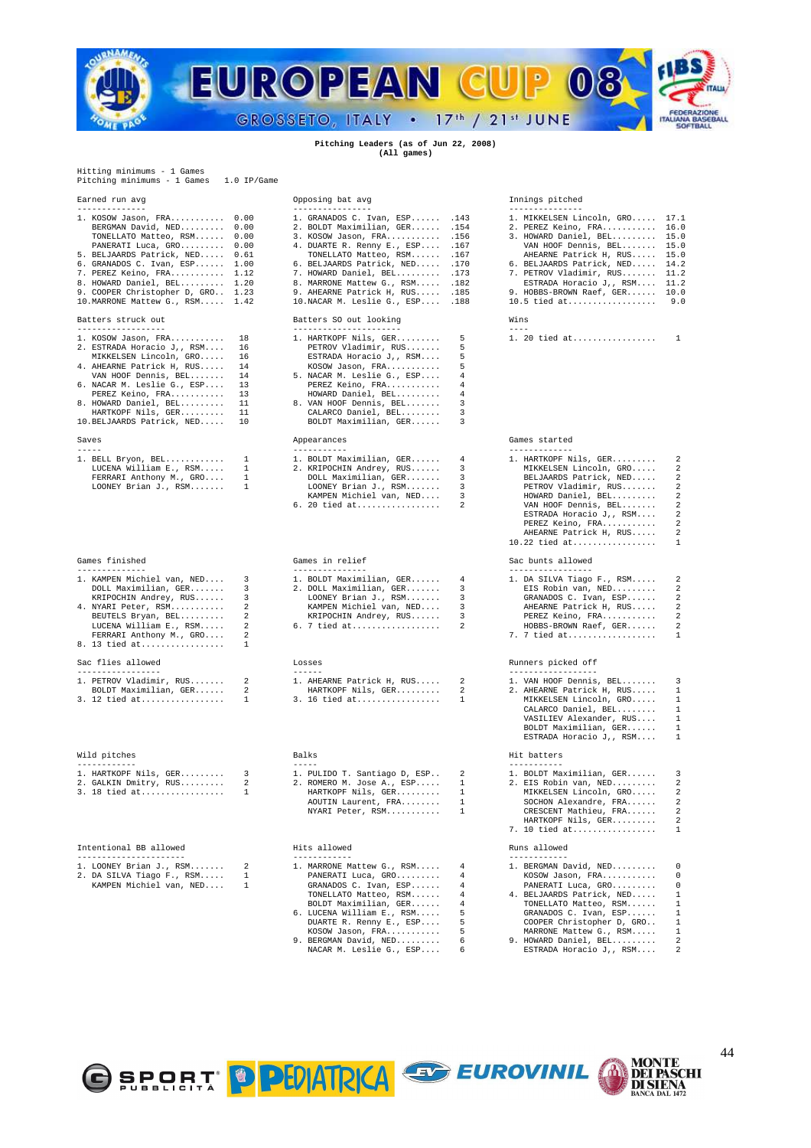

#### **Pitching Leaders (as of Jun 22, 2008) (All games)**

Hitting minimums - 1 Games Pitching minimums - 1 Games 1.0 IP/Game

| 1. KOSOW Jason, FRA             | 0.1   |
|---------------------------------|-------|
| BERGMAN David, NED              | 0.1   |
| TONELLATO Matteo, RSM           | 0.1   |
| PANERATI Luca, GRO              | 0.1   |
| 5. BELJAARDS Patrick, NED       | 0.1   |
| 6. GRANADOS C. Ivan, ESP        | 1.1   |
| 7. PEREZ Keino, FRA             | 1.1   |
| 8. HOWARD Daniel, BEL           | $1$ . |
| 9. COOPER Christopher D, GRO 1. |       |
| 10. MARRONE Mattew G., RSM 1.   |       |
|                                 |       |
| Batters struck out              |       |
|                                 |       |
|                                 |       |

| 1. AUSUW UGSUII, FRA                               |                |
|----------------------------------------------------|----------------|
| 2. ESTRADA Horacio J,, RSM 1                       |                |
| $\overline{\phantom{0}}$<br>MIKKELSEN Lincoln, GRO |                |
| 4. AHEARNE Patrick H, RUS                          | $\overline{1}$ |
| VAN HOOF Dennis, BEL                               | 1              |
| 6. NACAR M. Leslie G., ESP                         | $\overline{1}$ |
| PEREZ Keino, FRA                                   | 1              |
| 8. HOWARD Daniel, BEL                              | $\mathbf{1}$   |
| HARTKOPF Nils, GER 1                               |                |
| 10. BELJAARDS Patrick, NED 1                       |                |
|                                                    |                |
| Saves                                              |                |

| 1. BELL Bryon, BEL      |   |
|-------------------------|---|
|                         |   |
| LUCENA William E., RSM  |   |
|                         |   |
|                         |   |
| FERRARI Anthony M., GRO |   |
|                         | ٠ |
| LOONEY Brian J., RSM    |   |
|                         |   |

| Games finished |
|----------------|
|                |

| 1. KAMPEN Michiel van, NED 3 | 1. BOLDT Maximilian, GER 4 |  | 1. DA SILVA Tiago F., RSM 2 |  |  |
|------------------------------|----------------------------|--|-----------------------------|--|--|
| DOLL Maximilian, GER 3       | 2. DOLL Maximilian, GER 3  |  | EIS Robin van, NED 2        |  |  |
| KRIPOCHIN Andrey, RUS 3      | LOONEY Brian J., $RSM$ 3   |  | GRANADOS C. Ivan, ESP 2     |  |  |
| 4. NYARI Peter, RSM 2        | KAMPEN Michiel van, NED 3  |  | AHEARNE Patrick H, RUS 2    |  |  |
| BEUTELS Bryan, BEL 2         | KRIPOCHIN Andrey, RUS 3    |  | PEREZ Keino, FRA 2          |  |  |
| LUCENA William E., RSM 2     | 6. 7 tied at 2             |  | HOBBS-BROWN Raef, GER 2     |  |  |
| FERRARI Anthony M., GRO 2    |                            |  | 7. 7 tied at 1              |  |  |
| 8. 13 tied at 1              |                            |  |                             |  |  |
| Sac flies allowed            | Losses                     |  | Runners picked off          |  |  |
|                              |                            |  |                             |  |  |
|                              |                            |  |                             |  |  |

| 1. PETROV Vladimir, RUS |
|-------------------------|
| BOLDT Maximilian, GER   |
| 3. 12 tied at           |

| Wild pitches          |  |  |  |  |  |  |  |  |
|-----------------------|--|--|--|--|--|--|--|--|
|                       |  |  |  |  |  |  |  |  |
| 1. HARTKOPF Nils, GER |  |  |  |  |  |  |  |  |
| 2. GALKIN Dmitry, RUS |  |  |  |  |  |  |  |  |
| 3. 18 tied at         |  |  |  |  |  |  |  |  |

#### Intentional BB allowed Hits allowed Runs allowed

|  | 1. LOONEY Brian J., $RSM$ |  |  | 1. MARRONE Mattew G., RSM |  |  |  | 1. BERGMAN Da |
|--|---------------------------|--|--|---------------------------|--|--|--|---------------|
|  | 2. DA SILVA Tiago F., RSM |  |  | PANERATI Luca, GRO        |  |  |  | KOSOW Jaso    |

| 5. BELJAARDS Patrick, NED 0.61<br>6. GRANADOS C. Ivan, ESP 1.00<br>7. PEREZ Keino, FRA 1.12<br>8. HOWARD Daniel, BEL 1.20<br>9. COOPER Christopher D, GRO 1.23<br>10.MARRONE Mattew G., RSM 1.42<br>Batters struck out                                                                |                                                          | <i>bointin it. itemi, n., noi</i><br>TONELLATO Matteo, RSM .167<br>6. BELJAARDS Patrick, NED . 170<br>7. HOWARD Daniel, BEL .173<br>8. MARRONE Mattew G., RSM<br>9. AHEARNE Patrick H, RUS . 185<br>10. NACAR M. Leslie G., ESP . 188<br>Batters SO out looking           | .182                                           | AHEARNE Patrick H, RUS 15.0<br>6. BELJAARDS Patrick, NED 14.2<br>7. PETROV Vladimir, RUS 11.2<br>ESTRADA Horacio J,, RSM 11.2<br>9. HOBBS-BROWN Raef, GER 10.0<br>10.5 tied at<br>Wins                                                      | 9.0                                                                                                                                                                     |
|---------------------------------------------------------------------------------------------------------------------------------------------------------------------------------------------------------------------------------------------------------------------------------------|----------------------------------------------------------|---------------------------------------------------------------------------------------------------------------------------------------------------------------------------------------------------------------------------------------------------------------------------|------------------------------------------------|---------------------------------------------------------------------------------------------------------------------------------------------------------------------------------------------------------------------------------------------|-------------------------------------------------------------------------------------------------------------------------------------------------------------------------|
| ------------------<br>1. KOSOW Jason, FRA<br>2. ESTRADA Horacio J,, RSM<br>MIKKELSEN Lincoln, GRO<br>4. AHEARNE Patrick H, RUS<br>VAN HOOF Dennis, BEL<br>6. NACAR M. Leslie G., ESP<br>PEREZ Keino, FRA<br>8. HOWARD Daniel, BEL<br>HARTKOPF Nils, GER<br>10. BELJAARDS Patrick, NED | 18<br>16<br>16<br>14<br>14<br>13<br>13<br>11<br>11<br>10 | ----------------------<br>1. HARTKOPF Nils, GER<br>PETROV Vladimir, RUS<br>ESTRADA Horacio J,, RSM<br>KOSOW Jason, FRA<br>5. NACAR M. Leslie G., ESP<br>PEREZ Keino, FRA<br>HOWARD Daniel, BEL<br>8. VAN HOOF Dennis, BEL<br>CALARCO Daniel, BEL<br>BOLDT Maximilian, GER | 5<br>5<br>5<br>5<br>4<br>4<br>4<br>3<br>3<br>3 | $---$<br>1. 20 tied at                                                                                                                                                                                                                      | $\overline{1}$                                                                                                                                                          |
| Saves<br>$- - - - -$                                                                                                                                                                                                                                                                  | 1                                                        | Appearances<br>-----------                                                                                                                                                                                                                                                | 4                                              | Games started<br>-------------                                                                                                                                                                                                              |                                                                                                                                                                         |
| 1. BELL Bryon, BEL<br>LUCENA William E., RSM<br>FERRARI Anthony M., GRO<br>LOONEY Brian J., RSM                                                                                                                                                                                       | $\mathbf{1}$<br>1<br>1                                   | 1. BOLDT Maximilian, GER<br>2. KRIPOCHIN Andrey, RUS<br>DOLL Maximilian, GER<br>LOONEY Brian J., RSM<br>KAMPEN Michiel van, NED<br>6. 20 tied at                                                                                                                          | 3<br>3<br>3<br>3<br>2                          | 1. HARTKOPF Nils, GER<br>MIKKELSEN Lincoln, GRO<br>BELJAARDS Patrick, NED<br>PETROV Vladimir, RUS<br>HOWARD Daniel, BEL<br>VAN HOOF Dennis, BEL<br>ESTRADA Horacio J,, RSM<br>PEREZ Keino, FRA<br>AHEARNE Patrick H, RUS<br>$10.22$ tied at | 2<br>2<br>$\overline{\mathbf{c}}$<br>$\overline{\mathbf{c}}$<br>$\overline{\mathbf{c}}$<br>2<br>$\overline{\mathbf{c}}$<br>2<br>$\overline{\mathbf{c}}$<br>$\mathbf{1}$ |
| Games finished<br>--------------                                                                                                                                                                                                                                                      |                                                          | Games in relief<br>---------------                                                                                                                                                                                                                                        |                                                | Sac bunts allowed<br>----------------                                                                                                                                                                                                       |                                                                                                                                                                         |
| 1. KAMPEN Michiel van, NED<br>DOLL Maximilian, GER<br>KRIPOCHIN Andrey, RUS<br>4. NYARI Peter, RSM<br>BEUTELS Bryan, BEL<br>LUCENA William E., RSM<br>FERRARI Anthony M., GRO<br>8. 13 tied at                                                                                        | 3<br>3<br>3<br>2<br>2<br>2<br>2<br>1                     | 1. BOLDT Maximilian, GER<br>2. DOLL Maximilian, GER<br>LOONEY Brian J., RSM<br>KAMPEN Michiel van, NED<br>KRIPOCHIN Andrey, RUS<br>6. 7 tied at                                                                                                                           | 4<br>3<br>3<br>3<br>3<br>2                     | 1. DA SILVA Tiago F., RSM<br>EIS Robin van, NED<br>GRANADOS C. Ivan, ESP<br>AHEARNE Patrick H, RUS<br>PEREZ Keino, FRA<br>HOBBS-BROWN Raef, GER<br>7. 7 tied at                                                                             | 2<br>2<br>$\overline{\mathbf{c}}$<br>2<br>2<br>2<br>$\mathbf{1}$                                                                                                        |
| Sac flies allowed<br>----------------                                                                                                                                                                                                                                                 |                                                          | Losses<br>$- - - - - -$                                                                                                                                                                                                                                                   |                                                | Runners picked off<br>-----------------                                                                                                                                                                                                     |                                                                                                                                                                         |
| 1. PETROV Vladimir, RUS<br>BOLDT Maximilian, GER<br>3. 12 tied at                                                                                                                                                                                                                     | 2<br>2<br>1                                              | 1. AHEARNE Patrick H, RUS<br>HARTKOPF Nils, GER<br>3. 16 tied at                                                                                                                                                                                                          | 2<br>2<br>1                                    | 1. VAN HOOF Dennis, BEL<br>2. AHEARNE Patrick H, RUS<br>MIKKELSEN Lincoln, GRO<br>CALARCO Daniel, BEL<br>VASILIEV Alexander, RUS<br>BOLDT Maximilian, GER<br>ESTRADA Horacio J,, RSM                                                        | 3<br>$\mathbf{1}$<br>$\mathbf{1}$<br>$\mathbf{1}$<br>1<br>$\mathbf{1}$<br>1                                                                                             |
| Wild pitches<br>------------                                                                                                                                                                                                                                                          |                                                          | Balks                                                                                                                                                                                                                                                                     |                                                | Hit batters<br>-----------                                                                                                                                                                                                                  |                                                                                                                                                                         |
| 1. HARTKOPF Nils, GER<br>2. GALKIN Dmitry, RUS                                                                                                                                                                                                                                        | 3<br>2                                                   | 1. PULIDO T. Santiago D, ESP<br>2. ROMERO M. Jose A., ESP                                                                                                                                                                                                                 | 2<br>$\mathbf{1}$                              | 1. BOLDT Maximilian, GER<br>2. EIS Robin van, NED                                                                                                                                                                                           | 3<br>2                                                                                                                                                                  |

|  | I. LUMIDU I. DUNCIUSU D, MUI |
|--|------------------------------|
|  | 2. ROMERO M. Jose A., ESP    |
|  | HARTKOPF Nils, GER           |
|  | AOUTIN Laurent, FRA          |
|  | NYARI Peter, RSM             |
|  |                              |
|  |                              |

#### Hits allowed

| LOONEY Brian J., $RSM$ 2 |              | $\overline{4}$<br>1. MARRONE Mattew G., RSM |     |
|--------------------------|--------------|---------------------------------------------|-----|
| DA SILVA Tiago F., RSM   | $\mathbf{1}$ | - 4<br>PANERATI Luca, GRO                   |     |
| KAMPEN Michiel van, NED  |              | $\overline{4}$<br>GRANADOS C. Ivan, ESP     |     |
|                          |              | $\overline{4}$<br>TONELLATO Matteo, RSM     |     |
|                          |              | BOLDT Maximilian, GER<br>$\frac{4}{3}$      |     |
|                          |              | - 5<br>6. LUCENA William E., RSM            |     |
|                          |              | DUARTE R. Renny E., ESP                     | 5   |
|                          |              | - 5<br>KOSOW Jason, FRA                     |     |
|                          |              | 9. BERGMAN David, NED<br>- 6                |     |
|                          |              | NACAR M. Leslie G., ESP                     | - 6 |

#### Earned run avg Opposing bat avg Innings pitched

| 1. KOSOW Jason, FRA 0.00          | 1. GRANADOS C. Ivan, ESP . 143    | 1. MIKKELSEN Lincoln, GRO 17.1 |  |
|-----------------------------------|-----------------------------------|--------------------------------|--|
| BERGMAN David, NED 0.00           | 2. BOLDT Maximilian, GER . 154    | 2. PEREZ Keino, FRA 16.0       |  |
| TONELLATO Matteo, RSM 0.00        | 3. KOSOW Jason, FRA .156          | 3. HOWARD Daniel, BEL 15.0     |  |
| PANERATI Luca, GRO 0.00           | 4. DUARTE R. Renny E., ESP . 167  | VAN HOOF Dennis, BEL 15.0      |  |
| 5. BELJAARDS Patrick, NED 0.61    | TONELLATO Matteo, RSM .167        | AHEARNE Patrick H. RUS 15.0    |  |
| 6. GRANADOS C. Ivan, ESP 1.00     | 6. BELJAARDS Patrick, NED .170    | 6. BELJAARDS Patrick, NED 14.2 |  |
| 7. PEREZ Keino, FRA 1.12          | 7. HOWARD Daniel, BEL . 173       | 7. PETROV Vladimir, RUS 11.2   |  |
| 8. HOWARD Daniel, BEL 1.20        | 8. MARRONE Mattew G., RSM .182    | ESTRADA Horacio J., RSM 11.2   |  |
| 9. COOPER Christopher D. GRO 1.23 | 9. AHEARNE Patrick H. RUS .185    | 9. HOBBS-BROWN Raef, GER 10.0  |  |
| 10. MARRONE Mattew G., RSM 1.42   | 10. NACAR M. Leslie G., ESP . 188 | 10.5 tied at 9.0               |  |
|                                   |                                   |                                |  |

#### Games started

| t. Denn bryun, ben t       | I. DULDI MAXIMILIAN, GER 4 | 1. AARINUPP NIIS, GAR 2                                                                                           |                |
|----------------------------|----------------------------|-------------------------------------------------------------------------------------------------------------------|----------------|
| LUCENA William E., RSM 1   | 2. KRIPOCHIN Andrey, RUS 3 | MIKKELSEN Lincoln, GRO 2                                                                                          |                |
| FERRARI Anthony M., GRO 1  | DOLL Maximilian, GER 3     | BELJAARDS Patrick, NED 2                                                                                          |                |
| $LOONEY$ Brian J., $RSM$ 1 | LOONEY Brian J., $RSM$ 3   | PETROV Vladimir, RUS 2                                                                                            |                |
|                            | KAMPEN Michiel van, NED 3  | HOWARD Daniel, BEL 2                                                                                              |                |
|                            | 6. 20 tied at 2            | VAN HOOF Dennis, BEL 2                                                                                            |                |
|                            |                            | ESTRADA Horacio J,, RSM 2                                                                                         |                |
|                            |                            | PEREZ Keino, FRA 2                                                                                                |                |
|                            |                            | AHEARNE Patrick H. RUS                                                                                            | $\overline{2}$ |
|                            |                            | $10.22$ tied at 1                                                                                                 |                |
| Games finished             | Games in relief            | Sac bunts allowed                                                                                                 |                |
|                            |                            |                                                                                                                   |                |
|                            |                            | 1. KAMPEN Michiel van, NED     3          1. BOLDT Maximilian, GER     4          1. DA SILVA Tiago F., RSM     2 |                |
| DOLL Maximilian, GER 3     | 2. DOLL Maximilian. GER 3  |                                                                                                                   |                |
|                            |                            |                                                                                                                   |                |

| $\pm$ . Dr. Dillyn Illayd I., Rom | -                       |
|-----------------------------------|-------------------------|
| EIS Robin van, NED                | $\overline{\mathbf{c}}$ |
| GRANADOS C. Ivan, ESP             | 2                       |
| AHEARNE Patrick H, RUS            | 2                       |
| PEREZ Keino, FRA                  | $\overline{\mathbf{c}}$ |
| HOBBS-BROWN Raef, GER             | $\overline{\mathbf{c}}$ |
| $7.7$ tied at                     | 1                       |
|                                   |                         |

#### Runners picked off

| 1. PETROV Vladimir, RUS      2 | 1. AHEARNE Patrick H, RUS 2 | 1. VAN HOOF Dennis. BEL $\frac{3}{5}$ |  |
|--------------------------------|-----------------------------|---------------------------------------|--|
| BOLDT Maximilian, GER 2        | HARTKOPF Nils, GER 2        | 2. AHEARNE Patrick H. RUS 1           |  |
|                                |                             | MIKKELSEN Lincoln. GRO 1              |  |
|                                |                             | CALARCO Daniel, BEL 1                 |  |
|                                |                             | VASILIEV Alexander, RUS 1             |  |
|                                |                             | BOLDT Maximilian, GER 1               |  |
|                                |                             | ESTRADA Horacio J., RSM 1             |  |
| Wild pitches                   | Balks                       | Hit batters                           |  |

| 1. HARTKOPF Nils, GER 3 |  | 1. PULIDO T. Santiago D, ESP 2 |  | 1. BOLDT Maximilian, GER 3 |  |
|-------------------------|--|--------------------------------|--|----------------------------|--|
| 2. GALKIN Dmitry, RUS 2 |  | 2. ROMERO M. Jose A., ESP 1    |  | 2. EIS Robin van. NED $2$  |  |
| 3. 18 tied at 1         |  | HARTKOPF Nils, GER 1           |  | MIKKELSEN Lincoln. GRO 2   |  |
|                         |  | AOUTIN Laurent, FRA 1          |  | SOCHON Alexandre, $FRA$ 2  |  |
|                         |  | NYARI Peter, RSM 1             |  | CRESCENT Mathieu, FRA 2    |  |
|                         |  |                                |  | HARTKOPF Nils. GER 2       |  |
|                         |  |                                |  | 7. 10 tied at 1            |  |
|                         |  |                                |  |                            |  |

| 1. BERGMAN David, NED 0     |
|-----------------------------|
| KOSOW Jason, FRA 0          |
| PANERATI Luca, GRO 0        |
| 4. BELJAARDS Patrick, NED 1 |
| TONELLATO Matteo, RSM 1     |
| GRANADOS C. Ivan, ESP 1     |
| COOPER Christopher D, GRO 1 |
| MARRONE Mattew G., RSM 1    |
| 9. HOWARD Daniel, BEL 2     |
| ESTRADA Horacio J,, RSM 2   |
|                             |